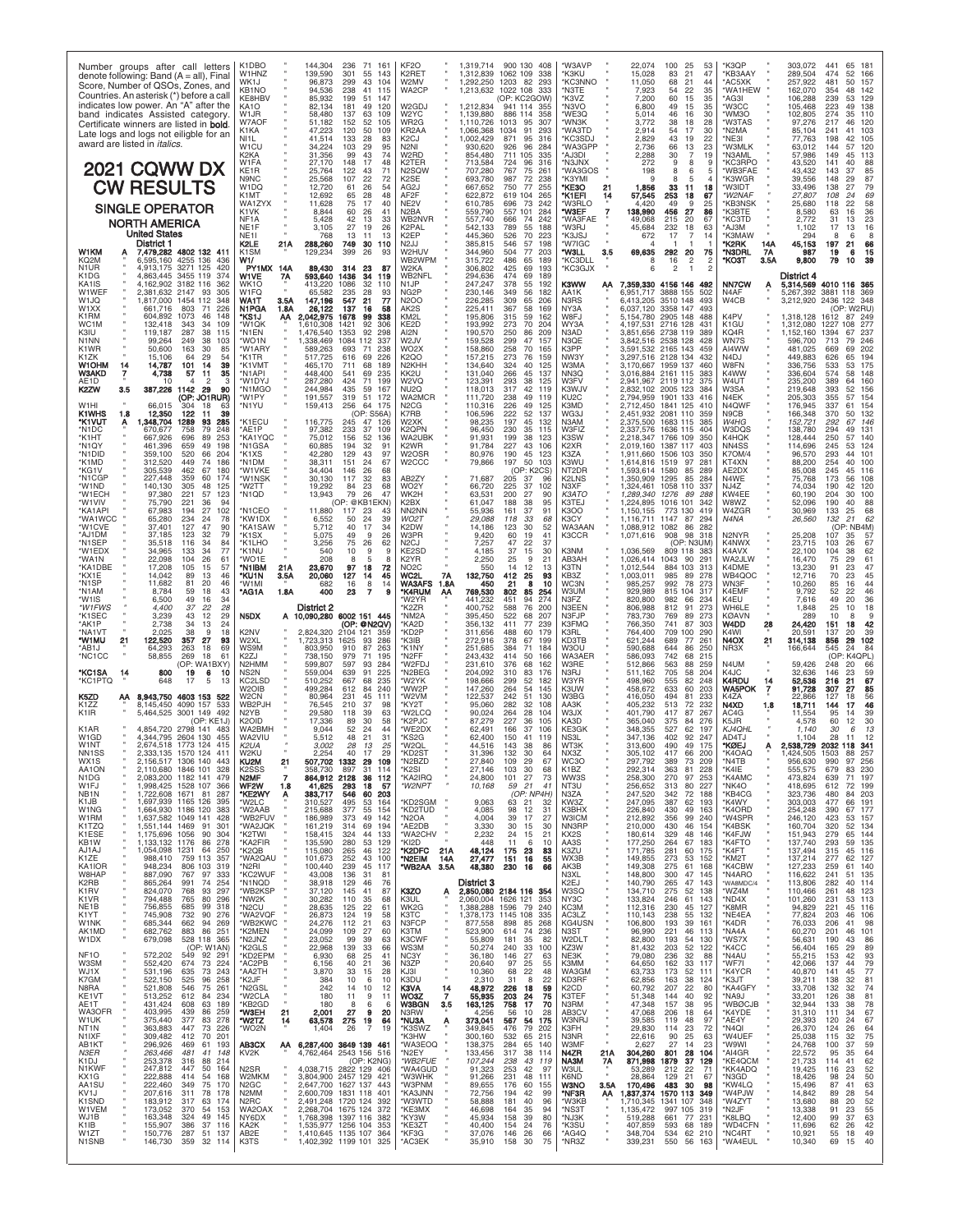| Number groups after call letters<br>denote following: Band $(A = all)$ , Final<br>Score, Number of QSOs, Zones, and<br>Countries. An asterisk (*) before a call<br>indicates low power. An "A" after the<br>band indicates Assisted category.<br>Certificate winners are listed in <b>bold</b> .<br>Late logs and logs not eiligble for an<br>award are listed in <i>italics</i> .<br><b>2021 CQWW DX</b>                                                                               | K1DBO<br>W1HNZ<br>WK1J<br>KB1NO<br>KE8HBV<br>KA1O<br>W1JR<br>W7AOF<br>K1KA<br>NI1L<br>W1CU<br>K2KA<br>W1FA                  | 144,304<br>236<br>71<br>161<br>139,590<br>301<br>55<br>143<br>96,873<br>299<br>43<br>104<br>94.536<br>238<br>41<br>115<br>199<br>51<br>85.932<br>147<br>181<br>49<br>120<br>82.134<br>58,480<br>137<br>63<br>109<br>51,182<br>152<br>52<br>105<br>47,223<br>120<br>50<br>109<br>133<br>28<br>41.514<br>83<br>34,224<br>103<br>29<br>95<br>31,356<br>99<br>43<br>74<br>148<br>17<br>27,170<br>48 | KF <sub>2</sub> O<br>K2RET<br>W2MV<br>WA2CP<br>W <sub>2</sub> GDJ<br>W2YC<br>WR2G<br>KR2AA<br>K2CJ<br>N2NI<br>W <sub>2</sub> RD<br>K2TER         | 1,319,714<br>900 130 408<br>1,312,839<br>1062 109<br>338<br>1.292.250<br>1203<br>82<br>293<br>1,213,632<br>1022 108<br>333<br>OP: KC2GOW<br>1,212,834<br>941 114 355<br>1,139,880<br>886 114<br>358<br>307<br>1.110.726<br>95<br>1013<br>91<br>293<br>1.066.368<br>1034<br>1,002,429<br>316<br>871<br>95<br>930,620<br>284<br>926<br>96<br>854,480<br>711 105<br>335<br>713,584<br>724<br>96<br>316 | <b>W3AVP</b><br>'K3KU<br>KC3NNO<br>'N3TE<br>'K3VZ<br>'N3VO<br>'WE3Q<br><b>WN3K</b><br>'WA3TD<br>KC3SDJ*<br>*WA3GPP<br>A.I3DI<br>'N3JNX    | 22.074<br>100<br>25<br>53<br>15,028<br>21<br>47<br>83<br>11,050<br>68<br>21<br>44<br>22<br>7,923<br>54<br>35<br>7,200<br>60<br>15<br>35<br>49<br>6,800<br>15<br>35<br>5,014<br>46<br>16<br>30<br>38<br>18<br>28<br>3.772<br>2,914<br>54<br>17<br>30<br>43<br>2,829<br>19<br>22<br>2,736<br>66<br>13<br>23<br>30<br>2,288<br>$\overline{7}$<br>19<br>272<br>8                     | 'K3OP<br>*KB3AAY<br>*AC5XK<br>*WA1HEW<br>*AG3I<br>'W3CC<br>"WM3O<br>'W3TAS<br>'N2MA<br>*NE3I<br>*W3MLK<br>*N3AML<br>KC3RPO | 303,072<br>441<br>65<br>18'<br>289,504<br>52<br>474<br>166<br>257,922<br>481<br>50<br>157<br>162,070<br>354<br>48<br>142<br>106,288<br>239<br>129<br>53<br>105.468<br>223<br>138<br>49<br>102,805<br>110<br>274<br>35<br>97,276<br>217<br>46<br>120<br>85,104<br>103<br>241<br>41<br>105<br>77.763<br>198<br>42<br>120<br>63.012<br>144<br>57<br>57,986<br>149<br>113<br>45<br>43,520<br>141<br>88 |
|-----------------------------------------------------------------------------------------------------------------------------------------------------------------------------------------------------------------------------------------------------------------------------------------------------------------------------------------------------------------------------------------------------------------------------------------------------------------------------------------|-----------------------------------------------------------------------------------------------------------------------------|-------------------------------------------------------------------------------------------------------------------------------------------------------------------------------------------------------------------------------------------------------------------------------------------------------------------------------------------------------------------------------------------------|--------------------------------------------------------------------------------------------------------------------------------------------------|-----------------------------------------------------------------------------------------------------------------------------------------------------------------------------------------------------------------------------------------------------------------------------------------------------------------------------------------------------------------------------------------------------|-------------------------------------------------------------------------------------------------------------------------------------------|----------------------------------------------------------------------------------------------------------------------------------------------------------------------------------------------------------------------------------------------------------------------------------------------------------------------------------------------------------------------------------|----------------------------------------------------------------------------------------------------------------------------|----------------------------------------------------------------------------------------------------------------------------------------------------------------------------------------------------------------------------------------------------------------------------------------------------------------------------------------------------------------------------------------------------|
| <b>CW RESULTS</b><br><b>SINGLE OPERATOR</b><br><b>NORTH AMERICA</b><br><b>United States</b><br>District 1                                                                                                                                                                                                                                                                                                                                                                               | KE1R<br>N9NC<br>W1DQ<br>K1MT<br>WA1ZYX<br>K1VK<br>NF <sub>1</sub> A<br>NE1F<br>NE1I<br>K2LE                                 | 25,764<br>122<br>43<br>71<br>22<br>25,568<br>107<br>72<br>12,720<br>61<br>26<br>54<br>28<br>12,692<br>65<br>48<br>11,628<br>75<br>17<br>40<br>8,844<br>60<br>26<br>41<br>5,428<br>33<br>42<br>13<br>27<br>3,105<br>19<br>26<br>768<br>13<br>11<br>13<br>21A<br>288,260<br>749<br>30<br>110                                                                                                      | N2SQW<br>K2SE<br>AG2J<br>AF2F<br>NE2V<br>N2BA<br>WB2NVR<br>K2PAL<br>K2EP<br>N2JJ                                                                 | 707,280<br>767<br>75<br>261<br>693,780<br>987<br>72<br>238<br>667,652<br>750<br>77<br>255<br>622.872<br>619 104<br>265<br>610,785<br>696<br>73<br>242<br>559,790<br>557 101<br>284<br>557,740<br>242<br>666<br>-74<br>542,133<br>789<br>188<br>55<br>445,360<br>526<br>70<br>223<br>385,815<br>546<br>198<br>-57                                                                                    | 'WA3GOS<br>'K3YMI<br>*KE3O<br>21<br>*K1EFI<br>14<br>'W3RLO<br>*W3EF<br>7<br>'WA3FAE<br>'W3RJ<br>'K3JSJ<br>'W7IGC                          | 198<br>6<br>9<br>8<br>5<br>1,856<br>33<br>11<br>18<br>57,545<br>253<br>18<br>67<br>4,420<br>49<br>9<br>25<br>138,990<br>27<br>456<br>86<br>215<br>20<br>49.068<br>67<br>232<br>18<br>63<br>45.684<br>17<br>672<br>7<br>14                                                                                                                                                        | *WB3FAE<br>'K3WGR<br>'W3IDT<br>*W2NAF<br>'KB3NSK<br>'K3BTE<br>'КС3TD<br>AJ3M*<br>'K3MAW<br><b>K2RK</b><br>14A              | 43,432<br>143<br>85<br>148<br>87<br>39,556<br>29<br>79<br>33,496<br>138<br>27<br>69<br>108<br>27,807<br>24<br>25,680<br>118<br>22<br>58<br>36<br>23<br>8,580<br>63<br>16<br>31<br>13<br>2.772<br>16<br>17<br>13<br>1.102<br>294<br>8<br>6<br>45,153<br>197<br>21<br>66                                                                                                                             |
| W1KM<br>7,479,282 4802 132 411<br>KO <sub>2</sub> M<br>6.595.160 4255 136 436<br>N1UR<br>4.913.175 3271 125<br>420<br>K1DG<br>4,863,445<br>3455 119<br>374<br>KA1IS<br>4.162.902 3182 116<br>362<br>W1WEF<br>2,381,632 2147<br>93<br>305<br>W1JQ<br>,817,000 1454 112<br>348<br>W1XX<br>661,716<br>803<br>226<br>71<br>K1RM<br>604.892<br>1073<br>46<br>148<br>WC1M<br>132,418<br>343<br>34<br>109<br>287<br>38<br>K3IU.<br>119.187<br>115                                              | K1SM<br>W1/<br><b>PY1MX 14A</b><br>W1VE<br>7A<br>WK1O<br>W1FO<br>3.5A<br>WA1T<br>N1PGA<br>1.8A<br>*KS1J<br>°W1QK<br>*N1EN   | 129,234<br>399<br>26<br>93<br>89,430<br>314<br>23<br>593,640<br>1436<br>34<br>119<br>413.220<br>1086<br>32<br>110<br>65,582<br>235<br>28<br>93<br>547<br>147,196<br>21<br>77<br>137<br>26,122<br>16<br>58<br>2,042,975<br>99<br>ΑА<br>1678<br>338<br>1,610,308<br>1421<br>92<br>306<br>476.540<br>1353<br>92<br>298                                                                             | W2HUV<br>WB2WPM<br>W2KA<br>WB2NFL<br>N1JP<br>NG2P<br>N2OO<br>AK2S<br>KM2L<br>KE2D<br>AI2N                                                        | 344,960<br>504<br>77<br>203<br>315,722<br>486<br>65<br>189<br>306,802<br>69<br>193<br>425<br>294,636<br>474<br>-69<br>189<br>247,247<br>378<br>55<br>192<br>230,146<br>349<br>56<br>182<br>226,285<br>309<br>65<br>206<br>225,411<br>367<br>58<br>169<br>195,806<br>315<br>59<br>162<br>193,992<br>273<br>70<br>204<br>190,570<br>250<br>86<br>209                                                  | "W3LL<br>35<br>KC3DLL*<br>*KC3GJX<br>К3WW<br>АА<br>AA1K<br>N3RS<br>NY3A<br>W8FJ<br>WY3A<br>N3AD                                           | 69,635<br>292<br>20<br>75<br>16<br>2<br>$\overline{c}$<br>8<br>$\mathfrak{p}$<br>7,359,330<br>4156 146 492<br>6,951,717<br>3888 155<br>502<br>6.413.205<br>3510 148<br>493<br>6,037,120<br>3358 147<br>493<br>5,154,780<br>2905 148<br>488<br>4,197,531<br>2716 128<br>431<br>3.851.656<br>2738 119<br>389                                                                       | *N3DRL<br>7A<br>*КОЗТ<br>3.5A<br>NN7CW<br>Α<br>N4AF<br>W4CB<br>K4PV<br>K1GU<br>KQ4R                                        | 987<br>19<br>6<br>15<br>9,800<br>79<br>39<br>10<br>District 4<br>5,314,569 4010 116 365<br>5,267,392<br>3881 118 369<br>3,212,920<br>2436 122 348<br>(OP: W2RU)<br>1,318,128<br>1612<br>87<br>249<br>1,312,080<br>1227<br>108<br>277<br>1,152,160<br>1394<br>237<br>67                                                                                                                             |
| N1NN<br>249<br>38<br>99.264<br>103<br>K <sub>1</sub> W <sub>R</sub><br>50.600<br>163<br>30<br>85<br>K1ZK<br>15.106<br>64<br>29<br>54<br>W1OHM<br>101<br>39<br>14<br>14,787<br>14<br><b>W3AKD</b><br>7<br>4,738<br>57<br>11<br>35<br>AE <sub>1</sub> D<br>2<br>-3<br>10<br>387,226 1142<br>K2ZW<br>3.5<br>-29<br>90<br>(OP: JO1RUR)<br>66,015<br>W <sub>1</sub> HI<br>304<br>18<br>63<br>K1WHS<br>1.8<br>12,350<br>122<br>39<br>-11<br>,348,704<br>285<br>*K1VUT<br>A<br>1289<br>93      | 'WO1N<br>*W1ARY<br>*K1TR<br>*K1VMT<br>*N1API<br>*W1DYJ<br>*N1MGO<br>*W1PY<br>*N1YU<br>*K1ECU                                | 1084<br>337<br>1.338.469<br>112<br>589.263<br>693<br>238<br>71<br>226<br>517.725<br>616<br>69<br>465,170<br>189<br>711<br>68<br>448,400<br>541<br>235<br>69<br>287.280<br>424<br>71<br>199<br>244,984<br>435<br>59<br>167<br>191,557<br>319<br>51<br>-172<br>159,413<br>256<br>64<br>175<br>(OP: S56A)<br>116,775<br>245<br>47<br>126                                                           | W2JV<br>WO <sub>2</sub> X<br>K2QO<br>N <sub>2KHH</sub><br>KK2U<br>W2VQ<br>NU2Q<br>WA2MCR<br>N2CG<br>K7RB<br>W2XK                                 | 159,528<br>157<br>299<br>47<br>158,860<br>258<br>70<br>165<br>157,215<br>273<br>76<br>159<br>134,640<br>125<br>324<br>40<br>131,040<br>266<br>45<br>137<br>123,391<br>293<br>38<br>125<br>118,013<br>317<br>42<br>119<br>111.720<br>238<br>49<br>119<br>110,316<br>226<br>49<br>125<br>106,596<br>222<br>52<br>137<br>98,235<br>197<br>45<br>132                                                    | N3QE<br>K3PP<br>NW3Y<br>W3MA<br>NN3Q<br>W3FV<br>K3WJV<br>KU <sub>2</sub> C<br>KЗMD<br>WG3J<br>N3AM                                        | 3.842.516<br>2538 128<br>428<br>3.591,532<br>2165 143<br>459<br>3,297,516 2128 134<br>432<br>3 170 667<br>460<br>1959 137<br>3,016,884<br>2161 115<br>383<br>2941967<br>2119 112<br>375<br>2,832,102<br>2005 123<br>38 <sub>6</sub><br>2 794 959<br>1901 133<br>416<br>2.712.450<br>1841<br>125<br>410<br>2,451,932<br>2081 110<br>359<br>2,375,500<br>1683 115<br>385           | WN7S<br>AI4WW<br>N4DJ<br>W8FN<br>K4WW<br>W4UT<br>W3SA<br>N4EK<br>N4QWF<br>N9CB<br>W4HG                                     | 246<br>596.700<br>713<br>79<br>481.025<br>202<br>669<br>69<br>449,883<br>626<br>65<br>194<br>336,756<br>533<br>175<br>53<br>336,604<br>574<br>58<br>148<br>235,200<br>389<br>160<br>64<br>219,648<br>393<br>156<br>52<br>205,303<br>355<br>154<br>57<br>176,945<br>337<br>61<br>154<br>166,348<br>370<br>50<br>132<br>152,721<br>292<br>67<br>146                                                  |
| *N1DC<br>670,677<br>758<br>79<br>248<br>*K1HT<br>667.926<br>696<br>89<br>253<br>*N1QY<br>461,396<br>659<br>49<br>198<br>*N1DID<br>520<br>204<br>359,100<br>66<br>312,520<br>449<br>74<br>186<br>*K1MD<br>*KG1V<br>305,539<br>462<br>67<br>180<br>*N1CGP<br>227,448<br>359<br>60<br>174<br>*W1ND<br>140,130<br>305<br>48<br>125<br>*W1ECH<br>97,380<br>221<br>57<br>123<br>*W1VIV<br>221<br>75,790<br>94<br>36<br>102<br>*KA1API<br>67,983<br>194<br>27                                  | AE1P*<br>KA1YQC*<br>*N1GSA<br>*K1XS<br>'N1DM<br>'W1VKE<br>'W1NSK<br>'W2TT<br>'N1QD<br>*N1CEO                                | 97,382<br>233<br>37<br>109<br>75,012<br>156<br>52<br>136<br>60,885<br>194<br>32<br>91<br>42.280<br>129<br>43<br>97<br>151<br>38,311<br>24<br>67<br>34.404<br>146<br>26<br>68<br>30,130<br>117<br>32<br>83<br>19.292<br>23<br>68<br>84<br>13,943<br>79<br>26<br>47<br>(OP: @KB1EKN)<br>11,880<br>117<br>23<br>43                                                                                 | K2QPN<br>WA2UBK<br>K2WR<br>W2OSR<br>W2CCC<br>AB2ZY<br>WO <sub>2</sub> Y<br>WK2H<br>K2BX<br>NN2NN                                                 | 96,450<br>230<br>35<br>115<br>91.931<br>199<br>38<br>123<br>91,784<br>227<br>43<br>106<br>80.976<br>190<br>45<br>123<br>79,866<br>197<br>50<br>103<br>(OP: K2CS)<br>71,687<br>205<br>-37<br>96<br>66,720<br>225<br>37<br>102<br>63,531<br>200<br>27<br>90<br>61,047<br>188<br>38<br>95<br>55,936<br>161<br>37<br>91                                                                                 | W3FIZ<br>K3SW<br>K2XR<br>K3ZA<br>K3WU<br>NT2DR<br>K2LNS<br>N3XF<br>КЗАТО<br>K3TEJ<br>K3OO                                                 | 2,337,576<br>1636 115<br>404<br>2,218,347<br>1766 109<br>35 <sub>0</sub><br>2,019,160<br>1387 117<br>40.3<br>1.911.660<br>1506 103<br>350<br>1.614.816<br>1519<br>97<br>28<br>1593614<br>85<br>1580<br>289<br>1,350,909<br>1295<br>284<br>85<br>1,324,461<br>1058 110<br>337<br>1,289,340<br>1276<br>89<br>288<br>1,224,895<br>1016 101<br>342<br>1,150,155<br>773 130<br>419    | W3DQS<br>K4HQK<br>NN4SS<br>K7OM/4<br>KT4XN<br>AE2DX<br>N4WE<br>NJ4Z<br>KW4EE<br>W8WZ<br>W4ZGR                              | 138,780<br>294<br>49<br>131<br>128,444<br>250<br>57<br>140<br>114,696<br>245<br>53<br>124<br>96,570<br>293<br>44<br>101<br>88,200<br>254<br>100<br>40<br>85,008<br>245<br>116<br>45<br>173<br>75,768<br>56<br>108<br>74,034<br>190<br>120<br>42<br>60,190<br>204<br>100<br>30<br>52,096<br>190<br>40<br>88<br>30,969<br>133<br>25<br>68                                                            |
| 'WA1WCC<br>65,280<br>234<br>24<br>78<br>127<br>'W1CVE<br>37.401<br>47<br>90<br>*AJ1DM<br>37,185<br>123<br>32<br>79<br>*N1SEP<br>35,518<br>116<br>-34<br>84<br>*W1EDX<br>34,965<br>133<br>34<br>77<br>22,098<br>104<br>26<br>61<br>*WA1N<br>*KA1DBE<br>17,208<br>105<br>57<br>15<br>46<br>13<br>*KX1F<br>14,042<br>89<br>*N1SP<br>11,682<br>81<br>20<br>46<br>43<br>*N1AM<br>59<br>18<br>8.784<br>49<br>34<br>*W1IS<br>6.500<br>16<br>37<br>28<br>*W1FWS<br>4,400<br>22                  | *KW1DX<br>*KA1SAW<br>*K1SX<br>*K1LHO<br>*K1NU<br>*WO1F<br>*N1IBM<br>21 A<br>*KU1N<br>3.5A<br>*W1MI<br>*AG1A<br>1.8A         | 39<br>6,552<br>50<br>24<br>5,712<br>40<br>17<br>34<br>5,075<br>49<br>9<br>26<br>75<br>26<br>3,256<br>62<br>540<br>10<br>9<br>9<br>208<br>8<br>5<br>я<br>23,670<br>97<br>18<br>72<br>45<br>20,060<br>127<br>14<br>8<br>682<br>16<br>14<br>400<br>23<br>$\overline{7}$<br>District 2                                                                                                              | <b>WO2T</b><br>K2DW<br>W3PR<br>N2CJ<br>KE2SD<br>K2YR<br>NO <sub>2</sub> C<br>WC2L<br>7A<br>WA3AFS<br>1.8A<br>*K4RUM<br>АА<br>W2YR<br><b>K27R</b> | 29.088<br>33<br>118<br>68<br>14,186<br>123<br>30<br>52<br>9,420<br>60<br>19<br>41<br>7.257<br>47<br>22<br>37<br>37<br>4,185<br>15<br>30<br>25<br>2.250<br>9<br>21<br>550<br>14<br>12<br>13<br>132,750<br>412<br>25<br>93<br>21<br>8<br>10<br>450<br>769,530<br>802<br>85<br>254<br>451<br>441.232<br>94<br>274<br>400,752<br>588<br>200<br>-76                                                      | K3CY<br>WA3AAN<br>K3CCR<br>КЗNM<br>AB3AH<br>K3TN<br>KB3Z<br>WСЗN<br>W3UM<br>N3FZ<br>N3EEN                                                 | 1147<br>294<br>1.116.711<br>87<br>1,088,912<br>1082<br>86<br>282<br>1,071,616<br>908<br>98<br>318<br>(OP: N3UM)<br>1,036,569<br>809 118<br>383<br>1,026,414<br>1043<br>90<br>$29 -$<br>1,012,544<br>884 103<br>313<br>1,003,011<br>985<br>89<br>278<br>992<br>78<br>273<br>985.257<br>929.989<br>815<br>104<br>317<br>820,800<br>982<br>66<br>234<br>273<br>812<br>91<br>806.988 | N4NA<br>N2NYR<br>K4NWX<br>K4AVX<br>WA2JLW<br>K4DME<br>WB4QOC<br>WN3F<br>K4EMF<br>K4EU<br>WH6LE                             | 26,560<br>132<br>21<br>62<br>(Ol<br>NB4M)<br>25,208<br>107<br>57<br>35<br>67<br>23,715<br>103<br>26<br>22,100<br>104<br>38<br>62<br>61<br>16,470<br>75<br>29<br>13,230<br>91<br>23<br>47<br>45<br>12,716<br>70<br>23<br>10,260<br>85<br>44<br>16<br>52<br>46<br>9.792<br>22<br>7,616<br>49<br>20<br>36<br>25<br>10<br>18<br>1,848                                                                  |
| *K1SEC<br>3,239<br>43<br>12<br>29<br>*AK1P<br>2,738<br>34<br>13<br>24<br>*NA1VT<br>2.025<br>38<br>-9<br>18<br>*W1MU<br>122,520<br>357<br>27<br>93<br>21<br>*AB1J<br>64,293<br>263<br>18<br>69<br>*NC1CC<br>58,855<br>269<br>18<br>61<br>(OP: WA1BXY)<br>*KC1SA<br>800<br>14<br>19<br>6<br>10<br>*KC1PTQ<br>648<br>17<br>-5<br>13<br>K5ZD<br>8,943,750 4603 153<br>ΑА<br>522                                                                                                             | N5DX<br>K2NV<br>W2XL<br>WS9M<br>K27.I<br>N2HMM<br>NS2N<br>KC2LSD<br>W2OIB<br>W2CN                                           | 10,090,280<br>6002 151 445<br>A<br>(OP: @N2QV)<br>2,824,320<br>2104 121<br>359<br>1.723.313<br>1625<br>93<br>286<br>803.950<br>910<br>87<br>263<br>738,150<br>979<br>71<br>195<br>599.807<br>597<br>93<br>284<br>559,004<br>639<br>91<br>225<br>667<br>510.252<br>68<br>235<br>499,284<br>612<br>84<br>240<br>80,964<br>231<br>45<br>111                                                        | 'NM2A<br>'KA2D<br>'KD2P<br>K3IB<br>'K1NY<br>'N2FF<br>W2FDJ<br>N <sub>2</sub> BEG<br>'W2YK<br>'WW2P<br>W2VM                                       | 395,450<br>522<br>68<br>207<br>239<br>77<br>356.132<br>411<br>311,656<br>179<br>488<br>60<br>272,916<br>67<br>378<br>199<br>251,685<br>384<br>71<br>184<br>243,432<br>414<br>50<br>166<br>231,610<br>376<br>68<br>162<br>204,092<br>310<br>83<br>176<br>198,666<br>299<br>52<br>182<br>147,260<br>264<br>54<br>145<br>122,537<br>242<br>51<br>130                                                   | N3FJP<br>K3FMQ<br>K3RL<br>KD3TB<br>W3OU<br>WA3AER<br>W3RE<br>N3RJ<br>W3YR<br>K3UW<br>W3BG                                                 | 783,730<br>89<br>273<br>769<br>741<br>87<br>303<br>766,350<br>764,400<br>709<br><b>290</b><br>100<br>621.244<br>$26 -$<br>689<br>77<br>590,688<br>644<br>86<br>250<br>586,093<br>742<br>68<br>215<br>512,866<br>563<br>88<br>259<br>511,162<br>705<br>58<br>204<br>82<br>498,960<br>555<br>248<br>458,672<br>633<br>60<br>203<br>233<br>416,050<br>494<br>81                     | <b>KØAVN</b><br>W4DD<br>28<br>K4WI<br>N4OX<br>21<br>NR3X<br>N4UM<br>K4JC<br>K4RDU<br>14<br><b>WA5POK</b><br>7<br>K4ZA      | 289<br>10<br>8<br>24,420<br>151<br>18<br>42<br>20,591<br>39<br>137<br>20<br>314,138<br>29<br>102<br>856<br>166,644<br>545<br>24<br>84<br>(OP)<br>K4OPL<br>59,426<br>248<br>20<br>66<br>32,636<br>146<br>23<br>59<br>67<br>52,536<br>216<br>21<br>85<br>91,728<br>307<br>27<br>56<br>22.866<br>127<br>18                                                                                            |
| K1ZZ<br>8,145,450 4090 157<br>533<br>K <sub>1</sub> IR<br>5,464,525 3001 149 492<br>(OP: KE1J)<br>K1AR<br>4.854.720 2798 141 483<br>W <sub>1</sub> GD<br>4,344,795 2604 130<br>455<br>W <sub>1</sub> NT<br>2.674.518 1773 124 415<br>NN1SS<br>333,135<br>1570 124<br>411<br>WX1S<br>2.156.517 1306 140<br>443<br>AA1ON<br>2,110,680 1846 101<br>328<br>2,083,200 1182 141<br>N1DG<br>479<br>W1FJ<br>,998,425 1528 107<br>366                                                            | WB2PJF<br>N2YB<br>K2OID<br>WA2RMH<br>WA2VIU<br>K2UA<br>W2KU<br>KU2M<br>21<br>K2SSS<br>$\overline{7}$<br>N2MF<br>WF2W<br>1.8 | 210<br>37<br>76.545<br>98<br>29.580<br>118<br>39<br>63<br>89<br>30<br>17.336<br>58<br>9,044<br>52<br>24<br>44<br>5,512<br>48<br>21<br>31<br>3,002<br>28<br>13<br>25<br>2,254<br>40<br>17<br>29<br>507,702 1332<br>29<br>109<br>358,730<br>897<br>31<br>114<br>864.912 2128<br>36 112<br>41,625<br>293<br>18<br>57                                                                               | KY2T<br>'W2LCQ<br>'K2PJC<br>WE2DX<br>'KS2G<br>*W2QL<br>*KD2S1<br>N2BZD*<br>'K2SI<br>KA2IRQ*<br>*W2NPT                                            | 95,060<br>282<br>32<br>108<br>90.024<br>264<br>28<br>104<br>227<br>87.279<br>36<br>105<br>166<br>62.491<br>-37<br>106<br>150<br>41<br>62,400<br>119<br>143<br>38<br>44.516<br>86<br>31.396<br>132<br>30<br>64<br>27,840<br>109<br>29<br>67<br>30<br>27,146<br>103<br>68<br>27<br>24,800<br>101<br>73<br>59<br>41<br>10,168<br>-21                                                                   | ААЗК<br>W3JX<br>KA3D<br>KE3GK<br>NS3L<br>WT3K<br>NX3Z<br>WC3O<br>K1BZ<br>WW3S<br>NT3U                                                     | 513<br>72<br>232<br>405.232<br>401.790<br>417<br>87<br>267<br>375<br>276<br>365.040<br>84<br>527<br>62<br>197<br>348.355<br>402<br>92<br>247<br>347.136<br>490<br>49<br>175<br>313,600<br>305.102<br>417<br>66<br><b>200</b><br>297,792<br>389<br>209<br>73<br>81<br>228<br>292,314<br>363<br>253<br>258,300<br>270<br>97<br>80<br>227<br>256,652<br>313                         | N4XD<br>1.8<br>AC4G<br>K5JR<br>KJ4QHL<br>AD4TJ<br>*KØEJ<br>Α<br>'K4OAQ<br>*N4TB<br>*K4IE<br>*K4AMC<br>*NK4O                | 144<br>46<br>18,711<br>17<br>39<br>14<br>11.554<br>95<br>60<br>12<br>30<br>4.578<br>30<br>$\epsilon$<br>13<br>1.140<br>28<br>1.104<br>2,538,729 2032 118 341<br>1503<br>956,630<br>990<br>256<br>97<br>230<br>555,575<br>679<br>83<br>473,824<br>639<br>71<br>197<br>418,695<br>612<br>72<br>199                                                                                                   |
| 722,608 1671 81<br>NB <sub>1</sub> N<br>287<br>1,697,939 1165 126<br>K1JB<br>395<br>W1NG<br>1.664.930 1186 120<br>383<br>W1RM<br>,637,582 1049 141<br>428<br>K1TZQ<br>1,551,144 1469<br>91<br>301<br>1,175,696 1056<br>90<br>304<br>K1ESE<br>KB1W<br>1,133,132 1176<br>86<br>278<br>,054,098 1231<br>$A$ , $I$ 1 $A$ , $I$<br>250<br>64<br>K1ZE<br>988,410<br>759 113<br>357<br>KA1IOR<br>806 103<br>948,234<br>319<br>W8HAP<br>887,090<br>767<br>97<br>333                             | *KE2WY<br>Α<br>*W2LC<br>*W2AAB<br>*WB2FUV<br>*WA2JQK<br>*K2TWI<br>*KA2FIR<br>*K2OB<br>*WA2QAU<br>*N2RI<br>*KC2WUF           | 383,717<br>546<br>60<br>203<br>310,527<br>495<br>53<br>164<br>215,688<br>377<br>55<br>154<br>186,989<br>373<br>49<br>142<br>161,219<br>314<br>69<br>194<br>158,415<br>324<br>44<br>133<br>135,590<br>280<br>53<br>129<br>115,080<br>265<br>46<br>122<br>101,673<br>252<br>43<br>100<br>239<br>100,440<br>45 117<br>43,008<br>136<br>31<br>81                                                    | KD2SGM*<br>KD2TUD*<br>*N2OA<br>*AE2DB<br>*WA2CHV<br>*KI2D<br>*K2DFC<br>21A<br>*N2EIM<br>14A<br>*WB2AA<br>3.5A                                    | (OP: NP4H)<br>9,063<br>63 21<br>32<br>4,085<br>98<br>12<br>31<br>4,004<br>39<br>17<br>27<br>3,330<br>30<br>15<br>30<br>24<br>2,232<br>15<br>21<br>448<br>11<br>6<br>10<br>48,124<br>175<br>23<br>83<br>55<br>27,477<br>151<br>16<br>48,380<br>230<br>66<br>16                                                                                                                                       | N3ZA<br>KW3Z<br>K3BHX<br><b>W3ICM</b><br>NN3RP<br>KX <sub>2</sub> S<br>AA3S<br>K3ZU<br>WX3B<br>AK3B<br>N3XL                               | 247,520<br>342<br>72<br>188<br>387<br>193<br>247,095<br>62<br>226,840<br>430<br>49<br>163<br>212,892<br>356<br>99<br>240<br>210,000<br>430<br>46<br>154<br>180,614<br>329<br>48<br>146<br>177,250<br>264<br>67<br>183<br>171,785<br>281<br>60<br>175<br>149,855<br>273<br>53<br>152<br>149,308<br>275<br>61<br>168<br>148,800<br>300<br>47<br>145                                | *KB4CG<br>*K4WY<br>*K4ORD<br>*W4SPR<br>*K4BSK<br>*K4FJW<br>*K4FTO<br>*K4FT<br>*KM2T<br>*K4CBW<br>*N4ARO                    | 323,736<br>480<br>84 203<br>191<br>303,003<br>477<br>66<br>254,248<br>390<br>67<br>177<br>246,120<br>423<br>53<br>157<br>160,704<br>320<br>52<br>134<br>151,943<br>279<br>144<br>65<br>137,740<br>293<br>59<br>135<br>137,494<br>315<br>45<br>116<br>137,214<br>277<br>62<br>127<br>127,233<br>259<br>140<br>61<br>116,622<br>241<br>135<br>51                                                     |
| K <sub>2</sub> R <sub>B</sub><br>865,264<br>991<br>74<br>254<br>768<br>93<br>297<br>K1RV<br>824,070<br>K1VR<br>794,488<br>765<br>80<br>296<br>318<br>NE <sub>1</sub> B<br>756,855<br>685<br>99<br>90<br>K1YT<br>745,908<br>732<br>276<br>662<br>94<br>W1NK<br>685,344<br>269<br>AK1MD<br>682,762<br>883<br>86 251<br>W1DX<br>679,098<br>528 118 365<br>(OP: W1AN)<br>NF <sub>10</sub><br>572,202<br>549 92 291<br>W3SM<br>552,420<br>674<br>73<br>224                                   | N1NOD <sup>*</sup><br>*WB2KSP<br>*NW2K<br>*N2CU<br>*WA2VQF<br>*WB2KWC<br>*K2MEN<br>*N2JNZ<br>*K2GLS<br>*KD2EPM<br>*AC2PB    | 38,918<br>129<br>76<br>46<br>145<br>37,120<br>41<br>87<br>30,282<br>110<br>35<br>68<br>125<br>28,635<br>22<br>61<br>124<br>26,873<br>19<br>58<br>112<br>21<br>63<br>24,276<br>24,099<br>109<br>27<br>60<br>23,052<br>99<br>39<br>63<br>22,968<br>139<br>33<br>66<br>25<br>6,930<br>68<br>41<br>40<br>21<br>36<br>6,156                                                                          | K3ZO<br>A<br>K3UL<br>WK2G<br>КЗТС<br>N3FCP<br>K3TM<br>K3CWF<br>WS3M<br>NC3Y<br>N3ZP                                                              | District 3<br>2,850,080 2184 116 354<br>2,060,004<br>1626 121 353<br>240<br>1,388,288<br>1596<br>79<br>1,378,173<br>1145 108<br>335<br>268<br>877,558<br>898<br>85<br>523,900<br>614<br>74<br>236<br>55,809<br>181<br>35<br>-82<br>50,274<br>240<br>33<br>100<br>27<br>146<br>36,180<br>63<br>20,640<br>97<br>25<br>55                                                                              | K <sub>2</sub> EJ<br>W3SQ<br>NY3C<br>КСЗМ<br>AC3LZ<br>KG4USN<br>N3ST<br>W2DLT<br>KZ3W<br>NE3K<br>K3MM                                     | 140,790<br>265<br>47<br>143<br>134,710<br>275<br>52<br>138<br>133,824<br>246<br>61<br>143<br>127<br>112,316<br>230<br>45<br>110,143<br>238<br>55<br>132<br>39<br>161<br>106,800<br>193<br>96,990<br>221<br>46<br>113<br>82,800<br>193<br>54<br>130<br>81,432<br>203<br>52<br>122<br>32<br>79,080<br>236<br>88<br>64,650<br>162<br>33<br>117                                      | *WA8MDC/4<br>*WZ4M<br>*ND4X<br>*K8MR<br>*NE4EA<br>*K4DR<br>*NA4A<br>*WS7X<br>*K4CC<br>*N4AU<br>*WF7I                       | 113,806<br>282<br>114<br>40<br>110,466<br>261<br>48<br>123<br>101,260<br>231<br>53 113<br>94,829<br>221<br>45 116<br>77,824<br>203<br>46<br>106<br>76,033<br>206<br>41<br>-98<br>60,270<br>201<br>46<br>101<br>56,631<br>190<br>43<br>86<br>56,404<br>165<br>29<br>89<br>153<br>42<br>93<br>55,215<br>42,066<br>137<br>79<br>44                                                                    |
| WJ1X<br>531,196<br>635<br>73<br>243<br>K7GM<br>522,150<br>525<br>96<br>258<br>N8RA<br>521,808<br>261<br>546<br>75<br>KE1VT<br>513,252<br>612<br>84<br>234<br>AE1T<br>431,424<br>608<br>63<br>189<br>439<br>259<br>WA3OFR<br>403,995<br>86<br>W1UK<br>375,440<br>377<br>83<br>278<br>363,883<br>226<br>NT1N<br>447<br>73<br>412<br>70<br>N <sub>1</sub> IXF<br>309,482<br>201<br>AB1KT<br>296,926<br>469<br>61<br>193<br><b>N3ER</b><br>263,466<br>481<br>41<br>148<br>K <sub>1</sub> DJ | *AA2TH<br>*K2JF<br>*N2GSL<br>*W2CLA<br>*KB2GD<br>*W3EH<br>21<br>*W2TZ<br>14<br>*WO2N<br>AB3CX<br>KV2K                       | 33<br>28<br>3,870<br>15<br>384<br>10<br>6<br>10<br>242<br>10<br>14<br>12<br>180<br>11<br>9<br>11<br>180<br>-8<br>6<br>6<br>27<br>2,001<br>9<br>20<br>63,578<br>275<br>19<br>64<br>1,404<br>26<br>7<br>19<br>6,287,400 3649 139 461<br>АΑ<br>4,762,464 2543 156 516                                                                                                                              | KJ3I<br>K3DU<br><b>K3VA</b><br>14<br>WO3Z<br>7<br><b>W3BGN</b><br>3.5<br>N3RW<br>*NU3A<br>Ą<br>*K3SWZ<br>K3HW*<br>*WA3EOQ<br>*N2EY               | 68<br>22<br>48<br>10,360<br>2,310<br>31<br>8<br>22<br>48,972<br>226<br>18<br>59<br>55,935<br>203<br>24<br>75<br>163,125<br>758<br>17<br>70<br>4,256<br>56<br>10<br>28<br>567<br>373,041<br>54<br>175<br>349,845<br>476<br>79<br>202<br>300,160<br>532<br>65<br>215<br>138,375<br>284<br>65<br>140<br>133,456<br>317<br>38<br>114                                                                    | WA3GM<br>KD3RF<br>K <sub>2</sub> C <sub>D</sub><br>K3TEF<br>N3RM<br>AB3CV<br>W3NRJ<br>K3FH<br>N3NR<br>W3MF<br>N4ZR<br>21A                 | 52<br>63,733<br>173<br>111<br>62,856<br>163<br>38<br>124<br>207<br>22<br>60,792<br>80<br>51,348<br>144<br>40<br>92<br>95<br>47,348<br>157<br>38<br>18<br>64<br>47,068<br>206<br>39,585<br>119<br>48<br>97<br>23<br>29,830<br>114<br>72<br>25<br>22,616<br>90<br>63<br>23<br>2,627<br>27<br>14<br>304,260<br>801<br>28<br>104                                                     | *K4YCR<br>*K3JT<br>*KA4GFY<br>*NA9J<br>*WBØCJB<br>*K4YDE<br>*AE4Y<br>*N4QI<br>*W4UEF<br>*W9WI<br>*AI4GR                    | 77<br>40,870<br>141<br>45<br>39,211<br>138<br>32<br>81<br>132<br>32<br>74<br>33,708<br>33,201<br>126<br>38<br>81<br>78<br>67<br>32,944<br>133<br>38<br>31,310<br>111<br>34<br>67<br>29,393<br>120<br>24<br>64<br>26,370<br>124<br>26<br>75<br>25,038<br>115<br>32<br>59<br>100<br>37<br>24,768<br>64<br>22,572<br>95<br>35                                                                         |
| 253,378<br>316<br>214<br>88<br>N1KWF<br>247,812<br>447<br>50<br>164<br>222,888<br>KX1G<br>414<br>54<br>168<br>AA1SU<br>222,460<br>349<br>75<br>170<br>KV <sub>1</sub> J<br>207,616<br>311<br>78<br>178<br>K1SND<br>183,912<br>317<br>63<br>174<br>W1VEM<br>173,052<br>370<br>54<br>153<br>WJ1B<br>163,348<br>324<br>49<br>145<br>K1IB<br>155,907<br>386<br>37<br>116<br>W1ZT<br>150,776<br>287<br>51<br>137<br>N1SNB<br>146,730<br>359<br>32 114                                        | N2SR<br>W2MKM<br>N <sub>2</sub> GC<br>N2MM<br>N <sub>2</sub> RC<br>WA2OAX<br>NY6DX<br>KA2K<br>AB <sub>2</sub> E<br>K3TS     | (OP: K2NG)<br>4,038,715 2822 129 406<br>3,804,900 2457 129 421<br>2,647,700 1627 137<br>443<br>2,600,709 1831 118<br>401<br>2,491,248 1720 124<br>392<br>2,268,704 1675 124<br>-372<br>1,768,398<br>1397 116<br>-382<br>1,535,977<br>1256 104<br>353<br>1,410,645 1135 107<br>364<br>1,402,392 1199 101 325                                                                                     | *WB2FUE<br>'WA4GUD<br>'W3WHK<br>*W3PNM<br>KA3JNN<br>'W3WTD<br>*KE3MX<br>'KY3W<br>*KE3ZT<br>*KF3G<br>*AC3EK                                       | 107,244<br>238<br>43<br>119<br>91,323<br>253<br>42<br>97<br>231<br>91,266<br>48<br>111<br>89,655<br>176<br>60<br>155<br>194<br>99<br>72,756<br>42<br>58,888<br>181<br>40<br>96<br>46,698<br>164<br>35<br>94<br>45,934<br>158<br>39<br>80<br>40,400<br>154<br>24<br>76<br>37,076<br>146<br>-26<br>66<br>35,910<br>158<br>30<br>75                                                                    | <b>NA3M</b><br>7A<br><b>W3UL</b><br>٠<br>K6ND<br><b>W3NO</b><br>3.5A<br>*NF3R<br>AΑ<br>*W3KB<br>*NS3T<br>*NJ3K<br>*K3SU<br>*AG4Q<br>*NR3Z | 871,998<br>129<br>1879<br>37<br>53,289<br>212<br>22<br>71<br>21<br>28,864<br>129<br>67<br>170,496<br>483<br>-30<br>98<br>1570 113<br>1,837,374<br>349<br>1,710,345<br>1341 107<br>348<br>997 105<br>1,135,472<br>319<br>519,288<br>77<br>231<br>661<br>189<br>407.859<br>593<br>68<br>348,704<br>534<br>62<br>210<br>339,231<br>550<br>56<br>163                                 | *KE4QCM<br>*KK4ADQ<br>*N3GD<br>*KW4LQ<br>*W4PJW<br>*W4ZYT<br>*N2JF<br>*K8LBQ<br>*WD4CFN<br>*NC4RT<br>*WA4EUL               | $62$<br>$52$<br>21,733<br>114<br>41<br>19,425<br>116<br>23<br>50<br>18,426<br>24<br>98<br>15,496<br>87<br>63<br>41<br>54<br>52<br>14,842<br>89<br>28<br>13,680<br>88<br>20<br>55<br>13,338<br>91<br>23<br>12,400<br>99<br>37<br>63<br>$^{42}_{49}$<br>11,696<br>62<br>26<br>10,921<br>55<br>18<br>10,340<br>69<br>15<br>40                                                                         |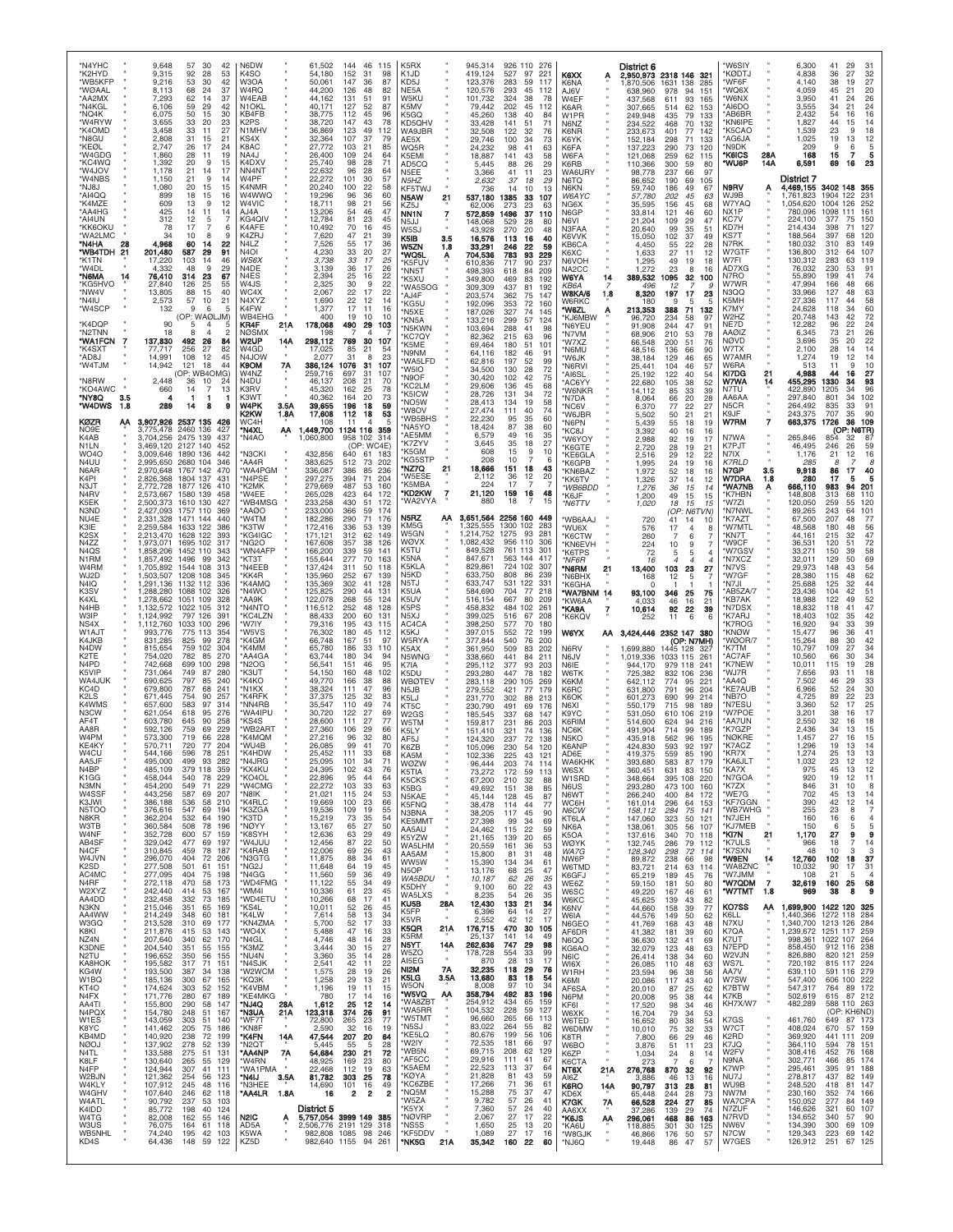| *N4YHC<br>*K2HYD<br>*WB5KFP<br>*WØAAL<br>*AA2MX<br>*N4KGL<br>*NQ4K<br>*W4RYW<br>*K4OMD<br>*N8GU<br>*KEØL<br>*W4GDG<br>*KC4WQ                             | 9,648<br>57<br>30<br>42<br>9,315<br>92<br>28<br>53<br>9,216<br>53<br>30<br>42<br>68<br>8,113<br>24<br>37<br>62<br>14<br>37<br>7.293<br>59<br>29<br>6.106<br>42<br>6,075<br>50<br>30<br>15<br>3,655<br>33<br>20<br>23<br>3,458<br>33<br>11<br>27<br>2,808<br>31<br>21<br>15<br>2,747<br>26<br>17<br>24<br>1,860<br>28<br>11<br>19<br>1,392<br>20<br>9<br>15                                                                                       | N6DW<br>K4SO<br>W3OA<br>W4RO<br>W4EAB<br>N <sub>1</sub> OKL<br>KB4FB<br>K2PS<br>N1MHV<br>KS4X<br>K8AC<br><b>NA4J</b><br>K4DXV                                     | 61,502<br>144<br>46<br>115<br>152<br>54,180<br>31<br>98<br>50,061<br>147<br>36<br>87<br>44,200<br>126<br>48<br>82<br>131<br>51<br>44.162<br>91<br>40.171<br>127<br>52<br>87<br>38.775<br>112<br>45<br>96<br>38,720<br>147<br>43<br>78<br>36,869<br>123<br>49<br>112<br>107<br>37<br>32.364<br>79<br>27,772<br>103<br>21<br>85<br>26,400<br>109<br>24<br>64<br>28<br>25.740<br>98<br>71                                    | K5RX<br>K1JD<br>KD5J<br>NE5A<br>W5KU<br>K5MV<br>K5GQ<br>KD5QHV<br>WA9JBR<br>AE5X<br>WQ5R<br>K5EMI<br>AD5CQ                                                            | 945,314<br>926 110<br>276<br>419,124<br>97<br>527<br>221<br>123,376<br>283<br>59<br>117<br>120,576<br>293<br>45<br>112<br>101,732<br>324<br>38<br>78<br>79,442<br>202<br>45<br>112<br>45,260<br>138<br>40<br>84<br>33,428<br>141<br>51<br>71<br>32,508<br>122<br>32<br>76<br>29,746<br>100<br>34<br>73<br>24,232<br>98<br>41<br>63<br>18,887<br>141<br>43<br>58<br>5,445<br>88<br>26<br>29                                | K6XX<br>Α<br>K6NA<br>AJ6V<br>W4EF<br>K6AR<br>W1PR<br>N6NZ<br>K6NR<br>K6YK<br><b>K6FA</b><br>W6FA<br>K6RB                                              | District 6<br>2,950,973 2318 146<br>321<br>1,870,506<br>1631 138<br>285<br>638,960<br>978<br>94<br>151<br>93<br>437.568<br>611<br>165<br>307,665<br>514<br>62<br>153<br>435<br>249,948<br>79<br>133<br>234,522<br>468<br>70<br>132<br>401<br>77<br>233,673<br>142<br>152,184<br>298<br>71<br>133<br>137,223<br>290<br>73<br>120<br>121,068<br>259<br>62<br>115<br>110,366<br>300<br>59<br>80                                                | 'W6SIY<br>*KØDTJ<br>*WF6F<br>'WQ6X<br>'W6NX<br>AI6DO<br>*AB6BR<br>KN6IPE<br>'K5CAO<br>*AG6JA<br>*N9DK<br><b>'K6ICS</b><br>28A<br>*WU6P<br>14A                          | 6,300<br>41<br>29<br>31<br>4,838<br>36<br>27<br>32<br>4,140<br>38<br>19<br>27<br>45<br>4.059<br>21<br>20<br>3,950<br>41<br>26<br>24<br>34<br>24<br>3.555<br>21<br>54<br>16<br>2.432<br>16<br>1,827<br>44<br>14<br>15<br>1,539<br>23<br>18<br>1,025<br>19<br>13<br>12<br>9<br>209<br>6<br>5<br>168<br>15<br>7<br>6,591<br>69<br>16<br>23                                                          |
|----------------------------------------------------------------------------------------------------------------------------------------------------------|--------------------------------------------------------------------------------------------------------------------------------------------------------------------------------------------------------------------------------------------------------------------------------------------------------------------------------------------------------------------------------------------------------------------------------------------------|-------------------------------------------------------------------------------------------------------------------------------------------------------------------|---------------------------------------------------------------------------------------------------------------------------------------------------------------------------------------------------------------------------------------------------------------------------------------------------------------------------------------------------------------------------------------------------------------------------|-----------------------------------------------------------------------------------------------------------------------------------------------------------------------|---------------------------------------------------------------------------------------------------------------------------------------------------------------------------------------------------------------------------------------------------------------------------------------------------------------------------------------------------------------------------------------------------------------------------|-------------------------------------------------------------------------------------------------------------------------------------------------------|---------------------------------------------------------------------------------------------------------------------------------------------------------------------------------------------------------------------------------------------------------------------------------------------------------------------------------------------------------------------------------------------------------------------------------------------|------------------------------------------------------------------------------------------------------------------------------------------------------------------------|--------------------------------------------------------------------------------------------------------------------------------------------------------------------------------------------------------------------------------------------------------------------------------------------------------------------------------------------------------------------------------------------------|
| *W4JOV<br>*W4NBS<br>U8UN*<br>*AI4QQ<br>*K4MZE<br>*AA4HG<br>*AI4UN<br>*KK6OKU<br>*WA2LMC<br>*N4HA<br>28<br>*WB4TDH<br>21<br>*K1TN<br>*W4DL<br>*N6MA<br>14 | 1,178<br>21<br>14<br>17<br>1,150<br>21<br>9<br>14<br>1,080<br>20<br>15<br>15<br>899<br>18<br>15<br>16<br>609<br>13<br>9<br>12<br>14<br>425<br>11<br>14<br>312<br>12<br>5<br>17<br>6<br>78<br>10<br>9<br>34<br>8<br>4,968<br>60<br>22<br>14<br>201,480<br>587<br>29<br>91<br>103<br>17,220<br>14<br>46<br>4,332<br>48<br>9<br>29<br>76,410<br>314<br>-23<br>67                                                                                    | NN4NT<br>W4PF<br>K4NMR<br>W4WWQ<br>W4VIC<br>AJ4A<br>KG4QIV<br>K4AFE<br>K4ZRJ<br>N4L Z<br>N <sub>4</sub> OI<br>WS6X<br>N4DE<br>N <sub>4</sub> E <sub>S</sub>       | 22,632<br>96<br>28<br>64<br>101<br>57<br>22,272<br>30<br>20,240<br>100<br>22<br>58<br>96<br>36<br>60<br>19,296<br>18,711<br>98<br>21<br>56<br>13,206<br>54<br>46<br>47<br>12,784<br>81<br>23<br>45<br>10,492<br>70<br>16<br>45<br>7,620<br>47<br>21<br>39<br>7,526<br>55<br>17<br>36<br>4,230<br>33<br>20<br>27<br>33<br>17<br>25<br>3,738<br>3,139<br>36<br>17<br>26<br>25<br>22<br>2.394<br>16                          | N5EE<br>N5HZ<br>KF5TWJ<br>N5AW<br>21<br>KZ5J<br>NN <sub>1</sub> N<br>7<br>N5JJ<br>W5SJ<br>K5IB<br>3.5<br>W5ZN<br>1.8<br>'WQ5L<br>Ą<br>'K5FUV<br>'NN5T<br>'K5XU        | 3,366<br>41<br>11<br>23<br>37<br>18<br>29<br>2.632<br>13<br>736<br>14<br>10<br>537,180<br>1385<br>33<br>107<br>23<br>62,006<br>273<br>63<br>572,859<br>1496<br>37<br>110<br>148,068<br>529<br>28<br>80<br>270<br>20<br>43,928<br>48<br>16<br>16,576<br>113<br>40<br>246<br>22<br>59<br>33,291<br>704,536<br>783<br>93<br>229<br>237<br>610,836<br>717<br>90<br>498,393<br>618<br>84<br>209<br>349,800<br>83<br>192<br>469 | WA6URY<br>N6TQ<br>N6KN<br>W6AYC<br>NG6X<br>N6GP<br><b>N6VI</b><br>N3FAA<br>K6VVK<br>KB6CA<br><b>K6XC</b><br>N6VOH<br>NA <sub>2</sub> CC<br>W6YA<br>14 | 98,778<br>237<br>66<br>97<br>86,652<br>190<br>69<br>105<br>59,740<br>186<br>49<br>67<br>202<br>57,780<br>45<br>63<br>45<br>35,595<br>156<br>68<br>33,814<br>121<br>46<br>60<br>29<br>47<br>21,204<br>109<br>20,640<br>99<br>35<br>51<br>37<br>15,050<br>102<br>49<br>4,450<br>55<br>22<br>28<br>27<br>11<br>1,633<br>12<br>1,295<br>49<br>19<br>18<br>1.272<br>23<br>8<br>16<br>389,532<br>1095<br>32<br>100                                | N9RV<br>А<br>WJ9B<br>W7YAQ<br>NX1P<br>KC7V<br>KD7H<br>KS7T<br>N7RK<br>W7GTF<br>W7FI<br>AD7XG<br>N7RO                                                                   | District 7<br>3402 148 355<br>4,469,155<br>122<br>1,761,823<br>1904<br>231<br>1,054,620<br>1004<br>126<br>252<br>780,096<br>1098<br>161<br>111<br>224,100<br>377<br>150<br>214.434<br>398<br>127<br>71<br>188,564<br>397<br>68<br>120<br>180,032<br>310<br>83<br>149<br>136,800<br>312<br>107<br>64<br>130,312<br>283<br>63<br>119<br>76,032<br>230<br>53<br>91<br>55,890<br>199<br>74<br>41     |
| *KG5HVO<br>*NW4V<br>*N4IU<br>*W4SCP<br>*K4DQP<br>*N2TNN<br>*WA1FCN<br>*K4SXT<br>*AD8J<br>*W4TJM<br>*N8RW                                                 | 27,840<br>126<br>25<br>55<br>13,805<br>88<br>15<br>40<br>57<br>21<br>2,573<br>10<br>132<br>9<br>6<br>5<br>(OP: WAØLJM)<br>90<br>5<br>$\overline{4}$<br>5<br>18<br>8<br>$\Delta$<br>2<br>137,830<br>492<br>26<br>84<br>256<br>27<br>82<br>77.717<br>14,991<br>108<br>12<br>45<br>14,942<br>44<br>121<br>18<br>(OP: WB4OMG)<br>2,448<br>10<br>36<br>24                                                                                             | W4JS<br>WC4X<br>N4XYZ<br>K4FW<br>WB4EHG<br>KR4F<br>21 A<br>NØSMX<br>W2UP<br>14A<br>W <sub>4GD</sub><br>N4JOW<br>K9OM<br>7Α<br>W4NZ<br>N4DU                        | $\overline{22}$<br>30<br>9<br>2,325<br>2,067<br>22<br>17<br>22<br>1,690<br>22<br>12<br>14<br>17<br>1,377<br>11<br>16<br>19<br>10<br>400<br>10<br>178,068<br>490<br>29<br>103<br>198<br>4<br>298,112<br>769<br>30<br>107<br>17,025<br>85<br>21<br>-54<br>2,077<br>31<br>23<br>8<br>386,124<br>1076<br>31<br>107<br>259,716<br>697<br>31<br>107<br>208<br>21<br>46.137<br>70                                                | 'WA5SOG<br>'AJ4F<br>'KG5U<br>'N5XE<br>'KN5A<br>'N5KWN<br>KC7QY<br>'K5ME<br>'N9NM<br>'WA5LFD<br>'W5IO<br>'N9OF<br>KC2LM                                                | 309,309<br>437<br>81<br>192<br>203,574<br>362<br>75<br>147<br>192,096<br>353<br>72<br>160<br>187,026<br>327<br>74<br>145<br>57<br>133,216<br>299<br>124<br>103,694<br>41<br>98<br>288<br>63<br>82,362<br>215<br>96<br>69,464<br>180<br>51<br>101<br>64.116<br>46<br>182<br>91<br>62,816<br>197<br>52<br>99<br>34,500<br>130<br>28<br>72<br>30,420<br>102<br>42<br>75<br>29,606<br>136<br>45<br>68                         | KB6A<br>W8KA/6<br>1.8<br>W6RKC<br>*W6ZL<br>'KJ6MBW<br>*N6YEU<br>'N7VM<br>'W7XZ<br>*N6MU<br>'W6JK<br>*N6RVI<br>*AI6SL<br>AC6YY                         | 496<br>12<br>17<br>197<br>8,320<br>23<br>180<br>9<br>5<br>F<br>213,353<br>388<br>71<br>132<br>96,720<br>234<br>58<br>97<br>47<br>244<br>91<br>91.908<br>68,906<br>210<br>53<br>78<br>51<br>66,548<br>200<br>76<br>48,516<br>136<br>66<br>90<br>129<br>46<br>38.184<br>65<br>25,441<br>104<br>46<br>57<br>122<br>25,192<br>40<br>54<br>22,680<br>105<br>38<br>52                                                                             | W7WR<br>N3QQ<br>K5MH<br>K7MY<br>W2HZ<br>NE7D<br>AAØIZ<br><b>NØVD</b><br>W7TX<br>W7AMR<br>W6RA<br>K17DG<br>21<br>W7WA<br>14                                             | 66<br>47,994<br>166<br>48<br>33,966<br>127<br>63<br>48<br>27,336<br>117<br>44<br>58<br>24,628<br>118<br>34<br>60<br>143<br>72<br>20,748<br>42<br>12,282<br>96<br>22<br>24<br>26<br>6,345<br>73<br>21<br>3,696<br>35<br>20<br>22<br>2,100<br>28<br>14<br>14<br>1,274<br>19<br>12<br>14<br>10<br>513<br>11<br>9<br>4,988<br>44<br>16<br>27<br>455,295<br>1330<br>93<br>34                          |
| *KO4AWC<br>*NY8Q<br>3.5<br>*W4DWS<br>1.8<br>KØZR<br>АΑ<br>NO9E<br>K4AB<br>N <sub>1</sub> LN<br><b>WO40</b><br>N4UU<br>N6AR<br>K4PI<br>N3JT<br>N4RV       | 660<br>14<br>$\overline{7}$<br>13<br>4<br>-1<br>-1<br>-1<br>289<br>14<br>8<br>9<br>3,907,926 2537 135<br>426<br>3,775,478<br>2460 136<br>427<br>3,704,256 2475 139<br>437<br>3.469.120 2127 140<br>452<br>442<br>3,009,646 1890 136<br>2680 104<br>2.995.650<br>346<br>2,970,648 1767 142<br>470<br>2.826.368<br>1804 137<br>431<br>2,772,728<br>1877 126<br>410<br>1580 139<br>2.573.667<br>458                                                 | K3RV<br>K3WT<br>W4PK<br>3.5A<br>K2KW<br>1.8A<br>WC4H<br>1,449,700<br>*N4XL<br>ΑА<br>'N4AO<br>1,060,800<br>'N3CKI<br>'AA4R<br>'WA4PGM<br>'N4PSE<br>K2MK<br>'W4EE   | 162<br>25<br>78<br>45.320<br>40.362<br>20<br>73<br>164<br>18<br>39,655<br>196<br>59<br>112<br>17,608<br>18<br>53<br>108<br>4<br>11<br>1124 116<br>359<br>958 102<br>-314<br>(OP: WC4E)<br>432,856<br>640<br>61<br>183<br>383,625<br>512<br>73<br>202<br>336,087<br>386<br>85<br>236<br>297,275<br>394<br>71<br>204<br>487<br>279,669<br>53<br>160<br>265,028<br>423<br>64<br>172                                          | 'K5ICW<br>'NO5W<br>'W8OV<br>'WB5BHS<br>'NA5YO<br>'AE5MM<br>'K7ZYV<br>'K5GM<br>KG5STP<br>'NZ7Q<br>21<br>'W5ESE<br>'K5MBA<br>*KD2KW<br>7                                | 28,726<br>131<br>34<br>72<br>28,413<br>19<br>134<br>58<br>27,474<br>111<br>40<br>74<br>22,230<br>95<br>35<br>60<br>18,424<br>87<br>38<br>60<br>6,579<br>49<br>35<br>16<br>35<br>3,645<br>18<br>27<br>15<br>608<br>9<br>10<br>208<br>10<br>6<br>18,666<br>43<br>151<br>18<br>36<br>2,112<br>12<br>20<br>17<br>224<br>-7<br>21,120<br>159<br>16<br>48                                                                       | 'W6NKR<br>*N7DA<br>*NC6V<br>'W6JBR<br>*N6PN<br>'KC8J<br>'W6YOY<br>'K6GTE<br>*KE6GLA<br>*K6GPB<br>*KN6BAZ<br><b>*KK6TV</b><br>*WB6BDD<br>*K6JF         | 33<br>14.112<br>85<br>39<br>66<br>20<br>28<br>8,064<br>77<br>22<br>6,370<br>27<br>50<br>21<br>21<br>5,502<br>55<br>5,439<br>18<br>19<br>40<br>3,392<br>16<br>16<br>92<br>2,988<br>19<br>17<br>2,720<br>28<br>19<br>21<br>12<br>2,516<br>29<br>22<br>24<br>1,995<br>19<br>16<br>1,972<br>52<br>18<br>16<br>37<br>1,326<br>14<br>12<br>1,276<br>36<br>15<br>14<br>49<br>1,200<br>15                                                           | N7TU<br>AA6AA<br>N5CR<br>K9JF<br>W7RM<br>7<br>N7WA<br>K7PJT<br>N7IX<br><b>K7RLD</b><br>N7GP<br>3.5<br>W7DRA<br>1.8<br>'WA7NB<br>Α<br>'K7HBN                            | 422,890<br>1205<br>96<br>34<br>297,840<br>801<br>102<br>34<br>264,492<br>835<br>33<br>91<br>243,375<br>707<br>35<br>90<br>663,375<br>1726<br>36<br>109<br>(OP: N6TR)<br>265,846<br>854<br>32<br>87<br>46,495<br>246<br>26<br>59<br>1,176<br>21<br>12<br>16<br>8<br>285<br>8<br>9,918<br>86<br>17<br>40<br>17<br>280<br>5<br>666,110<br>983<br>94<br>201<br>148,808<br>313<br>68<br>110           |
| K5EK<br>N3ND<br>NU <sub>4</sub> F<br>K3IE<br>K2SX<br>N4ZZ<br>N <sub>4</sub> Q <sub>S</sub><br>N <sub>1</sub> RM<br>W4RM<br>WJ2D<br>N4IQ<br>K3SV<br>K4XL  | 1610 130<br>2,500,373<br>427<br>2,427,093<br>1757 110<br>369<br>2.331.328<br>440<br>1471 144<br>2,259,584<br>1633 122<br>386<br>2,213,470<br>1628 122<br>393<br>1,973,071 1695 102<br>317<br>,858,206<br>1452 110<br>343<br>1,857,492 1496 99<br>342<br>1,705,892<br>1544 108<br>313<br>,503,507<br>1208 108<br>345<br>1132 112<br>.291.136<br>336<br>1088 102<br>1,288,280<br>326<br>1,278,662<br>1051 109<br>328                               | 'WB4MSG<br>`AAØO<br>'W4TM<br>K3TW<br>'KG4IGC<br>'NG2O<br>'WN4AFP<br>'КТЗТ<br>'N4EEB<br>'KK4R<br>'K4AMQ<br>'N4WO<br>'AA9K                                          | 430<br>233,258<br>51<br>172<br>233,000<br>366<br>59<br>174<br>290<br>182,286<br>71<br>176<br>336<br>172,416<br>53<br>139<br>171,121<br>312<br>62<br>149<br>167,608<br>357<br>38<br>126<br>166,200<br>339<br>59<br>141<br>277<br>155,644<br>70<br>163<br>137,424<br>311<br>50<br>118<br>135,960<br>252<br>67<br>139<br>135,369<br>302<br>41<br>128<br>290<br>125,825<br>44<br>131<br>122,078<br>268<br>55<br>124           | 'WA2VYA<br>N5RZ<br>АΑ<br>KM5G<br>W5GN<br>WØVX<br>K5TU<br>K5NA<br>K5KLA<br>N5KD<br>N5TJ<br>K5UA<br>K5UV                                                                | 15<br>880<br>18<br>2256 160<br>3,651,564<br>449<br>1,325,555<br>1300 102<br>283<br>1,214,752<br>1275<br>93<br>281<br>956 110<br>1.082.432<br>306<br>849,528<br>761<br>113<br>301<br>563 144 417<br>847,671<br>829,861<br>724 102<br>307<br>633,750<br>86<br>239<br>808<br>633,747<br>531<br>122<br>331<br>77<br>584,690<br>704<br>218<br>516,154<br>667<br>80<br>209                                                      | *N6TTV<br>'WB6AAJ<br>'WU6X<br>'K6CTW<br>*KN6EVH<br>*K6TPS<br>*NF6R<br>*N6RM<br>21<br>*N6BHX<br>*K6GHA<br>"WA7BNM 14<br>*KW6AA                         | 15<br>1,020<br>18<br>15<br>15<br>(OP: N6TVN)<br>720<br>41<br>14<br>10<br>576<br>17<br>$\overline{4}$<br>8<br>260<br>7<br>6<br>224<br>10<br>9<br>72<br>5<br>5<br>4<br>16<br>13,400<br>103<br>23<br>27<br>168<br>12<br>5<br>$\Omega$<br>-1<br>93,100<br>346<br>25<br>75<br>16<br>46<br>21<br>4.033                                                                                                                                            | 'W7ZI<br>*N7NWL<br>'K7AZT<br>'W7MTL<br>'KN7T<br>'W9CF<br>'W7GSV<br>'N7XCZ<br>'N7VS<br>*W7GF<br>*N7JI<br>*AB5ZA/7<br>*KB7AK                                             | 120,050<br>259<br>55<br>120<br>89,265<br>243<br>101<br>64<br>67,500<br>207<br>48<br>77<br>48,568<br>180<br>48<br>56<br>44,161<br>215<br>32<br>47<br>72<br>36,531<br>120<br>51<br>33,271<br>150<br>39<br>58<br>129<br>69<br>32,011<br>50<br>29,973<br>148<br>43<br>54<br>28,380<br>62<br>115<br>48<br>25,688<br>125<br>44<br>32<br>23,436<br>51<br>104<br>42<br>18,988<br>122<br>52<br>49         |
| N4HB<br>W3IP<br>NS4X<br>W1AJT<br>K4.JKB<br>N4DW<br>K2TE<br>N <sub>4</sub> P <sub>D</sub><br>K5VIP<br>WA4JUK<br>KC4D<br>K2LS<br>K4WMS<br>N3CW             | 1,132,572<br>1022 105<br>312<br>,124,992<br>797 126<br>391<br>1033 100<br>1,112,760<br>296<br>993,776<br>775 113<br>354<br>831.285<br>825<br>278<br>99<br>759 102<br>815,654<br>304<br>754,020<br>782<br>85<br>270<br>742,668<br>699 100<br>298<br>731,064<br>749<br>87<br>280<br>797<br>690,625<br>85<br>240<br>679,800<br>787<br>68<br>241<br>671,445<br>754<br>90<br>257<br>657,600<br>583<br>97<br>314<br>621,054<br>618<br>276<br>95        | 'N4NTC<br>KC4LZN<br>'W7IY<br>'W5VS<br>'K4GM<br>'K4MM<br>'AA4GA<br>'N2OG<br>'K3UT<br>'K4KO<br>'N1KX<br>'K4RFK<br>'NN4RB<br>'WA4IPL                                 | 252<br>48<br>116,512<br>128<br>88,433<br>200<br>60<br>131<br>195<br>79,316<br>43<br>115<br>76,302<br>180<br>45<br>112<br>66,748<br>167<br>51<br>97<br>65,780<br>186<br>33<br>110<br>63,744<br>180<br>34<br>94<br>95<br>56,541<br>151<br>46<br>54,150<br>160<br>48<br>102<br>166<br>49.770<br>38<br>88<br>38,324<br>111<br>47<br>96<br>37,375<br>125<br>32<br>83<br>110<br>49<br>74<br>35.547<br>122<br>27<br>69<br>30.720 | K5PS<br>N <sub>5</sub> XJ<br>AC4CA<br>K5KJ<br>W5RYA<br>K5AX<br>N5WNG<br>K7IA<br>K5DU<br>WBØTEV<br>N5JB<br>K5LJ<br>KT5C                                                | 458,832<br>484<br>102<br>261<br>399,025<br>516<br>67<br>208<br>398,250<br>70<br>577<br>180<br>397,015<br>552<br>72<br>199<br>377,844<br>540<br>76<br>200<br>361,950<br>509<br>83<br>202<br>338,660<br>441<br>84<br>211<br>295,112<br>377<br>93<br>203<br>293,280<br>447<br>78<br>182<br>283,118<br>290<br>105<br>269<br>279,552<br>421<br>77<br>179<br>231,770<br>302<br>88<br>213<br>230,790<br>491<br>69<br>176         | 7<br>"KA9A<br><b>K6KQV</b><br><b>W6YX</b><br>АΑ<br>N6RV<br>N6JV<br>N6IE<br>W6TK<br>K6KM<br>K6RC<br>K6OK<br>N6XI                                       | 10,614<br>92<br>22<br>39<br>6<br>11<br>6<br>252<br>2352 147 380<br>3,424,446<br>(OP: N7MH)<br>1,699,880<br>1445 128<br>327<br>1,019,336<br>1033 115<br>261<br>944,170<br>979 118<br>241<br>725,382<br>832 106<br>236<br>642,112<br>774<br>95<br>221<br>791<br>631,800<br>96<br>204<br>601,273<br>690<br>99<br>214<br>550,179<br>715<br>98<br>189                                                                                            | *N7DSX<br>'K7ARJ<br>K7ROG<br>*KNØW<br>WØOR/7<br>'K7TM<br>AC7AF*<br>'K7NEW<br>'WJ7R<br>'AA4Q<br>'KE7AUB<br>*NB7O<br>*N7ESU<br>'W7POE                                    | 18,832<br>47<br>118<br>41<br>42<br>18,403<br>102<br>35<br>39<br>16,920<br>94<br>33<br>15,477<br>96<br>41<br>36<br>15,264<br>42<br>88<br>30<br>34<br>10,797<br>109<br>27<br>10,560<br>66<br>30<br>34<br>10,011<br>28<br>115<br>19<br>7,656<br>93<br>11<br>18<br>7,502<br>46<br>33<br>29<br>6,966<br>52<br>24<br>30<br>89<br>4,725<br>22<br>$^{23}_{25}$<br>3,360<br>52<br>17<br>38<br>3.201<br>16 |
| AF4T<br>AA8R<br>W4PM<br>KE4KY<br>W4CU<br>AA5.JF<br>N4BP<br>K <sub>1</sub> GG<br>N3MN<br>W4SSF<br>K3JWI<br>N5TOO<br>N8KR                                  | 603,780<br>90<br>258<br>645<br>759<br>69<br>229<br>592.126<br>573,300<br>719<br>66<br>228<br>720<br>570,711<br>77 204<br>78<br>544.166<br>596<br>251<br>495,000<br>499 93 282<br>379 118<br>485,109<br>359<br>540<br>458,044<br>78<br>229<br>549<br>229<br>454,200<br>71<br>443,256<br>587<br>69<br>207<br>58<br>386,188<br>536<br>210<br>376,616<br>547<br>69<br>194<br>190<br>362,204<br>532<br>64                                             | 'KS4S<br>'WB2ART<br>*K4MQM<br>*WU4B<br>*K4HDW<br>'N4.JRG<br>'KX4KU<br>'KO4OL<br>*W4CMG<br>'N8IK<br>*K4RLC<br>*K3ZGA<br>*K3TD                                      | 111<br>27<br>77<br>28,600<br>106<br>29<br>27,360<br>66<br>27,216<br>96<br>32<br>80<br>99<br>41<br>70<br>26,085<br>25.452<br>111<br>33<br>68<br>101<br>25,095<br>34<br>71<br>24,395<br>102<br>43<br>76<br>22,896<br>95<br>44<br>64<br>103<br>63<br>22,272<br>33<br>53<br>21,021<br>115<br>24<br>100<br>23<br>66<br>19,669<br>19,536<br>109<br>19<br>55<br>15,219<br>73<br>35<br>54                                         | W2GS<br>W5TM<br>K5LY<br>AF5J<br>K6ZB<br>KA5M<br>WØZW<br>K5TIA<br>K5CKS<br>K5BG<br>N5KAE<br>K5FNQ<br>N3BNA<br>KE5MMT                                                   | 185,545<br>337<br>68<br>147<br>159,817<br>231<br>86<br>203<br>151,410<br>321<br>74<br>136<br>124,320<br>237<br>72<br>138<br>105,096<br>230<br>54<br>120<br>102.336<br>12<br>74<br>203<br>114<br>96.444<br>73,272<br>172<br>59<br>113<br>32<br>88<br>67.200<br>210<br>49,692<br>151<br>38<br>85<br>45,144<br>128<br>45<br>87<br>38,478<br>114<br>44<br>77<br>45<br>38,205<br>117<br>90<br>27,398<br>99<br>34<br>69         | K9YC<br>K6RIM<br>NC6K<br>N5KO<br>K6ANP<br>AD6F<br>WA6KHK<br>W6SX<br>W1SRD<br>N6US<br>N6WT<br>WC6H<br>N6CW<br>KT6LA                                    | 531,050<br>610<br>106<br>219<br>514.600<br>624<br>94<br>216<br>99<br>491,904<br>714<br>189<br>435,918<br>562<br>96<br>195<br>92<br>424,830<br>593<br>197<br>559<br>85<br>190<br>419.375<br>583<br>87<br>393,680<br>179<br>631<br>360,451<br>83<br>150<br>395 108<br>348,664<br>220<br>293,280<br>473 100<br>160<br>84<br>172<br>266,240<br>400<br>161,014<br>296<br>64<br>153<br>158,112<br>75<br>284<br>141<br>147,060<br>323<br>50<br>121 | *AA7UN<br>*K7GZP<br>*NØKRE<br>*K7ACZ<br>'KR7X<br>*KA6JLT<br>*KA7X<br>*N7GOA<br>*K7ZX<br>*WE7G<br>*KF7GGN<br>*WB7WHG<br>*N7JEH                                          | 32<br>18<br>2.550<br>16<br>2.436<br>34<br>13<br>15<br>1,457<br>27<br>16<br>15<br>19<br>13<br>1.296<br>14<br>1.274<br>25<br>13<br>13<br>1,032<br>23<br>12<br>12<br>45<br>13<br>12<br>975<br>19<br>920<br>12<br>11<br>846<br>31<br>10<br>8<br>14<br>702<br>45<br>13<br>42<br>12<br>14<br>390<br>255<br>23<br>8<br>$\overline{7}$<br>160<br>16<br>6<br>4                                            |
| W3TB<br>W4NF<br>AB4SF<br>N4CF<br>W4JVN<br>K <sub>2</sub> SD<br>AC4MC<br>N4RF<br>W2XYZ<br>AA4DD<br>N3KN<br>AA4WW<br>W3GQ                                  | 360,584<br>508<br>78<br>196<br>600<br>352,728<br>57<br>159<br>329,042<br>477<br>69<br>197<br>310,845<br>459<br>78<br>187<br>296,070<br>404<br>72<br>206<br>501<br>277,508<br>61<br>151<br>277,095<br>404<br>75<br>198<br>272,118<br>470<br>58<br>173<br>53<br>242,440<br>414<br>167<br>232,458<br>332<br>73<br>185<br>169<br>215,046<br>351<br>65<br>214,249<br>348<br>60<br>181<br>213,528<br>310<br>69<br>177                                  | *NØYY<br>'K8SYH<br>*W4JUU<br>*K4RAB<br>*N3GTG<br>*NG2J<br>*N4GG<br>*WD4FMG<br>*WM4I<br>*WD4ETU<br>*KS4L<br>*K4LW<br>*KN4ZMA                                       | 27<br>13,167<br>65<br>50<br>29<br>12,636<br>63<br>49<br>12,456<br>87<br>22<br>50<br>12,006<br>69<br>26<br>43<br>11,875<br>88<br>34<br>61<br>19<br>11,648<br>64<br>45<br>11,560<br>59<br>36<br>49<br>11,122<br>55<br>49<br>34<br>23<br>61<br>10,336<br>45<br>17<br>10,266<br>68<br>41<br>10,011<br>52<br>45<br>26<br>58<br>7,614<br>$\frac{13}{17}$<br>34<br>52<br>33<br>5,700                                             | AA5AU<br>K5YZW<br>WA5LHM<br>AA5AM<br>WW5W<br>N5OP<br>WA5BDU<br>K5DHY<br>WA5LXS<br>KU <sub>5</sub> B<br>28A<br>K5FP<br>K5VR<br>K5QR<br>21A                             | 24,462<br>22<br>59<br>115<br>21,165<br>139<br>20<br>65<br>36<br>53<br>20,559<br>161<br>15,800<br>81<br>31<br>48<br>34<br>15,390<br>134<br>61<br>13,176<br>68<br>25<br>47<br>62<br>26<br>35<br>10,187<br>60<br>22<br>43<br>9,100<br>26<br>8,235<br>54<br>35<br>12,430<br>133<br>21<br>34<br>27<br>6,396<br>64<br>14<br>42<br>2,552<br>12<br>17<br>176,715<br>470<br>30<br>105                                              | NK6A<br>K5OA<br><b>WØYK</b><br>WA7G<br>NW6P<br>W6TMD<br>K6GFJ<br>WE6Z<br>W6SC<br>W6KC<br>K6NV<br>W6IA<br>N6GEO                                        | 138,061<br>305<br>56<br>107<br>137,616<br>340<br>70<br>118<br>132,745<br>286<br>79<br>112<br>128,340<br>298<br>72<br>114<br>89,872<br>238<br>66<br>98<br>214<br>63<br>83,721<br>114<br>65,219<br>189<br>45<br>76<br>50<br>59,150<br>181<br>80<br>46<br>49,220<br>167<br>61<br>43<br>82<br>45,625<br>139<br>44,660<br>158<br>39<br>77<br>50<br>149<br>44,576<br>62<br>41,769<br>168<br>43<br>48                                              | *KJ7MEB<br>*KI7N<br>21<br>*K7ULS<br>*K7SXN<br>*W9EN<br>14<br>*WA8ZNC<br>$\alpha$<br>*W7JMM<br>$\overline{7}$<br>*W7QDM<br>*W7TMT<br>1.8<br>KO7SS<br>Ą٨<br>K6LL<br>N7XU | 150<br>6<br>5<br>5<br>27<br>9<br>9<br>1,170<br>18<br>14<br>966<br>7<br>10<br>3<br>48<br>3<br>37<br>12,760<br>102<br>18<br>90<br>17<br>31<br>10,032<br>108<br>5<br>21<br>$\overline{4}$<br>32,619<br>160<br>25<br>58<br>9<br>969<br>38<br>8<br>699,900 1422 120 325<br>,440,366<br>1272 118<br>284<br>1.340.700 1213 126 284                                                                      |
| K8KI<br>NZ4N<br>K3DNE<br>N <sub>2</sub> TU<br>KA8HOK<br>KG4W<br>W1BQ<br>KT4O<br>N4FX<br>AA4TI<br>N4PQX<br>W1ES<br>K8YC<br>KB4MD                          | 211,876<br>415<br>53<br>143<br>207,640<br>170<br>340<br>62<br>204,540<br>351<br>55<br>155<br>350<br>196,652<br>56<br>155<br>195,582<br>317<br>71<br>151<br>193,500<br>387<br>138<br>-34<br>185,136<br>300<br>67<br>165<br>174,624<br>303<br>52<br>152<br>171,776<br>280<br>67<br>189<br>155,800<br>290<br>147<br>58<br>248<br>154,780<br>-51<br>167<br>143,059<br>303<br>51<br>140<br>205<br>186<br>141,462<br>75<br>140,920<br>238<br>72<br>199 | *WO4X<br>*N4GL<br>*K3MZ<br>'NU4N<br>'N4SJK<br>*W2WCM<br>*KQ3K<br>*K4VBM<br>*KE4MKG<br>*NJ4Q<br>28A<br>*N3UA<br>21 A<br>*WF7T<br>$\alpha$<br>*KN8F<br>14A<br>*K4FN | 5,488<br>47<br>16<br>33<br>4,746<br>28<br>48<br>14<br>3,444<br>30<br>15<br>27<br>35<br>28<br>3,360<br>14<br>2,541<br>42<br>11<br>22<br>1,575<br>28<br>26<br>19<br>1,258<br>29<br>13<br>21<br>11<br>15<br>1,196<br>19<br>780<br>17<br>14<br>16<br>1,612<br>12<br>25<br>14<br>123,318<br>374<br>26<br>91<br>72,800<br>265<br>23<br>77<br>2,590<br>32<br>16<br>19<br>47,544<br>207<br>20<br>64                               | K5RM<br>N5YT<br>14A<br>W5ZO<br>AI5EG<br>NI <sub>2</sub> M<br><b>7A</b><br>K5LG<br>3.5A<br>W5ON<br>*W5VQ<br>ΑА<br>*WA8ZBT<br>*WA5RR<br><b>W5TMT</b><br>*N5SJ<br>*KE5LQ | 141<br>49<br>25.137<br>-14<br>98<br>262,636<br>747<br>29<br>33<br>554<br>99<br>178,728<br>870<br>28<br>13<br>17<br>32.235<br>118<br>29<br>76<br>13,680<br>83<br>18<br>54<br>97<br>10<br>34<br>8.008<br>358,794<br>492<br>83<br>196<br>434<br>254,912<br>65<br>159<br>104,532<br>228<br>59<br>127<br>96,660<br>265<br>66<br>113<br>83,022<br>264<br>55<br>82<br>56<br>80,676<br>199<br>106                                 | AF6DR<br>N6QQ<br>KG6AO<br>N6IC<br><b>WI6X</b><br>W1RH<br>K6MI<br>AF6SA<br>N6PM<br>KF6I<br>W6XK<br>W6TED<br>W6DMW<br>K8TR                              | 181<br>39<br>41,382<br>60<br>36,630<br>132<br>41<br>69<br>32,079<br>48<br>123<br>63<br>26,414<br>138<br>34<br>60<br>110<br>48<br>26,085<br>63<br>23,594<br>96<br>38<br>56<br>117<br>43<br>20,086<br>40<br>25<br>87<br>62<br>20,010<br>95<br>38<br>20,008<br>44<br>34<br>17,520<br>98<br>46<br>79<br>34<br>16,704<br>53<br>38<br>80<br>54<br>16,652<br>75<br>32<br>10,010<br>33<br>66<br>29<br>46<br>7,800                                   | K7QA<br>K7UT<br>N7EPD<br>W2VJN<br>WS7L<br>AA7V<br>W7SW<br>K7BTW<br>K7KB<br>KH7X/W7<br>K7GS<br>W7CT<br>K2RD                                                             | 1,239,672 1251 117<br>259<br>998,361 1022 107 264<br>858,450<br>912 116<br>238<br>820 121 259<br>826,880<br>720,192<br>815 117 224<br>639,110<br>591 116 279<br>547,400<br>606 100 222<br>547,317<br>764 89 172<br>502,619<br>615 87 212<br>482,289<br>588 110 263<br>(OP: KH6ND)<br>461,760<br>649 87 173<br>408,024<br>670<br>57 159<br>369,920<br>111<br>209<br>441                           |
| <b>NØOJ</b><br>N4TL<br>K8LF<br>N4FP<br>W2BJN<br>W4KLY<br>W4GHV<br>W4ATL<br>K4IDD<br>W4TG<br>W3US<br>WB5NHL<br>KD4S                                       | 137,902<br>278<br>52<br>139<br>133,588<br>275<br>51<br>131<br>130,640<br>129<br>265<br>55<br>124,944<br>307<br>41<br>111<br>121,362<br>254<br>56<br>123<br>107,912<br>245<br>48<br>116<br>107,640<br>246<br>118<br>62<br>90,792<br>237<br>53<br>103<br>40<br>85,772<br>198<br>124<br>82,008<br>162<br>55<br>146<br>76,075<br>164<br>61<br>118<br>74,240<br>195<br>42<br>103<br>64,436<br>148<br>59<br>122                                        | *N2QT<br><b>7A</b><br>*AA4NP<br>*W4RN<br>*WA1PMA<br>*N4IJ<br>3.5A<br>*N3HEE<br>*AA4LR<br>1.8A<br>District 5<br>N2IC<br>5,757,054<br>A<br>AD5A<br>K5WA<br>KZ5D     | 5<br>28<br>5,445<br>55<br>54,684<br>230<br>21<br>72<br>169<br>48,925<br>23<br>80<br>22,468<br>112<br>19<br>63<br>303<br>78<br>81,782<br>25<br>14,690<br>101<br>16<br>49<br>$\overline{\mathbf{2}}$<br>$\overline{\mathbf{2}}$<br>16<br>$\overline{\mathbf{2}}$<br>3999 149 385<br>2,506,776 2191 129<br>318<br>982,808 1085 98 246<br>982,640 1155 94 261                                                                 | 'W2IY<br>*WB5N<br>*AF5CC<br>*K5AEM<br>*KØYA<br>*KC6ZBE<br>*NQ5M<br>*W5ZA<br>'K5YX<br>*NØVRP<br>'NS5S<br>*KF5DDV<br>*NK5G<br>21A                                       | 72,535<br>181<br>66<br>97<br>62<br>129<br>69,715<br>208<br>29,916<br>111<br>41<br>67<br>22,523<br>113<br>37<br>64<br>21,828<br>81<br>43<br>59<br>17,266<br>71<br>36<br>61<br>37<br>15,288<br>$75 \over 57$<br>47<br>26<br>9,782<br>41<br>57<br>24<br>7,360<br>40<br>22<br>27<br>2,067<br>17<br>25<br>20<br>1,650<br>13<br>1,089<br>27<br>-17<br>16<br>35,342<br>160<br>22<br>60                                           | W6BO<br>K6ZP<br>K6CTA<br>NT6X<br>21A<br>AI6Z<br><b>K6RO</b><br>14A<br>KD6X<br>K7GK<br>7Ā<br>AA6XX<br>*K6JS<br>АА<br>*KA6U<br>*W8GJK<br>*NJ6Q          | 3,876<br>51<br>11<br>23<br>8<br>24<br>1,034<br>14<br>273<br>6<br>7<br>276,768<br>870<br>32<br>92<br>46<br>13<br>3,886<br>16<br>90,797<br>313<br>28<br>81<br>65,448<br>244<br>28<br>73<br>224<br>27<br>66,528<br>85<br>37,286<br>139<br>29<br>74<br>86<br>296,061<br>468<br>163<br>118,885<br>301<br>30<br>125<br>50<br>46,866<br>176<br>57<br>47<br>57<br>19,448<br>86                                                                      | K7JQ<br>W2FV<br>N9NA<br>K7WP<br>NU7J<br>WU9B<br>NW7M<br>WA7CPA<br>N7ZUF<br>N7RVD<br>NW6V<br>N7CW<br>W7GES                                                              | 594<br>78 151<br>364,110<br>308,416<br>452<br>76 168<br>85 174<br>302,771<br>466<br>295,461<br>395<br>91<br>188<br>82 149<br>278,817<br>437<br>248,520<br>418<br>147<br>81<br>230,160<br>166<br>352<br>74<br>277<br>149<br>150,052<br>84<br>60 107<br>146,626<br>321<br>340<br>90<br>134,652<br>-57<br>134,390<br>300<br>69<br>109<br>69 142<br>129,343<br>223<br>126,912<br>251 67 125          |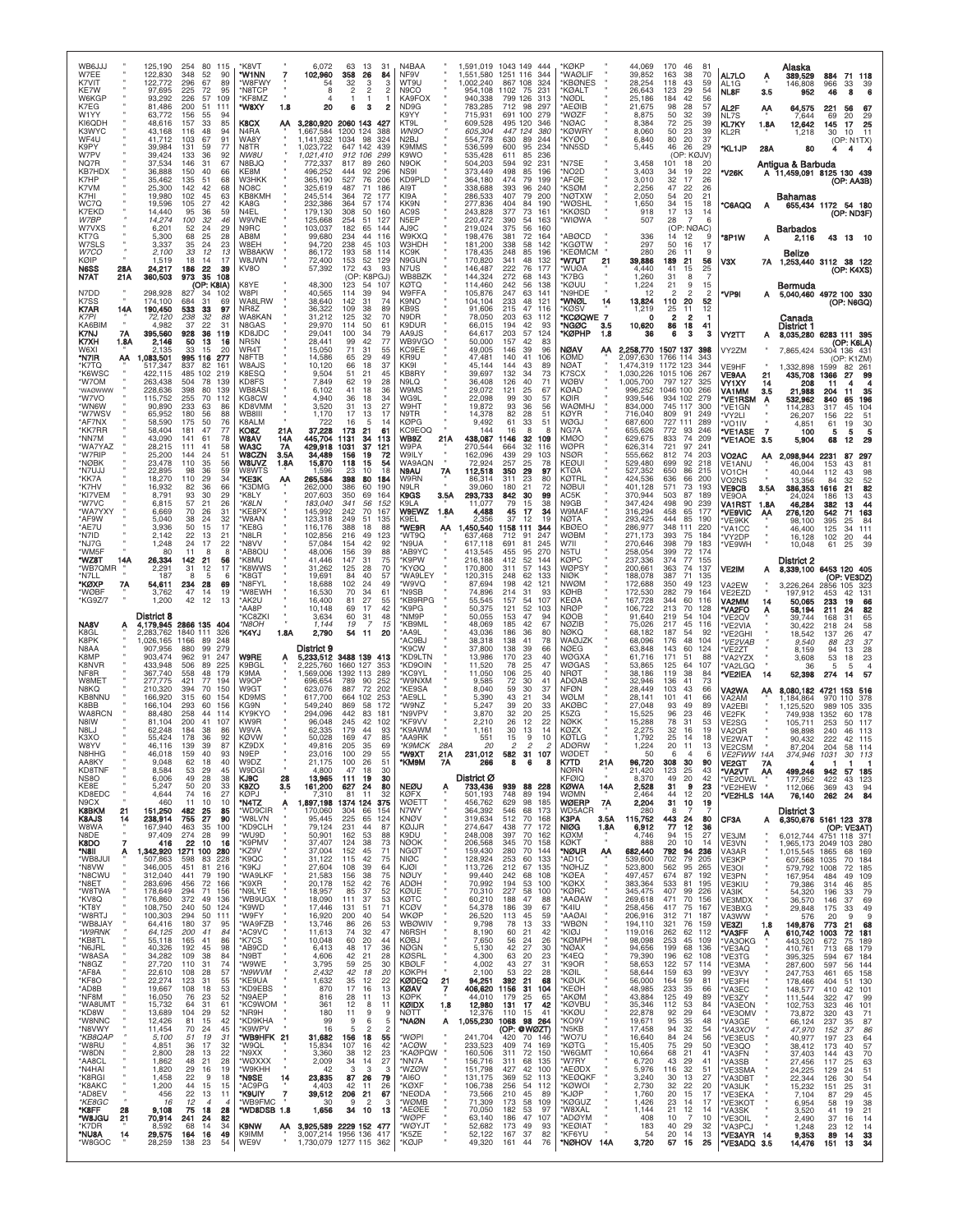| WB6JJJ<br>W7EE<br>K7VIT<br>KE7W<br>W6KGP<br>K7EG<br>W1YY<br>KI6QDH<br>K3WYC<br>WF4U<br>K9PY<br>W7PV<br>NQ7R<br><b>KB7HDX</b><br>K7HP<br>K7VM<br>K7HI<br>WC7Q<br>K7EKD<br>W7BP<br>W7VXS<br>KT7G<br>W7SLS<br>W7CO<br>KØIP<br>N6SS<br>28A<br>N7AT<br>21A<br>N7DD                                                                                                                                                               | 125,190<br>254<br>122,830<br>348<br>122.772<br>296<br>97,695<br>225<br>93,292<br>226<br>81,486<br>200<br>63,772<br>156<br>48,616<br>157<br>43,168<br>116<br>41.712<br>103<br>39,984<br>131<br>39,424<br>133<br>37,534<br>146<br>36,888<br>150<br>35,462<br>135<br>25,300<br>142<br>19,980<br>102<br>19,596<br>105<br>14,440<br>95<br>14,274<br>100<br>6,201<br>52<br>5,300<br>68<br>3,337<br>35<br>2,100<br>33<br>18<br>1,519<br>24,217<br>186<br>360,503<br>973<br>298,928<br>827                                                                                                                                                                                                                                                          | 80 115<br>52<br>90<br>67<br>89<br>72<br>95<br>57<br>109<br>51<br>111<br>55<br>94<br>85<br>33<br>48<br>94<br>67<br>91<br>59<br>77<br>36<br>92<br>31<br>67<br>40<br>66<br>51<br>68<br>42<br>68<br>45<br>63<br>27<br>42<br>36<br>59<br>32<br>46<br>29<br>24<br>25<br>28<br>24<br>23<br>12<br>13<br>14<br>17<br>22<br>39<br>35<br>108<br>(OP: K8IA)<br>34<br>102                                                                                                                                 | 'K8VT<br>'W1NN<br>'W8FWY<br>*N8TCP<br>*KF8MZ<br>*W8XY<br>1.8<br>K8CX<br>ΑА<br>N4RA<br>WA8Y<br>N8TR<br><b>NW8U</b><br>N8BJQ<br>KE8M<br>W3HKK<br>NO8C<br>KB8KMF<br>KA8G<br>N4EL<br>W9VNE<br>N9RC<br>AB8M<br>W8EH<br>WB8AKW<br>W8JWN<br>KV8O<br>K8YE<br><b>W8PI</b>                                                                                                                                                          | 6,072<br>63<br>13<br>102,960<br>358<br>26<br>32<br>54<br>3<br>$\overline{2}$<br>8<br>$\overline{4}$<br>1<br>ı<br>20<br>6<br>з<br>3,280,920 2060 143<br>1,667,584<br>1200 124<br>1.141.932<br>1034<br>98<br>1,023,722<br>647 142<br>1,021,410<br>912 106<br>817<br>772.337<br>89<br>496.252<br>92<br>444<br>365,190<br>527<br>76<br>325,619<br>487<br>71<br>245,514<br>364<br>72<br>232,386<br>364<br>57<br>179,130<br>308<br>50<br>125,668<br>254<br>51<br>182<br>103.037<br>65<br>99,680<br>234<br>44<br>94,720<br>238<br>45<br>86,172<br>193<br>58<br>153<br>72,400<br>52<br>57,392<br>172<br>43<br>(OP: K8PGJ<br>48,300<br>123<br>54<br>40,565<br>114<br>39                                                                                                                                                                                                                                                              | N4BAA<br>31<br>84<br>NF9V<br>WT9U<br>з<br>N9CO<br>KA9FOX<br>ND9G<br>2<br>K9YY<br>KT9L<br>WN9O<br>388<br>324<br>N2BJ<br>K9MMS<br>439<br>299<br>K9WO<br>260<br>N <sub>9</sub> OK<br>NS <sub>91</sub><br>296<br>206<br>KD9PLD<br>AI9T<br>186<br>KI9A<br>177<br>KK9N<br>174<br>AC9S<br>160<br>N <sub>5</sub> EP<br>127<br>AJ9C<br>144<br>W9KXQ<br>116<br><b>W3HDH</b><br>103<br>114<br>KC9K<br>N9GUN<br>129<br>93<br>N7US<br>KØTQ<br>107<br>W9FFA<br>94                                                                                                                                                                              | WB8BZK                                                                                    | 1,551,580<br>1.002.240<br>954,108<br>940,338<br>783,285<br>715,931<br>609,528<br>605,304<br>554,778<br>536,599<br>535,428<br>504,203<br>373,449<br>364,180<br>338,688<br>286,533<br>277,836<br>243,828<br>220,472<br>219,024<br>198,476<br>181,200<br>178,435<br>170,820<br>146,487<br>144,324<br>114,460<br>105,876                                                                                       | 1.591.019 1043 149 444<br>1251<br>116<br>344<br>867 108<br>324<br>75<br>231<br>1102<br>799<br>126<br>313<br>712<br>-98<br>297<br>691 100<br>279<br>495 120<br>346<br>447<br>124<br>380<br>630<br>89<br>244<br>600<br>95<br>234<br>236<br>611<br>85<br>92<br>231<br>594<br>498<br>85<br>196<br>199<br>474<br>79<br>393<br>96<br>240<br>407<br>79<br>200<br>404<br>84<br>190<br>73<br>377<br>161<br>390<br>54<br>163<br>375<br>56<br>160<br>381<br>72<br>164<br>338<br>58<br>142<br>248<br>85<br>196<br>341<br>48<br>132<br>222<br>76<br>177<br>272<br>68<br>143<br>56<br>138<br>242<br>247<br>63<br>141                                                                                                                                                                              | <b>KØKP</b><br><b>WAØLIF</b><br><b>KBONES</b><br>'KØALT<br>'NØDL<br>'AEØIB<br>'WØZF<br>'NØAC<br><b>KØWRY</b><br>'KYØO<br>'NN5SD<br>'N7SE<br>'NO <sub>2</sub> D<br>'AFØE<br><b>KSØM</b><br><b>'NØTXW</b><br><b>WØSHL</b><br>'KKØSD<br>'WIØWA<br><b>ABØCD</b><br>'KGØTW<br><b>KEØMCM</b><br>'W7UT<br>21<br>'WUØA<br>'K7BG<br>'KØUU<br>'N9HDE                                                                                                                                                             | 44,069<br>39,852<br>28,254<br>26,643<br>25,186<br>21,675<br>8,875<br>8,384<br>8,060<br>6,840<br>5,445<br>3,458<br>3,403<br>3,010<br>2,256<br>2,050<br>1,650<br>918<br>507<br>336<br>297<br>280<br>39,886<br>4,440<br>1,260<br>1,224<br>12                                                                                                                                                                                 | 170<br>46<br>8<br>163<br>38<br>70<br>43<br>118<br>59<br>123<br>29<br>54<br>42<br>56<br>184<br>28<br>57<br>98<br>50<br>32<br>39<br>25<br>72<br>39<br>23<br>50<br>39<br>80<br>20<br>37<br>46<br>26<br>29<br>(OP: KØJV)<br>101<br>18<br>20<br>34<br>19<br>22<br>32<br>17<br>26<br>47<br>22<br>26<br>54<br>20<br>21<br>34<br>15<br>18<br>17<br>$\begin{array}{c} 13 \\ 7 \end{array}$<br>14<br>28<br>6<br>NØAC)<br>(OP:<br>14<br>12<br>S<br>16<br>50<br>17<br>26<br>11<br>9<br>21<br>189<br>56<br>41<br>15<br>25<br>31<br>8<br>7<br>21<br>9<br>15<br>$\mathfrak{p}$<br>$\overline{2}$<br>2                                                                                                                                                                                                        | AL7LO<br>AL1G<br><b>NL8F</b><br>AL2F<br>NL7S<br>KL7KY<br>KL2R<br>*KL1JP<br>'V26K<br><b>C6AQQ</b><br>'8P1W<br>V3X<br>'VP9I                                                                                                                                                                                                                                                                                  | Alaska<br>389,529<br>Ą<br>146,808<br>3.5<br>952<br>АА<br>64,575<br>7,644<br>12,642<br>1.8A<br>1,218<br>28A<br>80<br>Antigua & Barbuda<br>Bahamas<br>А<br>Barbados<br>2,116<br>Belize<br>Bermuda                                                                                                                                                                                                                          | 884<br>71 118<br>966<br>33<br>46<br>8<br>221<br>56<br>67<br>69<br>20<br>29<br>145<br>17<br>25<br>10<br>30<br>11<br>(OP: N1TX)<br>4<br>A 11,459,091 8125 130 439<br>(OP: AA3B)<br>655,434 1172 54 180<br>(OP: ND3F)<br>43 13 10<br>7A 1,253,440 3112 38 122<br>(OP: K4XS)<br>5,040,460 4972 100 330                                                                                                                                                                                                                                                                                                                                                                                                                                 |
|-----------------------------------------------------------------------------------------------------------------------------------------------------------------------------------------------------------------------------------------------------------------------------------------------------------------------------------------------------------------------------------------------------------------------------|---------------------------------------------------------------------------------------------------------------------------------------------------------------------------------------------------------------------------------------------------------------------------------------------------------------------------------------------------------------------------------------------------------------------------------------------------------------------------------------------------------------------------------------------------------------------------------------------------------------------------------------------------------------------------------------------------------------------------------------------|----------------------------------------------------------------------------------------------------------------------------------------------------------------------------------------------------------------------------------------------------------------------------------------------------------------------------------------------------------------------------------------------------------------------------------------------------------------------------------------------|---------------------------------------------------------------------------------------------------------------------------------------------------------------------------------------------------------------------------------------------------------------------------------------------------------------------------------------------------------------------------------------------------------------------------|-----------------------------------------------------------------------------------------------------------------------------------------------------------------------------------------------------------------------------------------------------------------------------------------------------------------------------------------------------------------------------------------------------------------------------------------------------------------------------------------------------------------------------------------------------------------------------------------------------------------------------------------------------------------------------------------------------------------------------------------------------------------------------------------------------------------------------------------------------------------------------------------------------------------------------|----------------------------------------------------------------------------------------------------------------------------------------------------------------------------------------------------------------------------------------------------------------------------------------------------------------------------------------------------------------------------------------------------------------------------------------------------------------------------------------------------------------------------------------------------------------------------------------------------------------------------------|-------------------------------------------------------------------------------------------|------------------------------------------------------------------------------------------------------------------------------------------------------------------------------------------------------------------------------------------------------------------------------------------------------------------------------------------------------------------------------------------------------------|-------------------------------------------------------------------------------------------------------------------------------------------------------------------------------------------------------------------------------------------------------------------------------------------------------------------------------------------------------------------------------------------------------------------------------------------------------------------------------------------------------------------------------------------------------------------------------------------------------------------------------------------------------------------------------------------------------------------------------------------------------------------------------------|--------------------------------------------------------------------------------------------------------------------------------------------------------------------------------------------------------------------------------------------------------------------------------------------------------------------------------------------------------------------------------------------------------------------------------------------------------------------------------------------------------|---------------------------------------------------------------------------------------------------------------------------------------------------------------------------------------------------------------------------------------------------------------------------------------------------------------------------------------------------------------------------------------------------------------------------|-----------------------------------------------------------------------------------------------------------------------------------------------------------------------------------------------------------------------------------------------------------------------------------------------------------------------------------------------------------------------------------------------------------------------------------------------------------------------------------------------------------------------------------------------------------------------------------------------------------------------------------------------------------------------------------------------------------------------------------------------------------------------------------------------|------------------------------------------------------------------------------------------------------------------------------------------------------------------------------------------------------------------------------------------------------------------------------------------------------------------------------------------------------------------------------------------------------------|--------------------------------------------------------------------------------------------------------------------------------------------------------------------------------------------------------------------------------------------------------------------------------------------------------------------------------------------------------------------------------------------------------------------------|------------------------------------------------------------------------------------------------------------------------------------------------------------------------------------------------------------------------------------------------------------------------------------------------------------------------------------------------------------------------------------------------------------------------------------------------------------------------------------------------------------------------------------------------------------------------------------------------------------------------------------------------------------------------------------------------------------------------------------|
| K7SS<br>K7AR<br>14A<br>K7PI<br><b>KA6BIM</b><br>K7NJ<br>7Α<br>K7XH<br>1.8A<br>W6XI<br>'N7IR<br>АА<br>'K7TQ<br>*K6WSC<br>'W7OM<br>'WAØWWW<br>'W7VO<br>*WN6W<br>'W7WSV<br>*AF7NX<br>*KK7RR<br>*NN7M<br>*WA7YAZ<br>*W7RIP<br>*NØBK<br>*N7UJJ<br>*KK7A<br>*K7HV<br>*KI7VEM<br>'W7VC<br>*WA7YXY<br>*AF9W<br>*AE7U<br>*N7ID<br>*NJ7G<br>'WM5F<br>*WZ8T<br>14A<br>'WB7QMR<br>*N7LL<br>*KØXP<br>7A<br>'WØBF<br>*KG9Z/7              | 174,100<br>684<br>190,450<br>533<br>238<br>72,120<br>4.982<br>37<br>395,560<br>928<br>2,146<br>50<br>33<br>2.135<br>,083,501<br>995 116<br>517,347<br>837<br>422,115<br>485<br>263,438<br>504<br>228,636<br>398<br>255<br>115.752<br>90,890<br>233<br>65,952<br>180<br>58,590<br>175<br>58,404<br>181<br>43,090<br>141<br>28,215<br>111<br>25,200<br>144<br>23,478<br>110<br>22,895<br>98<br>18,270<br>110<br>16,932<br>82<br>8,791<br>93<br>57<br>6,815<br>6,669<br>70<br>5,040<br>38<br>3,936<br>50<br>2,142<br>22<br>1,248<br>24<br>80<br>11<br>26,334<br>142<br>2,291<br>31<br>187<br>8<br>54,611<br>234<br>3,762<br>47<br>1,200<br>42                                                                                                  | 31<br>69<br>97<br>33<br>32<br>88<br>22<br>31<br>36<br>119<br>13<br>16<br>15<br>20<br>277<br>161<br>82<br>102<br>219<br>78<br>139<br>80<br>139<br>70<br>112<br>63<br>86<br>88<br>56<br>50<br>76<br>47<br>77<br>61<br>78<br>58<br>41<br>51<br>24<br>56<br>35<br>59<br>36<br>29<br>34<br>66<br>36<br>30<br>29<br>26<br>21<br>26<br>31<br>32<br>24<br>15<br>17<br>13<br>21<br>17<br>22<br>8<br>8<br>21<br>56<br>17<br>12<br>5<br>6<br>28<br>69<br>14<br>19<br>12<br>13                           | WA8LRW<br>NR8Z<br>WA8KAN<br>N8GAS<br>KD8JDC<br>NR5N<br>WR4T<br>N8FTB<br>W8AJS<br>K8ESQ<br>KD8FS<br>WB8AS<br>KG8CW<br>KD8VMM<br>WB8III<br>K8ALM<br>KO8Z<br>21A<br><b>WBAV</b><br>14A<br>WA3C<br>7A<br>3.5A<br>W8CZN<br><b>W8UVZ</b><br>1.8A<br>W8WTS<br>*KE3K<br>АΑ<br>'K3DMG<br>*K8LY<br>*K8LN<br>*KE8PX<br>'W8AN<br>'KE8G<br>*N8L R<br>*N8VV<br>*AB8OL<br>*K8MU<br>'K8WWS<br>*K8GT<br>*N8FYL<br>*W8EWH<br>*AK2U<br>'AA8P | 38,640<br>142<br>31<br>109<br>36,322<br>38<br>31,212<br>125<br>32<br>29,970<br>114<br>50<br>29,041<br>100<br>34<br>42<br>28,441<br>99<br>71<br>31<br>15,050<br>14,586<br>65<br>29<br>10,120<br>66<br>18<br>9,504<br>51<br>21<br>7,849<br>62<br>19<br>6,102<br>41<br>18<br>4,940<br>36<br>18<br>3,520<br>31<br>13<br>1,170<br>17<br>13<br>722<br>16<br>5<br>37,228<br>173<br>21<br>445,704<br>1131<br>34<br>429,918<br>1031<br>37<br>34,489<br>156<br>19<br>15,870<br>118<br>15<br>23<br>10<br>1.596<br>265,584<br>398<br>80<br>386<br>262,000<br>60<br>350<br>207,603<br>69<br>341<br>183,040<br>56<br>145,992<br>242<br>70<br>123,318<br>249<br>51<br>388<br>116,176<br>18<br>102,856<br>216<br>49<br>57,084<br>154<br>42<br>48,006<br>156<br>39<br>41,446<br>147<br>31<br>31.262<br>125<br>28<br>19,691<br>84<br>40<br>18,688<br>102<br>24<br>16,530<br>70<br>34<br>16,400<br>81<br>27<br>10,148<br>69<br>17              | 74<br>K9NO<br>89<br>KB9S<br>70<br>N9DR<br>K9DUR<br>61<br>79<br>AA9JS<br>77<br>KC9EE<br>55<br>49<br>KR9U<br>KK9I<br>37<br>45<br>KB8RY<br>28<br>N9LQ<br>36<br>W9MS<br>34<br>WG9L<br>27<br>W9HT<br>N9TR<br>17<br>KØPG<br>14<br>61<br>113<br>WB9Z<br>121<br>W9PA<br>72<br>W9ILY<br>54<br>N9AU<br>18<br>184<br>W9RN<br>N9LR<br>190<br>K9GS<br>164<br>K9LA<br>152<br><b>W9EWZ</b><br>167<br>K9FL<br>135<br>88<br>*WE9R<br>123<br>'WT9Q<br>'N9UA<br>92<br>'AB9YC<br>88<br>75<br>'K9PW<br>70<br>'KYØQ<br>57<br>49<br>'W9VQ<br>61<br>*N9SB<br>55<br>42<br>'K9PG                                                                           | WB9VGO<br>KC9EOQ<br>21A<br>WA9AQN<br>7Α<br>3.5A<br>1.8A<br>АΑ<br>'WA9LEY<br>KB9RPG        | 104,104<br>91,606<br>78,050<br>66,015<br>64,617<br>50,000<br>49.005<br>47,481<br>45,144<br>39,697<br>36,408<br>29,072<br>22.098<br>19,872<br>14,378<br>9,492<br>144<br>438,087<br>270,544<br>162,096<br>72,924<br>112,518<br>86.314<br>39,060<br>293,733<br>11.077<br>4,488<br>2.356<br>,450,540<br>637.468<br>617.118<br>413.545<br>216,188<br>170,800<br>120,315<br>87,694<br>74,896<br>55,545<br>50.375 | 121<br>233<br>48<br>215<br>47<br>116<br>203<br>63<br>112<br>194<br>42<br>93<br>57<br>124<br>203<br>157<br>42<br>83<br>146<br>39<br>96<br>140<br>41<br>106<br>144<br>43<br>89<br>132<br>34<br>73<br>126<br>40<br>71<br>121<br>$\frac{25}{30}$<br>67<br>99<br>57<br>93<br>36<br>56<br>82<br>28<br>51<br>61<br>33<br>51<br>16<br>8<br>8<br>1146<br>32<br>109<br>32<br>664<br>116<br>29<br>439<br>103<br>25<br>257<br>78<br>29<br>350<br>97<br>311<br>23<br>80<br>21<br>180<br>72<br>30<br>99<br>842<br>79<br>15<br>38<br>17<br>34<br>45<br>19<br>37<br>12<br>1158<br>111<br>344<br>712<br>247<br>91<br>245<br>691<br>81<br>270<br>95<br>455<br>52<br>412<br>144<br>57<br>143<br>311<br>62<br>133<br>248<br>198<br>42<br>121<br>214<br>31<br>93<br>157<br>54<br>107<br>52<br>121<br>103 | "WNØL<br>14<br>'KØS\<br>7<br>*KCØQWI<br>*NGØC<br>3.5<br>*KØPHP<br>1.8<br><b>NØAV</b><br>АΑ<br><b>KØMD</b><br>NØAT<br>K7SCX<br>WØBV<br>KØAD<br>KØIR<br><b>WAØMHJ</b><br>KØYR<br>WØGJ<br>NG7A<br>KMØO<br>WØPR<br><b>NSØR</b><br>KEØUI<br>KTØA<br>KØTRL<br><b>NØBUI</b><br>AC5K<br>N9GB<br>W9MAF<br>NØTA<br>KBØEO<br><b>WØBM</b><br>W7II<br>N5TL<br>KØPC<br><b>WØPSY</b><br><b>NIØK</b><br><b>NWØM</b><br>КØНВ<br>KEØA<br><b>NRØP</b>                                                                     | 13,824<br>1,219<br>o<br>10,620<br>36<br>2,258,770<br>2,097,630<br>1,474,319<br>1,030,226<br>1,005,700<br>996,252<br>939.546<br>834,000<br>716,040<br>687,600<br>655,626<br>629,675<br>626,314<br>555,662<br>529,480<br>527,352<br>424,536<br>401,128<br>370,944<br>347,424<br>316,294<br>293,425<br>286,977<br>271,173<br>270,646<br>258,054<br>237,336<br>200,661<br>188,078<br>172,688<br>172,530<br>167,728<br>106,722 | 110<br>20<br>52<br>25<br>11<br>12<br>2<br>2<br>41<br>86<br>18<br>6<br>з<br>з<br>1507 137<br>398<br>1766 114<br>1172 123<br>344<br>1015 106<br>267<br>797 127<br>325<br>1046 100<br>266<br>934 102<br>279<br>745 117<br>300<br>809<br>91<br>249<br>727 111<br><b>289</b><br>93<br>772<br>246<br>833<br>74<br>209<br>97<br>721<br>241<br>74<br>203<br>812<br>218<br>699<br>92<br>650<br>86<br>215<br>636<br>66<br><b>200</b><br>571<br>73<br>193<br>503<br>87<br>189<br>498<br>90<br>239<br>458<br>65<br>177<br>85<br>444<br>190<br>348<br>111<br>220<br>393<br>184<br>75<br>398<br>79<br>183<br>399<br>72<br>174<br>374<br>77<br>155<br>363<br>74<br>137<br>71<br>135<br>387<br>350<br>49<br>123<br>282<br>79<br>164<br>344<br>60<br>116<br>213<br>70<br>128                                   | VY2TT<br>VY2ZM<br>VE9HF<br>VE9AA<br>VY1XY<br>VA1MM<br>'VE1RSM<br>VE1GN<br>'VY2LI<br><b>VO1IV</b><br>*VE1ASE<br>7<br>'VE1AOE<br>3.5<br>VO2AC<br>VE1ANU<br>VO <sub>1</sub> CH<br>VO2NS<br><b>VE9CB</b><br>VE9OA<br><b>VA1RST</b><br>'VE9VIC<br>'VE9KK<br>VA <sub>1</sub> CC<br>'VY2DP<br>VE9WH<br><b>VE2IM</b><br>VA2EW<br>VE2EZD<br>VA2MM<br>'VA2FO                                                         | Canada<br>District 1<br>8,035,280<br>А<br>7,865,424<br>1,332,898<br>435,708<br>21<br>14<br>208<br>3.5<br>21,988<br>532,962<br>114,283<br>26,207<br>4.851<br>100<br>5,904<br>2,098,944<br>АΑ<br>46,004<br>40,044<br>13,356<br>3.5A<br>386,353<br>24.024<br>46,284<br>1.8A<br>276,120<br>АΑ<br>98.100<br>46,400<br>16,128<br>10,048<br>District 2<br>3,226,264<br>197,912<br>14<br>50,065<br>58,194<br>A                   | (OP: N6GQ)<br>6283 111 395<br>(OP: K6LA)<br>5304 136 431<br>(OP: K1ZM)<br>1599<br>82<br>261<br>1366<br>27<br>99<br>11<br>35<br>204<br>11<br>840<br>196<br>65<br>317<br>45<br>104<br>156<br>22<br>51<br>$\begin{array}{c} 19 \\ \bf 5 \end{array}$<br>30<br>61<br>5<br>5<br>68<br>12<br>29<br>2231<br>87<br>297<br>153<br>43<br>81<br>112<br>43<br>98<br>52<br>84<br>32<br>82<br>1616<br>21<br>43<br>186<br>13<br>382<br>44<br>13<br>163<br>542<br>71<br>395<br>84<br>25<br>125<br>111<br>34<br>102<br>20<br>44<br>25<br>39<br>61<br>8,339,100 6453 120 405<br>(OP: VE3DZ)<br>2856 105 323<br>453<br>42<br>131<br>233<br>19<br>66<br>82<br>211<br>24                                                                                |
| <b>NA8V</b><br>K8GL<br>K8PK<br>N8AA<br>K8MP<br>K8NVR<br>NF <sub>8</sub> R<br>W8MET<br><b>N8KO</b><br>KB8NNL<br>K8BB<br>WA8RCN<br>N8IW<br>N8LJ<br>K3XO<br>W8YV<br><b>N8HHC</b><br>AA8KY<br>KD8TNF<br>NS8O<br>KE8E<br>KD8EDC<br>N9CX<br><b>K8BKM</b><br>21<br><b>K8AJS</b><br>14<br>W8WA<br>N8DE<br>K8DO<br>*N8II<br>*WB8JUI<br>*N8VW<br>*N8CWU<br>*N8ET<br>*W8TWA<br>*KV8Q<br>*KT8Y<br>*W8RTJ<br>*WB8JAY<br>*W9RNK<br>*KB8TL | District 8<br>4,179,945 2866 135<br>2,283,762<br>1840 111<br>1166<br>.026.165<br>880<br>907.956<br>903.474<br>962<br>433,948<br>506<br>367,740<br>558<br>277,775<br>421<br>210,320<br>394<br>166,920<br>315<br>166,104<br>293<br>88,480<br>258<br>81,104<br>200<br>62,248<br>184<br>55,424<br>178<br>46,116<br>139<br>46.018<br>159<br>9,048<br>62<br>8,584<br>53<br>6,006<br>49<br>5,247<br>50<br>4,644<br>74<br>460<br>11<br>151.250<br>482 25<br>238,914<br>755<br>167,940<br>463<br>274<br>97,409<br>416<br>22<br>1,342,920 1271 100<br>507,863<br>598<br>451<br>346,005<br>312,040<br>441<br>283,696<br>456<br>178,649<br>294<br>372<br>176,860<br>108,750<br>240<br>100,303<br>294<br>64,416<br>180<br>64,125<br>200<br>55,118<br>165 | 404<br>326<br>248<br>89<br>99<br>279<br>91<br>247<br>89<br>225<br>48<br>179<br>77<br>194<br>70<br>150<br>60<br>154<br>60<br>156<br>44<br>114<br>41<br>107<br>38<br>86<br>36<br>92<br>87<br>39<br>40<br>93<br>18<br>40<br>29<br>45<br>28<br>38<br>20<br>33<br>27<br>16<br>10<br>10<br>85<br>27<br>90<br>35<br>100<br>28<br>.99<br>10<br>16<br>280<br>83<br>228<br>81<br>216<br>79<br>190<br>72<br>166<br>71<br>156<br>49<br>136<br>50<br>124<br>50<br>111<br>37<br>95<br>41<br>84<br>41<br>86 | 'KC8ZKI<br>*N8OH<br>*K4YJ<br>1.8A<br><b>W9RE</b><br>Α<br>K9BGL<br>K9MA<br>W9OP<br>W9GT<br>KD9MS<br>KG9N<br>KY9KYC<br>KW9R<br>W9VA<br>KØVW<br>KZ9DX<br>N9FP<br>W9DZ<br>W9DGI<br>KJ9C<br>28<br>K9ZO<br>3.5<br>KØP.I<br>*N4TZ<br>A<br>*WD9CIR<br>*W8LVN<br>*KD9CLH<br>*WU9D<br>*K9PMV<br>*KZ9V<br>*K9QC<br>*K9KJ<br>*WA9LKF<br>*K9XR<br>*N9LYE<br>*WB9UGX<br>*K9WD<br>*W9FY<br>*WA9FZB<br>*AC9VC<br>*K7CS                    | 3,634<br>60<br>31<br>1,144<br>19<br>2,790<br>54 11<br>District 9<br>5,233,512<br>3488 139<br>2,225,760<br>1660 127<br>1,569,006<br>1392 113<br>696,654<br>789<br>90<br>623,076<br>887<br>72<br>617,700<br>664 102<br>549,240<br>869<br>58<br>294.096<br>442<br>83<br>96,048<br>245<br>42<br>62,335<br>179<br>44<br>50,028<br>169<br>47<br>205<br>49,816<br>35<br>23.016<br>100<br>100<br>21.175<br>26<br>4,800<br>47<br>18<br>13,965<br>111<br>19<br>161,200<br>627<br>24<br>81<br>7.310<br>11<br>1,897,198<br>1374 124<br>170,060<br>304<br>66<br>95,445<br>225<br>65<br>231<br>79,124<br>44<br>50,901<br>162<br>53<br>37,407<br>124<br>38<br>37,004<br>152<br>45<br>31,122<br>115<br>42<br>108<br>39<br>27,604<br>21,583<br>156<br>38<br>152<br>42<br>20.178<br>18,957<br>85<br>37<br>18,090<br>111<br>37<br>17,446<br>131<br>51<br>16,920<br>200<br>40<br>13,746<br>86<br>26<br>11,613<br>32<br>74<br>10,048<br>60<br>20 | 'NM9P<br>48<br>15<br>*KB9ML<br>20<br>'AA9L<br>'AC9BJ<br>'K9CW<br>413<br>289<br>'KC9YL<br>252<br>202<br>*KE9SA<br>253<br>*AE9LL<br>172<br>'W9NZ<br>181<br>*N9VPV<br>102<br>KF9VV<br>93<br>85<br>'AA9RK<br>69<br>TX0W*<br>*KM9M<br>51<br>30<br>30<br><b>NEØU</b><br>80<br>32<br><b>KØFX</b><br>375<br><b>WØETT</b><br>N7WY<br>154<br><b>KNØV</b><br>124<br>87<br><b>KØJJR</b><br>88<br>K9DU<br>73<br><b>NØOK</b><br>71<br><b>NGØT</b><br>75<br><b>NIØC</b><br>64<br>KJØI<br><b>NØUY</b><br>75<br>76<br><b>ADØH</b><br>52<br>KØUE<br>KØTC<br>53<br>71<br><b>KCØV</b><br><b>WKØP</b><br>54<br>53<br>47<br>N6RSH<br>44<br><b>KØBJ</b> | 'KD9LTN<br>KD9OIN<br>'W9NXM<br>'K9AWM<br>*K9MCK<br>28A<br>21A<br>7Α<br>A<br><b>WBØWIV</b> | 50,055<br>48,069<br>43,036<br>38,318<br>37,800<br>13,986<br>11,520<br>11,050<br>9,585<br>8,040<br>5,390<br>5,247<br>3,870<br>2,210<br>1,161<br>551<br>20<br>231.012<br>266<br>District Ø<br>733,436<br>501.193<br>456,762<br>364,392<br>319,634<br>274,647<br>248,008<br>206,568<br>159,430<br>128,924<br>113,726<br>99,440<br>70,992<br>70,310<br>60,210<br>54,378<br>26,520<br>9,798<br>8,190<br>7,650   | 153<br>47<br>94<br>42<br>185<br>67<br>186<br>36<br>80<br>41<br>78<br>138<br>138<br>39<br>66<br>23<br>170<br>40<br>78<br>25<br>47<br>25<br>106<br>40<br>72<br>30<br>41<br>59<br>30<br>37<br>43<br>21<br>34<br>39<br>20<br>33<br>32<br>20<br>25<br>26<br>12<br>22<br>30<br>13<br>14<br>15<br>9<br>10<br>2<br>31<br>582<br>107<br>8<br>6<br>8<br>939 88 228<br>748<br>194<br>89<br>629<br>98<br>185<br>546<br>68<br>173<br>70<br>168<br>512<br>77<br>438<br>172<br>397<br>70<br>162<br>345<br>70<br>158<br>280<br>70<br>144<br>253<br>60<br>133<br>67<br>212<br>135<br>242<br>68<br>108<br>194<br>-53<br>100<br>227<br>58<br>100<br>188<br>47<br>-88<br>186<br>39<br>67<br>45<br>59<br>113<br>78<br>13<br>33<br>60<br>21<br>42<br>56<br>24<br>26                                       | KØOB<br><b>NØZIB</b><br><b>NØKQ</b><br>WAØJZK<br>NØEG<br>WØGXA<br>WØGAS<br><b>NRØT</b><br>ADØAB<br><b>NFØN</b><br>WØLM<br><b>AKØBC</b><br>K5ZG<br>NØKK<br>KØZX<br>KØTLG<br>ADØRW<br>K7TD<br>21 A<br><b>NØRN</b><br>KFØIO<br><b>KØWA</b><br>14A<br><b>WØMN</b><br>7A<br>WØERP<br>WD5ACR<br><b>K3PA</b><br>3.5A<br><b>NIØG</b><br>1.8A<br>KØXM<br>$\mathbf{u}$<br>KØKT<br>*NØUR<br>АА<br>'AD1C<br>*NØHJZ<br>*KØEA<br>*KØKX<br>'KØRC<br>'AAØAW<br>*K4IU<br>AAØAI <sup>*</sup><br>'wbøn<br>*KIØJ<br>*KØMPH | 91,640<br>75,026<br>68,182<br>68.096<br>63,848<br>61,716<br>53.865<br>38.186<br>32.946<br>28,449<br>28,141<br>27,048<br>15,525<br>15,288<br>2,275<br>1,792<br>1,224<br>96,720<br>21,420<br>8.370<br>2,528<br>2.464<br>2,204<br>280<br>115,752<br>6,912<br>4,746<br>888<br>682,440<br>539,600<br>523,800<br>497,457<br>383,364<br>345,475<br>269,618<br>258,456<br>206,916<br>194,110<br>119,016<br>98,098                 | 219<br>54<br>104<br>45<br>217<br>116<br>187<br>54<br>92<br>48<br>176<br>104<br>60<br>124<br>143<br>171<br>51<br>88<br>64<br>125<br>107<br>38<br>119<br>84<br>41<br>73<br>136<br>103<br>43<br>66<br>101<br>41<br>66<br>93<br>49<br>89<br>96<br>23<br>46<br>78<br>31<br>53<br>32<br>16<br>19<br>25<br>14<br>18<br>20<br>11<br>13<br>6<br>6<br>90<br>308<br>30<br>123<br>25<br>43<br>20<br>49<br>42<br>31<br>9<br>23<br>20<br>44<br>12<br>31<br>10<br>19<br>я<br>7<br>7<br>443<br>24<br>80<br>77<br>12<br>36<br>94<br>15<br>27<br>20<br>10<br>14<br>792<br>94<br>236<br>702<br>79<br>205<br>562<br>95<br>265<br>674<br>87<br>192<br>81<br>533<br>195<br>407<br>99<br>226<br>70<br>471<br>156<br>417<br>75<br>167<br>71<br>312<br>187<br>321<br>76<br>159<br>262<br>62<br>112<br>45<br>109<br>253 | VE <sub>2</sub> QV<br>VE2VIA<br>'VE2GHI<br>'VE2VAB<br>VE <sub>2</sub> ZT<br>VA2YZX<br>VA2LGQ<br>'VE2IEA<br>VA2WA<br>VA2AM<br>VA2EBI<br>/E2FK<br>VE2SG<br>VA <sub>2</sub> QR<br>VE2WAT<br>VE2CSM<br>VE2GT<br>'VA2VT<br>*VE2OWL<br>*VE2HEW<br>*VE2HLS 14A<br>CF3A<br>VE3JM<br>VE3VN<br>VA3AR<br>VE3KP<br>VE3OI<br>VE3PN<br>VE3KIU<br>VA3IK<br>VE3MDX<br>VE3BXG<br>VA3WW<br><b>VE3ZI</b><br>'VA3FF<br>*VA3OKG | 39,744<br>30,422<br>18.542<br>9,540<br>8,159<br>3,608<br>36<br>14<br>52,398<br>8,080,182<br>ΑА<br>1,184,864<br>1,125,520<br>749,938<br>105.711<br>98,898<br>90,432<br>87,204<br>ว4ค<br>374<br>7A<br>499,246<br>ΑA<br>177,952<br>112,066<br>76,140<br>District 3<br>A<br>1,015,545 1865<br>607,568 1035<br>579,792<br>167,954<br>79,386<br>54,320<br>36,570<br>29,848<br>576<br>1.8<br>149,876<br>610,742<br>A<br>443,520 | 65<br>168<br>31<br>58<br>47<br>218<br>24<br>137<br>26<br>88<br>23<br>37<br>13<br>28<br>94<br>23<br>53<br>18<br>5<br>5<br>$\overline{4}$<br>57<br>274<br>14<br>4721<br>153<br>516<br>970 110<br>378<br>989 105<br>335<br>1352<br>178<br>60<br>253<br>50<br>117<br>240<br>46<br>113<br>222<br>42<br>115<br>204<br>58<br>114<br>1<br>57 185<br>942<br>422<br>43<br>123<br>369<br>43<br>94<br>262<br>24<br>84<br>6,350,676 5161 123 378<br>(OP: VE3AT)<br>6.012.744 4751 118 371<br>1,965,173 2049 103 280<br>68<br>169<br>70<br>184<br>1008<br>72<br>185<br>484<br>49<br>109<br>314<br>46<br>85<br>79<br>196<br>33<br>146<br>37<br>69<br>175<br>33<br>49<br>9<br>-20<br>9<br>773<br>21<br>68<br>72<br>181<br>1003<br>672<br>75<br>189 |
| *N6JRL<br>*W8ASA<br>*N8GZ<br>*AF8A<br>*KF8O<br>*AD8B<br>*NF8M<br>*WA8UMT<br>*KD8W<br>*W8NNC<br>*N8VWY<br>*KB8QAP<br>*W8RU<br>*W8DN<br>*AA8CL<br>*N4HAI<br>*K8RGI<br>*K8AKC<br>*AD8EV<br>*KE8GC<br>*K8FF<br>28<br>*W8JGU<br>21<br>*K7DR.<br>*NU8A<br>14<br>*W8GOC                                                                                                                                                            | 40,326<br>192<br>34,282<br>109<br>27,720<br>110<br>22,610<br>108<br>22,274<br>123<br>19,667<br>108<br>16,050<br>76<br>15,732<br>64<br>13,689<br>104<br>12,426<br>81<br>11,454<br>70<br>5,100<br>51<br>4,851<br>36<br>2,800<br>28<br>1,862<br>48<br>29<br>1,820<br>1,458<br>22<br>1,200<br>44<br>22<br>456<br>16<br>12<br>9,108<br>75<br>70,914<br>241<br>8,592<br>68<br>29,575<br>164<br>28,259<br>138                                                                                                                                                                                                                                                                                                                                      | 45<br>98<br>38<br>84<br>31<br>74<br>-28<br>57<br>31<br>55<br>53<br>18<br>23<br>52<br>61<br>-31<br>29<br>52<br>15<br>42<br>24<br>45<br>19<br>31<br>17<br>32<br>13<br>22<br>21<br>28<br>16<br>19<br>9<br>18<br>15<br>15<br>13<br>11<br>$\overline{4}$<br>$\overline{4}$<br>18<br>28<br>82<br>24<br>34<br>14<br>16<br>49<br>23<br>54                                                                                                                                                            | *AB9CD<br>*N9BT<br>*W9WE<br>*N9WVM<br>*KE9UA<br>*KD9EBS<br>*N9AEP<br>*KC9WOM<br>*NR9H<br>*KD9KHA<br>*K9WPV<br>*WB9HFK 21<br>*W9QL<br>*N9XX<br>*WØXXX<br>*W9KHH<br>*N9SE<br>14<br>*AC9PG<br>7<br>*K9UIY<br>'WB9FMC<br>*WD8DSB 1.8<br><b>K9NW</b><br>АΑ<br><b>K9IMM</b><br>WE9V                                                                                                                                             | 17<br>6,413<br>48<br>4,606<br>42<br>21<br>3,795<br>59<br>25<br>42<br>2,432<br>18<br>35<br>1,632<br>12<br>17<br>870<br>16<br>816<br>28<br>11<br>12<br>8<br>361<br>180<br>11<br>9<br>99<br>-9<br>6<br>16<br>5<br>2<br>31,682<br>156<br>18<br>15,834<br>107<br>16<br>3,360<br>38<br>12<br>2,009<br>34<br>14<br>42<br>3<br>3<br>23,835<br>87<br>26<br>4,403<br>42<br>11<br>206 21<br>39,512<br>30<br>9<br>2<br>34<br>10<br>1,656<br>3,925,589 2229 152 477<br>3,007,214 1956 136 417<br>1,730,079 1277 115 362                                                                                                                                                                                                                                                                                                                                                                                                                  | 36<br>NØGN<br><b>KØSRL</b><br>28<br>30<br><b>KBØLF</b><br><b>KØKPH</b><br>-20<br><b>KØDEQ</b><br>22<br>KØAV<br>13<br>13<br><b>KØPK</b><br><b>KØIDX</b><br>11<br>9<br><b>NØTT</b><br>*NAØN<br>5<br>2<br>*WØPI<br>55<br>42<br>*ACØW<br>23<br>27<br>*NN7A<br>3<br>*WZØW<br>79<br>*AI6O<br>*KØXF<br>26<br>67<br>*NEØDA<br>3<br>*WØMB<br>13<br>*AEØEE<br>*WØPF<br>'WØYJT<br>*K5ZE<br>*KØJP                                                                                                                                                                                                                                            | 21<br>7<br>1.8<br>Α<br>*KAØPQW                                                            | 5,130<br>4,300<br>4,002<br>2,100<br>94,251<br>406,620<br>44,010<br>12,980<br>12,376<br>,055,230<br>1<br>241,704<br>233,523<br>160,506<br>156,716<br>151,798<br>131,175<br>106,738<br>73,566<br>71,309<br>70,050<br>63,140<br>52,682<br>52,122<br>49,320                                                                                                                                                    | 42<br>27<br>30<br>63<br>20<br>23<br>43<br>27<br>31<br>22<br>-53<br>28<br>392<br>21<br>68<br>1156<br>31<br>104<br>179<br>25<br>65<br>42<br>131<br>17<br>110<br>41<br>15<br>1068<br>98 264<br>(OP: @WØZT)<br>420<br>70 146<br>74<br>169<br>409<br>72 150<br>311<br>135<br>311<br>68<br>427<br>42<br>100<br>369<br>52<br>113<br>256<br>54 112<br>210<br>45<br>89<br>173<br>58<br>109<br>182<br>53<br>97<br>186<br>47<br>107<br>173<br>49<br>93<br>167<br>37<br>82<br>76<br>161<br>-44                                                                                                                                                                                                                                                                                                  | *NØAX<br>'K4EQ<br>'K9OR<br>*KØIL<br><b>KØUK</b><br>'KEØH<br><b>AKØM</b><br>*KØVBU<br>*KKØU<br>*KO9V<br>*N5KB<br>'WO7U<br>'KØTG<br>'W6GMT<br>*W7RY<br>AEØDX<br>'KEØQKF<br>'KØWOI<br>'KJØP<br>KØGUZ <sup>*</sup><br>'W8XAL<br>'ADØYM<br>*KEØIAT<br>*KF6YU<br>*NØHOV<br>14A                                                                                                                                                                                                                               | 94,656<br>79,390<br>58,653<br>58,644<br>56,000<br>48,985<br>43,884<br>35,346<br>22,878<br>19,671<br>17,458<br>16,640<br>15,405<br>10,664<br>6,720<br>5,976<br>3,240<br>2,730<br>1,760<br>1,426<br>1,144<br>408<br>183<br>54<br>3,720                                                                                                                                                                                      | 199<br>68<br>136<br>196<br>62<br>108<br>122<br>57<br>114<br>159<br>63<br>99<br>164<br>59<br>81<br>233<br>35<br>66<br>125<br>49<br>89<br>53<br>112<br>84<br>92<br>29<br>64<br>95<br>35<br>48<br>94<br>32<br>54<br>84<br>24<br>56<br>75<br>29<br>50<br>68<br>21<br>41<br>43<br>29<br>41<br>32<br>116<br>51<br>13<br>27<br>30<br>32<br>22<br>20<br>20<br>15<br>17<br>23<br>14<br>17<br>21<br>12<br>14<br>10<br>$\overline{7}$<br>10<br>29<br>40<br>32<br>20<br>14<br>13<br>57<br>15<br>25                                                                                                                                                                                                                                                                                                        | 'VE3AQ<br>*VE3TG<br>*VE3MA<br>*VE3VY<br>'VE3FH<br>'VA3EC<br>*VE3ZY<br>'VA3EON<br>VE3OMV<br>'VA3GE<br>*VA3XOV<br>'VE3EUS<br>'VE3QO<br>'VA3FN<br>*VA3SB<br>'VE3SMA<br>*VA3DBT<br>'VA3IJK<br>*VE3EKA<br><b>VE3KOT</b><br>'VA3SK<br>'VE3OIL<br>*VA3PCJ<br>*VE3AYR<br>-14<br>*VE3ADQ                                                                                                                            | 410,761<br>395,325<br>287,600<br>247,753<br>178,466<br>148,577<br>111,544<br>102,753<br>73,872<br>66,124<br>47,970<br>40,977<br>38,412<br>37,403<br>27,456<br>24,225<br>22,344<br>15,232<br>7,104<br>6,954<br>3,520<br>2,490<br>1,248<br>9,353<br>3.5<br>14,476                                                                                                                                                          | 713<br>68<br>179<br>594<br>67<br>184<br>597<br>144<br>56<br>461<br>65 158<br>404<br>130<br>51<br>410<br>42<br>101<br>322<br>47<br>99<br>323<br>46<br>101<br>320<br>71<br>43<br>237<br>87<br>35<br>86<br>152<br>37<br>197<br>23<br>64<br>57<br>173<br>40<br>70<br>144<br>43<br>117<br>25<br>63<br>51<br>129<br>24<br>$\frac{54}{31}$<br>126<br>30<br>25<br>151<br>45<br>87<br>29<br>38<br>19<br>58<br>41<br>19<br>21<br>14<br>37<br>16<br>23<br>12<br>14<br>33<br>89<br>14<br>34<br>151<br>13                                                                                                                                                                                                                                       |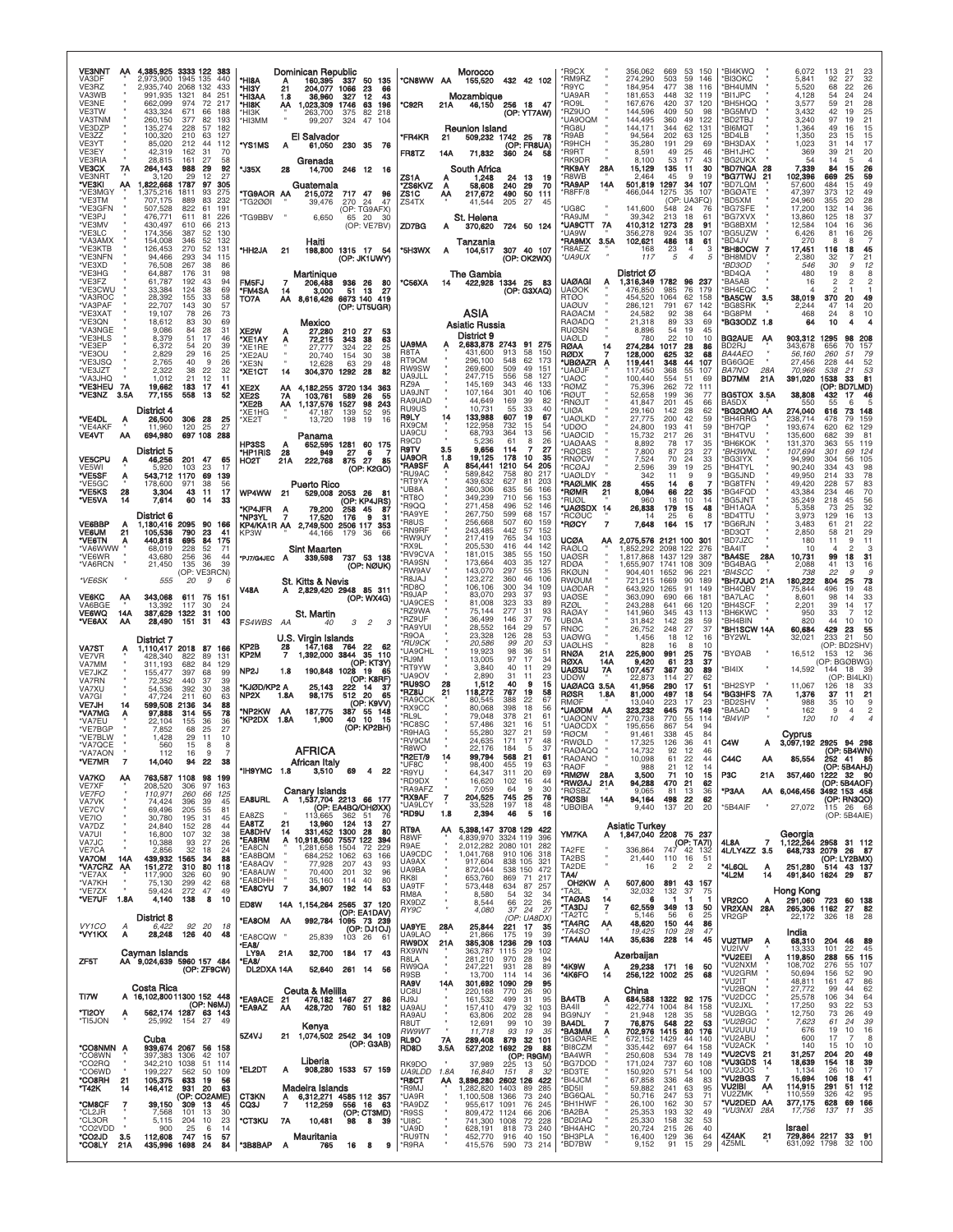| <b>VE3NNT</b><br>4,385,925 3333 122 383<br><b>AA</b><br>VA3DF<br>2,973,900<br>1945 135<br>440<br>VE3RZ<br>2.935.740 2068 132<br>433<br>VA3WB<br>991,935<br>1321<br>84<br>251                           | Dominican Republic<br>*HI8A<br>160.395<br>50 135<br>337<br>*HI3Y<br>21<br>204,077<br>1066<br>23<br>66<br>*HI3AA<br>36,960<br>327<br>12<br>43<br>1.8                     | <b>Morocco</b><br>*CN8WW AA<br>155,520<br>432 42 102<br>Mozambigue                                                                                                                       | 'R9CX<br>356,062<br>669<br>150<br>53<br>*RM9RZ<br>274,290<br>503<br>59<br>146<br><b>R9YC</b><br>184,954<br>477<br>38<br>116<br>'UA9AR<br>181,653<br>448<br>32<br>119<br>37                           | *BI4KWQ<br>6.072<br>113<br>21<br>23<br>*BI3OKC<br>5,841<br>92<br>27<br>32<br>*BH4UMN<br>26<br>5,520<br>68<br>22<br>*BI1JPC<br>54<br>24<br>4.128<br>24<br>*BH5HQQ<br>21   |
|--------------------------------------------------------------------------------------------------------------------------------------------------------------------------------------------------------|-------------------------------------------------------------------------------------------------------------------------------------------------------------------------|------------------------------------------------------------------------------------------------------------------------------------------------------------------------------------------|------------------------------------------------------------------------------------------------------------------------------------------------------------------------------------------------------|--------------------------------------------------------------------------------------------------------------------------------------------------------------------------|
| VE3NE<br>662,099<br>974<br>72<br>217<br>VE3TW<br>433,324<br>671<br>66<br>188<br>VA3TNM<br>260,150<br>377<br>82<br>193<br>VE3DZP<br>135,274<br>228<br>57<br>182<br>VE3ZZ<br>100,320<br>210<br>63<br>127 | *HI8K<br>АΑ<br>1,023,309 1746<br>63<br>196<br>'НІЗК<br>263,700<br>375<br>82<br>218<br>*НІЗММ<br>99,207<br>324<br>47<br>104                                              | 46,150 256 18 47<br>*C92R<br>21A<br>(OP: YT7AW)<br>Reunion Island                                                                                                                        | 'RO9L<br>167,676<br>420<br>120<br>'RZ9UO<br>144,596<br>409<br>50<br>98<br><b>UA9OQM</b><br>144,495<br>360<br>49<br>122<br>'RG8U<br>144,171<br>344<br>62<br>131<br>R9AB<br>94,564<br>202<br>63<br>125 | 59<br>28<br>3,577<br>25<br>42<br>*BG5MVD<br>3.432<br>19<br>21<br>*BD2TBJ<br>3,240<br>97<br>19<br>*BI6MQT<br>1,364<br>49<br>16<br>15<br>*BD4LB<br>1,350<br>23<br>15<br>15 |
| VE3YT<br>85,020<br>212<br>44<br>112<br>VE3EY<br>42,319<br>162<br>31<br>70<br><b>VE3RIA</b><br>28,815<br>161<br>27<br>58                                                                                | El Salvador<br>*YS1MS<br>61.050 230 35<br>Α<br>- 76<br>Grenada                                                                                                          | <b>*FR4KR</b><br>509,232 1742 25<br>21<br>- 78<br>(OP: FR8UA)<br>FR8TZ<br>71,832<br>360 24<br>14A<br>-58                                                                                 | 'R9HCH<br>35,280<br>191<br>29<br>69<br>'R9RT<br>8,591<br>49<br>25<br>46<br>'RK9DR<br>53<br>17<br>8.100<br>43                                                                                         | *BH3DAX<br>17<br>1,023<br>31<br>14<br>*BH1JHC<br>369<br>39<br>21<br>20<br>*BG2UKX<br>14<br>54<br>$\overline{4}$<br>5                                                     |
| VE3CX<br>264,143<br>988<br>29<br>92<br>7Α<br>27<br>VE3NRT<br>29<br>12<br>3.120<br>"VE3KI<br>АΑ<br>1,822,668<br>1787<br>97<br>305                                                                       | *J35X<br>246 12 16<br>28<br>14,700<br>Guatemala                                                                                                                         | South Africa<br>ZS1A<br>1,248<br>24<br>13<br>A<br>19<br><b>"ZS6KVZ</b><br>58,608<br>240<br>70<br>-29<br>A                                                                                | *RK9AY<br>28A<br>15,129<br>135<br>11<br>30<br>'R8WB<br>2.464<br>9<br>45<br>19<br>*RA9AP<br>14A<br>501,819<br>1297<br>34<br>107                                                                       | *BD7NQA<br>7.339<br>84<br>15<br>26<br>28<br>*BG7TWJ<br>102,396<br>669<br>59<br>-21<br>25<br>*BD7LQM<br>57,600<br>484<br>49<br>15                                         |
| *VE3MGY<br>,375,216<br>275<br>93<br>1811<br>*VE3TM<br>889<br>83<br>707.175<br>232<br>*VE3GFN<br>507,528<br>822<br>191<br>61                                                                            | TG9AOR AA<br>215,072<br>717 47<br>96<br>TG2001<br>270 24<br>47<br>39,476<br>(OP: TG9AFX)                                                                                | ZS1C<br>217,672<br>490<br>50<br>111<br>AA<br>205<br>ZS4TX<br>27<br>41.544<br>45                                                                                                          | 'R8FF/8<br>466,044<br>1275<br>35<br>107<br>UA3FQ)<br>(OP:<br>UG8C<br>141,600<br>548<br>24<br>-76                                                                                                     | *BGØATE<br>49<br>47,397<br>373<br>12<br>*BD5XM<br>24,960<br>355<br>20<br>28<br>36<br>*BG7SFE<br>17,200<br>132<br>14                                                      |
| *VE3PJ<br>476,771<br>226<br>611<br>81<br>*VE3MV<br>430,497<br>610<br>66<br>213<br>*VE3LC<br>174,356<br>387<br>52<br>130<br>*VA3AMX<br>154,008<br>346<br>52<br>132                                      | <b>TG9BBV</b><br>6,650<br>65 20<br>-30<br>(OP: VE7BV)<br>Haiti                                                                                                          | St. Helena<br>ZD7BG<br>724 50 124<br>370,620                                                                                                                                             | 'RA9JM<br>39,342<br>213<br>18<br>'UA9CTT<br>7A<br>410.312<br>1273<br>28<br>91<br>'UA9W<br>356,278<br>924<br>35<br>107<br>*RA9MX<br>3.5A<br>102,621<br>486<br>18<br>61                                | *BG7XVX<br>13,860<br>37<br>125<br>18<br>36<br>*BG8BXM<br>12,584<br>104<br>16<br>*BG5UZW<br>26<br>6,426<br>81<br>16<br>*BD4JV<br>270<br>8<br>8                            |
| 52<br>*VE3KTB<br>126,453<br>270<br>131<br>*VE3NFN<br>94,466<br>293<br>34<br>115<br>*VE3XD<br>76,508<br>267<br>38<br>86                                                                                 | *HH2JA<br>198,800 1315 17 54<br>21<br>(OP: JK1UWY)                                                                                                                      | Tanzania<br>*5H3WX<br>307 40 107<br>104,517<br>А<br>(OP: OK2WX)                                                                                                                          | 'R8AEZ<br>168<br>23<br>$\overline{4}$<br>3<br>*UA9UX<br>117<br>5<br>$\overline{4}$<br>5                                                                                                              | *BH8OCW<br>17,451<br>45<br>-7<br>116<br>18<br>*BH8MDV<br>2,380<br>21<br>32<br>9<br>*BD3OD<br>546<br>30<br>12                                                             |
| *VE3HG<br>64,887<br>176<br>31<br>98<br>*VE3FZ<br>43<br>94<br>61.787<br>192<br>*VE3CWU<br>33,384<br>124<br>38<br>69                                                                                     | Martinique<br>FM5FJ<br>206,488<br>936 26<br>80<br><b>*FM4SA</b><br>3,000<br>14<br>13<br>27<br>51                                                                        | The Gambia<br>*C56XA<br>422,928 1334 25<br>- 83<br>14<br>(OP: G3XAQ)                                                                                                                     | District Ø<br><b>UAØAGI</b><br>1,316,349 1782<br>96<br>237<br>Α<br><b>UAØOK</b><br>476,850<br>985<br>76<br>179                                                                                       | 'BD4QA<br>480<br>19<br>8<br>8<br>$\overline{2}$<br>$\overline{2}$<br>*BA5AB<br>$\mathfrak{p}$<br>16<br>*BH4EQC<br>4<br>2                                                 |
| *VA3ROC<br>28,392<br>155<br>33<br>58<br>*VA3PAF<br>22,707<br>57<br>143<br>30<br>*VE3XAT<br>19,107<br>73<br>78<br>26<br>*VE3QN<br>18,612<br>83<br>30<br>69                                              | TO7A<br>АΑ<br>8,616,426<br>6673 140 419<br>(OP: UT5UGR)<br>Mexico                                                                                                       | ASIA                                                                                                                                                                                     | <b>RTØO</b><br>454.520<br>1064<br>62<br>158<br><b>UAØUV</b><br>286,121<br>791<br>67<br>142<br><b>RAØACM</b><br>92<br>38<br>24.582<br>-64<br><b>RAØADQ</b><br>21,318<br>89<br>33<br>69                | *BA5CW<br>38,019<br>370<br>20<br>49<br>35<br>*BG8SRK<br>47<br>20<br>2.244<br>14<br>*BG8PM<br>8<br>468<br>24<br>10<br>*BG3ODZ<br>1.8<br>10<br>4<br>64                     |
| *VA3NGE<br>28<br>31<br>9.086<br>84<br>*VE3HLS<br>8,379<br>17<br>51<br>46<br>*VE3EP<br>6,372<br>54<br>20<br>39                                                                                          | XE2W<br>27,280<br>210<br>27<br>53<br>*XE1AY<br>72,215<br>343<br>63<br>38<br>А<br>324<br>*XE1RE<br>27,777<br>22<br>25                                                    | Asiatic Russia<br>District 9<br><b>UA9MA</b><br>2,683,878 2743 91 275                                                                                                                    | <b>RUØSN</b><br>8,896<br>54<br>19<br>45<br>UAØLD<br>22<br>78C<br>10<br>10<br><b>RØAA</b><br>274.284<br>1017<br>28<br>14<br>86                                                                        | <b>BG2AUE</b><br>903,312<br>1295<br>98<br>208<br>BD2RJ<br>343,678<br>656<br>70<br>157                                                                                    |
| 25<br>*VE3OU<br>2,829<br>29<br>16<br>*VE3JSQ<br>2,765<br>40<br>9<br>26<br>22<br>*VE3JZT<br>2,322<br>38<br>32                                                                                           | *XE2AU<br>20,740<br>154<br>30<br>38<br>12,628<br>*XE3N<br>63<br>29<br>48<br>304,370<br>1292<br>*XE1CT<br>14<br>28<br>82                                                 | R8TA<br>431.600<br>913<br>58<br>150<br>RT9OM<br>296.100<br>548<br>62<br>173<br><b>RW9SW</b><br>269,600<br>509<br>49<br>151                                                               | RØDX<br>128,000<br>625<br>32<br>68<br>119,441<br>*UBØAZR<br>348<br>44<br>107<br>A<br>'UAØJF<br>117,450<br>368<br>55<br>107                                                                           | <i>BA4AEO</i><br>56,160<br><i>260</i><br>.51<br>-79<br>BG6GQE<br>27,456<br>228<br>52<br>44<br><b>BA7NO</b><br>28A<br>53<br>70,966<br>538<br>21                           |
| 'VA3JHQ<br>1,012<br>21<br>12<br>11<br>*VE3HEU<br>7A<br>19,662<br>183<br>17<br>41<br>*VE3NZ<br>77,155<br>558<br>3.5A<br>13<br>52                                                                        | XE2X<br>4,182,255<br>3720 134<br>363<br>AA<br>XE <sub>2</sub> S<br><b>7A</b><br>103,761<br>589<br>26<br>55                                                              | UA9JLL<br>247,715<br>556<br>58<br>127<br>RZ9A<br>145,169<br>343<br>46<br>133<br>UA9JNT<br>107,164<br>301<br>40<br>106<br>RA9UAD<br>44,649<br>169<br>39<br>82                             | 'UAØC<br>100,440<br>554<br>51<br>69<br>'RØMZ<br>75,396<br>262<br>72<br>111<br>'RØUT<br>52,658<br>199<br>36<br>-77<br><b>RNOJT</b><br>201<br>45                                                       | <b>BD7MM</b><br>391,020<br>1538<br>33<br>81<br>21A<br>(OP: BD7LMD)<br>BG5TOX 3.5A<br>38,808<br>432<br>17<br>46<br>BA5DX                                                  |
| District 4<br>*VE4DL<br>26,500<br>306 28<br>25<br>Ą<br>*VE4AKF<br>11,960<br>120<br>25<br>27                                                                                                            | *XE2B<br>1,137,576<br>1527<br>98<br>243<br>АΑ<br>'XE1HG<br>139<br>52<br>47,187<br>95<br>*XE2T<br>13,720<br>198<br>19<br>16                                              | RU9US<br>10,731<br>33<br>40<br>55<br>R9LY<br>133,988<br>607<br>19<br>67<br>14<br>RX9CM<br>122,958<br>732<br>54<br>15                                                                     | 41.847<br>66<br>'UIØA<br>29,160<br>142<br>28<br>62<br><b>UAØLKD</b><br>200<br>42<br>27.775<br>59<br>'UDØO<br>193<br>41<br>24.800<br>59                                                               | 550<br>55<br>6<br>5<br>*BG2QMO AA<br>274,040<br>616<br>73<br>148<br>*BH4RRG<br>238,714<br>478<br>79<br><b>159</b><br>*BH7QP<br>193,674<br>129<br>620<br>62               |
| <b>VE4VT</b><br>694,980<br>697 108<br>288<br>AA<br>District 5                                                                                                                                          | Panama<br><b>HP3SS</b><br>652.595<br>1281 60 175<br>А<br>*HP1RIS<br>28<br>949<br>27<br>6                                                                                | UA9CU<br>68,793<br>56<br>364<br>13<br>R9CD<br>5,236<br>61<br>26<br>8<br><b>R9TV</b><br>9,656<br>27<br>3.5<br>114<br>7                                                                    | <b>UAØCID</b><br>15,732<br>217<br>26<br>31<br><b>UAØAAS</b><br>8,892<br>17<br>78<br>35<br><b>RØCBS</b><br>7,800<br>87<br>23<br>27                                                                    | *BH4TVU<br>135,600<br>81<br>682<br>39<br>*ВН6КОК<br>131,370<br>363<br>55<br>119<br>*BH3WNL<br>107,694<br>69<br>124<br>301                                                |
| <b>VE5CPU</b><br>46,256<br>201 47<br>65<br>A<br>VE5WI<br>5,920<br>103<br>23<br>17<br>*VE5SF<br>1170<br>69<br>Α<br>543,712<br>139                                                                       | 875 27<br>HO <sub>2</sub> T<br>21A<br>222,768<br>85<br>(OP: K2GO)                                                                                                       | <b>UA9OR</b><br>1.8<br>19,125<br>178<br>10<br>35<br>*RA9SF<br>854,441<br>205<br>1210<br>54<br>А<br>*RU9AC<br>589,842<br>758<br>80<br>217<br><b>*RT9YA</b><br>439.632<br>627<br>81<br>203 | 'RNØCW<br>7,524<br>70<br>24<br>33<br><b>RCØAJ</b><br>2,596<br>39<br>19<br>25<br><b>UAØLDY</b><br>342<br>11<br>9<br>9                                                                                 | *BG3IYX<br>94,990<br>105<br>304<br>56<br>*BH4TYL<br>90,240<br>334<br>43<br>98<br>*BG5JND<br>78<br>49,950<br>214<br>33                                                    |
| *VE5GC<br>178,600<br>971<br>38<br>56<br>*VE5KS<br>28<br>3,304<br>43<br>-11<br>17<br>*VE5VA<br>60<br>14<br>7,614<br>14<br>33                                                                            | <b>Puerto Rico</b><br>WP4WW<br>21<br>529,008 2053 26 81<br>(OP: KP4JRS)<br>87                                                                                           | *UB8A<br>360,306<br>56<br>166<br>635<br><b>RT8O</b><br>349,239<br>710<br>56<br>153<br>*R9QQ<br>271,458<br>496<br>52<br>146                                                               | <b>"RAØLMK 28</b><br>455<br>7<br>-14<br>6<br>'RØMR<br>21<br>8,094<br>22<br>66<br>35<br><b>RUØL</b><br>960<br>18<br>10<br>14<br>*UAØSDX 14<br>26,838<br>179<br>15<br>48                               | *BG8TFN<br>49,420<br>228<br>57<br>83<br>*BG4FQD<br>70<br>43,384<br>234<br>46<br>'BG5JNT<br>35,249<br>218<br>45<br>56<br>32<br>*BH1AQA<br>5,358<br>73<br>25               |
| District 6<br><b>VE6BBP</b><br>1,180,416 2095 90<br>166<br><b>VE6UM</b><br>21<br>790<br>23<br>105,536<br>41                                                                                            | 'KP4JFR<br>258 45<br>79,200<br>A<br>'NP3YL<br>17,520<br>176<br>я<br>-31<br>KP4/KA1R AA 2,749,500<br>2506 117 353<br>KP3W<br>44.166<br>179 36<br>-66                     | *RA9YE<br>267,750<br>599<br>68<br>157<br>507<br>*R8US<br>256,668<br>60<br>159<br>*RN9RF<br>243,485<br>442<br>57<br>152                                                                   | <b>RCØUC</b><br>25<br>6<br>8<br>14<br>*RØCY<br>$\overline{7}$<br>7,648<br>164<br>15<br>17                                                                                                            | *BD4TTU<br>3,973<br>129<br>16<br>13<br>22<br>*BG6RJN<br>3.483<br>21<br>61<br>*BD3QT<br>2,850<br>58<br>21<br>29                                                           |
| 84<br>*VE6TN<br>695<br>440,818<br>175<br>Α<br>*VA6WWW<br>52<br>68,019<br>228<br>71<br>*VE6WR<br>43,680<br>256<br>36<br>44                                                                              | <b>Sint Maarten</b><br>339,598 737 53 138<br>*PJ7/G4JEC A                                                                                                               | *RW9UY<br>217,419<br>765<br>103<br>-34<br>'RX9L<br>205,530<br>416<br>44<br>142<br>*RV9CVA<br>181,015<br>385<br>55<br>150<br>*RA9SN<br>173,664<br>403<br>35<br>127                        | UCØA<br>2,075,576 2121 100 301<br>АА<br>RAØLQ<br>2098 122<br>1.852.292<br>276<br><b>UAØSR</b><br>1,817,868<br>1437 129<br>387                                                                        | *BD7JZC<br>9<br>11<br>180<br>11<br>*BA4IT<br>10<br>$\overline{4}$<br>2<br>3<br>*BA4SE<br>10,731<br>18<br>31<br>28A<br>99                                                 |
| *VA6RCN<br>21,450<br>135<br>36<br>39<br>(OP: VE3RCN)<br>*VE6SK<br>555<br>20<br>9                                                                                                                       | (OP: NØUK)<br>St. Kitts & Nevis                                                                                                                                         | *RW9AV<br>143,070<br>297<br>55<br>135<br><b>R8JAJ</b><br>123,272<br>360<br>46<br>106<br>*RD8O<br>106,106<br>300<br>34<br>109                                                             | <b>RDØA</b><br>1,655,907<br>1741<br>108<br>309<br><b>RKØUN</b><br>904,401<br>1652<br>96<br>221<br>RWØUM<br>721,215<br>189<br>1669<br>90<br><b>UAØDAR</b><br>643,920<br>1265<br>91<br>149             | *BG4BAG<br>41<br>2,088<br>13<br>16<br>*BI4SCC<br>22<br>9<br><sub>9</sub><br>738<br>180,222<br>*BH7JUO 21A<br>804<br>25<br>73<br>*BH4QBV<br>75,844<br>496<br>19<br>48     |
| <b>VE6KC</b><br>343,068<br>611<br>75<br>151<br>АА<br>VA6BGE<br>13,392<br>117<br>30<br>24<br>VE6WQ<br>387,629 1322<br>31<br>14A<br>100                                                                  | <b>V48A</b><br>A 2,829,420 2948 85 311<br>(OP: WX4G)<br>St. Martin                                                                                                      | *R9JAP<br>83,070<br>293<br>37<br>93<br><b>UA9CES</b><br>81,008<br>323<br>33<br>89<br>*RZ9WA<br>75,144<br>277<br>31<br>93                                                                 | <b>UAØSE</b><br>363,090<br>690<br>66<br>181<br>RZØL<br>243,288<br>641<br>66<br>120<br>RAØAY<br>141,960<br>345<br>43<br>113                                                                           | *BA7LAC<br>33<br>8,601<br>98<br>14<br>*BH4SCF<br>2,201<br>39<br>14<br>17<br>*BH6KWC<br>12<br>950<br>33<br>7                                                              |
| *VE6AX<br>151<br>АА<br>28,490<br>31<br>43<br>District 7                                                                                                                                                | FS4WBS AA<br>3<br>2<br>3<br>40<br>U.S. Virgin Islands                                                                                                                   | 37<br>*RZ9UF<br>36,499<br>146<br>76<br>*RA9YUI<br>28,552<br>164<br>29<br>57<br>*R9OA<br>23,328<br>126<br>28<br>53                                                                        | <b>UBØA</b><br>31,842<br>142<br>28<br>59<br><b>RNØC</b><br>26,752<br>248<br>27<br>37<br><b>UAØWG</b><br>1,456<br>18<br>12<br>16                                                                      | <b>BH4BIN</b><br>820<br>44<br>10<br>10<br>*BH1SCW 14A<br>60,684<br>429<br>23<br>55<br>*BY2WL<br>32,021<br>233<br>21<br>50                                                |
| VA7ST<br>1,110,417 2018<br>87 166<br>VE7VR<br>428,340<br>822<br>89<br>131<br>VA7MM<br>311,193<br>682<br>84<br>129                                                                                      | KP <sub>2</sub> B<br>147,168<br>764<br>22<br>28<br>62<br>1,392,000 3844 35 110<br>KP2M<br>(OP: KT3Y)                                                                    | *RU9CK<br>20,586<br>99<br>20<br>53<br>*UA9CHL<br>19,923<br>98<br>36<br>51<br>13,005<br>*RJ9M<br>97<br>17<br>34<br>*RT9YW<br>3,840<br>40<br>11<br>29                                      | <b>UAØLHS</b><br>828<br>8<br>10<br>-16<br>RNØA<br>21A<br>225,900<br>991<br>25<br>75<br>23<br>RØXA<br>9,420<br>37<br>14A<br>-61<br>UAØSU<br>7Α<br>107,457<br>367<br>30<br>89                          | (OP: BD2SHV)<br>*BYØAB<br>16,512<br>153<br>- 12<br>36<br>(OP: BGØBWG)<br>*BI4IX<br>14,592<br>144<br>-18<br>39                                                            |
| VE7JKZ<br>155,477<br>397<br>68<br>99<br>VA7RN<br>72.352<br>440<br>37<br>39<br>VA7XU<br>54,536<br>392<br>30<br>38<br>47.724<br>63<br>VA7GI<br>211<br>60                                                 | NP <sub>2</sub> J<br>190,848 1028 19<br>1.8<br>-65<br>(OP: K8RF)<br>'KJØD/KP2 A<br>25.143<br>222<br>14<br>-37<br>512<br>NP2X<br>1.8A<br>98,175<br>20<br>65              | *UA9OV<br>2,890<br>31<br>23<br>11<br>*RU9SO<br>28<br>1,512<br>40<br>9<br>15<br>*RZ8U<br>21<br>118,272<br>19<br>58<br>767                                                                 | UDØW<br>114<br>27<br>62<br>22.873<br>UAØACG 3.5A<br>41,956<br>290<br>17<br>51<br>RØSR<br>81,000<br>497<br>18<br>1.8A<br>54                                                                           | (OP: BI4LKI)<br>*BH2SYP<br>11,067<br>126<br>18<br>33<br>*BG3HFS<br>1,376<br>37<br>21<br>- 7A<br>-11                                                                      |
| VE7JH<br>599,508 2136<br>34<br>88<br>14<br>78<br>'VA7MG<br>97,888<br>55<br>314<br>Α<br>*VA7EU<br>36<br>22.104<br>155<br>36                                                                             | (OP: K9VV)<br>187,775<br>*NP2KW<br>AA<br>387<br>55 148<br>10<br>"KP2DX 1.8A<br>1,900<br>40<br>-15                                                                       | *RA9CCK<br>80.545<br>388<br>22<br>67<br>*RX9CC<br>80.068<br>398<br>18<br>56<br>*RL9L<br>79,048<br>378<br>21<br>61                                                                        | RMØF<br>13.040<br>223<br>17<br>23<br>*UAØDM AA<br>323,232<br>645<br>75<br>149<br><b>'UAØQNV</b><br>270,738<br>770<br>55<br>114                                                                       | *BD2SHV<br>988<br>35<br>10<br>9<br>$\overline{c}$<br>*BA5AD<br>162<br>4<br>*BI4VIP<br>120<br>10<br>$\overline{4}$<br>$\overline{\mathcal{A}}$                            |
| *VE7BGP<br>7,852<br>25<br>27<br>68<br>*VE7BLW<br>29<br>11<br>1.428<br>10<br>*VA7QCE<br>560<br>15<br>8<br>-8                                                                                            | (OP: KP2BH)<br><b>AFRICA</b>                                                                                                                                            | *RC8SC<br>57.486<br>321<br>16<br>51<br>*R9HAG<br>55,280<br>327<br>59<br>21<br>*RV9CM<br>24,635<br>171<br>17<br>48<br>*R8WO<br>22.176<br>184<br>-5<br>37                                  | <b>'UAØCDX</b><br>195,656<br>867<br>54<br>94<br>'RØCM<br>91,461<br>338<br>45<br>84<br>'RWØLD<br>17,325<br>126<br>36<br>41<br>46                                                                      | Cyprus<br>C4W<br>A 3,097,192 2925<br>94 298<br>(OP: 5B4WN)                                                                                                               |
| *VA7AON<br>112<br>16<br>9<br>7<br>14,040<br>22<br>VE/MH<br><b>VA7KO</b><br>763,587 1108 98 199<br>АА                                                                                                   | African Italy<br>*IH9YMC 1.8<br>3,510<br>69<br>4<br>22                                                                                                                  | *R2ET/9<br>14<br>99,794<br>568<br>21<br>61<br>*UF8C<br>98,400<br>455<br>19<br>63<br>*R9YU<br>64,347<br>311<br>20<br>69                                                                   | *RAØAQQ<br>14,732<br>92<br>12<br><b>RAGANO</b><br>10.098<br>61<br>22<br>44<br><b>RAØF</b><br>988<br>21<br>12<br>-14<br>*RMØW<br>71<br>28A<br>3,500<br>10<br>15                                       | C44C<br>85,554<br>252 41<br>(OP: 5B4AHJ)<br>P <sub>3</sub> C<br>357,460<br>1222 32 90<br>21A                                                                             |
| VE7XF<br>208,520<br>306<br>97<br>163<br>VE7FO<br>110,971<br>260<br>66<br>125<br>VA7VK<br>74,424<br>396<br>39<br>45                                                                                     | Canary Islands<br>EA8URL<br>1,537,704 2213 66 177<br>Α                                                                                                                  | *RD9DX<br>16,620<br>44<br>102<br>16<br>*RA9AFZ<br>9<br>30<br>7,059<br>64<br>*RX9AF<br>$\overline{\cdot}$<br>745<br>76<br>204,525<br>25<br>*UA9LCY<br>33,528<br>197<br>18<br>48           | *RWØAJ<br>470<br>21A<br>94,288<br>21<br>62<br><b>RØSBZ</b><br>9,065<br>81<br>13<br>36<br>*RØSBI<br>94,164<br>498<br>22<br>62<br>14A                                                                  | (OP: 5B4AOF)<br>*P3AA<br>AA 6,046,456<br>3492 153 458<br>(OP: RN3QO)                                                                                                     |
| VE7CV<br>69,496<br>205<br>55<br>81<br>VE7IO<br>30,780<br>31<br>45<br>195<br>VA7DZ<br>24,840<br>152<br>28<br>44<br>VA7UI<br>107<br>38<br>32                                                             | (OP: EA4BQ/OHØXX)<br>EA8ZS<br>362<br>113.665<br>-51<br>-76<br>21<br>13,960<br>EA8TZ<br>124 13<br>27<br>331,452 1300 28<br><b>EA8DHV</b><br>14<br>80                     | *RD9U<br>2,394<br>46<br>16<br>1.8<br>5<br>RT9A<br>5,398,147 3708 129 422<br>AA                                                                                                           | <b>UBØIBA</b><br>9,440<br>137<br>20<br>20<br><b>Asiatic Turkey</b><br>1,847,040 2208 75 237                                                                                                          | *5B4AIF<br>27,072<br>115 26 68<br>(OP: 5B4AIE)                                                                                                                           |
| 16,800<br>VA7JC<br>10,388<br>93<br>27<br>26<br>VE7CA<br>2,856<br>32<br>18<br>24<br>VA7OM<br>14A<br>439,932 1565<br>34<br>88                                                                            | 10,918,560 7557 122<br>*EA8RM<br>Α<br>394<br>*EA8CN<br>1,281,658<br>1504<br>72<br>229<br><b>EA8BQM</b><br>684,252 1062<br>63<br>166                                     | R8WF<br>4,839,970<br>3324 119<br>396<br>R9AE<br>2,012,282 2080 101<br>282<br>UA9CDC<br>1,041,768<br>910 106<br>318<br>838 105 321<br>UA9AX<br>917,604                                    | ym7ka<br>Α<br>(OP: TA7I)<br>TA2FE<br>336,864<br>747 42 132<br>TA2BS<br>21,440<br>110 16<br>51                                                                                                        | Georgia<br>$\overline{7}$<br>1,122,264 2958 31 112<br>4L8A<br>4L/LY4ZZ 3.5<br>648,733 2079 26 87<br>(OP: LY2BMX)                                                         |
| 151,272<br>"VA7CRZ AA<br>310<br>80<br>118<br>*VE7AX<br>117,900<br>326<br>60<br>90<br>*VA7KH<br>299<br>75,130<br>42<br>68                                                                               | <b>EA8AQV</b><br>77,928<br>207<br>43<br>93<br><b>EA8AUW</b><br>70,400<br>32<br>201<br>96<br>*EA8DHH<br>35,160<br>114<br>40<br>80<br>*EA8CYU 7<br>34,907<br>192 14<br>53 | UA9BA<br>872,044<br>538 150 472<br>RK8I<br>653,760<br>869<br>71<br>217<br><b>UA9TF</b><br>573,448<br>634<br>87<br>257                                                                    | TA2DE<br>16<br>$\overline{c}$<br>2<br>$\overline{c}$<br>TA4/<br>OH <sub>2</sub> KW<br>507,600<br>891<br>43 157<br>A                                                                                  | 251,280<br>*4L6QL<br>514 43 137<br>$\frac{A}{14}$<br>*4L2M<br>491,840 1624 29<br>-87                                                                                     |
| *VE7ZX<br>272<br>49<br>59,424<br>47<br>1.8A<br>*VE7UF<br>4,140<br>138<br>8<br>10                                                                                                                       | <b>ED8W</b><br>14A 1,154,264 2565 37 120<br>(OP: EA1DAV)                                                                                                                | RM8A<br>8,580<br>54<br>32<br>34<br>RX9DZ<br>8,544<br>66<br>22<br>26<br>4,080<br>37<br>24<br>27<br>RY9C                                                                                   | 'TA2L<br>32,032<br>132<br>37<br>75<br><b>"TAØAS</b><br>14<br>1<br>-1<br>6<br>-1<br>62,559<br>'TA3DJ<br>7<br>349<br>13<br>50<br>'TA2TC<br>5,146<br>56<br>6<br>25                                      | Hong Kong<br>VR <sub>2</sub> CO<br>291,060 723<br>60 138<br>VR2XAN 28A<br>265,306 1162<br>82<br>27<br>VR <sub>2</sub> GP<br>18<br>326<br>-28                             |
| District 8<br>VY1CO<br>92 20<br>6,422<br>- 18<br>28,248<br>*VY1KX<br>Α<br>126 40<br>48                                                                                                                 | <b>EA8OM AA</b><br>992,784<br>1095 73 239<br>(OP: DJ10J)<br>*EA8CQW "<br>25,839<br>103 26<br>-61                                                                        | (OP: UABDX)<br>UA9YE<br>25,844<br>221<br>17<br>35<br>28A<br>UA9LAO<br>39<br>21,866<br>175<br>19<br><b>RW9DX</b><br>21A<br>385,308<br>1236<br>29<br>103                                   | 'TA4RC<br>44<br>АА<br>48,620<br>150<br>86<br>*TA4SO<br>19,425<br>109<br>28<br>47<br><b>TA4AU</b><br>14A<br>228<br>14<br>45<br>35,636                                                                 | 22,172<br>India<br><b>VU2TMP</b><br>68,310<br>46<br>204<br>89<br>Ą                                                                                                       |
| Cavman Islands<br>AA 9,024,639 5960 157 484<br>ZF5T<br>(OP: ZF9CW)                                                                                                                                     | *EA8/<br>LY9A<br>21A<br>32,700<br>184 17<br>43<br>*EA8/<br>DL2DXA 14A<br>52,640<br>261 14<br>56                                                                         | RX9WN<br>363,787<br>29<br>102<br>1115<br>R8LA<br>281,210<br>970<br>28<br>94<br>RW9QA<br>89<br>247,221<br>931<br>28                                                                       | Azərbaijan<br>*4K9W<br>29,238<br>171 16<br>50<br>А                                                                                                                                                   | VU2IVV<br>45<br>101<br>22<br>13,333<br>*VU2EEI<br>119,850<br>288<br>55<br>115<br>Α<br>*VU2NXM<br>276<br>107<br>108,702<br>55                                             |
| Costa Rica<br><b>TI7W</b><br>A 16,102,800 11300 152 448                                                                                                                                                | Ceuta & Melilla<br>*EA9ACE 21<br>476,182 1467 27<br>86                                                                                                                  | R9SB<br>13,700<br>114<br>14<br>36<br>RA <sub>9</sub> V<br>14A<br>301,692 1090<br>29<br>95<br>90<br>UC8U<br>220,168<br>770<br>-26<br>RJ9J<br>161,532<br>499<br>31<br>95                   | *4K6FO<br>256,122 1002<br>14<br>-25<br>-68<br>China<br>BA4TB<br>684,588<br>1322<br>92<br>175                                                                                                         | *VU2GRM<br>50,694<br>156<br>52<br>90<br>*VU2IT<br>48,811<br>47<br>86<br>161<br>*VU2BQN<br>27,772<br>99<br>44<br>62<br>*VU2DCC<br>64<br>25,578<br>106<br>34               |
| (OP: N6MJ)<br>562,174 1287 63 143<br>*TI2OY<br>A<br>*TI5JON<br>25,992 154 27<br>-49                                                                                                                    | *EA9AZ<br>AA<br>428,720 760 51 182<br>Kenya                                                                                                                             | UA9AU<br>157,410<br>479<br>32<br>103<br>RA9AU<br>63,806<br>202<br>28<br>94<br>R8UT<br>99<br>39<br>12,691<br>10                                                                           | Ą<br>BA4II<br>422,774<br>1004<br>84<br>158<br>BG9NJY<br>21,948<br>128<br>35<br>-58<br><b>BA4DL</b><br>76,875<br>548<br>22<br>7<br>53                                                                 | *VU2JXL<br>17,250<br>22<br>53<br>93<br>*VU2BGG<br>73<br>26<br>49<br>12,750<br>39<br>*VU2BGC<br>61<br>24<br>7,623                                                         |
| Cuba<br>*CO8NMN<br>939,674 2067 56 158                                                                                                                                                                 | 1,074,502 2542 34 109<br>5Z4VJ<br>21<br>(OP: G3AB)                                                                                                                      | <b>RW9WT</b><br>93<br>11,718<br>19<br>35<br><b>7A</b><br>879<br>RL9O<br>289,408<br>32<br>101<br>RD8D<br>3.5A<br>527,202<br>1692 29<br>88                                                 | *ВАЗММ<br>702,976<br>1415<br>80<br>176<br>A<br>*BGØARE<br>672,152 1429<br>44<br>140<br>*BI8CZM<br>335,442<br>697<br>64<br>158                                                                        | *VU2UUU<br>676<br>19<br>10<br>16<br>*VU2ABU<br>600<br>17<br>7<br>8<br>*VU2ACK<br>140<br>15<br>10<br>10<br>*VU2CVS<br>21<br>31,257<br>204<br>20<br>49                     |
| *CO8WN<br>397,383 1306 42 107<br>*CO2RQ<br>342,210<br>1038<br>51<br>114<br>*CO6WD<br>199.227<br>562<br>50<br>109<br>633 19<br>*CO8RH<br>21<br>105,375<br>-56                                           | Liberia<br>*EL2DT<br>908,280 1533 57 159<br>А                                                                                                                           | (OP: R9GM)<br>$225$ 13<br>RK9DO<br>37,989<br>- 50<br><b>UA9LDD</b><br>1.8A<br>16,840<br>151<br>$\mathcal{B}$<br>32<br>3,896,280 2602 126 422<br>*R8CT<br>AA                              | 250,608<br>'BA4WR<br>534<br>78<br>149<br>*BG7DOD<br>737<br>108<br>171,024<br>60<br>150,920<br>*BD3TE<br>571<br>54<br>100<br>*BI4JCM<br>48<br>67,858<br>336<br>83                                     | *VU3GDS<br>18,639<br>154<br>18<br>39<br>14<br>17<br>*VU2JOS<br>10<br>1,134<br>26<br>$\overline{7}$<br>*VU2BGS<br>15,694<br>106<br>18<br>41                               |
| *T42K<br>146,412<br>931 20<br>63<br>14<br>(OP: CO2AME)<br>*CM8CF<br>45<br>7<br>39,150<br>309<br>- 13                                                                                                   | Madeira Islands<br><b>CT3KN</b><br>6,312,271 4585 112 357<br>A<br>556 16 63<br>CQ3J<br>112,259<br>7                                                                     | *R9MJ<br>,282,820 1403<br>285<br>89<br>*UA9R<br>1,100,508<br>1366<br>73<br>240<br>*RA9DZ<br>955,617 1091<br>76 245                                                                       | *BD5II<br>59,882<br>241<br>63<br>95<br>*BG6QAL<br>50,716<br>247<br>53<br>71<br>*BH1HWF<br>26,100<br>162<br>30<br>57                                                                                  | <b>VU2IBI</b><br>51 112<br>114,915<br>291<br>AA<br>VU2ZMK<br>110,559<br>326<br>42<br>95<br>*VU2DED AA<br>377,175<br>628<br>69 166                                        |
| *CL2JR<br>7,568<br>101<br>13<br>30<br>*CL3OR<br>5,115<br>204<br>10<br>23<br>*CO2VDD<br>900<br>25<br>-6<br>14                                                                                           | (OP: CT3MD)<br>*CT3KU<br><b>7A</b><br>10,481<br>98<br>8<br>39                                                                                                           | *R9SS<br>809,472 1124<br>66 206<br>*UI8C<br>741,300<br>1008<br>72<br>228<br>*UA9D<br>628,191<br>818<br>73<br>240                                                                         | 32<br>49<br>*BA2BA<br>25,353<br>193<br>*BD2IAQ<br>25,330<br>158<br>32<br>53<br>*BH4AHC<br>40<br>20,724<br>215<br>26                                                                                  | *VU3NXI<br>28A<br>17,756<br>137<br>11<br>35<br>Israel<br>4Z4AK<br>729,864 2217 33<br>21<br>- 91                                                                          |
| *CO2JD<br>3.5<br>112,608<br>747 15<br>57<br>435,996 1698 24<br>84<br>*CO8LY 21A                                                                                                                        | Mauritania<br>*3B8BAP A<br>16<br>- 8<br>9<br>765                                                                                                                        | *RU9TN<br>452,770<br>916 40 150<br>*R9RA<br>415,576<br>590 73 214                                                                                                                        | *BH3PLA<br>16,400<br>129<br>36<br>64<br>*BD7BW<br>9,152<br>91<br>15<br>29                                                                                                                            | 4Z5ML<br>631,092 1798<br>32 100                                                                                                                                          |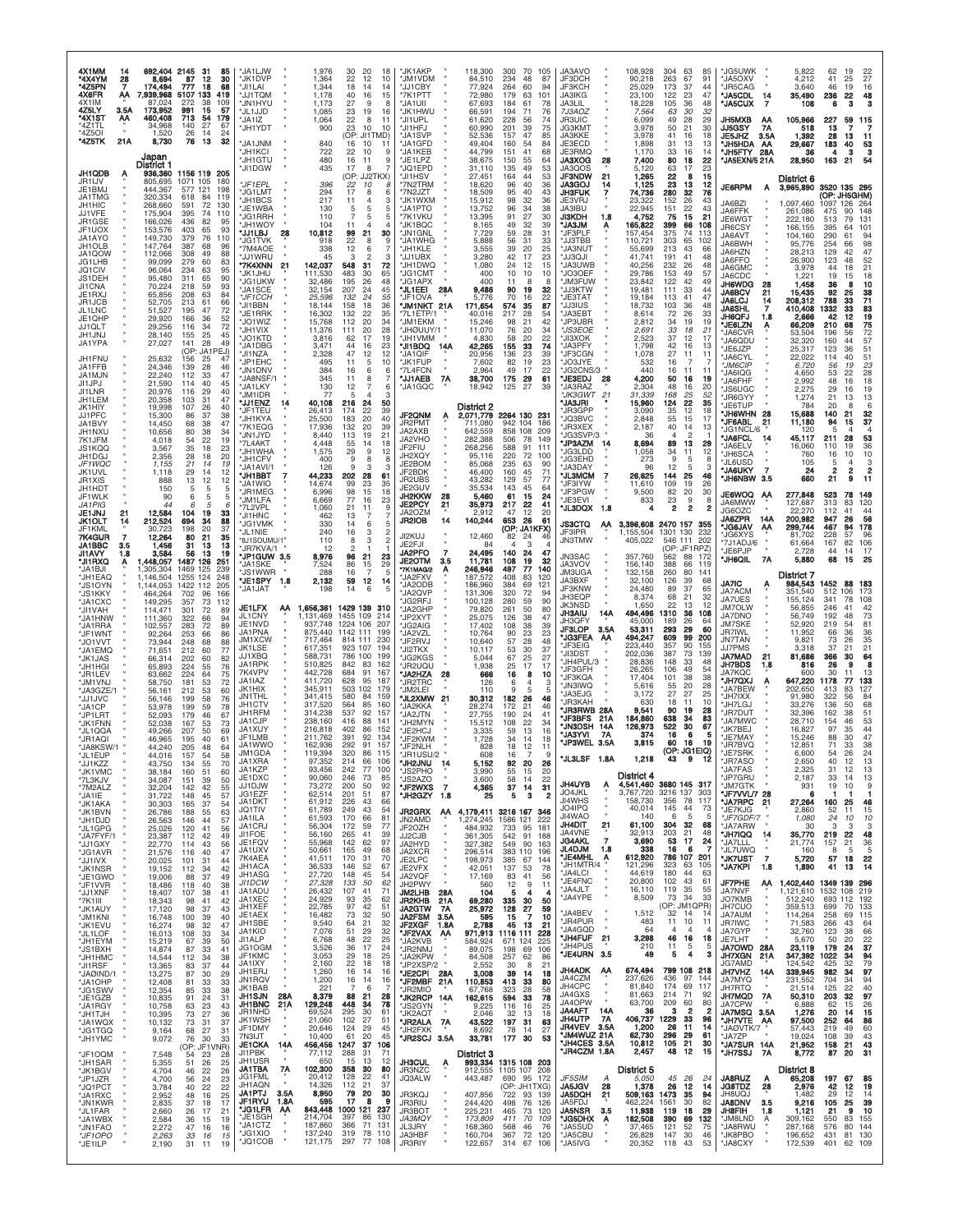| 4X1MM<br>14<br>*4X4YM<br>28<br>*4Z5PN<br>7<br>4X6FR<br>ΑA<br>4X1IM<br>4Z5LY<br>3.5A<br>'4X1ST<br>АА<br>*4Z1TL | 692,404 2145<br>-31<br>85<br>8,694<br>87<br>12<br>30<br>174,494<br>777<br>18<br>68<br>,939,968<br>5107 133<br>419<br>87.024<br>272<br>38<br>109<br>15<br>173,952<br>991<br>57<br>713<br>460,408<br>54<br>179<br>34,968<br>140<br>27<br>67                                | 1,976<br>*JA1LJW<br>*JK1DVP<br>1,364<br>1,344<br>*JI1LAI<br>*JJ1TQM<br>1,178<br>*JN1HYU<br>1,173<br>*JL1JJD<br>1,085<br>*JA1IZ<br>1,064            | *JK1AKP<br>30<br>20<br>18<br>22<br>12<br>10<br>*JM1VDM<br>18<br>*JJ1CBY<br>14<br>14<br>40<br>16<br>15<br>*7K1PTT<br>27<br>9<br>*JA1UII<br>8<br>*JK1HWU<br>23<br>19<br>16<br>22<br>8<br>11<br>*JI1UPL                                          | 118,300<br>84,510<br>77,924<br>72,980<br>67,693<br>66,591<br>61,620                | 300<br>70<br>105<br>234<br>48<br>87<br>264<br>60<br>94<br>179<br>63<br>101<br>184<br>61<br>78<br>194<br>71<br>76<br>228<br>56<br>74                       | JA3AVO<br>JF3DCH<br>JF3KCH<br><b>JA3IKG</b><br>JA3LIL<br>7J3AOZ<br>JR3UIC                                                                                            | 108,928<br>304 63<br>85<br>90,218<br>263<br>67<br>91<br>173<br>44<br>25,029<br>37<br>23,100<br>122<br>23<br>47<br>105<br>36<br>18,228<br>48<br>32<br>7,564<br>63<br>30<br>6,099<br>49<br>28<br>29                                 | *JG5UWK<br>*JA5OXV<br>*JR5CAG<br>*JA5CDL<br>14<br>*JA5CUX<br>$\overline{7}$<br><b>JH5MXB</b><br>AA           | 5,822<br>62<br>19<br>22<br>27<br>4,212<br>41<br>25<br>46<br>3.640<br>19<br>16<br>35,490<br>22<br>236<br>48<br>3<br>108<br>6<br>105,966<br>227<br>59<br>115                                                         |
|---------------------------------------------------------------------------------------------------------------|--------------------------------------------------------------------------------------------------------------------------------------------------------------------------------------------------------------------------------------------------------------------------|----------------------------------------------------------------------------------------------------------------------------------------------------|-----------------------------------------------------------------------------------------------------------------------------------------------------------------------------------------------------------------------------------------------|------------------------------------------------------------------------------------|-----------------------------------------------------------------------------------------------------------------------------------------------------------|----------------------------------------------------------------------------------------------------------------------------------------------------------------------|-----------------------------------------------------------------------------------------------------------------------------------------------------------------------------------------------------------------------------------|--------------------------------------------------------------------------------------------------------------|--------------------------------------------------------------------------------------------------------------------------------------------------------------------------------------------------------------------|
| *4Z5OI<br>*4Z5TK<br>21A                                                                                       | 1,520<br>26<br>14<br>24<br>76<br>13<br>32<br>8,730<br>Japan<br>District 1                                                                                                                                                                                                | *JH1YDT<br>900<br>MKILPAL*<br>840<br>*JH1KCI<br>722<br>*JH1GTU<br>480<br>*JI1DGW<br>435                                                            | *JI1HFJ<br>23<br>10<br>10<br>(OP: JI1TMD)<br>*JA1SVP<br>*JA1GFD<br>16<br>10<br>11<br>22<br>10<br>9<br>*JA1KEB<br>*JE1LPZ<br>9<br>16<br>11<br>17<br>8<br>*JQ1EPD<br>7                                                                          | 60,990<br>52,536<br>49,404<br>44,799<br>38,675<br>31,110                           | 39<br>201<br>75<br>157<br>47<br>85<br>54<br>160<br>84<br>151<br>41<br>68<br>55<br>150<br>64<br>135<br>49<br>53                                            | <b>JG3KMT</b><br>JA3KKE<br>JE3ECD<br>JE3RMQ<br><b>JA3XOG</b><br>28<br>JA3QOS                                                                                         | 3,978<br>50<br>21<br>30<br>3,978<br>41<br>16<br>18<br>1,898<br>31<br>13<br>13<br>1,170<br>33<br>16<br>14<br>80<br>18<br>7,400<br>22<br>5,120<br>63<br>17<br>23                                                                    | 7A<br>JJ5GSY<br><b>JE5JHZ</b><br>3.5A<br>*JH5HDA<br>AA<br>JH5FTY 28A<br>*JA5EXN/5 21A                        | 13<br>7<br>518<br>1,392<br>28<br>13<br>11<br>29,667<br>183<br>40<br>53<br>36<br>4<br>3<br>28,950<br>54<br>163<br>21                                                                                                |
| JH1QDB<br>A<br>JR1IJV<br>JE1BMJ<br>JA1TMG<br><b>JH1HIC</b><br>JJ1VFF<br>JR1GSE<br>JF1UOX<br>JA1AYO            | 936,360 1156 119 205<br>805,695<br>1071 105<br>180<br>444,367<br>577 121<br>198<br>320,334<br>618<br>-84<br>119<br>268,660<br>591<br>72<br>130<br>175,904<br>395<br>74<br>110<br>166,026<br>436<br>82<br>95<br>153,576<br>403<br>65<br>93<br>149,730<br>379<br>76<br>110 | *JF1EPL<br>396<br>*JG1LMT<br>294<br>*JH1BCS<br>217<br>*JE1WBA<br>130<br>*JG1RRH<br>110<br>YOWHL*<br>104<br>28<br>*JJ1LBJ<br>10,812                 | (OP: JJ2TKX)<br>*JI1HSV<br>22<br>*7N2TRM<br>10<br>8<br>17<br>*7N2JZT<br>8<br>6<br>*JK1WXM<br>11<br>4<br>3<br>*JA1PTO<br>5<br>5<br>5<br>7<br>5<br>*7K1VKU<br>5<br>$\overline{4}$<br>*JK1BQC<br>11<br>21<br>30<br>*JN1GNL<br>99<br>'JA1WHG<br>9 | 27,451<br>18,620<br>18,509<br>15,912<br>13,752<br>13,395<br>8,165<br>7,729         | 44<br>53<br>164<br>96<br>40<br>36<br>95<br>40<br>43<br>98<br>32<br>36<br>96<br>34<br>38<br>91<br>27<br>30<br>49<br>32<br>39<br>59<br>28<br>31<br>56<br>31 | <b>JF3NDW</b><br>21<br><b>JA3GOJ</b><br>14<br><b>JH3FUK</b><br>$\overline{7}$<br>JE3VRJ<br>JA3IBU<br><b>JI3KDH</b><br>1.8<br><b>MLCAL*</b><br>Ą<br>*JF3PLF<br>JJ3TBB | 1,265<br>22<br>8<br>15<br>1,125<br>23<br>13<br>12<br>74,736<br>280<br>32<br>76<br>23,322<br>152<br>26<br>43<br>22,945<br>22<br>151<br>43<br>21<br>15<br>4,752<br>75<br>165,822<br>399<br>66<br>108<br>157,454<br>375<br>74<br>113 | <b>JE6RPM</b><br>A<br>JA6BZI<br>JA6FFK<br>JE6WGT<br>JR6CSY<br>JA6AVT                                         | District 6<br>3520 135 295<br>3,965,890<br>(OP: JH5GHM)<br>1,097,460<br>1097 126<br>264<br>148<br>261,086<br>90<br>475<br>222,180<br>513<br>131<br>79<br>101<br>166,155<br>395<br>64<br>104,160<br>290<br>94<br>61 |
| JH1OLB<br>JA1QOW<br>JG1LHB<br>JQ1CIV<br>JS1DEH                                                                | 147,764<br>387<br>96<br>68<br>112,066<br>308<br>49<br>88<br>99,099<br>279<br>60<br>83<br>96,064<br>234<br>63<br>95<br>95,480<br>311<br>65<br>90<br>59<br>93                                                                                                              | <b>JG1TVK</b><br>918<br>*7M4AOE<br>338<br><b>JJ1WRU</b><br>45<br>142,037<br>'7K4XNN<br>21<br>JK1JHU<br>111,530<br><b>JG1UKW</b><br>32,486          | 22<br>8<br>*JH1KLE<br>12<br>6<br>3<br>$\mathfrak{p}$<br>*JJ1UBX<br>3<br>548<br>72<br>31<br>*JH1DWQ<br>483<br>30<br>65<br><b>JG1CMT</b><br>26<br>48<br>195<br>*JG1APX                                                                          | 5,888<br>3,555<br>3,280<br>1,080<br>400<br>400                                     | 33<br>39<br>20<br>25<br>42<br>17<br>23<br>24<br>12<br>15<br>10<br>10<br>10<br>11<br>8<br>-8                                                               | *JA3NUT<br><b>ILOELL'</b><br>'JA3UWB<br>JO3OEF<br>JM3FUW                                                                                                             | 110,721<br>303<br>65<br>102<br>55,699<br>213<br>43<br>66<br>41,741<br>191<br>41<br>48<br>26<br>40,256<br>232<br>48<br>29,786<br>153<br>49<br>57<br>122<br>42<br>23,842<br>49                                                      | JA6BWH<br>JA6HZN<br>JA6FFO<br>JA6GMC<br>JA6CDC<br>JH6WDG<br>28                                               | 98<br>95,776<br>254<br>66<br>28,213<br>129<br>47<br>42<br>52<br>26,900<br>123<br>48<br>3,978<br>21<br>44<br>19<br>18<br>1,221<br>15<br>1,458<br>10<br>36<br>8                                                      |
| JI1CNA<br>JE1RXJ<br>JR1JCB<br>JL1LNC<br>JE1QHP<br><b>JJ1QLT</b>                                               | 70,224<br>218<br>65,856<br>208<br>63<br>84<br>52,705<br>213<br>61<br>66<br>51,527<br>195<br>47<br>72<br>29,920<br>52<br>36<br>166<br>29,256<br>34<br>72<br>116                                                                                                           | *JA1SCE<br>32,154<br>*JF1CCH<br>25,596<br>*JI1BBN<br>18,144<br>*JE1RRK<br>16,302<br>*JO1WIZ<br>15,768<br>*JH1VIX<br>11,376                         | 207<br>24<br>45<br>*JL1EEI<br>55<br>*JF1OVA<br>132<br>24<br>158<br>18<br>36<br>"JM1NKT 21A<br>132<br>22<br>35<br>*7L1ETP/1<br>112<br>20<br>34<br>*JM1EKM<br>20<br>28<br>1/YUU@HL*<br>111                                                      | 28A<br>9,486<br>5.776<br>171,654<br>40,016<br>15,246<br>11,070                     | 90<br>19<br>32<br>70<br>22<br>16<br>574<br>35<br>87<br>217<br>28<br>.54<br>98<br>21<br>42<br>76<br>20<br>34                                               | <b>'JJ3KTW</b><br>JE3TAT<br>JJ3IUS<br><b>JA3EBT</b><br>JP3UBR<br><i><b>S3EOE</b></i>                                                                                 | 19,481<br>111<br>33<br>44<br>19,184<br>113<br>41<br>47<br>18,732<br>103<br>36<br>48<br>8,614<br>72<br>26<br>33<br>34<br>19<br>19<br>2.812<br>2,691<br>33<br>18<br>21                                                              | <b>JA6BCV</b><br>21<br><b>JA6LCJ</b><br>14<br><b>JA6SHL</b><br>7<br>JH6QFJ<br>1.8<br>*JE6LZN<br>Α<br>'JA6CVR | 15,435<br>92<br>25<br>38<br>71<br>208,312<br>788<br>33<br>83<br>19<br>410,408<br>1332<br>33<br>2,666<br>42<br>12<br>66,209<br>210<br>$\frac{75}{72}$<br>68<br>53,504<br>196                                        |
| JH1JNJ<br>JA1YPA<br>JH1FNU<br>JA1FFB<br>JA1MJN                                                                | 28,140<br>25<br>45<br>155<br>27,027<br>141<br>28<br>49<br>(OP: JA1PEJ)<br>25,632<br>156<br>25<br>47<br>24,346<br>139<br>28<br>46<br>22,240<br>112<br>33<br>47                                                                                                            | *JO1KTD<br>3,816<br>*JA1DBG<br>3,471<br>2,328<br>*JI1NZA<br>*JP1EHC<br>495<br>*JN1DNV<br>384<br>JA8NSF/1<br>345                                    | 62<br>17<br>19<br>MMV1HL*<br>44<br>16<br>23<br>*JI1BDQ<br>47<br>12<br>12<br>*JA1QIF<br>*JK1FUP<br>11<br>5<br>10<br>*7L4FCN<br>16<br>6<br>6<br>*JJ1AEB<br>11<br>8<br>$\overline{7}$                                                            | 4,830<br>42,265<br>14A<br>20,956<br>7,602<br>2,964<br>7A<br>38,700                 | 58<br>20<br>22<br>74<br>155<br>33<br>39<br>136<br>23<br>82<br>19<br>23<br>49<br>22<br>-17<br>61<br>175<br>29                                              | 'JI3XOK<br>JA3PFY<br>'JF3CGN<br>'JO3JYE<br>JG2CNS/3<br>*JE3EDJ<br>-28                                                                                                | 2,523<br>37<br>12<br>17<br>42<br>16<br>1,798<br>13<br>27<br>1,078<br>11<br>11<br>532<br>16<br>7<br>440<br>16<br>11<br>11<br>50<br>4,200<br>16<br>19                                                                               | *JA6QDU<br>*JE6JZP<br>'JA6CYL<br>*JM6CIP<br>'JA6IQG                                                          | 32,320<br>160<br>57<br>44<br>51<br>25,317<br>123<br>36<br>51<br>22,022<br>114<br>40<br>23<br>6,720<br>56<br>19<br>4,650<br>53<br>28<br>22                                                                          |
| JI1JPJ<br>JI1LNR<br>JH1LEM<br>JK1HIY<br>JJ1PFC<br>JA1BVY                                                      | 21,590<br>114<br>40<br>45<br>20,976<br>116<br>29<br>40<br>20,358<br>103<br>31<br>47<br>40<br>19,998<br>107<br>26<br>15,300<br>86<br>37<br>38<br>47<br>14,450<br>68<br>38                                                                                                 | 130<br>*JA1LKY<br>*JM1IDR<br>77<br>40,108<br>*JJ1ENZ<br>-14<br>*JF1TEU<br>26,413<br>25,500<br>*JH1KYA<br>*7K1EQG<br>17,936                         | *JA1GQC<br>12<br>7<br>6<br>Э<br>216<br>50<br>24<br>22<br>39<br>174<br><b>JF2QNM</b><br>20<br>183<br>40<br>JR2PMT<br>132<br>20<br>39                                                                                                           | 18,942<br>District 2<br>2,071,779<br>$\ddot{\mathbf{r}}$<br>711,080                | 39<br>125<br>27<br>2264 130 231<br>942 104<br>186                                                                                                         | 'JA3RAZ<br>JK3GWT<br>$^{21}$<br>'JA3JRI<br>JR3GPP<br><b>JO3BVC</b><br>'JR3XEX                                                                                        | 48<br>2,304<br>16<br>20<br>31,339<br>168<br>25<br>52<br>22<br>124<br>35<br>15,960<br>3,090<br>35<br>12<br>18<br>2,848<br>15<br>55<br>17<br>2,187<br>40<br>14<br>13                                                                | *JA6FHF<br>*JS6UGC<br>*JR6GYY<br>*JE6TUP<br>*JH6WHN 28<br>*JF6ABL<br>-21                                     | 2,992<br>18<br>48<br>16<br>2,275<br>29<br>19<br>16<br>13<br>1,274<br>21<br>13<br>784<br>20<br>8<br>6<br>15,688<br>32<br>140<br>21<br>37<br>94<br>11,180<br>15                                                      |
| JH1NXU<br>7K1JFM<br>JS1KQQ<br>JH1DGJ<br>JF1WQC<br>JK1UVL                                                      | 10,656<br>80<br>38<br>34<br>22<br>19<br>4,018<br>54<br>3,567<br>35<br>18<br>23<br>2,356<br>28<br>20<br>18<br>1,155<br>21<br>14<br>19<br>29<br>12<br>1.118<br>14                                                                                                          | JN1JYD<br>8,440<br>*7L4AKT<br>4,448<br>*JH1WHA<br>1,575<br>*JH1CFV<br>400<br>*JA1AVI/1<br>126                                                      | JA2AXB<br>113<br>19<br>21<br>JA2VHO<br>55<br>18<br>14<br>JF2FIU<br>29<br>9<br>12<br>JH2XQY<br>9<br>8<br>8<br>JE2BOM<br>3<br>9<br>Э<br>JF2BDK                                                                                                  | 642,559<br>282,388<br>268,256<br>95,116<br>85,068<br>46,400                        | 858<br>108<br>209<br>78<br>506<br>149<br>588<br>91<br>111<br>220<br>72<br>100<br>235<br>63<br>90<br>160<br>45<br>71                                       | JG3SVP/3<br>*JP3AZM<br>-14<br>JG3LDD<br>'JG3EHD<br>JA3DAY                                                                                                            | $\overline{2}$<br>36<br>$\Delta$<br>8,694<br>89<br>13<br>29<br>1,058<br>34<br>11<br>12<br>273<br>9<br>5<br>8<br>5<br>96<br>12<br>3                                                                                                | JG1NCL/6<br>*JA6FCL<br>14<br>JA6ELV<br>*JH6SCA<br>*JL6USD<br>*JA6UKY<br>$\overline{7}$                       | 120<br>5<br>45,117<br>211<br>28<br>53<br>16,060<br>110<br>19<br>36<br>10<br>10<br>16<br>760<br>105<br>5<br>4<br>3<br>$\overline{\mathbf{c}}$<br>$\frac{2}{9}$<br>$\boldsymbol{2}$<br>24                            |
| JR1XIS<br>JH1HDT<br>JF1WLK<br>JA 1 PIG<br>JE1JNJ<br>21<br><b>JK1OLT</b><br>14                                 | 888<br>13<br>12<br>12<br>150<br>5<br>5<br>5<br>90<br>6<br>5<br>44<br>5<br>6<br>6<br>12,584<br>104<br>19<br>33<br>212,524<br>694<br>88<br>34                                                                                                                              | *JH1BBT<br>44,233<br><b>JA1WIO</b><br>14,674<br>*JR1MEG<br>6,996<br>*JM1LFA<br>6,669<br>*7L2VPL<br>1,060<br>JI1HNC<br>462                          | 202<br>28<br>61<br>JR2UBS<br>99<br>23<br>35<br>JE2GUV<br>98<br>15<br>18<br><b>JH2KKW</b><br>77<br>16<br>23<br>JE2PCY<br>21<br>11<br>9<br>JA2OZM<br>13<br>$\overline{7}$<br>JR2IOB                                                             | 43,282<br>35,534<br>5,460<br>28<br>21<br>35,973<br>2.912<br>14<br>140,244          | 129<br>57<br>77<br>143<br>45<br>64<br>61<br>15<br>24<br>217<br>22<br>41<br>12<br>20<br>47<br>653<br>26<br>61                                              | *JL3MCM<br>JF3IYW<br>*JF3PGW<br>JE3EVI<br>*JL3DQX<br>- 1.8                                                                                                           | 25<br>26,625<br>144<br>46<br>109<br>19<br>11,610<br>26<br>20<br>9,500<br>82<br>30<br>833<br>23<br>9<br>8<br>$\overline{\mathbf{2}}$<br>2<br>$\overline{2}$<br>4                                                                   | <b>WHIGHT</b><br>3.5<br><b>JE6WOQ</b><br>ΑA<br>JA6MWW<br>JG6OZC<br>JA6ZPR 14A                                | 660<br>21<br>11<br>149<br>277,848<br>523<br>78<br>313<br>120<br>127,687<br>83<br>22,270<br>44<br>112<br>41<br>200,982<br>947<br>56<br>26                                                                           |
| JF1KML<br>7K4GUR<br>JA1BBC<br>3.5<br>JI1AVY<br>1.8<br>*JI1 RXQ<br>Α<br>*JA1BJI                                | 198<br>20<br>30,723<br>37<br>12,264<br>80<br>21<br>35<br>1,456<br>31<br>13<br>13<br>3,584<br>56<br>13<br>19<br>1487 126<br>1,448,057<br>251<br>1,305,304<br>1469 125<br>239                                                                                              | *JG1VMK<br>330<br>240<br>*JL1NIE<br>*8J1SOUMU/1"<br>110<br>*JR7KVA/1<br>12<br>*JP1GUW 3.5<br>8,976<br>7,524<br>*JA1SKE                             | 14<br>6<br>5<br>16<br>2<br>3<br>JI2KUJ<br>3<br>$\overline{c}$<br>8<br>JE2FJI<br>2<br><b>JA2PFO</b><br>21<br>23<br>96<br><b>JE2OTM</b><br>86<br>15<br>29<br>*7K1MAG/2                                                                          | 12,460<br>84<br>$\overline{7}$<br>24,495<br>11,781<br>3.5<br>246,946               | (OP: JA1KFX)<br>82<br>24<br>з<br>4<br>24<br>140<br>47<br>108<br>19<br>32<br>140<br>497<br>77                                                              | <b>JS3CTQ</b><br>ΑA<br>JF3IPR<br><b>JN3TMW</b><br><b>JN3SAC</b><br>JA3VOV                                                                                            | 3,396,608 2470 157<br>355<br>1,155,504<br>1301 130<br>232<br>405,022<br>546 111<br>202<br>(OP: JF1RPZ)<br>357,760<br>562<br>88<br>172<br>156,140<br>388<br>66<br>119                                                              | <b>JG6JAV</b><br>АА<br>'JG6XYS<br>*7J1ADJ/6<br>×<br>*JE6PJP<br>*JH6QIL<br>7A                                 | 299,744<br>467<br>94<br>178<br>81,702<br>228<br>57<br>96<br>167<br>82<br>106<br>61,664<br>2,728<br>44<br>14<br>17<br>5,880<br>68<br>25<br>15                                                                       |
| *JH1EAQ<br>'JS1OYN<br>*JS1KKY<br>*JA1CXC<br>*JI1VAH                                                           | 1,146,504<br>1255 124<br>248<br>1,144,053<br>1422 112<br>205<br>702<br>464,264<br>96<br>166<br>149,295<br>357<br>73<br>112<br>114,471<br>301<br>-72<br>89                                                                                                                | JS1WWR<br>288<br>*JE1SPY<br>2,132<br>1.8<br>"JA1JAT<br>198<br>JE1LFX<br>1,656,361<br>AA<br>JL1CNY<br>1,131,469                                     | 16<br>7<br>-5<br>'JA2FXV<br>12<br>14<br>59<br>*JA2ODB<br>14<br>6<br>5<br>JA2QVP<br>'JG2RFJ<br>1429 139 310<br>JA2GHP<br>1455 109<br>214<br>'JP2XYT                                                                                            | 187,572<br>186,960<br>131,306<br>100,128<br>79,820<br>25,075                       | 408<br>83<br>120<br>384<br>69<br>121<br>320<br>72<br>94<br>90<br>280<br>59<br>261<br>50<br>80<br>38<br>126<br>47                                          | <b>JM3UGA</b><br>JA3BXF<br>JF3KNW<br>JH3EQP<br><b>JK3NSD</b><br><b>JH3AIU</b><br>14A                                                                                 | 132,158<br>260<br>80<br>141<br>32,100<br>126<br>39<br>68<br>37<br>24,480<br>89<br>65<br>68<br>32<br>8,374<br>21<br>22<br>1,650<br>13<br>12<br>494,496<br>1310<br>36<br>108                                                        | JA7IC<br>Ą<br><b>JA7ACM</b><br>JA7UES<br><b>JM7OLW</b><br>JA7DNO                                             | District 7<br>984,543<br>1452<br>88<br>183<br>512<br>351.540<br>106<br>173<br>341<br>108<br>155,124<br>78<br>246<br>42<br>56,855<br>41<br>56,749<br>192<br>73<br>48                                                |
| 'JA1HNW<br>*JA1RRA<br>*JF1WNT<br>*JO1VVT<br>'JA1EMQ<br>*JK1JAS                                                | 111,360<br>322<br>66<br>94<br>102,557<br>283<br>72<br>89<br>92,264<br>253<br>66<br>86<br>73,944<br>248<br>68<br>88<br>71,651<br>60<br>212<br>77<br>66,314<br>202<br>60<br>82                                                                                             | JE1NVD<br>937,748<br>JA1PNA<br>875,440<br>717,464<br><b>JM1XCW</b><br>JK1LSE<br>617,351<br>JJ1XBQ<br>588,731<br>JA1RPK<br>510,825                  | 1224 106<br>207<br><b>'JG2AIG</b><br>1142 111<br>199<br>JA2VZL<br>814 111<br>230<br>*JF2RVJ<br>923 107<br>194<br>*JI2TKX<br>786 100<br>199<br>*JG2KGS<br>842<br>83<br>162<br>UQUJSH.'                                                         | 17,402<br>10,764<br>10,640<br>10,117<br>5,044                                      | 108<br>38<br>39<br>90<br>23<br>23<br>57<br>28<br>48<br>53<br>30<br>37<br>67<br>25<br>27                                                                   | JH3QFY<br><b>JF3LOP</b><br>3.5A<br><b>JG3FEA</b><br>AA<br>JF3EIG<br><b>JI3DST</b><br>JH4PUL/3                                                                        | 45,000<br>189<br>26<br>64<br>29<br>53,311<br>293<br>60<br>494,247<br>609<br>99<br>200<br>90<br>223,440<br>357<br>155<br>202,036<br>387<br>73<br>139<br>28,836<br>148<br>33<br>48                                                  | <b>JM7SKE</b><br>JR7IWL<br><b>JN7TAN</b><br><b>JJ7PMS</b><br><b>JA7MAD</b><br>21<br>JH7BDS<br>1.8            | 52,920<br>81<br>219<br>.54<br>11,952<br>36<br>66<br>35<br>9,821<br>73<br>26<br>21<br>3,318<br>37<br>21<br>64<br>81,686<br>366<br>30<br>8<br>816<br>26<br>9                                                         |
| *JH1HGI<br>*JR1LEV<br>'JM1VNJ<br>*JA3GZE/1<br>*JJ1JVC<br>*JA1CP                                               | 224<br>76<br>65,893<br>55<br>63,662<br>224<br>64<br>75<br>72<br>181<br>53<br>58.750<br>56,161<br>212<br>53<br>60<br>56,146<br>199<br>58<br>76<br>53,978<br>199<br>59<br>78                                                                                               | 7K4VPV<br>442,728<br>JA1IAZ<br>411,720<br>JK1HIX<br>345,911<br>341,415<br>JN1THL<br>JH1CTV<br>317,520<br>.IH1RFM                                   | 684<br>91<br>167<br>*JA2HZA<br>628<br>95<br>187<br><b>JR2TRC</b><br>503 102<br>179<br>*JM2LEI<br>580<br>84<br>159<br><b>WMXSJL</b><br>564<br>85<br>160<br>*JA2KKA<br>537<br>92<br>157                                                         | 1,938<br>28<br>666<br>126<br>110<br>21<br>30,312<br>28,274                         | 25<br>17<br>17<br>10<br>16<br>8<br>6<br>3<br>4<br>9<br>5<br>5<br>182<br>26<br>46<br>172<br>21<br>46                                                       | 'JF3GFH<br><b>'JF3KQA</b><br><b>JN3IWQ</b><br><b>JA3EJG</b><br><b>JR3KAH</b><br><b>JR3RWB 28A</b>                                                                    | 26,265<br>106<br>49<br>54<br>17,404<br>101<br>38<br>38<br>5,616<br>20<br>28<br>55<br>27<br>3,172<br>27<br>25<br>18<br>11<br>630<br>10<br>9,541<br>90<br>19<br>28                                                                  | JA7KQC<br>*JH7QXJ<br><b>"JA7BEW</b><br>*JH7IXX<br>*JH7LGJ<br>*JR7DUT                                         | 600<br>30<br>11<br>13<br>647,220<br>1178<br>133<br>77<br>202,650<br>413<br>83<br>127<br>91,980<br>322<br>84<br>56<br>33,276<br>136<br>68<br>50<br>32,396<br>162<br>38                                              |
| *JP1LRT<br>*JK1FNN<br>*JL1QQA<br>*JR1AQI<br>*JA8KSW/1<br>*JL1EUP                                              | 52,093<br>179<br>46<br>67<br>52,038<br>167<br>73<br>53<br>207<br>49,266<br>50<br>69<br>46,965<br>195<br>40<br>61<br>44,240<br>205<br>48<br>64<br>44,016<br>157<br>54<br>58                                                                                               | 314,238<br>JA1CJP<br>238,160<br>JA1XUY<br>216,818<br>JF1LMB<br>211,762<br>JA1WWO<br>162,936<br>JM1GDA<br>119,394<br>97.352                         | 'JA2JTN<br>416<br>88<br>141<br>*JH2MYN<br>402<br>86<br>152<br>JE2HCJ<br>391<br>92<br>134<br>*JF2KWM<br>292<br>91 157<br>*JF2NLH<br>320<br>86<br>115<br>*JR1USU/2                                                                              | 27,755<br>15,512<br>3,335<br>1.728<br>828<br>608                                   | 190<br>24<br>41<br>108<br>22<br>34<br>59<br>13<br>16<br>34<br>14<br>18<br>18<br>12<br>11<br>9<br>16                                                       | <b>JF3BFS</b><br>21A<br><b>JN3DSH</b><br>14A<br>'JA3YVI<br>7A<br>*JP3WEL 3.5A<br><b>JL3LSF</b><br>1.8A                                                               | 184,860<br>638<br>34<br>83<br>126,973<br>522<br>30<br>67<br>16<br>374<br>6<br>3,815<br>60<br>16<br>19<br>(OP: JG1EIQ)<br>43                                                                                                       | *JA7MWC<br>*JK7BEJ<br>*JE7MAY<br>*JR7BVQ<br>*JE7SRK<br><b>JR7ASO</b>                                         | 51<br>28,710<br>154<br>53<br>46<br>44<br>16,827<br>97<br>35<br>15,246<br>47<br>88<br>30<br>12,851<br>33<br>38<br>71<br>24<br>6,600<br>54<br>26                                                                     |
| *JJ1KZZ<br>'JK1VMC<br>*7L3KJV<br>*7M2ALZ<br>'JA1IE<br>*JK1AKA                                                 | 43,750<br>134<br>55<br>70<br>38,184<br>160<br>51<br>60<br>34,087<br>151<br>39<br>50<br>42<br>32,204<br>142<br>55<br>57<br>31,722<br>148<br>45<br>37<br>30,303<br>165<br>-54                                                                                              | JA1XRA<br>JA1KZP<br>93,456<br>JE1DXC<br>90,060<br>JJ1DJW<br>73,272<br>JG1EZF<br>62,514<br>JA1DKT<br>61,912                                         | 214<br>66<br>106<br>*JH2JNU<br>242<br>77<br>100<br>*JS2PHO<br>246<br>73<br>85<br>*JS2AZO<br>200<br>92<br>50<br><b>JF2WXS</b><br>201<br>51<br>87<br>*JH2GZY<br>226<br>43<br>66                                                                 | 5,152<br>14<br>3.990<br>3,600<br>$\overline{7}$<br>4,365<br>1.8<br>25              | 92<br>20<br>26<br>55<br>15<br>20<br>58<br>14<br>22<br>37<br>14<br>31<br>5<br>з<br>2                                                                       | JH4UYB<br>Ą<br>JO4JKL<br>JI4WHS<br>JO4IPQ                                                                                                                            | District 4<br>4,541,460 3680 145 317<br>3,767,720 3216 137<br>303<br>356<br>158,730<br>- 78<br>117<br>-44                                                                                                                         | *JA7FAS<br><b>JP7GRU</b><br>*JM7GTK<br>*JF7VVL/7 28<br>*JA7RPC<br>21                                         | 2,650<br>40<br>12<br>13<br>2,325<br>31<br>12<br>13<br>2,187<br>33<br>14<br>13<br>931<br>19<br>10<br>-9<br>-6<br>27,264<br>46<br>160<br>25                                                                          |
| *JK1BVN<br>*JH1DJD<br>*JL1GPG<br>*JA7FYF/1<br>*JJ1GXY<br>*JG1AVR                                              | 26,786<br>188<br>55<br>63<br>26,563<br>146<br>44<br>57<br>25,026<br>120<br>41<br>56<br>23,387<br>112<br>42<br>49<br>22,770<br>43<br>56<br>114<br>21,576<br>40<br>47<br>116                                                                                               | JQ1TIV<br>61,789<br>61,593<br>JA1ILA<br>JA1CRJ<br>56,304<br>JI1FOE<br>56,160<br>JE1FQV<br>55,968<br>JA1UXV<br>50,661                               | 249<br>43<br>54<br><b>JR2GRX</b><br>170<br>81<br>66<br>JN2AMD<br>172<br>77<br>-59<br>JF2OZH<br>265<br>41<br>39<br>JJ2CJB<br>142<br>62<br>97<br>JA2HYD<br>165<br>49<br>68<br>JA2XCR                                                            | 4,179,411<br>АΑ<br>1,274,245<br>484,932<br>361,305<br>327,382<br>296,514           | 3216 167 346<br>1586 121<br>222<br>733<br>95<br>181<br>542<br>91<br>188<br>549<br>90<br>163<br>383 110<br>196                                             | JI4WAO<br><b>JH4DIT</b><br>21<br>JA4VNE<br><b>JG4AKL</b><br>$\overline{7}$<br><b>JL4DJM</b><br>1.8                                                                   | 145<br>40,014<br>73<br>5<br>140<br>6<br>5<br>61,100<br>304 32<br>68<br>32,913<br>203<br>21<br>48<br>3,690<br>53<br>-17<br>24<br>338<br>16<br>6                                                                                    | <b>JE7KJG</b><br>*JF7GDF/7<br>*JA7ARW<br>*JH7IQQ<br>14<br>*JA7LLL<br>×<br>*JL7UWQ                            | 2,860<br>52<br>11<br>15<br>10<br>24<br>1,080<br>10<br>30<br>3<br>3<br>3<br>219<br>48<br>35,770<br>22<br>21,774<br>157<br>21<br>36<br>160<br>8<br>-5<br>-5                                                          |
| XVIItu*<br>*JK1NSR<br>*JE1GWO<br>*JF1VVR<br>*JJ1XNF<br>*7K1III                                                | 20,025<br>101<br>31<br>44<br>19,152<br>112<br>34<br>42<br>19,006<br>88<br>-37<br>49<br>18,486<br>118<br>40<br>38<br>18,407<br>107<br>38<br>41<br>18,343<br>98<br>41<br>42                                                                                                | 7K4AEA<br>41,511<br>JH1ACA<br>36,533<br>JH1ASG<br>27,720<br>27,328<br>JI1DCW<br>JA1ADU<br>26,432<br>JA1XEC<br>24,929                               | 170<br>31<br>70<br>JE2LPC<br>146<br>-52<br>67<br>JE2VFX<br>148<br>45<br>54<br>JA2VQF<br>133<br>50<br>62<br>JH2PWY<br>107<br>41<br>71<br>JM2LHB<br>93<br>35<br>62<br>JR2KHB                                                                    | 198,973<br>42,051<br>17,169<br>560<br>28A<br>104<br>21A<br>69,280                  | 67<br>385<br>144<br>137<br>53<br>78<br>83<br>41<br>56<br>12<br>9<br>11<br>-5<br>4<br>Δ<br>335 30<br>50                                                    | <b>'JE4MHL</b><br>A<br>"JH1MTR/4"<br><b>JA4LCI</b><br>*JE4FNC<br>JA4JLT<br>*JA4YPE                                                                                   | 612,920<br>786 107<br>201<br>121,296<br>323<br>63<br>105<br>44,619<br>180<br>44<br>63<br>20,800<br>102<br>43<br>61<br>16,110<br>119<br>35<br>55<br>34<br>33<br>8,509<br>73                                                        | $\overline{7}$<br>*JK7UST<br>*JA7KPI<br>1.8<br><b>JF7PHE</b><br>ĄΑ<br>JA7NVF<br>JO7KMB                       | 5,720<br>57<br>18<br>22<br>14<br>1,890<br>41 13<br>1,402,440 1349 139 296<br>1,121,610 1532 108<br>219<br>512,240<br>693 112<br>192                                                                                |
| *JK1AUY<br>*JM1KNI<br>*JK1EVU<br>*JL1LOF<br>*JH1EYM<br>*JS1BXH                                                | 17,120<br>98<br>37<br>43<br>16,748<br>100<br>39<br>40<br>16,274<br>32<br>47<br>98<br>16,013<br>108<br>33<br>34<br>15,219<br>39<br>50<br>67<br>14,874<br>87<br>33<br>41                                                                                                   | JH1XEF<br>22,785<br>JE1AEX<br>16,482<br>JH1SBE<br>9,540<br>JA1KIO<br>7,076<br>JI1ALP<br>6,768<br>JG1OGM<br>3,526                                   | 97<br>42<br>51<br><b>JA2GTW</b><br>73<br>32<br>50<br>JA2FSM<br>32<br>64<br>21<br><b>JF2XGF</b><br>51<br>29<br>32<br>*JF2VAX<br>48<br>22<br>25<br>JA2KVB<br>36<br>17<br>24<br>*JR2NMJ                                                          | 7A<br>25,972<br>3.5A<br>595<br>1.8A<br>2.788<br>AA<br>971,913<br>584,924<br>89,075 | 128<br>27<br>59<br>$\overline{7}$<br>15<br>10<br>45<br>13<br>-21<br>1116 111<br>228<br>671 124<br>225<br>198<br>69<br>106                                 | 'JA4BEV<br>*JR4PUR<br>JA4GOD<br>*JH4FUF<br>21<br>JH4PUS                                                                                                              | (OP: JM1QPR)<br>1,512<br>32<br>-14<br>-14<br>11<br>10<br>11<br>483<br>64<br>$\overline{4}$<br>4<br>4<br>3,298<br>46<br>16<br>18<br>5<br>210<br>11<br>-5                                                                           | JH7CUO<br><b>JA7AUM</b><br>JR7IWC<br>JA7GYP<br>JE7LHT<br><b>JA7OWD</b><br>28A                                | 359,513<br>699<br>70<br>133<br>114,264<br>258<br>69<br>115<br>71,583<br>266<br>43<br>64<br>32,760<br>123<br>38<br>66<br>22<br>20<br>5.670<br>50<br>23,119<br>179<br>37<br>-24                                      |
| *JH1HMC<br>*JI1RSF<br>*JAØIND/1<br>*JA1OHP<br>*JG1SWV<br>*JE1GZB                                              | 14,544<br>112<br>38<br>-34<br>13,365<br>37<br>83<br>44<br>29<br>13,275<br>87<br>30<br>12,408<br>81<br>33<br>33<br>12,354<br>33<br>38<br>85<br>10,835<br>91<br>24<br>-31                                                                                                  | JF1KMC<br>3,053<br>JA1IXY<br>2,160<br>JH1ERJ<br>1,260<br>JN1RQV<br>1,200<br>JK1BAB<br>221<br>28A<br>JH1SJN<br>8,379                                | 29<br>25<br>18<br>*JA2KPW<br>22<br>18<br>18<br>*JP2XSP/2<br>14<br>16<br>16<br>*JE2CPI 28A<br>16<br>14<br>16<br>*JF2MBF 21A<br>$\overline{7}$<br>6<br>-7<br>*JR2MIO<br>88<br>21<br>28<br>*JK2RCP 14A                                           | 84,508<br>2,552<br>3,008<br>110,853<br>67,768<br>162,615                           | 257<br>62<br>86<br>30<br>8<br>21<br>39<br>14<br>18<br>33<br>413<br>80<br>323<br>28<br>58<br>594<br>33<br>78                                               | *JE4URN<br>3.5<br><b>JH4ADK</b><br>ΑA<br>JA4CZM<br>JH4CPC<br>JA4GXS                                                                                                  | 49<br>5<br>4<br>з<br>674,494<br>799 108<br>218<br>237,626<br>436<br>97<br>144<br>174<br>81,840<br>69<br>117<br>81,663<br>214<br>71<br>92                                                                                          | JH7XGN<br>21A<br>JG7AMD<br>JH7VHZ<br>14A<br>JA7MYQ<br><b>JH7RTQ</b><br>JH7MQD<br>7A                          | 94<br>347,392<br>1022<br>34<br>124,542<br>425<br>79<br>32<br>97<br>339,945<br>982<br>34<br>231,552<br>704<br>94<br>34<br>40<br>21,514<br>125<br>22<br>32<br>97<br>50,310<br>203                                    |
| *JA1RGY<br>'JH1TJH<br>*JA1WQX<br>*JG1TGQ<br>*JH1YMC                                                           | 10,758<br>63<br>23<br>43<br>10,395<br>73<br>-27<br>36<br>10,132<br>73<br>31<br>37<br>9,164<br>68<br>27<br>31<br>33<br>9,072<br>76<br>30<br>(OP: JF1VNR)                                                                                                                  | JH1BNC<br>21A<br>129,248<br>JR1NHD<br>69,524<br><b>JK1WSH</b><br>21,060<br>JF1DMY<br>20,646<br>7N3IJT<br>10,400<br>14A<br>456,456<br><b>JE1CKA</b> | 448<br>34<br>78<br>*JS2GYN<br>295<br>30<br>61<br>*JK2AQT<br>102<br>27<br>51<br>*JR2ALA<br>29<br>124<br>45<br>*JH2FXK<br>61<br>20<br>45<br>*JR2SCJ<br>1247<br>106<br>-37                                                                       | 9,225<br>2,046<br>7A<br>43,522<br>8,692<br>3.5A<br>33,781                          | 116<br>16<br>25<br>32<br>18<br>13<br>197 31<br>63<br>27<br>78<br>14<br>177<br>30<br>53                                                                    | JA4OPW<br><b>JA4AFT</b><br>14A<br><b>JH4UTP</b><br>7A<br><b>JR4VEV</b><br>3.5A<br><b>JM4WUZ 21A</b><br>*JH4CES 3.5A                                                  | 63,700<br>209<br>60<br>80<br>$\overline{\mathbf{2}}$<br>36<br>з<br>2<br>406,737<br>1229<br>33<br>96<br>1,200<br>26<br>11<br>14<br>62,730<br>296<br>29<br>61<br>21<br>10,812<br>105<br>30                                          | <b>JA7CPW</b><br><b>JA7MSQ</b><br>3.5A<br><b>*JH7VTE</b><br>AA<br>*JAØVTK/7<br>*JA7ZP<br>*JA7SUR 14A         | 6,888<br>62<br>26<br>15<br>1,276<br>15<br>20<br>-14<br>86<br>97,500<br>252<br>64<br>60<br>57,443<br>219<br>49<br>19,024<br>108<br>39<br>43<br>21,952<br>43<br>158<br>21                                            |
| *JF1OQM<br>*JH1SAR<br>*JK1BGV<br>*JP1JZR<br>*JQ1PCT                                                           | 7,548<br>54<br>23<br>28<br>5,355<br>51<br>25<br>26<br>4,704<br>46<br>22<br>26<br>4,700<br>24<br>23<br>56<br>3,784<br>40<br>22<br>22                                                                                                                                      | JI1PBK<br>77,112<br>JH1USR<br>650<br><b>JA1TBA</b><br>7A<br>102,300<br>20,412<br>JG1FML<br>JH1AQN<br>14,326<br><b>JA1PTJ</b><br>3.5A<br>8,950      | 288<br>31<br>71<br>13<br>12<br>-15<br><b>JH3CUL</b><br>358<br>30<br>80<br>JR3NZC<br>41<br>128<br>22<br>JQ3ALW<br>112<br>21<br>37<br>79<br>20<br>30<br>JR3KQJ                                                                                  | District 3<br>Ą<br>912,555<br>443,487<br>407,856                                   | 993,334 1315 108 203<br>1105 107 208<br>690 95 172<br>(OP: JH1TXG)<br>722<br>93<br>139                                                                    | *JR4CZM 1.8A<br>JF5SIM<br>A<br>JA5JGV<br>28<br>JA5DQH<br>21                                                                                                          | 12<br>2,457<br>48<br>15<br>District 5<br>5,050<br>26<br>45<br>24<br>1,378<br>26<br>12<br>14<br>509,163<br>1473<br>35<br>94                                                                                                        | *JH7SSJ<br>7A<br><b>JA8RUZ</b><br>Α<br>JG8TDZ<br>28<br><b>JH8UQJ</b>                                         | 8,772<br>87<br>20<br>31<br>District 8<br>65,208<br>197<br>67<br>85<br>42<br>19<br>2,976<br>12<br>29<br>1.482<br>12<br>14                                                                                           |
| *JA1RXC<br>'JN1KWR<br>*JL1FAR<br>*JA1WBX<br>'JN1FAO<br>*JF1OPO<br>*JE1ILP                                     | 2,952<br>25<br>48<br>16<br>2,835<br>37<br>18<br>17<br>2,660<br>26<br>17<br>21<br>2,584<br>36<br>15<br>19<br>2,272<br>47<br>16<br>16<br>2,263<br>33<br>16<br>15<br>2,190<br>31<br>11<br>19                                                                                | JF1RYU<br>1.8A<br>595<br>*JG1LFR<br>843,448<br>AA<br>*JE1SGH<br>214,704<br>*JA1CTZ<br>187,860<br>*JG1XIO<br>137,240<br>*JQ1COB<br>121,175          | 17<br>8<br>9<br><b>JR3RIU</b><br>1000 121<br>237<br><b>JR3BOT</b><br>397<br>86<br>130<br><b>JA3MQY</b><br>366<br>71<br>131<br><b>JL3JRY</b><br>319 78 110<br>JA3HBF<br>297 77 108<br><b>JR3RIY</b>                                            | 244,420<br>225,231<br>173,809<br>168,360<br>$\mathbf{u}$<br>160,704<br>122,657     | 76<br>126<br>498<br>465<br>73<br>120<br>411<br>109<br>70<br>568<br>46<br>76<br>72 120<br>367<br>314 67 106                                                | JA5FDJ<br><b>JA5NSR</b><br>3.5<br>*JG5DHX<br>A<br><b>JA5SUD</b><br>$\mathbf{u}$<br>*JA5CBU<br>*JA5IVG                                                                | 30<br>462.224<br>1561<br>82<br>11,938<br>119<br>18<br>29<br>182,508<br>132<br>390<br>-69<br>37,465<br>121<br>52<br>75<br>30<br>26,828<br>147<br>46<br>43<br>53<br>20,352<br>118                                                   | <b>JA8DNV</b><br>3.5<br>JH8FIH<br>1.8<br>*JM8LND<br>A<br>*JA8RWU<br>$\alpha$<br>*JK8PBO<br>*JA8CXY           | 9,216<br>105<br>25<br>39<br>1,121<br>21<br>9<br>10<br>309,162<br>550<br>83<br>155<br>287,168<br>576<br>144<br>80<br>196,652<br>431<br>81 130<br>401<br>172,539<br>62 109                                           |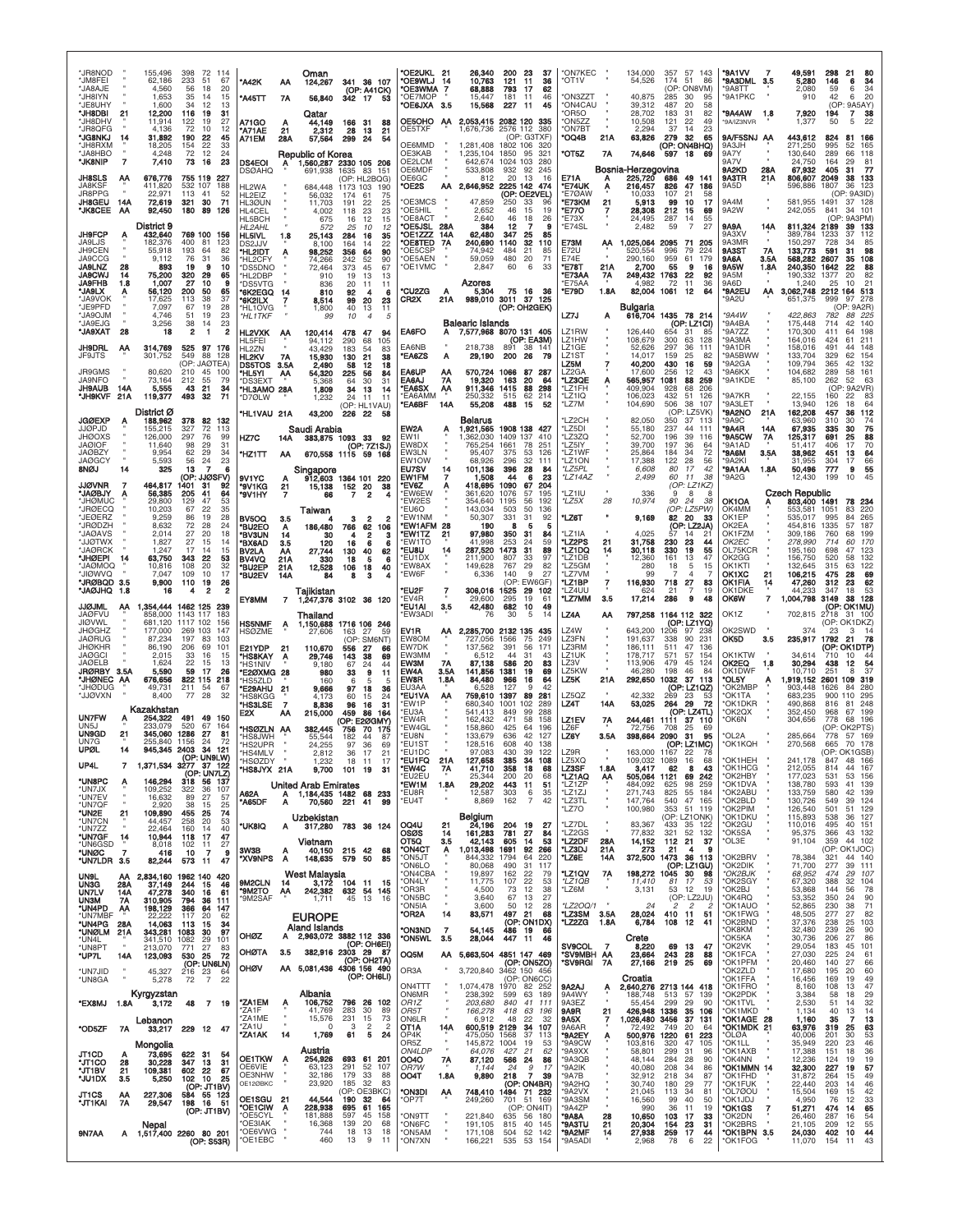| *JR8NOD<br><b>'JM8FEI</b><br>'JA8AJE<br>*JH8IYN<br>*JE8UHY<br>*JH8DBI | 21                     | 155,496<br>62,186<br>4,560<br>1,653<br>1,600<br>12,200 | 398<br>233<br>56<br>35<br>34<br>116 | 72 114<br>-51<br>67<br>20<br>18<br>14<br>15<br>12<br>13<br>31<br>19 | *A42K<br>'A45TT                                                                 | АА<br>7A              | Oman<br>124,267<br>56,840<br>Qatar                                           | 342 17                         | 341 36 107<br>(OP: A41CK)<br>53                                    | *OE2UKL 21<br>*OE9WLJ 14<br>*OE3WMA<br>*OE7MOP<br>*OE6JXA 3.5 | 7                            | 26,340<br>10,763<br>68,888<br>15,447<br>15,568                             | 200<br>121<br>793<br>181<br>227    | 23<br>37<br>11<br>36<br>17<br>62<br>46<br>-11<br>45<br>-11        | *ON7KEC<br>'OT1V<br>*ON3ZZT<br>*ON4CAU<br>OR5O        |                   | 134,000<br>54,526<br>40.875<br>39,312<br>28.702      | 357<br>174<br>(OP:<br>285<br>487<br>183   | 57 143<br>51 86<br>ON8VM)<br>-30<br>95<br>20<br>58<br>31<br>82  | *9A1VV<br>*9A3DML 3.5<br>*9A8TT<br>*9A1PKC<br>*9A4AW | 1.8                      | 49,591<br>5,280<br>2,080<br>910<br>7,920                    | 298<br>21<br>146<br>6<br>59<br>6<br>42<br>6<br>(OP)<br>$\overline{7}$<br>194 | 34<br>34<br>20<br>9A5AY)<br>38     |
|-----------------------------------------------------------------------|------------------------|--------------------------------------------------------|-------------------------------------|---------------------------------------------------------------------|---------------------------------------------------------------------------------|-----------------------|------------------------------------------------------------------------------|--------------------------------|--------------------------------------------------------------------|---------------------------------------------------------------|------------------------------|----------------------------------------------------------------------------|------------------------------------|-------------------------------------------------------------------|-------------------------------------------------------|-------------------|------------------------------------------------------|-------------------------------------------|-----------------------------------------------------------------|------------------------------------------------------|--------------------------|-------------------------------------------------------------|------------------------------------------------------------------------------|------------------------------------|
| 'JH8DHV<br>JR8QFG<br>*JG8NKJ<br>JH8RXM                                |                        | 11,914<br>4.136<br>31,892<br>18,205                    | 122<br>72<br>190<br>154             | 19<br>27<br>10<br>12<br>22<br>45<br>22<br>33                        | A71GO<br>'A71AE<br>A71EM                                                        | А<br>21<br>28A        | 44.149<br>2,312<br>57,564                                                    | 166 31<br>28<br>299            | 88<br>13<br>21<br>24<br>54                                         | OE5OHO AA<br>OE5TXF<br>OE6MMD                                 |                              | 2,053,415 2082 120 335<br>1,676,736<br>1,281,408                           | 1802 106                           | 2576 112 380<br>(OP: G3TXF)<br>32C                                | 'ON5ZZ<br><b>*ON7BT</b><br>'OQ4B                      | 21A               | 10,508<br>2.294<br>63,826                            | 121<br>37<br>279<br>(OP: ON4BHQ)          | 22<br>49<br>14<br>23<br>-32<br>65                               | '9A/IZ3NVR<br>9A/F5SNJ AA<br>9A3JH                   |                          | 1,377<br>443,612<br>271,250                                 | 50<br>5<br>824<br>81<br>995<br>52                                            | 22<br>166<br>165                   |
| JA8HBO*<br>*JK8NIP<br><b>JH8SLS</b><br>JA8KSF                         | $\overline{7}$<br>ΑA   | 4,248<br>7,410<br>676,776<br>411.820                   | 72<br>73<br>755 119<br>532 107      | 12<br>24<br>23<br>16<br>227<br>188                                  | <b>DS4EOI</b><br><b>DSØAHQ</b><br>HL2WA                                         | Α                     | <b>Republic of Korea</b><br>1,560,287 2330 105 206<br>691,938<br>684.448     | 1173 103                       | 1635 83 151<br>(OP: HL2BQG)<br>190                                 | OE3KAB<br>OE2LCM<br>OE6MDF<br>OE6GC<br>*OE2S                  |                              | 1,235,104<br>642,674<br>533,808<br>812<br>AA 2,646,952 2225 142            | 1850<br>1024 103<br>932<br>20      | 95<br>321<br>280<br>92<br>245<br>13<br>16<br>474                  | *OT5Z<br><b>E71A</b><br>*E74UK                        | 7Α<br>А<br>A      | 74,646<br>Bosnia-Herzegovina<br>225,720<br>216,457   | 597<br>686<br>826                         | 18<br>69<br>49<br>141<br>47<br>186                              | 9A7Y<br>9A7V<br>9A2KD<br>9A3TR<br>9A5D               | 28A<br>21A               | 130,640<br>24,750<br>67,932<br>806,607<br>596,886           | 289<br>66<br>164<br>29<br>405<br>-31<br>2049<br>38<br>1807<br>36             | 118<br>81<br>-77<br>133<br>123     |
| JR8PPG<br>JH8GEU<br>*JK8CEE                                           | 14A<br>ΑΑ              | 22.971<br>72,619<br>92,450                             | 113<br>321<br>180                   | 41<br>52<br>30<br>71<br>89<br>126                                   | HL <sub>2</sub> FIZ<br>HL3ØUN<br>HL4CEL<br>HL5BCH                               |                       | 56,032<br>11,703<br>4,002<br>675                                             | 174<br>191<br>118<br>16        | 75<br>-61<br>22<br>25<br>23<br>23<br>15<br>12                      | OE3MCS<br>*OE5HIL<br>*OE8ACT                                  |                              | 47.859<br>2,652<br>2,640                                                   | 250<br>46<br>46                    | (OP: OE2VEL)<br>33<br>96<br>15<br>19<br>18<br>26                  | *E7ØAW<br><b>E73KM</b><br>*E770<br>*E73X              | 21                | 10,033<br>5,913<br>28,308<br>24.495                  | 107<br>99<br>212<br>287                   | 21<br>58<br>10<br>17<br>15<br>69<br>14<br>55                    | 9A4M<br>9A2W                                         |                          | 581,955<br>242,055                                          | (OP: 9A3ID)<br>1491<br>841<br>34<br>9A3PM)<br>(OP)                           | 37 128<br>101                      |
| <b>JH9FCP</b><br>JA9LJS<br>JH9CEN<br><b>JA9CCG</b>                    | A                      | District 9<br>432,640<br>182,376<br>55,918<br>9.112    | 400<br>193<br>76                    | 769 100 156<br>81<br>123<br>82<br>-64<br>31                         | HL 2AHL<br>HL5IVL<br>DS2.J.JV<br>'HL2IDT<br>HL2CFY                              | 1.8                   | 572<br>25,143<br>8.100<br>98,252<br>74,266                                   | 25<br>284<br>164<br>356<br>242 | 10<br>12<br>16<br>35<br>22<br>-14<br>64<br>90<br>52<br>90          | *OE5JSL<br>*OE1ZZZ<br>*OE8TED<br>*OE5CSP<br>*OE5AEN           | 28A<br>14A<br>7A             | 384<br>62.480<br>240,690<br>74.942<br>59,059                               | 12<br>347<br>1140<br>484<br>480    | 7<br>9<br>25<br>85<br>32<br>110<br>21<br>85<br>-20<br>71          | *E74SL<br>E73M<br>E72U<br>E74E                        | AA                | 2,482<br>1,025,064<br>520.554<br>290,160             | 59<br>2095<br>996<br>959                  | $\overline{7}$<br>27<br>71<br>205<br>79<br>224<br>61<br>179     | 9A9A<br>9A3XV<br>9A3MR<br>9A3ST<br>9A6A              | 14A<br><b>7A</b><br>3.5A | 811,324<br>389,784<br>150,297<br>133,773<br>568,282 2607    | 2189<br>39<br>1233<br>37<br>728<br>591<br>31<br>35                           | 133<br>112<br>98<br>108            |
| <b>JA9LNZ</b><br><b>JA9CWJ</b><br><b>JA9FHB</b><br>*JA9LX             | 28<br>14<br>1.8        | 893<br>75,200<br>1,007<br>56,120                       | 19<br>320<br>27<br>200              | 10<br>я<br>29<br>65<br>10<br>я<br>50<br>65<br>37                    | 'DS5DNO<br>HL2DBP<br>'DS5VTG<br>*6K2EGQ                                         |                       | 72,464<br>910<br>836<br>810                                                  | 373<br>19<br>20<br>92          | 45<br>67<br>13<br>13<br>11<br>11<br>6<br>4                         | OE1VMC<br>*CU2ZG                                              | А                            | 2,847<br><b>Azores</b><br>5,304                                            | 60                                 | 6<br>33<br>75 16 36                                               | 'E78T<br>'E73AA<br>'E75AA<br>*E79D                    | 21A<br>7A<br>1.8A | 2.700<br>249,432<br>4,982<br>82,004                  | 55<br>1763<br>72<br>1061                  | 9<br>16<br>22<br>92<br>11<br>36<br>12<br>64                     | 9A5W<br>9A5M<br>9A6D<br>*9A2EU                       | 1.8A<br>АΑ               | 240,350<br>190,332<br>1,240                                 | 1642<br>22<br>1377<br>20<br>25<br>10<br>3,062,748 2212 164 513<br>999<br>97  | 88<br>82<br>21                     |
| 'JA9VOK<br>*JE9PFD<br>*JA9OJM<br>'JA9EJG<br>*JA9XAT                   | 28                     | 17,625<br>7.097<br>4,746<br>3,256<br>18                | 113<br>67<br>51<br>38<br>2          | 38<br>19<br>28<br>19<br>23<br>23<br>14<br>1<br>$\overline{2}$       | '6K2ILX<br>'HL1OVG<br>*HL 1 TKF<br>HL2VXK                                       | - AA                  | 8,514<br>1,800<br>99<br>120,414                                              | 99<br>40<br>10<br>478          | 20<br>23<br>13<br>11<br>47<br>94                                   | CR2X<br>EA6FO                                                 | 21A                          | 989,010 3011 37 125<br><b>Balearic Islands</b><br>A 7,577,968 8070 131 405 |                                    | (OP: OH2GEK)                                                      | LZ7J<br>LZ1RW                                         | Α                 | Bulgaria<br>616,704<br>126,440                       | 1435 78 214                               | (OP: LZ1CI)<br>31<br>85                                         | '9A2U<br>*9A4W<br>*9A4BA<br>*9A7ZZ                   |                          | 651,375<br>422,863<br>175,448<br>170,300                    | (OP: 9A2R)<br>782<br>88<br>42<br>714<br>411<br>64                            | 278<br>225<br>140<br>198           |
| JH9DRL<br>JF9JTS<br>JR9GMS                                            | АА                     | 314,769<br>301,752<br>80,620                           | 525<br>549<br>210                   | 97 176<br>88<br>128<br>(OP: JAØTEA)<br>45<br>100                    | HL5FEI<br><b>HI 27N</b><br>HL2KV<br>DS5TOS 3.5A                                 | 7A                    | 94,112<br>43.429<br>15,930<br>2.490                                          | 290<br>183<br>130<br>58        | 105<br>68<br>.54<br>83<br>21<br>38<br>18<br>12                     | EA6NB<br><b>"EA6ZS</b><br>EA6UP                               | A<br>AA                      | 218,738<br>29,190<br>570.724 1066                                          | 891<br>200 26                      | (OP: EA3M)<br>38 141<br>- 79<br>87 287                            | LZ1HW<br>LZ1GE<br>LZ1ST<br>LZ5M<br>LZ <sub>2</sub> GA |                   | 108,679<br>52,626<br>14.017<br>40,200<br>17,600      | 300<br>297<br>159<br>430<br>256           | 63<br>128<br>36<br>111<br>25<br>82<br>16<br>59<br>12<br>43      | *9A3MA<br>*9A1DR<br>*9A5BWW<br>*9A2GA<br>*9A6KX      |                          | 164,016<br>158,016<br>133,704<br>109,794<br>104,682         | 424<br>61<br>491<br>44<br>329<br>62<br>365<br>42<br>289<br>58                | 211<br>148<br>154<br>132<br>161    |
| JA9NFO<br><b>JH9AUB</b><br>*JH9KVF                                    | 14A<br>21A             | 73,164<br>5,555<br>119,377                             | 212<br>43<br>493                    | 55<br>79<br>34<br>21<br>71<br>32                                    | 'HL5YI<br>'DS3EXT<br>'HL3AMO 28A<br>'D7ØLW                                      | АА                    | 54,320<br>5,368<br>1,809<br>1,232                                            | 225<br>64<br>34<br>24          | 56<br>84<br>30<br>31<br>13<br>14<br>11<br>11<br>(OP: HL1VAU)       | EA6AJ<br>*EA6SX<br>*EA6AMM<br>*EA6BF                          | 7Α<br>AA<br>14A              | 19,320<br>911,346<br>250,332<br>55,208                                     | 163<br>1415<br>515<br>488          | 20<br>64<br>88<br>298<br>62<br>214<br>15<br>52                    | *LZ3QE<br>'LZ1FH<br>*LZ1IQ<br>*LZ7M                   | Α                 | 565,957<br>409,904<br>106,023<br>104,690             | 1081<br>928<br>432<br>506                 | 88<br>259<br>68<br>206<br>51<br>126<br>38 107                   | *9A1KDE<br>*9A7KR<br>*9A3LET                         |                          | 85,100<br>22,155<br>13,940                                  | 262<br>52<br>(OP: 9A2VR)<br>160<br>22<br>126<br>18                           | -63<br>83<br>64                    |
| <b>JGØEXP</b><br>JJØPJD<br><b>JHØOXS</b><br><b>JAØIOF</b>             | A                      | District Ø<br>188,962<br>155,215<br>126,000<br>11.640  | 378<br>327<br>297<br>98             | 82<br>132<br>72<br>113<br>76<br>99<br>31<br>29                      | <b>'HL1VAU 21A</b><br>HZ7C                                                      | 14A                   | 43,200<br>Saudi Arabia<br>383,875 1093 33                                    | 226 22                         | -58<br>92<br>(OP: 7Z1SJ)                                           | EW2A<br>EW1I<br>EW8DX                                         |                              | Belarus<br>1,921,565<br>1,362,030<br>765.254                               | 1409 137<br>1661                   | 1908 138 427<br>410<br>78<br>251                                  | 'LZ2CH<br>*LZ5DI<br>*LZ3ZQ<br>'LZ5IY                  |                   | 82,050<br>55.180<br>52,700<br>39.700                 | 350<br>237<br>196<br>197                  | (OP: LZ5VK)<br>37 113<br>44<br>111<br>39<br>116<br>36<br>-64    | *9A2NO<br>'9A9C<br><b>*9A4R</b><br>*9A5CW<br>"9A1AD  | 21A<br>14A<br>7Α         | 162,208<br>63,960<br>67,935<br>125,317<br>51.417            | 457<br>36<br>310<br>30<br>30<br>335<br>691<br>25<br>406<br>17                | 112<br>74<br>75<br>88<br>70        |
| <b>JAØBZY</b><br><b>JAØGCY</b><br>8NØJ                                |                        | 9,954<br>5,593<br>325                                  | 62<br>56<br>13<br>(OP:              | 29<br>34<br>23<br>24<br>7<br><b>JJØSFV)</b>                         | 'HZ1TT<br>9V1YC                                                                 | АА                    | 670,558 1115 59 168<br>Singapore<br>912,603 1364 101 220                     |                                |                                                                    | EW3LN<br>EW1OW<br>EU7SV<br>EW1FM                              | 14<br>7                      | 95,407<br>68.926<br>101.136<br>1,508                                       | 375<br>296<br>396<br>44            | 53<br>126<br>32<br>111<br>28<br>84<br>23<br>6                     | *LZ1WF<br>*LZ1ON<br>*LZ5PL<br>*LZ14AZ                 |                   | 25,864<br>17,388<br>6,608<br>2,499                   | 184<br>122<br>80<br>60                    | 72<br>34<br>28<br>-56<br>17<br>42<br>11<br>38                   | *9A6M<br>*9A2KI<br>*9A1AA<br>*9A2G                   | 3.5A<br>1.8A             | 38,962<br>31.955<br>50,496<br>12,430                        | 451<br>13<br>17<br>304<br>777<br>9<br>199<br>10                              | 64<br>66<br>55<br>45               |
| <b>JJØVNR</b><br><b>JAØBJY</b><br>*JHØMUC<br>'JRØECQ<br>'JEØERZ       |                        | 464,817<br>56,385<br>29,800<br>10,203<br>9,259         | 1401<br>205<br>129<br>67<br>86      | 31<br>92<br>41<br>64<br>47<br>53<br>22<br>35<br>19<br>28            | °9V1KG<br>°9V1HY<br>BV5OQ                                                       | $\frac{21}{7}$<br>3.5 | 15,138<br>66<br>Taiwan                                                       | 152 20<br>7<br>з               | 38<br>2<br>$\overline{\mathbf{2}}$<br>2                            | *EV6Z<br>*EW6EW<br><b>EW2ES</b><br>EU6O<br>*EW1NM             |                              | 418,695<br>361.620<br>354,640<br>143,034<br>50,307                         | 1090<br>1076<br>1195<br>503<br>331 | 67<br>204<br>.57<br>195<br>56<br>192<br>50<br>136<br>31<br>92     | 'LZ1IU<br>*LZ5X<br>*LZ6T                              | 28                | 336<br>10,974<br>9,169                               | 9<br>90<br>82                             | (OP: LZ1KZ)<br>8<br>-8<br>24<br>38<br>(OP: LZ5PW)<br>20<br>33   | OK1OA<br>OK4MM<br>OK1EP                              |                          | <b>Czech Republic</b><br>803,400 1491<br>553,581<br>535,017 | 78<br>83<br>1051<br>995<br>84                                                | 234<br>220<br>265                  |
| *JRØDZH<br>'JAØAVS<br><b>XWTQLL'</b><br><b>JAØRCK</b><br>*JHØEPI      |                        | 8,632<br>2,014<br>1,827<br>1,247<br>63,750             | 72<br>27<br>27<br>17                | 28<br>24<br>20<br>18<br>15<br>14<br>14<br>15<br>22                  | "BU2EO<br>*BV3UN<br><b>BX6AD</b><br>BV2LA                                       | A<br>14<br>3.5<br>АА  | 186,480<br>зс<br>120<br>27,744                                               | 766<br>16<br>130               | 62<br>106<br>з<br>6<br>в<br>40<br>62                               | *EW1AFM 28<br>*EW1TZ<br>*EW1TO<br>*EU8U                       | 21<br>14                     | 190<br>97,980<br>41,998<br>287,520                                         | 8<br>350<br>253<br>1473            | 5<br>5<br>-31<br>84<br>24<br>59<br>31<br>89<br>97<br>33           | *LZ1IA<br>*LZ2PS<br>*LZ1DQ<br>*LZ1DB                  | 21<br>14          | 4,025<br>31,758<br>30,118                            | 57<br>230<br>330                          | (OP: LZ2JA)<br>14<br>21<br>23<br>44<br>19<br>55<br>47           | OK2EA<br>OK1FZM<br>OK2EC<br>OL75KCR                  |                          | 454,816<br>309,186<br>278,990<br>195,160                    | 1335<br>57<br>760<br>68<br>714<br>60<br>698<br>47<br>58                      | 187<br>199<br>170<br>123           |
| OOMOAL'<br>UIOWVQ'<br>*JRØBQD<br>"JAØJHQ                              | 14<br>3.5<br>1.8       | 10,816<br>7,047<br>9,900<br>16                         | 343<br>108<br>109<br>110<br>4       | 53<br>32<br>20<br>10<br>17<br>19<br>26<br>2                         | BV4VQ<br>*BU2EP<br>*BU2EV                                                       | 21A<br>21A<br>14A     | 330<br>12,528<br>84<br>Tajikistan                                            | 18<br>106<br>8                 | 5<br>в<br>18<br>40<br>з                                            | *EU1DX<br>*EW8AX<br>*EW6F<br>*EU2F                            |                              | 211,900<br>149.628<br>6,336<br>306,016                                     | 807<br>767<br>140<br>1525          | 29<br>82<br>9<br>27<br>(OP: EW6GF)<br>29<br>102                   | *LZ5GM<br>*LZ7VM<br>*LZ1BP<br>*LZ4UU                  | $\overline{I}$    | 12,360<br>280<br>99<br>116,930<br>624                | 161<br>18<br>718<br>21                    | 13<br>15<br>5<br>$\overline{4}$<br>27<br>83<br>19               | OK2GG<br>OK1KTI<br>OK1XC<br><b>OK1FIA</b><br>OK1DKE  | 21<br>14                 | 156,750<br>132.645<br>106,215<br>47,260<br>44.233           | 520<br>315<br>63<br>475<br>28<br>312<br>23<br>347<br>18                      | 132<br>122<br>69<br>62<br>53       |
| <b>JJØJML</b><br><b>JAØFVU</b><br><b>JIØVWL</b><br><b>JHØGHZ</b>      | AA.                    | 1,354,444 1462 125<br>858,000<br>681.120<br>177,000    | 1143 117<br>1117 102<br>269 103     | 239<br>183<br>156<br>147                                            | EY8MM<br><b>HS5NMF</b><br><b>HSØZME</b>                                         | 7<br>A                | 1,247,376 3102 36 120<br>Thailand<br>1,150,688 1716 106 246<br>27,606        | 163                            | 27<br>59                                                           | *EV4R<br>*EU1AI<br>*EW3ADI<br>EV1R                            | 3.5                          | 29.600<br>42,480<br>-76<br>AA 2,285,700 2132 135                           | 295<br>682<br>30                   | 19<br>61<br>49<br>10<br>5<br>14<br>435                            | *LZ7MM<br>LZ4A<br>LZ4W                                | 3.5<br>АΑ         | 17,214<br>797,258<br>643,200                         | 286<br>1164 112 322<br>1206               | 9<br>48<br>(OP: LZ1YQ)<br>97<br>238                             | <b>OK6W</b><br>OK1Z<br>OK2SWD                        | 7                        | 1,004,798<br>702,815<br>374                                 | 3149<br>38<br>(OP: OK1MU)<br>2718<br>31 100<br>(OP: OK1DKZ)<br>23<br>з       | 128<br>-14                         |
| <b>JAØRUG</b><br><b>JHØKHR</b><br><b>JAØGCI</b><br><b>JAØELB</b>      |                        | 87.234<br>86,190<br>2.015<br>1,624                     | 197<br>206<br>33<br>22              | 83<br>103<br>69<br>101<br>16<br>15<br>15<br>13                      | E21YDP<br>*HS8KAY<br>'HS1NIV                                                    | 21<br>A               | 110,670<br>29,746<br>9.180                                                   | (OP:<br>556<br>143<br>67       | SM6NT)<br>27<br>66<br>38<br>69<br>24<br>44                         | EW8OM<br>EW7DK<br>EW3MM<br><b>EW3M</b>                        | 7A                           | 727,056<br>137,562<br>6.512<br>87,138                                      | 1566<br>391<br>44<br>586           | 75<br>249<br>56<br>171<br>31<br>43<br>20<br>83                    | LZ3FN<br>LZ3RM<br>LZ1UK<br>LZ3V                       |                   | 191.637<br>186,111<br>178,717<br>113,906             | 338<br>511<br>571<br>479                  | 90<br>231<br>47<br>136<br>57<br>154<br>45<br>124                | OK5D<br>OK1KTW<br>OK2EQ                              | 3.5<br>1.8               | 235,917<br>34,614<br>30,294                                 | 21<br>1792<br>(OP: OK1DTP)<br>710<br>10<br>438<br>12<br>R                    | -78<br>54                          |
| JRØRBY 3.5A<br>'JHØNEC AA<br>'JHØDUG<br>*JJØVXN                       |                        | 5,590<br>676,656<br>49,731<br>8,400                    | 59<br>822 115<br>211<br>77          | -17<br>26<br>218<br>-54<br>67<br>28<br>32                           | <b>*E2ØXMG 28</b><br><b>HS5ZLD</b><br><b>E29AHU</b><br>'HS8KGG<br><b>HS3LSE</b> | 21<br>7               | 980<br>160<br>9,666<br>4,173<br>8,836                                        | 33<br>-6<br>97<br>60<br>96     | 9<br>11<br>5<br>$\overline{a}$<br>18<br>36<br>15<br>24<br>16<br>31 | EW4A<br>EW8R<br>EU3AA<br>*EU1VA<br>*EW1P                      | 3.5A<br>1.8A<br>ΑА           | 141,856<br>84,480<br>6.528<br>759,610<br>680.340                           | 1381<br>966<br>127<br>1397<br>1001 | 19<br>69<br>16<br>64<br>42<br>9<br>89<br>281<br>102<br>289        | LZ5KW<br>LZ5K<br>LZ5QZ<br>LZ4T                        | 21A<br>14A        | 46,280<br>292,650<br>42,332<br>53,025                | 198<br>1032<br>269<br>264                 | 46<br>-84<br>37 113<br>(OP: LZ1QZ)<br>23<br>-53<br>- 29<br>- 72 | OK1DWF<br>*OL5Y<br>*OK2MBP<br>*OK1TA<br>*OK1DKR      | Ą.                       | 10.710<br>1,919,152<br>903.448<br>683,235<br>490,868        | 251<br>2601<br>109<br>1626<br>84<br>900<br>110<br>816<br>81                  | 37<br>319<br>280<br>295<br>248     |
| <b>UN7FW</b><br>UN5J<br><b>UN9GD</b><br>UN7G                          | 21                     | Kazakhstan<br>254,322<br>233.079<br>345,060<br>255.840 | 491<br>520<br>1286<br>1156          | 49<br>150<br>67<br>164<br>27<br>81<br>24<br>72                      | E2X<br><b>HSØZLN AA</b><br>'HS8JWH<br><b>HS2LIPR</b>                            | АΑ                    | 215,000<br>382.445<br>55,544<br>24,255                                       | 459<br>756<br>182<br>97        | 86<br>164<br>(OP: E2ØGMY)<br>70 175<br>44<br>87<br>36<br>69        | *EU3A<br>*EW4R<br>*EW4GL<br>*EU8N<br>*EU1ST                   |                              | 541,413<br>162.432<br>158,860<br>133,679<br>128,516                        | 849<br>471<br>425<br>636<br>608    | 99<br>288<br>58<br>158<br>64<br>196<br>42<br>127<br>40<br>138     | LZ1EV<br>LZ6F<br>LZ6Y                                 | 7Α<br>3.5A        | 244,461<br>72,756<br>398,664                         | 1111<br>708<br>2090                       | (OP: LZ4TL)<br>37 110<br>25<br>69<br>31<br>95<br>(OP: LZ1MC)    | *OK2QX<br>*OK6N<br><b>OL2A</b><br>*OK1KQH            |                          | 352,450<br>304,656<br>285,664<br>270,568                    | 968<br>67<br>68 196<br>778<br>OP: OK2PTS)<br>57 169<br>778<br>70<br>665      | 199<br>178                         |
| <b>UPØL</b><br>UP4L<br>*UN8PC                                         | 14                     | 945,345 2403<br>1,371,534 3277 37 122<br>146,294       |                                     | 34<br>121<br>(OP: UN9LW)<br>(OP: UN7LZ)<br>318 56 137               | 'HS4MLV<br>HSØZDY<br>'HS8JYX 21A                                                |                       | 2,812<br>1.2.57                                                              | 36<br>18<br>9,700 101 19       | 17<br>21<br>17<br>31                                               | *EU1DC<br>המווים<br>*EW4C<br>*EU2FU                           | 21A<br>7A                    | 97,083<br>127,658<br>41,710<br>25,344                                      | 430<br>385<br>358<br>200           | 39<br>122<br>108<br>94<br>18<br>68<br>68<br>20                    | LZ9R<br><b>175XC</b><br>LZ3SF<br>*LZ1AQ               | 1.8A<br>АА        | 163,000<br>3,417<br>505,064 1121                     | 1167<br>1089<br>62                        | 22<br>-78<br>68<br>16<br>8<br>43<br>242<br>69                   | OK1HEH<br>*OK1HCG<br>*OK2HBY                         |                          | 212.055<br>177,023                                          | (OP: OK1GSB)<br>814<br>44<br>531<br>53                                       | 167<br>156                         |
| *UN7JX<br>*UN7EV<br>*UN7QF<br>*UN2E                                   | 21                     | 109,252<br>16,632<br>2,920<br>109,890                  | 322<br>89<br>38<br>455              | 36<br>107<br>27<br>57<br>15<br>25<br>74<br>25                       | A62A<br>*A65DF                                                                  | Α<br>Α                | <b>United Arab Emirates</b><br>1,184,435 1482 68 233<br>70,560<br>Uzbekistan | 221                            | 99<br>41                                                           | *EW1M<br>*EU8R<br>*EU4T                                       | 1.8A                         | 29,202<br>12,587<br>8,869<br>Belgium                                       | 443<br>303<br>162                  | 11<br>51<br>6<br>35<br>$\overline{7}$<br>42                       | *LZ1ZP<br>*LZ1ZJ<br>*LZ3TL<br>*LZ7O                   | $\mathbf{u}$      | 484,092<br>271,743<br>147,764<br>100,980             | 625<br>825<br>540                         | 98<br>259<br>55<br>184<br>47 165<br>353 51 119<br>(OP: LZ1ONK)  | *OK1DVA<br>*OK2ABU<br>*OK2BLD<br>*OK2PIM<br>*OK1DKU  |                          | 138,780<br>133,759<br>130,726<br>126,540<br>115,893         | 593<br>580<br>42<br>549<br>39<br>501<br>51<br>538<br>36                      | 41 139<br>139<br>124<br>129<br>127 |
| *UN7CN<br>*UN7ZZ<br>*UN7GF<br>*UN6GSD<br>*UNØC                        | 14<br>7                | 44,457<br>22,464<br>10,944<br>8,018<br>416             | 258<br>160<br>118<br>102<br>10      | 20<br>53<br>14<br>40<br>47<br>-17<br>11<br>27<br>7<br>9             | *UK8IQ<br>3W3B                                                                  | A<br>A                | 317,280 783 36 124<br>Vietnam<br>40.150                                      | 215 42                         | 68                                                                 | OQ4U<br>osøs<br>OT5Q<br>*ON4CT<br>*ON5JT                      | 21<br>14<br>3.5<br>Α         | 24,196<br>161,283<br>42,143<br>1,013,498<br>844,332 1794                   | 204 19<br>781<br>605<br>1691       | - 27<br>27<br>84<br>53<br>14<br>92<br>266<br>64<br>220            | *LZ7DL<br>*LZ2GS<br>*LZ2DF<br>*LZ3DJ<br>*LZ6E         | 28A<br>21A<br>14A | 83,367<br>77,832<br>14,152<br>273<br>372,500         | 433<br>321<br>112 21<br>21<br>1473 36 113 | 35 122<br>52<br>132<br>-37<br>4<br>9                            | *OK2GU<br>*OK5SA<br>*OL3E<br>*OK2BRV                 |                          | 110,016<br>95,375<br>91,104<br>78,384                       | 40 151<br>495<br>366<br>359<br>44 102<br>(OP: OK1JOC)<br>321                 | 43 132<br>44 140                   |
| *UN7LDR 3.5<br><b>UN9L</b><br>UN3G<br>UN7LV                           | ΑА<br>28A<br>14A       | 82,244<br>834,160 1962 140<br>37,149<br>47,278         | 573<br>244<br>340                   | -11<br>47<br>420<br>15<br>46<br>16<br>61                            | *XV9NPS<br>9M2CLN<br>'9M2TO                                                     | A<br>14<br>АА         | 148,635<br>West Malaysia<br>$3,172$ 104<br>242,382                           | 579<br>632                     | 50<br>85<br>11<br>-15<br>54<br>145                                 | *ON6LO<br>*ON4CBA<br>*ON4LY<br>*OR3R                          |                              | 80,068<br>19,897<br>11,775<br>4,500                                        | 490<br>162<br>107<br>73            | 31<br>117<br>22<br>79<br>22<br>53<br>12<br>38                     | *LZ1QV<br>*LZ1QB<br>*LZ6M                             | $7A_2$            | 198,272<br>11,410<br>3,131                           | 1045<br>81<br>53                          | (OP: LZ1GU)<br>30<br>98<br>17<br>53<br>12<br>19                 | *OK2DIK<br>*OK2BJK<br>*OK2SGY<br>*OK2BJ              |                          | 71,700<br>68,952<br>67,320<br>53,868                        | 277<br>39<br>474<br>29<br>388<br>32<br>144<br>56                             | 111<br>107<br>104<br>78            |
| <b>UN3M</b><br>*UN4PD<br>*UN7MBF<br>*UN4PG<br>*UNØLM                  | 7A<br>AA<br>28A<br>21A | 310,905<br>198,129<br>22.222<br>14,063<br>343,281 1083 | 794<br>366<br>117<br>113            | 36<br>111<br>64<br>147<br>20<br>62<br>15<br>34<br>30<br>97          | *9M2SAF                                                                         |                       | 1,711<br><b>EUROPE</b><br><b>Aland Islands</b>                               | 45                             | 13<br>16                                                           | *ON5BC<br>'ON5IA<br>*OR2A<br>*ON3ND                           | 14<br>- 7                    | 3,640<br>3,600<br>83,571<br>54,145                                         | 67<br>50<br>497 21                 | 27<br>13<br>12<br>28<br>68<br>(OP: ON1DX)<br>486 19 66            | *LZ2OQ/1<br>*LZ3SM<br>*LZ2ZG                          | 3.5A<br>1.8A      | 24<br>28,024<br>6,784                                | 2<br>410<br>108                           | (OP: LZ2JU)<br>2<br>2<br>11<br>51<br>12<br>41                   | *OK4RQ<br>*OK1AUO<br>*OK1FWG<br>*OK2BND<br>*OK8KM    |                          | 53,352<br>52,865<br>48,505<br>37,376<br>32,480              | 350<br>24<br>230<br>38<br>277<br>27<br>238<br>25<br>26<br>239                | 90<br>71<br>82<br>103<br>90        |
| *UN4L<br>*UN8PT<br>*UP7L                                              | 14A                    | 341,510 1082<br>213,070<br>123,093                     | 771<br>530                          | 29<br>101<br>27<br>83<br>25<br>72<br>(OP: UN6LN)                    | OHØZ<br>OHØTA<br>OHØV                                                           | Α<br>3.5<br>АА        | 2,963,072 3882 112 336<br>382,916 2303 29 87<br>5,081,436 4306 156 490       |                                | (OP: OH6EI)<br>(OP: OH2TA)                                         | *ON5WL<br><b>OQ5M</b>                                         | 3.5                          | 28,044<br>AA 5,663,504                                                     |                                    | 447 11 46<br>4851 147 469<br>(OP: ON5ZO)                          | SV9COL<br>*SV9MBH AA<br>*SV9RGI                       | -7<br>7A          | Crete<br>8,220<br>23,664<br>27,166                   | 69<br>243<br>219                          | 13<br>47<br>28<br>88<br>25<br>69                                | *OK5KA<br>*OK2VK<br>*OK1FCA<br>*OK1PFM               |                          | 30,736<br>29,054<br>27,030<br>20,460                        | 206<br>27<br>45<br>183<br>225<br>24<br>27<br>140                             | 86<br>101<br>61<br>66              |
| *UN7JID<br>*UN8GA<br>*EX8MJ                                           | 1.8A                   | 45,327<br>5,278<br>Kyrgyzstan<br>3,172                 | $^{216}_{72}$ 23<br>72<br>48        | 64<br>22<br>$\overline{7}$<br>19                                    | *ZA1EM                                                                          | A                     | Albania<br>106,752                                                           |                                | (OP: OH6LI)<br>796 26 102                                          | OR3A<br>ON4TTT<br><b>ON6MR</b><br>OR <sub>1</sub> Z           |                              | 3,720,840<br>1,074,478<br>238,392<br>203,680                               | 1970<br>599<br>840                 | 3462 150 456<br>(OP: ON6CC)<br>82 252<br>63<br>189<br>41<br>111   | 9A2AJ<br>9A4WY<br>9A3EZ                               | Ą                 | Croatia<br>2,640,276<br>188,748<br>55,454            | 2713 144 418<br>513<br>299                | 57<br>139<br>29<br>90                                           | *OK2ZLD<br>*OK1FFA<br>*OK1FRO<br>'OK2PDK<br>*OK1TVL  |                          | 17,680<br>16,456<br>8,160<br>3,384<br>2,530                 | 195<br>20<br>169<br>19<br>108<br>13<br>58<br>18<br>51<br>14                  | 60<br>49<br>47<br>29<br>32         |
| *OD5ZF                                                                | 7A                     | Lebanon<br>33,217                                      |                                     | 229 12 47                                                           | "ZA1F<br>ZA1ME<br>'ZA1U<br>*ZA1AK                                               | -14                   | 41,769<br>15,576<br>0<br>1,769                                               | 283<br>231<br>3<br>61          | 30<br>89<br>15<br>73<br>2<br>$\overline{c}$<br>5<br>24             | OR5T<br><b>ON6LR</b><br>OT1A<br>OP4K<br>OR <sub>5</sub> Z     | 14A                          | 166,278<br>6,912<br>600,519 2129<br>475,050<br>145,872 1004                | 418<br>48<br>1568                  | 63<br>196<br>22<br>32<br>34<br>107<br>37<br>113<br>19<br>53       | 9A9R<br>9A5X<br>9A6AR<br>*9A2EY<br>*9A9CW             | 21<br>7<br>Ą      | 426,948<br>1,026,480<br>72,492<br>500,976<br>103,816 | 1336<br>3456<br>749<br>1220<br>320        | 35<br>106<br>37<br>131<br>20<br>64<br>223<br>61<br>47<br>105    | *OK1MKD<br>*OK1AGE<br>*OK1MDK 21<br>*OLØA<br>*OK1LL  | 28                       | 1,134<br>1,160<br>63,976<br>40,006<br>35,949                | 40<br>13<br>35<br>-7<br>319<br>25<br>30<br>201<br>220<br>23                  | 14<br>13<br>63<br>53<br>46         |
| JT1CD<br>'JT1CO<br>*JT1BV<br>*JU1DX                                   | 28<br>21<br>3.5        | Mongolia<br>73,695<br>30,228<br>109,381<br>5,250       | 622 31<br>347<br>602<br>102 10      | 54<br>13<br>31<br>22<br>67<br>25                                    | OE1TKW<br>OE6VIE<br>OE3NHW                                                      | A                     | Austria<br>254,926<br>63,123<br>32,186                                       | 693<br>291<br>179              | 61 201<br>52 107<br>-33<br>88                                      | ON4LDP<br>0040<br>OR7W<br>OO4T                                | $\overline{u}$<br>7A<br>1.8A | 64,076<br>87,120<br>1.144<br>9,890                                         | 427<br>566<br>24<br>218            | 62<br>21<br>24<br>86<br>9<br>17<br>$\overline{7}$<br>39           | *9A9XX<br>*9A3QB<br>*9A2IK<br>*9A7B                   |                   | 58,801<br>48,144<br>40,080<br>32,912                 | 299<br>284<br>208<br>218                  | 31<br>96<br>28<br>90<br>34<br>86<br>34<br>87                    | *OK1AXB<br>*OK4NN<br>*OK1MMN 14<br>*OK1FHD           |                          | 17,388<br>12,236<br>32,300<br>31,872                        | 18<br>151<br>124<br>19<br>227<br>19<br>264<br>15                             | 36<br>19<br>57<br>49               |
| JT1CS<br>*JT1KAI                                                      | ΑА<br>7A               | 227,306<br>29,547                                      | 198 16                              | (OP: JT1BV)<br>584 55 123<br>- 51<br>(OP: JT1BV)                    | OE12ØBKC<br>OE1SGU 21<br>*OE1CIW<br>OE5CYL*                                     | A                     | 23,920<br>44,544<br>228,938<br>181,888                                       | 185<br>190<br>695<br>597       | 32<br>83<br>(OP: OE3BKC)<br>32<br>-64<br>61<br>165<br>158<br>45    | *ON3DI<br>*OP7T<br>*ON9TT                                     | АА                           | 748,410<br>249,260<br>221,840                                              | 635                                | (OP: ON4BR)<br>1494 71 232<br>701 51 169<br>(OP: ON4IT)<br>56 180 | *9A2HQ<br>*9A2VX<br>*9A3SM<br>*9A4ZP<br><b>*9A8A</b>  | 28                | 30,740<br>21,045<br>16,560<br>990<br>10,650          | 180<br>113<br>99<br>36<br>103             | 29<br>77<br>34<br>81<br>40<br>50<br>19<br>11<br>17<br>33        | *OK1FUK<br>*OL7ØOU<br>*OK1JDJ<br>*OK1GS<br>*OK2DN    | 7                        | 22,440<br>15,504<br>4,950<br>51,271<br>26,460               | 203<br>14<br>169<br>15<br>12<br>76<br>474<br>14<br>287<br>16                 | 46<br>42<br>$\frac{33}{65}$<br>54  |
| 9N7AA                                                                 | A                      | Nepal<br>1,517,400 2260 80 201                         |                                     | (OP: S53R)                                                          | 'OE3IAK<br>OE6VWG<br>OE1EBC                                                     |                       | 16,368<br>744<br>460                                                         | 139<br>18<br>13                | 20<br>68<br>13<br>18<br>9<br>11                                    | *ON6FC<br>*ON5AM<br>*ON7XN                                    |                              | 191,105<br>171,108<br>166,221                                              | 815<br>504<br>535                  | 40 145<br>52 142<br>53<br>154                                     | *9A3TU<br>*9A2MF<br>*9A5ADI                           | 21<br>14          | 20,304<br>27,938<br>2,968                            | 154<br>259<br>78                          | 23<br>31<br>17<br>44<br>22<br>6                                 | *OK2BRS<br>*OK1BPN 3.5<br>*OK1FOG                    |                          | 21,105<br>24,030<br>11,070                                  | 209<br>12<br>402<br>10<br>154<br>11                                          | 55<br>44<br>43                     |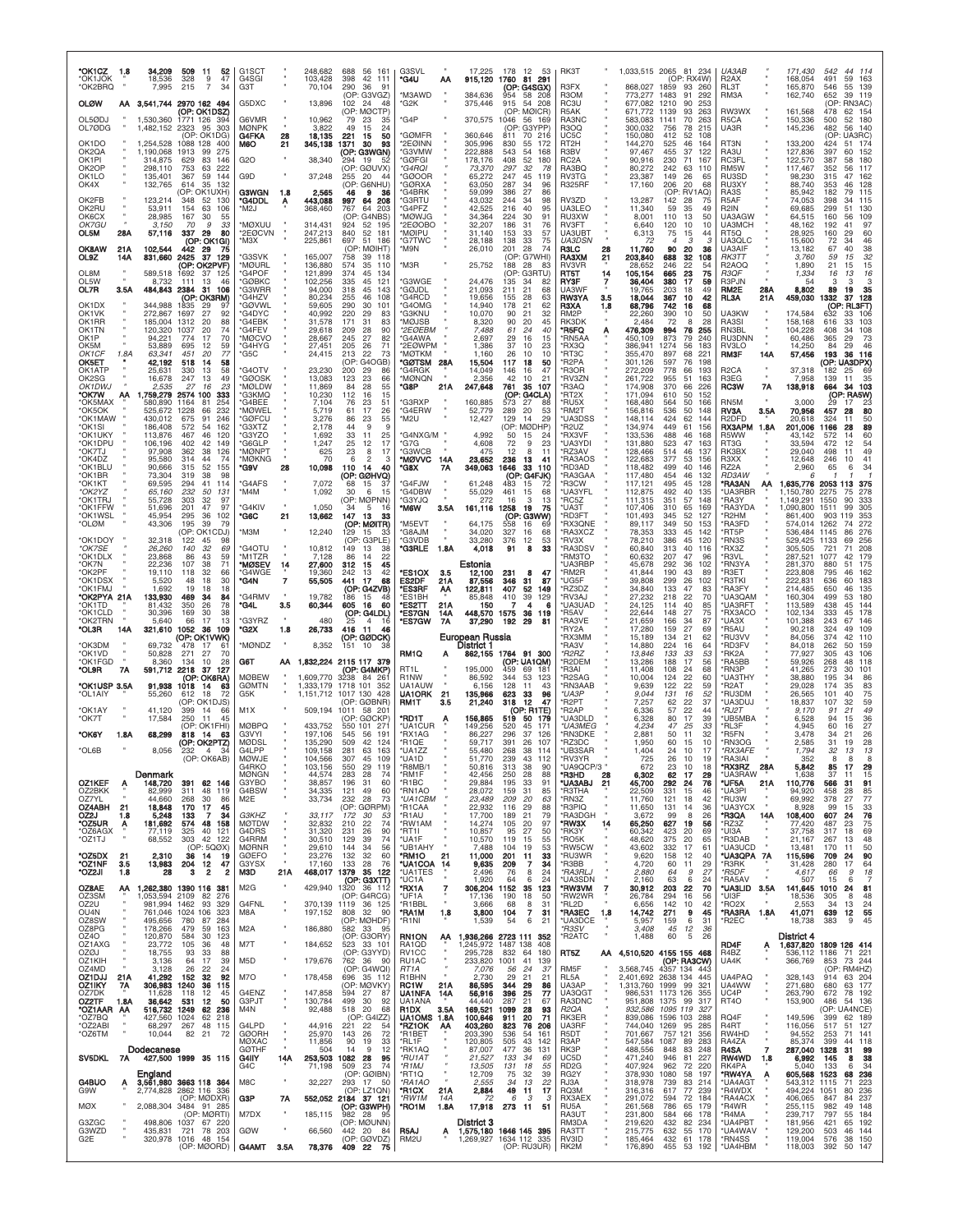| *OK1CZ<br>1.8<br>*OK1JOK<br>*OK2BRQ                  | 34,209<br>18,536<br>7,995         | 509<br>-11<br>52<br>328<br>47<br>9<br>215<br>7<br>34                                          | G <sub>1</sub> SC <sub>T</sub><br>G4SGI<br>G3T |            | 248,682<br>103,428<br>70,104          | 688<br>56 161<br>398<br>42 111<br>290<br>36<br>91            | G3SVL<br>'G4U                                           | АΑ                 | 17,225<br>915,120               | 178<br>12<br>1760<br>(OP: G4SGX)            | 53<br>81 291                     | RK3T<br>R3FX                                   |          | 1,033,515 2065 81 234<br>868,027                         | 1859                        | (OP: RX4W)<br>93<br>260              | UA3AB<br>R <sub>2</sub> AX<br>RL3T             |            | 171,430<br>168,054<br>165,870       | 542<br>44<br>114<br>59<br>163<br>491<br>55<br>139<br>546    |
|------------------------------------------------------|-----------------------------------|-----------------------------------------------------------------------------------------------|------------------------------------------------|------------|---------------------------------------|--------------------------------------------------------------|---------------------------------------------------------|--------------------|---------------------------------|---------------------------------------------|----------------------------------|------------------------------------------------|----------|----------------------------------------------------------|-----------------------------|--------------------------------------|------------------------------------------------|------------|-------------------------------------|-------------------------------------------------------------|
| <b>OLØW</b>                                          |                                   | AA 3,541,744 2970 162 494<br>(OP: OK1DSZ)                                                     | G5DXC                                          |            | 13,896                                | (OP: G3VGZ)<br>102<br>-24<br>48<br>(OP: MØCTP)               | *M3AWD<br>*G2K                                          |                    | 384,636<br>375,446              | 954<br>915<br>54<br>(OP: MØICR)             | 58 208<br>-208                   | R <sub>3</sub> OM<br>RC3U<br>R <sub>5</sub> AK |          | 773,277<br>677,082<br>671,772                            | 1483<br>1210<br>1139        | 91<br>292<br>90<br>253<br>93<br>263  | RM3A<br>RW3WX                                  |            | 162,740<br>161,568                  | 652<br>39<br>119<br>(OP: RN3AC)<br>478<br>62 154            |
| OL5ØDJ<br>OL7ØDG                                     | 1,530,360<br>1,482,152 2323       | 1771 126<br>394<br>95<br>303<br>(OP: OK1DG)                                                   | G6VMR<br><b>MØNPK</b><br>G4FKA                 | 28         | 10,962<br>3,822<br>18,135             | 79<br>23<br>35<br>49<br>15<br>24<br>221<br>50<br>15          | 'G4P<br>'GØMFR                                          |                    | 370,575<br>360,646              | 1046<br>(OP:<br>811                         | 56 169<br>G3YPP<br>70 216        | RA3NC<br><b>R3OQ</b><br>UC5C                   |          | 583.083<br>300,032<br>150,080                            | 1141<br>756<br>412          | 70<br>263<br>78<br>215<br>52<br>108  | R5CA<br>UA3R                                   |            | 150,336<br>145,236                  | 180<br>500<br>52<br>482<br>56<br>140<br>UA3RC)<br>(OP:      |
| OK1DO<br>OK2QA<br>OK1PI                              | 1,254,528<br>1,190,068<br>314,875 | 1088 128<br>400<br>1913<br>99<br>275<br>629<br>83<br>146                                      | M6O<br>G2O                                     | 21         | 345,138<br>38,340                     | 1371<br>30<br>93<br>(OP: G3WGN)<br>294<br>19                 | 2EØINN<br>*G3VMW<br>*GØFGI                              |                    | 305,996<br>222,888<br>178,176   | 830<br>55<br>543<br>54<br>408<br>52         | 172<br>168<br>180                | RT <sub>2</sub> H<br>R3BV<br>RC <sub>2</sub> A |          | 144,270<br>97.467<br>90,916                              | 525<br>455<br>230           | 46<br>164<br>37<br>122<br>71<br>167  | RT3N<br>RA3U<br><b>RC3FL</b>                   |            | 133,200<br>127,836<br>122,570       | 424<br>174<br>51<br>397<br>60<br>152<br>387<br>58<br>180    |
| OK2OP<br>OK1LO<br>OK4X                               | 298,110<br>135,401<br>132,765     | 753<br>63<br>222<br>367<br>59<br>144<br>614<br>35<br>132                                      | G9D                                            |            | 37,248                                | (OP: GØUVX)<br>255<br>20<br>44<br>(OP: G6NHU)                | *G4ROI<br>'GØOOR<br>'GØRXA                              |                    | 73,370<br>65,272<br>63,050      | 297<br>32<br>247<br>45<br>287<br>34         | 78<br>119<br>96                  | RA3BQ<br><b>RV3TG</b><br><b>R325RF</b>         |          | 80.272<br>23,387<br>17,160                               | 242<br>149<br>206           | 63<br>110<br>26<br>65<br>20<br>68    | RM5W<br>RU3SD<br>RU3XY                         |            | 117,467<br>98,230<br>88,740         | 117<br>352<br>56<br>47<br>162<br>315<br>353<br>128<br>46    |
| OK2FB<br>OK2RU                                       | 123,214<br>53,911                 | (OP: OK1UXH)<br>348<br>52<br>130<br>154<br>63<br>106                                          | <b>G3WGN</b><br><b>"G4DDL</b><br>*M2J          | - 1.8<br>A | 2,565<br>443,088<br>368,460           | 46<br>9<br>- 36<br>997<br>64 208<br>767<br>64<br>203         | 'G4BRK<br>'G3RTU<br>'G4PFZ                              |                    | 59,099<br>43,032<br>42,525      | 386<br>27<br>244<br>34<br>216<br>40         | 86<br>98<br>95                   | RV3ZD<br>UA3LEO                                |          | 13,287<br>11,340                                         | 142<br>59                   | (OP: RV1AQ)<br>28<br>75<br>35<br>49  | RA3S<br>R <sub>5</sub> AF<br>R <sub>2</sub> IN |            | 85,942<br>74.053<br>69,685          | 182<br>115<br>79<br>398<br>34<br>115<br>299<br>51<br>130    |
| OK6CX<br>OK7GU<br>OL5M<br>28A                        | 28,985<br>3,150<br>57,116         | 167<br>30<br>55<br>70<br>9<br>33<br>337<br>29<br>80                                           | <b>MØXUU</b><br>*2EØCVN                        |            | 314,431<br>247,213                    | G4NBS)<br>(OP<br>924<br>52 195<br>840<br>52 181              | *MØWJG<br>*2EØOBO<br><b>MØIPU</b>                       |                    | 34,364<br>32,207<br>31,140      | 224<br>30<br>186<br>-31<br>153<br>33        | 91<br>76<br>57                   | <b>RU3XW</b><br><b>RV3FT</b><br>UA3UBT         |          | 8,001<br>6,640<br>6,313                                  | 110<br>120<br>75            | 13<br>50<br>10<br>10<br>15<br>44     | UA3AGW<br>UA3MCH<br>RT5Q                       |            | 64,515<br>48,162<br>28,925          | 160<br>109<br>56<br>192<br>41<br>97<br>160<br>29<br>60      |
| <b>OK8AW</b><br>21A<br>OL9Z                          | 102,544<br>831,660                | (OP: OK1GI)<br>442 29<br>75<br>2425<br>37                                                     | *МЗX                                           |            | 225,861                               | 697<br>51 186<br>(OP: MØIHT)                                 | *G7TWC<br>'M9N                                          |                    | 28,188<br>26,010                | 138<br>33<br>201<br>28                      | 75<br>74                         | UA3DSN<br><b>R3LC</b>                          | 28       | 72<br>11,760                                             | 4<br>90                     | 3<br>-3<br>20<br>36<br>32            | UA3QLC<br>UA3AIF                               |            | 15,600<br>13,182                    | 72<br>34<br>46<br>67<br>40<br>38                            |
| 14A<br>OL8M                                          | 589,518                           | 129<br>(OP: OK2PVF)<br>1692<br>37<br>125                                                      | 'G3SVK<br>*MØURL<br>*G4POF                     |            | 165,007<br>136,880<br>121,899         | 758<br>39 118<br>574<br>35<br>110<br>374<br>45<br>134        | 'M3R                                                    |                    | 25,752                          | (OP: G7WHI)<br>188<br>28<br>(OP             | 83<br>G3RTU)                     | <b>RA3XM</b><br>RV3VR<br>RT5T                  | 21<br>14 | 203,840<br>28,652<br>105,154                             | 688<br>246<br>665           | 108<br>22<br>54<br>23<br>75          | RK3TT<br>R <sub>2</sub> AOQ<br><b>R3QF</b>     |            | 3,760<br>1,890<br>1,334             | 32<br>59<br>15<br>21<br>15<br>15<br>16<br>13<br>16          |
| OL5W<br>OL7R<br>3.5A                                 | 8,732                             | 13<br>111<br>-46<br>484,843 2384 31 106<br>(OP: OK3RM)                                        | *GØBKC<br><b>G3WRR</b><br>*G4HZV               |            | 102,256<br>94,000<br>80,234           | 335<br>45<br>121<br>318<br>45<br>143<br>255<br>46<br>108     | 'G3WGE<br><b>GØJDL</b><br>'G4RCD                        |                    | 24,476<br>21,093<br>19,656      | 135<br>34<br>211<br>21<br>155<br>28         | 82<br>68<br>63                   | <b>RY3F</b><br>UA3WF<br>RW3YA                  | 3.5      | 36,404<br>19.765<br>18,044                               | 380<br>203<br>367           | 17<br>59<br>49<br>18<br>10<br>42     | R3PJN<br>RM <sub>2</sub> E<br>RL3A             | 28A<br>21A | 54<br>8,802<br>459,030              | 3<br>3<br>3<br>89<br>19<br>35<br>332<br>37<br>128           |
| OK1DX<br>OK1VK<br>OK1RR                              | 344,988<br>272,867<br>185,004     | 29<br>1835<br>-97<br>1697<br>27<br>92<br>1312<br>20<br>88                                     | 'GØVWL<br>*G4DYC<br>*G4EBK                     |            | 59,605<br>40,992<br>31,578            | 290<br>30<br>101<br>220<br>29<br>83<br>171<br>31<br>83       | 'G4OMG<br>'G3KNU<br>MØJSB <sup>.</sup>                  |                    | 14,940<br>10,070<br>8,320       | 178<br>21<br>21<br>90<br>90<br>20           | 62<br>32<br>45                   | R3XA<br>RM2P<br>RK3DK                          | 1.8      | 68,796<br>22,260<br>2.484                                | 742<br>390<br>72            | 16<br>68<br>10<br>50<br>28<br>8      | <b>UA3KW</b><br>RA3SI                          |            | 174,584<br>158,168                  | (OP: RL3FT)<br>632<br>33<br>106<br>33<br>103<br>616         |
| OK1TN<br>OK1P<br>OK5M                                | 120,320<br>94.221<br>53,889       | 20<br>74<br>1037<br>774<br>17<br>70<br>695<br>12<br>59                                        | *G4FEV<br>*MØCVO<br>*G4HYG                     |            | 29,618<br>28,667<br>27,451            | 209<br>28<br>90<br>245<br>27<br>82<br>205<br>-26<br>71       | *2EØEBM<br>*G4AWA<br>*2EØWPM                            |                    | 7,488<br>2,697<br>1,386         | 61<br>24<br>29<br>16<br>37<br>10            | 40<br>15<br>23                   | *R5FQ<br>'RN5AA<br>*RX3Q                       | Α        | 476,309<br>450,109<br>386.941                            | 994<br>873<br>1274          | 76<br>255<br>240<br>79<br>56<br>183  | RN3BL<br>RU3DNN<br>RV3LO                       |            | 104,228<br>60,486<br>14,250         | 34<br>108<br>408<br>365<br>29<br>73<br>84<br>29<br>46       |
| OK1CF<br>1.8A<br>ОК5ЕТ<br>OK1ATP                     | 63,341<br>42,192<br>25.631        | 451<br>20<br>77<br>518<br>14<br>58<br>330<br>13<br>58                                         | *G5C<br>'G4OTV                                 |            | 24,415<br>23,230                      | 213<br>22<br>73<br>(OP:<br>G4OGB)<br>200<br>29<br>86         | <b>MØTKM</b><br>'GØTSM 28A<br>'G4RGK                    |                    | 1,160<br>15,504<br>14,049       | 26<br>10<br>117<br>18<br>146<br>16          | 10<br>50<br>47                   | 'RT3C<br>'R2PA<br>'R3OR                        |          | 355,470<br>301,126<br>272,209                            | 897<br>597<br>778           | 68<br>221<br>76<br>198<br>66<br>193  | <b>RM3F</b><br>R <sub>2</sub> CA               | 14A        | 57,456<br>37,318                    | 193<br>36<br>116<br>(OP: UA3DPX)<br>182<br>25<br>-69        |
| OK2SG<br>OK1DWJ                                      | 16,678<br>2,535                   | 247<br>13<br>49<br>27<br>16<br>23                                                             | *GØOSK<br><b>MØLDW</b>                         |            | 13,083<br>11,869                      | 123<br>23<br>66<br>84<br>28<br>55                            | 'MØNQN<br>*G8P                                          | 21A                | 2,356<br>247,648                | 42<br>10<br>761<br>35                       | 21<br>107                        | 'RV3ZN<br>R3AQ                                 |          | 261,722<br>174,908                                       | 955<br>370                  | 51<br>163<br>66<br>226               | R3EG<br>RC3W                                   | 7A         | 7.958<br>138,918                    | 35<br>139<br>11<br>664<br>34<br>103                         |
| 'OK7W<br>AA<br>*OK5MAX<br>*OK5OK                     | 580,890<br>525,672                | 1,759,279 2574 100<br>333<br>254<br>1164<br>81<br>232<br>1228<br>66                           | *G3KMQ<br>*G4BEE<br>*MØWEL                     |            | 10,230<br>7,104<br>5,719              | 112<br>16<br>15<br>23<br>51<br>76<br>17<br>26<br>61          | 'G3RXP<br>*G4ERW                                        |                    | 160,885<br>52,779               | (OP: G4CLA)<br>573<br>27<br>289<br>20       | 88<br>53                         | 'RT2X<br>*RU5X<br>*RM2T                        |          | 171,094<br>168,480<br>156,816                            | 610<br>564<br>536           | 152<br>50<br>50<br>166<br>50<br>148  | RN5M<br><b>RV3A</b>                            | 3.5A       | 3,000<br>70,956                     | $(OP: RASW)$<br>$29 \t17 \t23$<br>80<br>457<br>28           |
| *OK1MAW<br>*OK1SI<br>*OK1UKY                         | 430.012<br>186,408<br>113.876     | 675<br>91<br>246<br>572<br>162<br>54<br>46<br>120<br>467                                      | *GØFCU<br><b>G3XTZ</b><br>*G3YZO               |            | 3,276<br>2,178<br>1,692               | 86<br>23<br>55<br>9<br>44<br>9<br>33<br>11<br>25             | *M2U<br>*G4NXG/M                                        |                    | 12,427<br>4,992                 | 129<br>14<br>(OP: MØDHP)<br>50<br>15        | 29<br>24                         | *UA3DSS<br>R <sub>2UZ</sub><br>'RX3VF          |          | 148,114<br>134,974<br>133,536                            | 424<br>449<br>488           | 62<br>144<br>61<br>156<br>46<br>168  | R <sub>2</sub> DFD<br><b>RX3APM</b><br>R5WW    | 1.8A       | 20,618<br>201,006<br>43.142         | 50<br>324<br>11<br>89<br>1166<br>28<br>60<br>572<br>14      |
| *OK1DPU<br>*OK7TJ<br>*OK4DZ                          | 106.196<br>97,908<br>95,580       | 402<br>42<br>149<br>362<br>38<br>126<br>314<br>44<br>74                                       | *G6GLP<br>*MØNPT<br>*MØKNG                     |            | 1,247<br>625<br>70                    | 25<br>12<br>17<br>23<br>8<br>17<br>$\overline{2}$<br>6<br>3  | *G7G<br>*G3WCB<br>*MØVVC                                | 14A                | 4,608<br>475<br>23,652          | 9<br>72<br>12<br>8<br>236<br>13             | 23<br>11<br>41                   | 'UA3YDI<br>'RZ3AV<br><b>RA3AOS</b>             |          | 131,880<br>128,466<br>122,683                            | 523<br>514<br>377           | 47<br>163<br>46<br>137<br>53<br>156  | RT3G<br>RK3BX<br>R3XX                          |            | 33.594<br>29,040<br>12,648          | 54<br>472<br>12<br>498<br>11<br>49<br>246<br>10<br>41       |
| *OK1BLU<br>°OK1BR<br>*OK1KT                          | 90,666<br>73,304<br>69,595        | 315<br>52<br>155<br>319<br>38<br>98<br>294<br>41<br>114                                       | *G9V<br>*G4AFS                                 | 28         | 10,098<br>7,072                       | 110<br>-14<br>40<br>(OP: GØHVQ)<br>68<br>15<br>37            | *G8X<br>'G4FJW                                          | 7Α                 | 349,063<br>61,248               | 1646<br>(OP: G4FJK)<br>483<br>15            | 33 110<br>72                     | *RD3AD<br><b>RA3GAA</b><br>'R3CW               |          | 118,482<br>117,480<br>117,121                            | 499<br>454<br>495           | 40<br>146<br>46<br>132<br>45<br>128  | RZ2A<br>RD3AW<br>*RA3AN                        | АА         | 2,960<br>6<br>1,635,776             | 65<br>6<br>34<br>2053 113<br>375                            |
| *OK2YZ<br>*OK1TRJ<br>*OK1FFW                         | 65,160<br>55,728<br>51,696        | 232<br>50<br>131<br>303<br>32<br>97<br>201<br>47<br>97                                        | *M4M<br>'G4KIV                                 |            | 1,092<br>1,050                        | 30<br>6<br>15<br>(OP: MØPNN)<br>34<br>5<br>16                | *G4DBW<br>*G3YJQ<br>*M6W                                | 3.5A               | 55,029<br>272<br>161,116        | 461<br>15<br>16<br>3<br>1258<br>19          | 65<br>13<br>75                   | 'UA3YFL<br>*RC5Z<br>'UA3T                      |          | 112,875<br>111,315<br>107,406                            | 492<br>351<br>310           | 40<br>135<br>57<br>148<br>65<br>169  | <b>UA3RBR</b><br>'RA3Y<br>'RA3YDA              |            | 1,150,780<br>1,149,291<br>1,090,800 | 2275<br>278<br>75<br>1550<br>90<br>333<br>1511<br>99<br>305 |
| *OK1WSL<br>*OLØM                                     | 45,954<br>43,306                  | 295<br>36<br>102<br>195<br>39<br>79<br>(OP: OK1CDJ)                                           | *G6C<br>*M3M                                   | 21         | 13,662                                | 147<br>13<br>33<br>(OP: MØITR)<br>129                        | *M5EVT<br>*G8AJM                                        |                    | 64,175<br>34,020                | (OP:<br>558<br>16<br>327                    | G3WW)<br>69<br>68                | 'RD3FT<br>'RX3QNE<br><b>RA3XCZ</b>             |          | 101,493<br>89,117                                        | 345<br>349<br>333           | 52<br>127<br>50<br>153               | 'R2HM<br>'RA3FD<br>'RT5P                       |            | 861,400<br>574,014                  | 353<br>903<br>119<br>272<br>1262<br>74<br>1145<br>86<br>276 |
| *OK1DOY<br>*OK7SE                                    | 32,318<br>26,260                  | 122<br>45<br>98<br>140<br>32<br>69                                                            | 'G4OTU                                         |            | 12,240<br>10,812                      | 15<br>33<br>(OP: G3PLE)<br>149<br>13<br>38                   | 'G3VDB<br>*G3RLE                                        | 1.8A               | 33,280<br>4,018                 | 16<br>376<br>12<br>8<br>91                  | 53<br>33                         | *RV3X<br><b>RA3DSV</b>                         |          | 78,353<br>78,210<br>60,840                               | 386<br>313                  | 45<br>142<br>45<br>120<br>40<br>116  | 'RN3S<br>RX3Z                                  |            | 536,484<br>529,425<br>305,505       | 1133<br>256<br>69<br>208<br>721<br>71                       |
| *OK1DLX<br>*OK7N<br>*OK2PF                           | 23,868<br>22.236<br>19,110        | 86<br>43<br>59<br>107<br>71<br>38<br>118<br>32<br>66                                          | *M1TZR<br>*MØSEV<br>*G4WGE                     | 14         | 7,128<br>27,600<br>19,360             | 86<br>14<br>22<br>312<br>45<br>15<br>242<br>13<br>42         | *ES1OX                                                  | 3.5                | Estonia<br>12,100               | 231<br>8                                    | 47                               | 'RM3TO<br>UA3RBF<br>*RM2R                      |          | 60,632<br>45,678<br>41,844                               | 207<br>292<br>190           | 47<br>96<br>36<br>102<br>43<br>89    | 'R3VL<br><b>RN3YA</b><br>'R3ET                 |            | 287,521<br>281,370<br>223,808       | 179<br>1077<br>42<br>175<br>880<br>51<br>795<br>162<br>46   |
| *OK1DSX<br>*OK1FMJ<br>*OK2PYA 21A                    | 5,520<br>1,692<br>133,930         | 30<br>48<br>18<br>19<br>18<br>18<br>469<br>34<br>84                                           | *G4N<br>*G4RMV                                 | 7          | 55,505<br>19,782                      | 17<br>441<br>68<br>(OP: G4ZVB)<br>186<br>15<br>48            | ES2DF<br>*ES3RF<br>'ES1BH                               | 21A<br>AA          | 87,556<br>122,811<br>85,848     | 346<br>31<br>407<br>52<br>410<br>39         | 87<br>149<br>129                 | 'UG5F<br>'RZ3DZ<br>'RV3AJ                      |          | 39.808<br>34,840<br>27,232                               | 299<br>133<br>218           | 26<br>102<br>47<br>83<br>22<br>70    | 'R3TKI<br>'RA3FY<br>UA3QAM                     |            | 222,831<br>214,485<br>160,304       | 183<br>636<br>60<br>650<br>46<br>135<br>499<br>53<br>180    |
| °OK1TD<br>*OK1CLD                                    | 81,432                            | 350<br>26<br>78                                                                               | *G4L                                           | 3.5        | 60,344                                | 605<br>16<br>60                                              | *ES2TT                                                  | 21A                | 150                             | 7<br>4                                      | я                                | 'UA3UAD                                        |          | 24,125                                                   | 114                         | 40<br>85                             | 'UA3RFT                                        |            | 113,589                             | 438<br>45<br>144                                            |
|                                                      | 30,396                            | 169<br>30<br>38                                                                               |                                                |            |                                       | (OP: G4LDL)                                                  | *ES7GN                                                  | 14A                | 448,570                         | 1575<br>36                                  | 119                              | 'R5AV                                          |          | 22,644                                                   | 148                         | 27<br>75                             | <b>RX3ACO</b>                                  |            | 102,134                             | 333<br>45<br>178                                            |
| *OK2TRN<br>*OL3R<br>14A                              | 5,640<br>321,610                  | 66<br>13<br>17<br>1052<br>36<br>109<br>(OP: OK1VWK)                                           | 'G3YRZ<br>*G2X                                 | 1.8        | 480<br>26,733                         | 25<br>$\overline{4}$<br>16<br>416<br>11<br>46<br>(OP: GØDCK) | <b>ES7GW</b>                                            | 7A                 | 37,290<br>European Russia       | 192<br>29                                   | 81                               | 'RA3VE<br>'RY2A<br>*RX3MM                      |          | 21,659<br>17,280<br>15,189                               | 166<br>159<br>134           | 34<br>87<br>27<br>69<br>21<br>62     | *UA3X<br>'R5AU<br><b>RU3VV</b>                 |            | 101,388<br>90,218<br>84,056         | 243<br>67<br>146<br>324<br>49<br>109<br>374<br>42<br>110    |
| *OK3DM<br>*OK1VD<br>*OK1FGD                          | 69,732<br>50,828<br>8,360         | 478<br>17<br>6<br>271<br>27<br>70<br>134<br>10<br>28                                          | *MØNDZ<br>G6T                                  | AA.        | 8,352                                 | 151<br>10<br>1,832,224 2115 117 379                          | RM1Q                                                    | А                  | District 1                      | 862,155 1764 91 300<br>(OP: UA1QM)          |                                  | *RA3V<br>*R2RZ<br>'R2DEM                       |          | 14,880<br>13,846<br>13,286                               | 224<br>133<br>188           | 64<br>16<br>33<br>53<br>17<br>56     | <b>RD3FV</b><br><b>RK2A</b><br>'RA5BB          |            | 84,018<br>77.927<br>59,926          | 262<br>50<br>159<br>305<br>43<br>106<br>268<br>48<br>118    |
| *OL9R<br><b>7A</b><br>*OK1USP 3.5A                   | 591,712 2218<br>91,938            | -37<br>127<br>(OP: OK6RA)<br>1018<br>14<br>63                                                 | <b>MØBEW</b><br><b>GØMTN</b>                   |            | .609.770<br>.333,179                  | (OP: G4MKP)<br>3238<br>84 261<br>1718 101 352                | RT <sub>1</sub> L<br>R <sub>1</sub> NW<br><b>UA1AUW</b> |                    | 195,000<br>86,592<br>6,156      | 459<br>69<br>344<br>53<br>128<br>11         | -181<br>123<br>43                | <b>R3AI</b><br>'R2SAG<br><b>RN3AAB</b>         |          | 11,408<br>10,004<br>9,639                                | 108<br>124<br>122           | 24<br>68<br>22<br>60<br>22<br>59     | 'RN3P<br>'UA3THY<br>'R2AT                      |            | 41,265<br>38,880<br>29,028          | 273<br>101<br>30<br>195<br>86<br>34<br>83<br>174<br>35      |
| *OL1AIY<br>*OK1AY                                    | 55,260<br>41,120                  | 18<br>612<br>72<br>(OP: OK1DJS)<br>399<br>14<br>-66                                           | G5K<br>M <sub>1</sub> X                        |            | 1.151.712<br>509,194                  | 1017 130 428<br>(OP: GØBNR)<br>1011 58 201                   | <b>UA1ORK</b><br>RM1T                                   | 21<br>3.5          | 135,966<br>21,240               | 623<br>33<br>318<br>$12 \,$<br>(OP: R1TE)   | 96<br>47                         | *UA3P<br>'R2PT<br>'R2AP                        |          | 9,044<br>7,257<br>6,336                                  | 131<br>62<br>57             | 16<br>52<br>$^{22}_{22}$<br>37<br>44 | <b>'RU3DM</b><br>UA3DUJ<br>*RJ2T               |            | 26,565<br>18,837<br>9.170           | 101<br>40<br>75<br>59<br>107<br>32<br>49<br>91<br>21        |
| *OK7T<br>1.8A<br>*OK6Y                               | 17,584<br>68,299                  | 250<br>11<br>45<br>(OP: OK1FHI)<br>818<br>14<br>63                                            | <b>MØBPQ</b><br>G3VYI                          |            | 433,752<br>197,106                    | (OP: GØCKP)<br>550 101 271<br>545<br>56<br>191               | 'RD1T<br>'UA1CUR<br>'RX1AG                              |                    | 156,865<br>149,256<br>86,227    | 519<br>520<br>45<br>296<br>37               | 50 179<br>17 <sup>1</sup><br>126 | <b>UA3DLD</b><br>*UA3MEG<br>'RN3DKE            |          | 6,328<br>4,234<br>2,881                                  | 80<br>47<br>50              | 17<br>39<br>33<br>25<br>11<br>32     | *UB5MBA<br>*RL3F<br>'R5FN                      |            | 6,528<br>4.945<br>3,478             | 94<br>15<br>36<br>27<br>60<br>16<br>34<br>21<br>26          |
| *OL6B                                                | 8,056                             | (OP: OK2PTZ)<br>$\overline{4}$<br>232<br>34<br>(OP: OK6AB)                                    | <b>MØDSI</b><br>G4LPP<br>10 M IF               |            | 135,290<br>109,158<br>10 <sub>A</sub> | 509<br>42<br>124<br>281<br>63<br>163<br>307<br>100           | *R1QE<br>*UA1ZZ<br>1141 D                               |                    | 59,717<br>55,480                | 391<br>26<br>268<br>38                      | 107<br>114<br>112                | 'RZ3DC<br>'UB3SAR<br>RV3VR                     |          | 1.950<br>1,404<br>725                                    | 60<br>24<br>26              | 10<br>15<br>10<br>17<br>10           | *RN3OG<br><i><b>*RX3AFE</b></i><br>RARIAI      |            | 2,585<br>1,794                      | 31<br>28<br>19<br>32<br>13<br>13                            |
| OZ1KEF<br>A                                          | Denmark<br>148,720                | 391<br>62 146                                                                                 | G4RKO<br><b>MØNGN</b><br>G3YBO                 |            | 103,156<br>44,574<br>38,857           | 550<br>29<br>119<br>283<br>28<br>-74<br>196<br>31<br>60      | 'R8MB/1<br>*RM1F<br>*R1BC                               |                    | 50,816<br>42,456<br>29,884      | 313<br>-38<br>250<br>28<br>195<br>33        | 90<br>88<br>91                   | *UA9QCP/3 '<br>*R3HD<br>*UA3ABJ                | 28<br>21 | 672<br>6,302<br>45,700                                   | 23<br>62<br>292             | 18<br>10<br>17<br>29<br>24<br>76     | *RX3RZ<br>'UA3RAW<br>*UF5A                     | 28A        | 5,842<br>1.638<br>110,776           | 29<br>85<br>17<br>37<br>15<br>-11<br>566<br>31<br>91        |
| OZ2BKK<br>OZ7YL                                      | 82.999<br>44,660                  | 48<br>311<br>119<br>268<br>30<br>86<br>45                                                     | G4BSW<br>M <sub>2</sub> E                      |            | 34,335<br>33,734                      | 121<br>49<br>60<br>232<br>28<br>73                           | *RN1AO<br>*UA1CBM<br>*R1CAA                             |                    | 28,072<br>23,489                | 159<br>31<br>209<br>20                      | 85<br>63                         | *R3THA<br>*RN3Z                                |          | 22.509<br>11,760                                         | 331<br>121                  | 15<br>46<br>42<br>18                 | *UA3PI<br>*RU3W                                | 21A<br>×   | 94,920<br>69,992<br>8.928           | 85<br>458<br>28<br>378<br>27<br>77<br>99                    |
| <b>OZ4ABH</b><br>21<br>OZ2J<br>1.8<br>*OZ5UR<br>Ą    | 18,848<br>5,248<br>181,692        | 170<br>17<br>133<br>34<br>574<br>48 158                                                       | G3KHZ<br><b>MØTDW</b>                          |            | 33,117<br>32,832                      | (OP: GØRPM)<br>172<br>30<br>53<br>210<br>22<br>74            | *R1AU<br>*RW1AM                                         |                    | 22,932<br>17,700<br>14,274      | 29<br>116<br>189<br>21<br>105<br>20         | 88<br>79<br>97                   | *R3PIQ<br>'RA3DGH<br>*RW3X                     | 14       | 11,650<br>3,672<br>65,250                                | 131<br>99<br>627            | 14<br>36<br>8<br>26<br>19<br>56      | *UA3YCX<br>*R3QA<br>*RZ3Z                      | 14A        | 108,400<br>77,420                   | $\frac{33}{76}$<br>15<br>607<br>24<br>23<br>75<br>487       |
| *OZ6AGX<br>*OZ1TJ                                    | 77,119<br>68,552                  | 325<br>40<br>121<br>303<br>42<br>122<br>(OP: 5QØX)                                            | G4DRS<br>G4RRM<br><b>MØRNR</b>                 |            | 31,320<br>30,510<br>29,610            | 231<br>26<br>90<br>129<br>39<br>74<br>144<br>-34<br>56       | *RT1I<br>*UA1F<br>*UB1AHY                               |                    | 10,857<br>10,570<br>7,488       | 95<br>27<br>119<br>15<br>104<br>19          | 50<br>55<br>53                   | *RK3Y<br>*RO5K<br>*RW5CW                       |          | 60,342<br>48,620<br>43,602                               | 423<br>375<br>332           | 20<br>69<br>20<br>65<br>17<br>61     | *UI3A<br>'R3DAB<br>*UA3UCD                     |            | 37,758<br>21,167<br>13,481          | 69<br>317<br>18<br>48<br>267<br>13<br>50<br>170<br>11       |
| <b>OZ5DX</b><br>21<br>*OZ1NF<br>3.5<br>*OZ2JI<br>1.8 | 2,310<br>13,983<br>28             | 36<br>14<br>-19<br>204<br>12<br>47<br>з<br>$\overline{\mathbf{2}}$<br>$\overline{\mathbf{2}}$ | <b>GØEFO</b><br>G3YSX<br>M3D                   | 21A        | 23,276<br>17,160<br>468,017           | 132<br>32<br>60<br>133 28<br>-76<br>1379<br>35 122           | *RM1O<br>*UA1COA<br>*UA1TES                             | 21<br>14           | 11,000<br>9,635<br>2,496        | 201<br>11<br>209<br>-7<br>76<br>8           | 33<br>34<br>24                   | *RU3WR<br>*R3BB<br>*RA3RLJ                     |          | 9,620<br>4,720<br>2,880                                  | 158<br>60<br>64             | 12<br>40<br>11<br>29<br>9<br>27      | *UA3QPA 7A<br>*R3RK<br>*R5DF                   |            | 115,596<br>31,428<br>4,617          | 90<br>709<br>24<br>64<br>280<br>17<br>18<br>66<br>9         |
| OZ8AE<br>АΑ<br>OZ3SM                                 | 053,594 2109                      | 1,262,380 1390 116<br>381<br>276<br>-82                                                       | M <sub>2</sub> G                               |            | 429,940                               | (OP: G3XTT)<br>1320<br>36 112<br>(OP: G4RCG)                 | *UC1A<br>*RX1A<br>*UF1A                                 | 7                  | 1.920<br>306,204 1152<br>17,136 | 64<br>6<br>35<br>190<br>18                  | 24<br>123<br>50                  | <b>UA3SDN</b><br>*RW3VM<br>*RW2WR              | 7        | 2,160<br>30,912<br>26,784                                | 63<br>203<br>294            | 6<br>24<br>22<br>70<br>16<br>56      | *RA5AV<br>*UA3LID<br>*UI3F                     | 3.5A       | 507<br>141,645<br>18.536            | 15<br>6<br>-7<br>24<br>81<br>1010<br>48<br>8<br>305         |
| OZ2U<br>OU <sub>4N</sub><br>OZ8SW                    | 981.994<br>495,656                | 1462<br>93<br>329<br>761,046 1024 106<br>323<br>780<br>284<br>87                              | G4FNL<br>M8A                                   |            | 370,139<br>197,152                    | 1119<br>36 125<br>808<br>32<br>- 90<br>(OP: MØHDF)           | *R1BBL<br>*RA1M<br>*R1NI                                | 1.8                | 3,666<br>3,800<br>1,539         | 68<br>8<br>$\overline{7}$<br>104<br>54<br>6 | 31<br>31<br>21                   | *RL2D<br>*RA3EC<br>*UA3DCE                     | 1.8      | 6,656<br>14,742<br>5,957                                 | 142<br>271<br>159           | 10<br>42<br>9<br>45<br>6<br>31       | 'RO2X<br>*RA3RA<br>'R2EC                       | 1.8A       | 2,553<br>41,071<br>18,738           | 34<br>13<br>24<br>55<br>639<br>12<br>383<br>9<br>45         |
| OZ8PG<br>OZ4O<br>OZ1AXG                              | 178,266<br>120,870<br>23,772      | 479<br>59<br>163<br>584<br>30<br>123<br>105<br>36<br>48                                       | M <sub>2</sub> A<br>M7T                        |            | 186,880                               | 582 33 95<br>(OP: G3ORY)<br>523<br>33 101                    | <b>RN1ON</b><br>RA <sub>1</sub> Q <sub>D</sub>          | AA                 | 1,936,266 2723 111 352          | 1487 138                                    | 408                              | *R3SV<br>*R2ATC                                |          | 3,408<br>1,488                                           | 45<br>60                    | 12<br>36<br>5<br>26                  | RD4F                                           |            | District 4                          |                                                             |
| OZØJ<br>OZ1KIH                                       | 18,755<br>3,136                   | 93<br>33<br>88<br>64<br>17<br>39<br>26<br>22<br>24                                            | M <sub>5</sub> D                               |            | 184,652<br>179,676                    | (OP: G3YYD)<br>762 36 90                                     | RV <sub>1</sub> CC<br>RU1AC<br>RT1A                     |                    | 1,245,972<br>295,728<br>233,820 | 832<br>64<br>1001<br>41<br>24               | 180<br>139<br>-37                | RT5Z                                           | АА       | 4,510,520                                                | 4155 155 468                | (OP: RA3CW)                          | R4BZ<br>UA4K                                   | Ą          | 536,112 1186<br>366,769             | 1,637,820 1809 126 414<br>71 221<br>853<br>73 244           |
| OZ4MD<br>OZ1DJJ<br>21A<br>OZ1IKY<br>7A               | 3,128<br>41,292<br>306,983 1240   | 152<br>32<br>92<br>36<br>115                                                                  | M7O                                            |            | 178,458                               | (OP: G4WQI)<br>696 35 112<br>(OP: MØVKY)                     | R1BHN<br>RC1W                                           | 21A                | 7,076<br>2,730<br>86,595        | 56<br>29<br>21<br>344<br>29                 | 21<br>86                         | RM5F<br>RL5A<br>UA3AP                          |          | 3,568,745<br>2,401,692 2638 134 445<br>1,313,760 1999 99 | 4357 134 443                | 321                                  | UA4PAQ<br>UA4WW                                |            | 328,143<br>271,680                  | (OP: RM4HZ)<br>914<br>63 204<br>63 177<br>680               |
| OZ7DK<br>1.8A<br>OZ2TF<br>*OZ1AAR AA                 | 11,628<br>36,642<br>516,732 1249  | 118<br>12<br>45<br>531<br>12<br>-50<br>62 236                                                 | G4ENZ<br>G3PJT<br>M4N                          |            | 147,858<br>130,784<br>92,488          | 594 27<br>-87<br>499<br>30<br>-92<br>518<br>20<br>68         | UA1NFA<br>UA1ANA<br>R1DX                                | 14A<br>3.5A        | 56,916<br>44,440<br>169,521     | 396<br>25<br>287<br>21<br>28<br>1099        | 77<br>67<br>93                   | UA3QGT<br>RA3DNC<br>R <sub>2</sub> QA          |          | 986,531 1173 126<br>951,808 1375 99<br>932,586 1095 119  |                             | 355<br>317<br>327                    | UC4P<br>RT <sub>40</sub>                       |            | 263,790<br>153,900                  | 672<br>78 192<br>54 136<br>486<br>(OP: UA4NCE)              |
| *OZ7BQ<br>*OZ2ABI<br>*OZ6TM                          | 427,560<br>68,297<br>10,044       | 1024<br>62<br>218<br>267<br>48<br>115<br>82 21<br>72                                          | G4LPD<br><b>GØORH</b>                          |            | 44,916<br>25,970                      | (OP: G4IZZ)<br>221<br>22<br>54<br>143<br>-26<br>-72          | UA1OMS 1.8A<br>*RZ1OK<br>*R1BET                         | ΑА                 | 100,646<br>403,260<br>203.390   | 20<br>911<br>823<br>76<br>536<br>54         | -71<br>206<br>161                | RK3ER<br>UA3RF<br>R5DT                         |          | 839,086<br>744,040<br>701,667                            | 1596 103<br>1269<br>757 121 | 288<br>95<br>285<br>356              | RQ4F<br>R4RT<br>RW4HD                          |            | 149,596<br>116,056<br>94,552        | 62 189<br>399<br>517<br>51<br>127<br>141<br>253<br>71       |
| SV5DKL<br>7A                                         | Dodecanese                        | 427,500 1999 35 115                                                                           | <b>MØXAC</b><br><b>GØTHE</b><br>G4IIY          | 14A        | 11,856<br>504<br>253,503              | 90<br>19<br>33<br>9<br>14<br>12<br>1082<br>28<br>95          | *RL1F<br>*RK1AQ<br>*RU1AT                               |                    | 120,805<br>87,007<br>21,527     | 505<br>43<br>477<br>36<br>133<br>34         | 142<br>131<br>69                 | R3AP<br>RK3P<br>UC5D                           |          | 547,584<br>488,556<br>471,240                            | 1087<br>848<br>946          | 283<br>-89<br>248<br>83<br>81<br>227 | RA4ZA<br>R4SA<br><b>RW4WD</b>                  | 7<br>1.8   | 85,374<br>287,040<br>6,992          | 399<br>118<br>44<br>99<br>1328<br>31<br>38<br>145<br>8      |
| G4BUO<br>А                                           | England                           | 3,561,980 3663 118 364                                                                        | G4C<br>M8C                                     |            | 71,198<br>32,227                      | 509<br>23<br>-74<br>(OP: GØIBN)<br>293 17 50                 | *R <sub>1</sub> MJ<br>*RT1Q<br>*RA1AO                   |                    | 13,505<br>12,709<br>2,555       | 131<br>18<br>75<br>32<br>34<br>13           | 55<br>39<br>22                   | RD <sub>2</sub> G<br>RG2Y<br>RJ3A              |          | 407,924<br>378,930<br>318,978                            | 962<br>1080<br>739          | 72<br>220<br>58<br>197<br>83<br>214  | RK4PA<br>*RW4YA<br><b>UA4AGT</b>               |            | 5.040<br>605,568 1523<br>543,312    | 34<br>133<br>-6<br>68 236<br>223<br>1115<br>71              |
| G9W<br>MØX                                           |                                   | 2,774,828 2862 116 336<br>(OP: MØDXR)<br>2,088,304 3484 91 285                                | G3P                                            | 7A         |                                       | (OP: LZ1QN)<br>552,052 2184 37 121<br>(OP: G3WPH)            | *R1CX<br>*RW1M<br>*RO1M                                 | 21A<br>14A<br>1.8A | 2,884<br>72<br>17,918           | 49<br>11<br>6<br>3<br>273 11                | 17<br>3<br>51                    | RQ3M<br>RX3AEX<br>RU5A                         |          | 316,316<br>291,072<br>261,568                            | 617<br>594<br>786           | 77<br>239<br>72<br>184<br>65<br>179  | *R4WDX<br>'RA4ACX<br>'R4WR                     |            | 494,224<br>406,065<br>255,115       | 236<br>1051<br>80<br>237<br>847<br>84<br>148<br>982<br>49   |
| G3ZGC<br>G3WZD                                       | 498,806<br>435.831                | (OP: MØRTI)<br>1037<br>67 220<br>721 78 203                                                   | M7DX<br><b>GØW</b>                             |            | 185,115<br>66,560                     | 982 28<br>- 95<br>(OP: MØUNN)<br>442 20<br>- 84              | R5AJ                                                    | А                  | District 3<br>1,575,180         | 1646 145 395                                |                                  | RA3UT<br>RM3DA<br>RA3TT                        |          | 231,800<br>219,620<br>215,775                            | 584<br>432<br>632           | 66<br>178<br>82<br>234<br>55<br>170  | 'R4MA<br>*UA4PBT<br>*UA4WAV                    |            | 239,717<br>181,956<br>129,200       | 797<br>55<br>184<br>192<br>421<br>65<br>144<br>503<br>46    |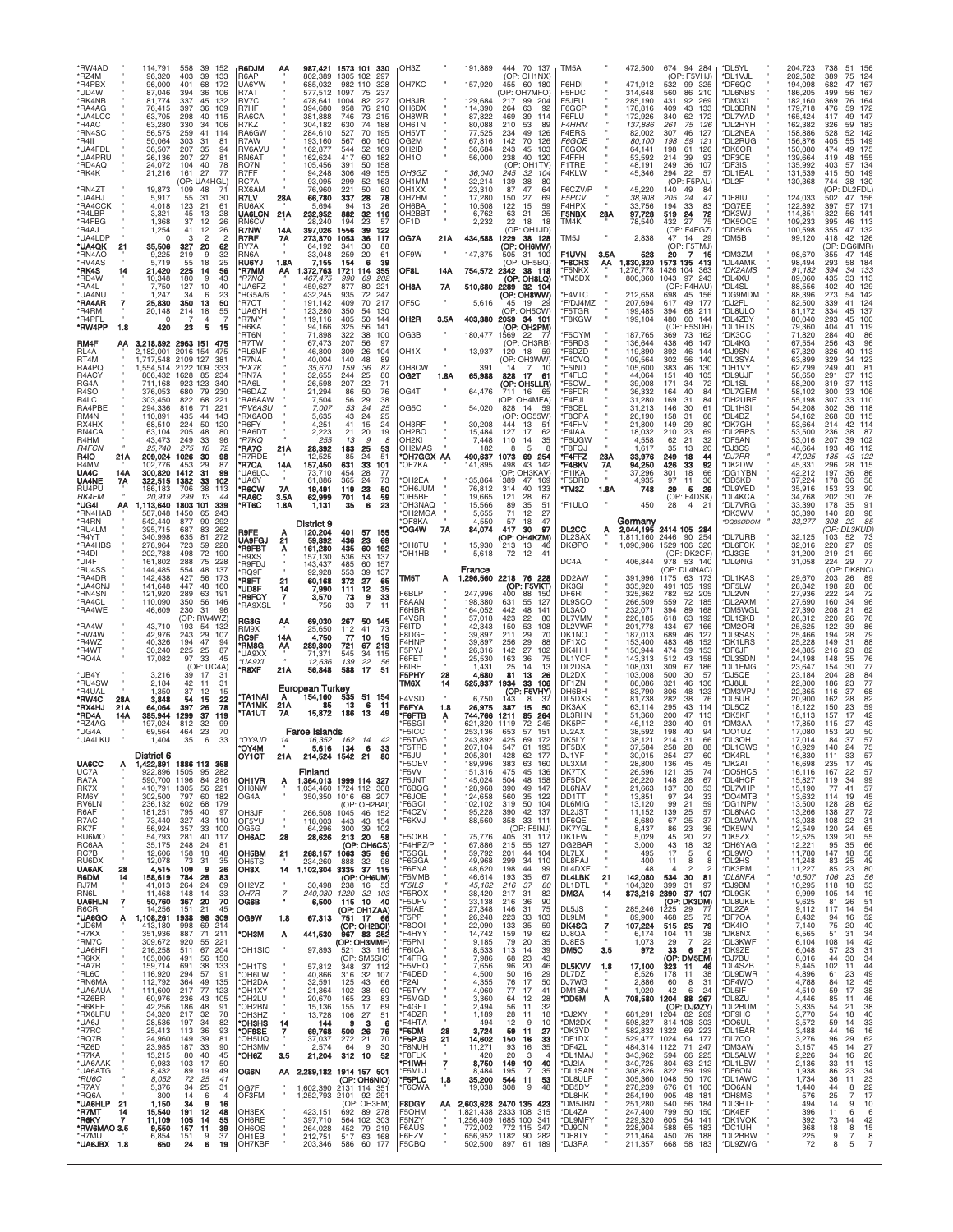| *RW4AD                             | 114,791                       |                            | 558<br>39<br>152                                         | R6DJM                                  | АА                |                               | 987,421 1573 101<br>330                                        | OH3Z                            |           | 191,889                             | 444                                          | 70 137                  | TM5A                             |              | 472,500                       | 674 94 284                                               | *DL5YL                        | 204,723                    | 738<br>51<br>156                                         |
|------------------------------------|-------------------------------|----------------------------|----------------------------------------------------------|----------------------------------------|-------------------|-------------------------------|----------------------------------------------------------------|---------------------------------|-----------|-------------------------------------|----------------------------------------------|-------------------------|----------------------------------|--------------|-------------------------------|----------------------------------------------------------|-------------------------------|----------------------------|----------------------------------------------------------|
| *RZ4M<br>*R4PBX                    |                               | 96,320<br>96,000           | 403<br>39<br>133<br>401<br>68<br>172                     | R6AP<br>UA6YW                          |                   | 802,389<br>685,032            | 1305 102<br>297<br>982 110<br>328                              | OH7KC                           |           | 157,920                             | (OP: OH1NX)<br>455<br>60                     | 180                     | F6HD                             |              | 471.912                       | (OP: F5VHJ)<br>532<br>99<br>325                          | *DL1VJL<br>*DF6QC             | 202,582<br>194,098         | 124<br>389<br>75<br>682<br>47<br>167                     |
| *UD4W<br>*RK4NB                    |                               | 87.046<br>81,774           | 394<br>36<br>106<br>337<br>45<br>132                     | R7AT<br>RV7C                           |                   | 577,512<br>478,641            | 1097<br>75<br>237<br>1004<br>82<br>227                         | OH3JR                           |           | 129,684                             | (OP: OH7MFO)<br>217<br>99                    | 204                     | F5FDC<br>F5JFU                   |              | 314,648<br>285,190            | 560<br>86<br>210<br>431<br>92<br>269                     | *DL6NBS<br>'DM3XI             | 186,205<br>182,160         | 499<br>56<br>167<br>369<br>76<br>164                     |
| *RA4AG<br>*UA4LCC                  |                               | 76.415<br>63,705           | 397<br>36<br>109<br>298<br>40<br>115                     | R <sub>7</sub> H <sub>F</sub><br>RA6CA |                   | 394,680<br>381,888            | 210<br>958<br>76<br>746<br>73<br>215                           | <b>OH6DX</b><br>OH8WR           |           | 114,390<br>87,822                   | 63<br>264<br>469<br>39                       | .92<br>114              | F6GCF<br>F6FLU                   |              | 178,816<br>172,926            | 409<br>43<br>133<br>340<br>62<br>172                     | *DL3DRN<br>*DL7YAD            | 179,718<br>165,424         | 172<br>476<br>59<br>417<br>49<br>147                     |
| *R4AC<br>*RN4SC                    |                               | 63,280<br>56.575           | 330<br>34<br>106<br>259<br>41<br>114                     | R7KZ<br>RA6GW                          |                   | 304,182<br>284,610            | 630<br>74<br>188<br>527<br>70<br>195                           | <b>OH6TN</b><br>OH5VT           |           | 80,088<br>77,525                    | 210<br>53<br>234<br>49                       | 89<br>126               | F4HRM<br>F4ERS                   |              | 137,886<br>82,002             | 75<br>261<br>126<br>307<br>46<br>127                     | *DL2HYH<br>*DL2NEA            | 162,382<br>158,886         | 183<br>326<br>59<br>528<br>142<br>52                     |
| *R4II<br>*UA4FDL                   |                               | 50,064<br>36,507           | 303<br>31<br>81<br>207<br>35<br>94                       | R7AW<br>RV6AVU                         |                   | 193,160<br>162,877            | 567<br>-60<br>160<br>544<br>52<br>169                          | OG2M<br>OH2ID                   |           | 67,816<br>56,684                    | 142<br>70<br>45<br>243                       | 126<br>103              | F6GOE<br>F6GOX                   |              | 80,100<br>64,141              | 198<br>.59<br>121<br>198<br>61<br>126                    | *DL2RUG<br>*DK6OR             | 156,876<br>150,080         | 405<br>55<br>149<br>474<br>175<br>49                     |
| *UA4PRU<br>*RD4AQ                  |                               | 26,136<br>24,072           | 207<br>27<br>81<br>104<br>78<br>40                       | <b>RN6AT</b><br>RO7N                   |                   | 162,624<br>105,456            | 417<br>-60<br>182<br>391<br>50<br>158                          | OH <sub>1</sub> O               |           | 56,000                              | 40<br>238<br>(OP:                            | 120<br>OH1TV            | F4FFH<br>F1TRE                   |              | 53,592<br>48,191              | 214<br>93<br>39<br>249<br>36<br>107                      | *DF3CE<br>*DF3IS              | 139,664<br>135,992         | 419<br>48<br>155<br>403<br>134                           |
| *RK4K                              |                               | 21,216                     | 77<br>161<br>27<br>(OP: UA4HGL)                          | R7FF<br>RC7A                           |                   | 94,248<br>93,095              | 306<br>49<br>155<br>299<br>52<br>163                           | OH3GZ<br>OH1MM                  |           | 36,040<br>32,214                    | 245<br>32<br>139<br>38                       | 104<br>80               | F4KLW                            |              | 45,346                        | 294<br>22<br>57<br>(OP: F5PAL)                           | *DL1EAL<br>*DL2F              | 131,539<br>130,368         | 415<br>$50^{\circ}$<br>149<br>744<br>38 130              |
| *RN4ZT<br>*UA4HJ                   |                               | 19,873<br>5,917            | 109<br>48<br>71<br>55<br>31<br>30                        | RX6AM<br>R7LV                          | 28A               | 76,960<br>66,780              | 221<br>50<br>80<br>337<br>28<br>78                             | OH1XX<br>OH7HM                  |           | 23,310<br>17,280                    | 87<br>47<br>150<br>27                        | 64<br>69                | F6CZV/P<br>F5PCV                 |              | 45,220<br>38,908              | 140<br>49<br>84<br>205<br>24<br>47                       | <b>DF8IU</b>                  | 124,033                    | (OP:<br>DL2FDL)<br>502<br>47<br>156                      |
| *RA4CCK<br>*R4LBP                  |                               | 4,018<br>3,321             | 123<br>21<br>61<br>28<br>45<br>13                        | RU6AX<br><b>UA6LCN</b>                 | 21A               | 5.694<br>232,952              | 94<br>13<br>26<br>882<br>32<br>116                             | OH6BA<br>OH2BBT                 |           | 10,508<br>6,762                     | 122<br>15<br>21<br>63                        | 59<br>25                | F4HPX<br>F5NBX                   | 28A          | 33,756<br>97,728              | 194<br>33<br>83<br>72<br>519<br>-24                      | *DG7EE<br>*DK3WJ              | 122,892<br>114,851         | 397<br>57<br>171<br>322<br>56<br>141                     |
| *R4FBG<br>*R4AJ                    |                               | 1,368<br>1,254             | 37<br>12<br>26<br>41<br>12<br>26                         | RN6CV<br>R7NW                          | 14A               | 28,240<br>397,026             | 194<br>23<br>57<br>39<br>1556<br>122                           | OF1D                            |           | 2,232                               | 22<br>18<br>(OP: OH1JD)                      | 18                      | TM4K                             |              | 78,540                        | 432<br>27<br>75<br>(OP: F4EGZ)                           | 'DK5OCE<br>*DD5KG             | 109,233<br>100,598         | 395<br>46<br>113<br>355<br>-132<br>47                    |
| *UA4LDP<br>*UA4QK<br>21            |                               | 35,506                     | 3<br>$\overline{c}$<br>327<br>20<br>62                   | R7RF<br>RY7A                           | 7Α                | 273,870<br>64.192             | 1053<br>36<br>117<br>341<br>30<br>88                           | OG7A                            | 21A       | 434,588                             | 1229<br>(OP: OH6MW)                          | 38 128                  | TM5J                             |              | 2,838                         | 14<br>47<br>29<br>(OP: F5TMJ)                            | 'DM5B                         | 99,120                     | 418<br>42 126<br>(OP: DG6IMR)                            |
| *RN4AO<br>*RV4AS                   |                               | 9,225<br>5.719             | 219<br>32<br>9<br>18<br>25<br>55                         | RN6A<br><b>RU6YJ</b>                   | 1.8A              | 33,048<br>7,155               | 259<br>20<br>61<br>154<br>6<br>39                              | OF9W                            |           | 147,375                             | 505<br>(OP: OH5BQ)                           | 31 100                  | <b>F1UVN</b><br>*F8CRS           | 3.5A<br>ΑА   | 528<br>1,830,320              | 20<br>1573 135<br>413                                    | <b>DM3ZM</b><br>*DL4AMK       | 98,670<br>98,494           | 148<br>355<br>47<br>293<br>184<br>58                     |
| *RK4S<br>*RD4W                     |                               | 21,420<br>10,348           | 56<br>225<br>14<br>180<br>9<br>43                        | *R7MM<br>*R7NO                         | АА                | 1,372,763<br>467.475          | 1721<br>114<br>355<br>990<br>202<br>69                         | OF8L                            | 14A       | 754,572                             | 2342<br>(OP: OH8LQ)                          | 38 118                  | *F5NKX<br>*TM5DX                 |              | 1,276,778<br>800,360          | 1426<br>104<br>363<br>1043<br>97<br>243                  | *DK2AMS<br>*DL4XU             | 91,182<br>89,060           | 394<br>133<br>34<br>435<br>113<br>33                     |
| *RA4L<br>*UA4NU                    |                               | 7,750<br>1,247             | 127<br>10<br>40<br>34<br>6<br>23                         | 'UA6FZ<br>RG5A/6                       |                   | 459,627<br>432,245            | 877<br>80<br>221<br>247<br>935<br>72                           | OH8A                            | 7A        | 510,680                             | 2289<br>(OP: OH8WW)                          | 32 104                  | *F4VTC                           |              | 212,658                       | (OP<br>F4HAU<br>698<br>45<br>156                         | 'DL4SL<br>'DG9MDM             | 88,556<br>88,396           | 402<br>129<br>273<br>142                                 |
| 7<br>*RA4AR<br>'R4RM               |                               | 25,830<br>20,148           | 50<br>350<br>13<br>214<br>55<br>18                       | 'R7CT<br>'UA6YH                        |                   | 191.142<br>123,280            | 217<br>409<br>70<br>350<br>54<br>130                           | OF <sub>5</sub> C               |           | 5,616                               | 19<br>45<br>(OP: OH5CW)                      | -29                     | *F/DJ4MZ<br>*F5TGR               |              | 207,694<br>199,485            | 49<br>617<br>177<br>394<br>68<br>211                     | 'DJ2FL<br>DL8ULO <sup>*</sup> | 82,500<br>81,172           | 339<br>41<br>124<br>334<br>137<br>45                     |
| *R4PFL<br>*RW4PP<br>1.8            |                               | C<br>420                   | 4<br>23<br>5<br>15                                       | 'R7MY<br><b>R6KA</b>                   |                   | 119,116<br>94,166             | 50<br>405<br>144<br>325<br>56<br>141                           | OH2R                            | 3.5A<br>× | 403,380                             | 2059<br>(OP: OH2PM)                          | 34 101                  | *F8KGW                           |              | 199,104                       | 480<br>60<br>144<br>(OP)<br>F5SDH)                       | *DL4ZBY<br>*DL1RTS            | 80,040<br>79,360           | 293<br>45<br>100<br>404<br>119<br>41                     |
| RM4F<br>АΑ                         |                               |                            | 3,218,892 2963 151<br>475                                | 'RT6N<br>R7TW                          |                   | 71,898<br>67,473              | 38<br>322<br>100<br>207<br>56<br>97                            | OG3B                            |           | 180,477                             | 1569<br>22<br>(OP: OH3RB)                    | - 77                    | *F5OYM<br>*F5RDS                 |              | 187,765<br>136,644            | 369<br>73<br>162<br>438<br>46<br>147                     | *DK3CC<br>'DL4KG              | 71,820<br>67,554           | 284<br>86<br>40<br>256<br>96                             |
| RL <sub>4</sub> A<br>RT4M<br>RA4PQ | 2,182,001<br>1,717,548        |                            | 2016 154<br>475<br>2109 127<br>381                       | 'RL6MF<br>'R7NA<br><i><b>RX7K</b></i>  |                   | 46,800<br>40,004              | 309<br>26<br>104<br>140<br>48<br>89<br>87<br>159               | OH <sub>1</sub> X<br>OH8CW      |           | 13,937<br>391                       | 120<br>18<br>(OP: OH3WW)                     | -59                     | *F6DZD<br>*F4CVQ<br>*F5IND       |              | 119,890<br>109,564            | 392<br>46<br>144<br>302<br>140<br>56<br>383<br>46        | *DJ9SN<br>*DL3SYA<br>*DH1VY   | 67,320<br>63,899           | 326<br>40<br>113<br>329<br>123<br>249<br>40<br>81        |
| R4ACY                              |                               | 806,432                    | 1.554.514 2122 109<br>333<br>85<br>234<br>1628<br>340    | 'RN7A                                  |                   | 35,670<br>32,655              | 36<br>25<br>244<br>80<br>71                                    | OG2T                            | 1.8A      | 65,988                              | 14<br>7<br>828<br>17                         | - 10<br>-61             | *F4FLO                           |              | 105,600<br>44,064             | 130<br>151<br>48<br>105<br>171<br>72                     | *DL9UJF                       | 62,799<br>58,650           | 291<br>113<br>37<br>319<br>37                            |
| RG4A<br>R <sub>4</sub> SO          | 711,168<br>376,053            |                            | 923 123<br>680<br>79<br>230<br>221<br>822<br>68          | 'RA6L<br>R6DAZ                         |                   | 26,598<br>21,294              | 207<br>22<br>86<br>50<br>76<br>56                              | OG4T                            |           | 64,476                              | (OP: OH5LLR)<br>711<br>16<br>(OP: OH4MFA)    | - 65                    | *F5OWL<br>*F6FDR<br>*F4EJL       |              | 39,008<br>36,332<br>31,280    | 34<br>40<br>164<br>84<br>169<br>31<br>84                 | *DL1SL<br>'DL7GEM<br>*DH2URF  | 58,200<br>58,102           | -113<br>106<br>300<br>33<br>307<br>110<br>33             |
| R4LC<br>RA4PBE<br>RM4N             | 303,450<br>294,336<br>110,891 |                            | 816<br>71<br>221<br>435<br>44<br>143                     | 'RA6AAW<br>*RV6ASU<br><b>RX6AOB</b>    |                   | 7,504<br>7,007<br>5,635       | 29<br>38<br>24<br>53<br>25<br>43<br>24<br>25                   | OG50                            |           | 54,020                              | 14<br>828<br>(OP:                            | -59<br>OG55W            | *F6CEL<br>*F8CPA                 |              | 31,213<br>26,190              | 146<br>30<br>61<br>158<br>31<br>66                       | *DL1HSI<br>*DL4DZ             | 55,198<br>54,208<br>54,162 | 302<br>118<br>268<br>115<br>38                           |
| RX4HX<br>RN4CA                     |                               | 68,510<br>63,104           | 224<br>50<br>120<br>205<br>48<br>80                      | 'R6FY<br>RA6DT                         |                   | 4,251<br>2,223                | 41<br>15<br>24<br>21<br>20<br>19                               | OH3RF<br>OH <sub>2</sub> BO     |           | 30,208<br>15,484                    | 444<br>13<br>127<br>17                       | 51<br>62                | *F4FHV<br>*F4IAA                 |              | 21,800<br>18,032              | 149<br>29<br>80<br>210<br>23<br>69                       | *DK7GH<br>DL2RPS              | 53,664<br>53,500           | 214<br>42<br>114<br>236<br>38<br>87                      |
| R4HM<br><b>R4FCN</b>               |                               | 43,473<br>25,740           | 249<br>33<br>96<br>275<br>18<br>72                       | *R7KQ<br><b>'RA7C</b>                  | 21 A              | 255<br>28,392                 | 13<br>9<br>8<br>25<br>183<br>53                                | OH2KI<br>OH2MAS                 |           | 7,448<br>182                        | 110<br>14<br>8<br>5                          | 35<br>8                 | *F6UGW<br>*F8FQJ                 |              | 4,558<br>1,617                | 62<br>21<br>32<br>35<br>13<br>20                         | *DF5AN<br>'DJ3CS              | 53,016<br>48,664           | 102<br>207<br>39<br>193<br>46<br>112                     |
| R4IO<br>21A<br>R4MM                | 102,776                       | 209,024                    | 1026<br>30<br>98<br>453<br>29<br>87                      | 'R7RDE<br>'R7CA                        | 14A               | 12,525<br>157,450             | 24<br>85<br>51<br>631<br>33<br>101                             | *OH7GGX AA<br>'OF7KA            |           | 490,637<br>141,895                  | 1073<br>498<br>43                            | 69 254<br>142           | *F4FFZ<br>*F4BKV                 | 28A<br>7A    | 33,976<br>94,250              | 249<br>44<br>18<br>426<br>92<br>33                       | *DJ7PR<br>'DK2DW              | 47,025<br>45,331           | 185<br>43<br>122<br>296<br>28<br>115                     |
| UA4C<br>14A<br><b>UA4NE</b><br>7Α  | 300,820                       | 322,515                    | 31<br>99<br>1412<br>1382<br>102<br>33                    | 'UA6LC.<br>'UA6Y                       |                   | 73.710<br>61,886              | 28<br>454<br>77<br>365<br>24<br>73                             | OH2EA                           |           | 135,864                             | OP: OH3KAV<br>389<br>47                      | 169                     | *F1IKA<br>*F5DRD                 |              | 37.296<br>4,935               | 18<br>301<br>66<br>97<br>11<br>36                        | *DG1YBN<br>*DD5KD             | 42,212<br>37,224           | 197<br>86<br>178<br>58                                   |
| RU4PU<br>RK4FM                     | 186,183                       | 20.919                     | 113<br>706<br>38<br>299<br>13<br>44                      | 'R6CW<br>'RA6C                         | <b>7A</b><br>3.5A | 19,491<br>62,999              | 119<br>23<br>50<br>701<br>14<br>59                             | <b>MULGHO</b> '<br>'OH5BE       |           | 76,812<br>19,665                    | 40<br>314<br>121<br>28                       | 133<br>67               | *TM3Z                            | 1.8A         | 748                           | 29<br>5<br>29<br>(OP: F4DSK)                             | *DL9YED<br>*DL4KCA            | 35,916<br>34,768           | 90<br>153<br>33<br>202<br>76<br>30                       |
| *UG4I<br>АΑ<br>*RN4HAB             | 1,113,640<br>587,048          |                            | 1803 101<br>339<br>1450<br>65<br>243                     | 'RT6C                                  | 1.8A              | 1,131                         | 35<br>6<br>23                                                  | OH3NAQ<br>'OH2MGA               |           | 15,566<br>5,655                     | 89<br>35<br>71<br>12                         | 51<br>27                | *F1ULQ                           |              | 450                           | 4<br>28<br>$\overline{2}$                                | *DL7VRG<br>*DK3WM             | 33,390<br>33,390           | 91<br>178<br>35<br>140<br>98<br>28                       |
| *R4RN<br>*RU4LM                    | 542,440<br>395,715            |                            | 292<br>90<br>877<br>687<br>83<br>262                     | <b>R9FE</b>                            |                   | District 9<br>120,204         | 401<br>57 155                                                  | OF8KA<br>OG4W                   | 7A        | 4.550<br>84,074                     | 57<br>18<br>417<br>30                        | 47<br>97                | DL2CC                            |              | Germany<br>2,044,195          | 2414 105                                                 | *DQ850DOM                     | 33,277                     | 308<br>22<br>85<br>OP:<br>DL3KUD)                        |
| *R4YT<br>*RA4HBS                   | 340,998<br>278,964            |                            | 635<br>81<br>272<br>723<br>59<br>228                     | <b>UA9FGJ</b><br>'R9FBT                | 21<br>Α           | 59,892<br>161,280             | 436<br>23<br>69<br>60<br>435<br>192                            | OH8TU                           |           | 15,930                              | (OP: OH4KZM)<br>213<br>13                    | 46                      | DL2SAX<br><b>DKØPO</b>           |              | 1,811,160<br>1,090,986        | 2446 90<br>254<br>1529 106 320                           | *DL7URB<br>*DL6FCK            | 32,125<br>32,016           | 103<br>52<br>73<br>27<br>89<br>220                       |
| *R4DI<br>*UI4F                     | 202,788<br>161.802            |                            | 190<br>498<br>72<br>288<br>228<br>75                     | <b>R9XS</b><br><b>R9FDJ</b>            |                   | 157.130<br>143,437            | 536<br>53<br>137<br>485<br>60<br>157                           | 'OH1HB                          |           | 5,618                               | 12<br>72                                     | 41                      | DC4A                             |              | 406,844                       | (OP: DK2CF)<br>978<br>53<br>140                          | *DJ3GE<br>*DLØNG              | 31,200<br>31,058           | 219<br>21<br>59<br>77<br>224<br>29                       |
| *RU4SS<br>*RA4DR                   | 144,485<br>142,438            |                            | 554<br>48<br>137<br>427<br>56<br>173                     | 'RQ9F<br>'R8FT                         | 21                | 92.928<br>60,168              | 553<br>39<br>137<br>27<br>372<br>65                            | TM5T                            | Α         | France<br>1,296,560                 | 2218 76 228                                  |                         | DD2AW                            |              | 391,996                       | (OP: DL4NAC)<br>1175<br>63<br>173                        | *DL1KAS                       | 29,670                     | (OP:<br>DK8NC)<br>203<br>26<br>89                        |
| *UA4CNJ<br>*RN4SN                  | 141,648<br>121,920            |                            | 447<br>48<br>160<br>289<br>191<br>63                     | <b>'UD8F</b><br>'R9FCY                 | 14<br>7           | 7,990<br>3,570                | 111<br>12<br>35<br>9<br>33<br>73                               | F6BLP                           |           | 247,996                             | (OP: F5VKT)<br>400<br>88                     | -150                    | DK3GI<br>DF6RI                   |              | 335,920<br>325,362            | 491<br>105<br>199<br>782<br>205<br>52                    | 'DF5LW<br>*DL2VN              | 28,842<br>27,936           | 198<br>28<br>86<br>72<br>222                             |
| *RA4CL<br>*RA4WE                   | 110,090                       | 46,609                     | 350<br>56<br>146<br>230<br>31<br>96                      | <b>RA9XSL</b>                          |                   | 756                           | 33<br>$\overline{7}$<br>11                                     | F8AAN<br><b>F6HBR</b>           |           | 198,380<br>164,052                  | 55<br>631<br>442<br>48                       | 127<br>141              | DL9SCO<br>DL3AO                  |              | 266,509<br>232,071            | 559<br>72<br>185<br>394<br>89<br>168                     | *DL2AXM<br>*DM5WGL            | 27,690<br>27,390           | 160<br>96<br>62<br>208<br>21                             |
| *RA4W                              |                               | 43,710                     | (OP:<br>RW4WZ)<br>193<br>54<br>132                       | RG8G<br>RM9X                           | АА                | 69,030<br>25,650              | 267<br>50<br>145<br>41<br>112<br>73                            | F4VSR<br>F6ITD                  |           | 57,018<br>42.343                    | 423<br>22<br>53<br>150                       | 80<br>108               | DL7VMM<br>DL2VWR                 |              | 226,185<br>201,778            | 618<br>63<br>192<br>434<br>67<br>166                     | *DL1SKB<br>*DM2ORI            | 26,312<br>25,625           | 220<br>78<br>26<br>86<br>122<br>39                       |
| *RW4W<br>*R4WZ<br>*R4WT            |                               | 42,976<br>40,326<br>30,240 | 243<br>29<br>107<br>194<br>47<br>94<br>225<br>25<br>87   | RC9F<br>'RM8G                          | 14A<br>АА         | 4,750<br>289,800              | 77<br>10<br>15<br>721<br>213<br>67                             | F8DGF<br>F4HNP<br>F5PYJ         |           | 39,897<br>39.897                    | 29<br>211<br>29<br>256<br>142<br>27          | 70<br>88<br>102         | DK1NO<br>DF1XC                   |              | 187,013<br>153,400            | 689<br>46<br>127<br>483<br>48<br>152<br>474<br>153<br>59 | *DL9SAS<br>*DK1LRS            | 25,466<br>25,228           | 194<br>79<br>28<br>149<br>88<br>31<br>216<br>23          |
| *RO4A                              |                               | 17,082                     | 97<br>33<br>45<br>(OP: UC4A)                             | 'UA9XX<br>*UA9XI                       |                   | 71,371<br>12.636              | 545<br>-34<br>115<br>139<br>22<br>.56                          | F6FET<br>F6IRE                  |           | 26,316<br>25,530<br>1.431           | 163<br>36<br>25<br>14                        | 75<br>13                | DK4HH<br>DL1YCF<br>DL2DSA        |              | 150,944<br>143,313<br>108,031 | 512<br>43<br>158<br>309<br>67<br>186                     | *DF6JF<br>*DL3SDN<br>*DL1FMG  | 24,885<br>24,198<br>23,647 | 82<br>76<br>148<br>77<br>154<br>30                       |
| *UB4Y<br>*RU4SW                    |                               | 3,216<br>2,184             | 39<br>17<br>31<br>42<br>11<br>31                         | <b>R8XF</b>                            | 21 A              | 56,848                        | 588<br>-17<br>51                                               | F5PHY<br>TM6X                   | 28<br>14  | 4,680<br>525,837                    | 81<br>13<br>33<br>934                        | 26<br>106               | DL2DX<br>DF1ZN                   |              | 103,008<br>86,086             | 500<br>30<br>57<br>46<br>321<br>136                      | 'DJ5QE<br>*DJ8UL              | 23,184<br>22,800           | 204<br>28<br>84<br>77<br>186<br>23                       |
| *R4UAL<br>*RW4C<br>284             |                               | 1,350<br>3,848             | 37<br>12<br>15<br>22<br>54<br>15                         | <b>TA1NAI</b>                          | Α                 | European Turkey<br>154,160    | 535<br>51 154                                                  | F4VSD                           |           | 6,750                               | (OP: F5VHY)<br>143<br>8                      |                         | DH6BH<br>DL5DXS                  |              | 83,790<br>81,738              | 306<br>48<br>123<br>282<br>38<br>-76                     | *DM3VPJ<br>*DL5UR             | 22,365<br>20,900           | 116<br>37<br>68<br>82<br>162<br>28                       |
| *RX4HJ<br>21A<br>*RD4A<br>14A      | 385,944                       | 64,064                     | 397<br>78<br>26<br>37<br>1299<br>119                     | 'TA1MK<br><b>'TA1UT</b>                | 21A<br>7Α         | 85<br>15,872                  | 13<br>6<br>11<br>186<br>13<br>49                               | F6FYA<br>*F6FTB                 | 1.8<br>Α  | 26,975<br>744,766                   | 387<br>15<br>85<br>1211                      | 50<br>264               | DK3AX<br><b>DL3RHN</b>           |              | 63,114<br>51.360              | 295<br>43<br>114<br>200<br>47<br>113                     | DL5CZ<br>'DK5KF               | 18,122<br>18,113           | 150<br>23<br>59<br>42<br>157                             |
| *RZ4AG<br>*UG4A                    | 197,024                       | 69,564                     | 812<br>32<br>99<br>70<br>464<br>23                       |                                        |                   | <b>Faroe Islands</b>          |                                                                | <b>F5SGI</b><br>F5ICC           |           | 621.320<br>253,136                  | 1119<br>72<br>57<br>653                      | 245<br>151              | DK5PF<br>DJ2AX                   |              | 46.112<br>38.592              | 230<br>40<br>Э.<br>198<br>40<br>94                       | <b>'DM3AA</b><br>*DO1UZ       | 17,850<br>17,080           | 43<br>115<br>27<br>50<br>153<br>20                       |
| *UA4LKU                            |                               | 1,404                      | 35<br>6<br>33                                            | 'OY9JD<br>'OY4M                        | 14                | 16,352<br>5,616               | 162<br>14<br>42<br>134<br>33<br>6                              | *F5TVG<br>*F5TRB                |           | 243,892<br>207,104                  | 425<br>69<br>547<br>61                       | 172<br>195              | DK5LY<br>DF5BX                   |              | 38,121<br>37,584              | 214<br>31<br>66<br>258<br>88<br>-28                      | *DL3OH<br>*DL1GWS             | 17,014<br>16,929           | 84<br>37<br>57<br>75<br>140<br>24                        |
| <b>UA6CC</b><br>А                  | District 6                    |                            | 1,422,891 1886 113 358                                   | OY1CT                                  | 21A               | 214.524                       | 1542<br>21<br>80                                               | 'F5JU<br><b>F5OEV</b>           |           | 205.301<br>189,996                  | 428<br>62<br>383<br>63                       | 177<br>160              | DJ1YF<br>DL3XM                   |              | 30,015<br>28,800              | 254<br>27<br>60<br>136<br>45<br>45                       | *DK4RL<br>*DK2AI              | 16,830<br>16,698           | 111<br>33<br>235<br>49<br>17                             |
| UC7A<br>RA7A                       |                               | 922,896                    | 1505<br>282<br>95<br>590,700 1196<br>84<br>216           | <b>OH1VR</b>                           | Ą                 | Finland                       | 1,364,013 1999 114 327                                         | 'F5VV<br>'F5JNT                 |           | 151,316<br>145,024                  | 475<br>45<br>504<br>48                       | 136<br>158              | DK7TX<br>DF5DK                   |              | 26,596<br>26,220              | 121<br>35<br>74<br>28<br>67<br>148                       | *DO5HCS<br>*DL4HCF            | 16,116<br>15,827           | 167<br>22<br>57<br>99<br>119<br>34                       |
| RK7X<br>RM6Y                       | 302,500                       |                            | 410,791 1305<br>56<br>221<br>797<br>60<br>182            | OH8NW<br>OG4A                          |                   | 1,034,460<br>350,350          | 1724 112 308<br>1016 68 207                                    | *F6BQG<br>F6JOE                 |           | 128,968<br>124,658                  | 390<br>49<br>560<br>35                       | 147<br>122              | <b>DL6NAV</b><br>DD1TT           |              | 21,663<br>13,851              | 137<br>30<br>53<br>33<br>97<br>24                        | *DL7VHP<br>*DO4MTB            | 15,190<br>13,632           | 57<br>77<br>41<br>114<br>19<br>45                        |
| RV6LN<br>R6AF<br>R7AC              | 236,132<br>181,251            | 73,440                     | 602<br>68<br>179<br>795<br>40<br>97<br>327<br>43<br>110  | OH3JF<br>OF5YU                         |                   | 266,508<br>118,003            | OH <sub>2</sub> BAI<br>(OP:<br>1045<br>46 152<br>443<br>43 154 | *F6GCI<br>F4CZV<br>*F6KVJ       | ×<br>×    | 102,102<br>95,228<br>88,560         | 319<br>50<br>390<br>358                      | 104<br>42 137<br>33 111 | <b>DL6MIG</b><br>DL2JST<br>DF6QE |              | 13,120<br>11,152<br>8,680     | 59<br>99<br>21<br>57<br>139<br>25<br>37<br>67<br>25      | *DG1NPM<br>*DL8NAC<br>*DL2AWA | 13,500<br>13,266<br>13,038 | 62<br>128<br>28<br>72<br>138<br>27<br>31<br>108<br>22    |
| RK7F<br>RU6MO                      |                               | 56,924<br>54.793           | 357<br>33<br>100<br>281<br>40<br>117                     | OG5G<br>OH6AC                          | 28                | 64,296<br>28,626              | 300<br>39<br>102<br>213<br>20<br>58                            | <b>F5OKB</b>                    |           | 75,776                              | (OP: F5INJ)<br>405                           | 31 117                  | DK7YGL<br>DK1FW                  |              | 8,437<br>5.029                | 86<br>23<br>36<br>27<br>20<br>45                         | *DK5WN<br>*DK5ZX              | 12,549<br>12,525           | 120<br>24<br>65<br>55<br>20<br>139                       |
| RC6AA<br>RC7B                      |                               | 35,175<br>12,606           | 248<br>24<br>81<br>158<br>48<br>18                       | OH5BM                                  | 21                | 268,157                       | (OP: OH6CS)<br>1063<br>96<br>35                                | F4HPZ/P<br>F5GGL <sup>*</sup>   |           | 67,886<br>59.792                    | 215<br>55<br>44<br>201                       | 127<br>104              | DG2BAR<br>DL7LX                  |              | 3,000<br>495                  | 43<br>18<br>32<br>17<br>5<br>6                           | *DH6YAG<br>*DL9WO             | 12,221<br>11,780           | 95<br>66<br>35<br>147<br>58<br>18                        |
| RU6DX<br>UA6AK<br>28               |                               | 12,078<br>4,515            | 73<br>31<br>35<br>109<br>26<br>-9                        | OH5TS<br>OH8X                          | 14                | 234,260<br>1,102,304          | 888<br>32<br>98<br>3335<br>37 115                              | 'F6GGA<br><b>F6FNA</b>          |           | 49,968<br>48,620                    | 299<br>34<br>198<br>44                       | 110<br>99               | DL8FAJ<br>DL4DXF                 |              | 400<br>48                     | 11<br>8<br>8<br>2<br>$\Delta$<br>2                       | *DL2HS<br>*DK3PM              | 11,248<br>11,227           | 83<br>25<br>49<br>80<br>85<br>23                         |
| R6DM<br>14<br><b>R.I7M</b>         |                               | 158,619<br>41,013          | 784<br>28<br>83<br>69<br>24<br>264                       | OH <sub>2</sub> VZ                     |                   | 30,498                        | (OP: OH6UM)<br>238<br>16<br>- 53                               | *F5MMB<br>*F5ILS                |           | 46,614<br>45,162                    | 193<br>35<br>37<br>216                       | 67<br>80                | <b>DL4LBK</b><br>DL1DTL          | 21           | 142,080<br>104,320            | 534<br>-30<br>-81<br>399<br>-31<br>97                    | *DL8NFA<br>*DJ9BM             | 10,507<br>10,295           | 106<br>23<br>56<br>53<br>118<br>18                       |
| RN6L<br><b>UA6HLN</b><br>7         |                               | 11,468<br>50,760           | 148<br>33<br>14<br>70<br>367<br>20                       | OH7R<br>OG6B                           | $\frac{7}{1}$     | 240,030<br>6,500              | 1220<br>32<br>103<br>115 10 40                                 | *F5ROX<br>F5UFV*                |           | 38,420<br>33,138                    | 31<br>217<br>216<br>36                       | 82<br>90                | <b>DMØA</b>                      | 14           | 873,216                       | 2890<br>-37<br>107<br>(OP: DK3DM)                        | *DL9GK<br>*DL8UKE             | 9,999<br>9,625             | 105<br>19<br>14<br>81<br>26<br>51                        |
| R6CR<br>*UA6GO<br>Α                | 1,108,261                     | 14.256                     | 151<br>21<br>45<br>1938<br>98<br>309                     | OG9W                                   | 1.8               | 67,313                        | (OP: OH1ZAA)<br>751 17 66                                      | 'F5IAE<br>F5PP                  |           | 27,348<br>26,248                    | 146<br>31<br>223<br>33                       | 75<br>103               | DL5JS<br>DL9LM                   | $\mathbf{u}$ | 285,246<br>89,900             | 1225<br>29<br>77<br>468<br>25<br>75                      | *DL2ZA<br>*DF7OA              | 9,112<br>8,432             | 54<br>117<br>14<br>52<br>94<br>16                        |
| *UD6M<br>*R7KX                     | 413,180<br>351,936            |                            | 998<br>69<br>214<br>887<br>71<br>211                     | *OH3M                                  | Α                 | 441,530                       | (OP: OH2BCI)<br>967 83 252                                     | 'F8OOI<br>*F4HYY                |           | 22,090<br>14,742                    | 133<br>35<br>159<br>19                       | 59<br>62                | <b>DK4SG</b><br>DJ8QA            | 7            | 107,224<br>6,174              | 25<br>79<br>515<br>104<br>11<br>38                       | *DK4IO<br>*DK8NX              | 7,140<br>6,565             | 40<br>75<br>20<br>51<br>31<br>34                         |
| *RM7C<br>*UA6HFI<br>*R6KX          | 216,258                       | 309,672                    | 920<br>55<br>221<br>511<br>67<br>204<br>491<br>150<br>56 | <b>OH1SIC</b>                          |                   | 97,893                        | (OP: OH3MMF)<br>521 33 116                                     | 'F5PNI<br><b>F6ICA</b><br>F4FRG |           | 9,185<br>8,533<br>7.986             | 79<br>20<br>113<br>14<br>23<br>68            | 35<br>39<br>43          | DJ8ES<br>DM5O                    | 3.5          | 1,073<br>972                  | 29<br>7<br>22<br>33<br>6<br>21                           | *DL3KWF<br>*DK9ZE<br>*DJ7BU   | 6,104<br>6,048<br>6,016    | 42<br>108<br>14<br>57<br>23<br>31<br>34<br>30<br>44      |
| *RA7R<br>*RL6C                     | 165,006<br>159,714<br>116,920 |                            | 691<br>133<br>38<br>91<br>294<br>57                      | <b>OH1TS</b><br><b>OH6LW</b>           |                   | 57,812                        | (OP: SM5SIC)<br>348<br>37 112                                  | 'F5VHQ<br>F4DBD                 |           | 7,656<br>4,500                      | 96<br>20<br>50<br>16                         | 46<br>29                | DL5KVV<br>DL7DZ                  | 1.8          | 17,100<br>8.526               | (OP: DM5EM)<br>323<br>11<br>46<br>178<br>38<br>-11       | *DL4SZB<br>*DL9DWR            | 5,445<br>4,896             | 102<br>44<br>11<br>49<br>61<br>23                        |
| *RN6MA<br>*UA6AUA                  | 111,600                       | 112,792                    | 364<br>49<br>135<br>77<br>217<br>123                     | OH2DA<br>'OH1XY                        |                   | 40,866<br>32,591<br>21,364    | 316<br>32 107<br>125<br>43<br>66<br>102<br>38<br>-60           | 'F2AI<br>*F5TYY                 |           | 4,355<br>4,060                      | 76<br>17<br>77<br>17                         | 50<br>41                | DJ7WG<br>DM1BM                   |              | 2,886<br>1.020                | 8<br>31<br>60<br>42<br>6<br>24                           | *DF4WO<br>*DL5IF              | 4,788<br>4,510             | 84<br>12<br>45<br>38<br>59<br>17                         |
| *RZ6BR<br>*R6KEE                   |                               | 60,976<br>42,256           | 236<br>43<br>105<br>186<br>48<br>91                      | OH2LU <sup>*</sup><br>OH2BN            |                   | 20,670<br>15,136              | 165<br>23<br>83<br>17<br>155<br>69                             | *F5MGD<br>F4GFT                 |           | 3,360<br>2,494                      | 64<br>12<br>56<br>11                         | 28<br>32                | *DD5M                            | A            |                               | 708,580 1204 88 267<br>(OP: DJØZY)                       | *DL8ZU<br>*DL2BUM             | 4,446<br>3,835             | 85<br>46<br>11<br>38<br>54<br>21                         |
| *RX6LRU<br>*UA6J                   |                               | 34,320<br>28,536           | 217<br>32<br>78<br>82<br>197<br>34                       | <b>OH3HZ</b><br>*OH3HS                 | 14                | 13,728<br>144                 | 106<br>27<br>51<br>9<br>-3<br>-6                               | 'F4DZR<br>*F4HTA                |           | 1,189<br>494                        | 28<br>11<br>12<br>9                          | 18<br>10                | *DJ2XY<br>*DM2DX                 |              | 681,291<br>598,827            | 1204<br>82<br>269<br>814 108 303                         | *DF9HC<br>*DO6UL              | 3,770<br>3,572             | 54<br>40<br>18<br>33<br>59<br>14                         |
| *R7RC<br>*RQ7R                     |                               | 25,413<br>24,960           | 93<br>113<br>36<br>81<br>149<br>39                       | *OF9SE<br>OH5UQ                        | 7                 | 69,768<br>37,037              | 500<br>26<br>76<br>272<br>21<br>70                             | *F5DM<br>*F5PJG                 | 28<br>21  | 3,724<br>14,602                     | 11<br>59<br>150<br>16                        | 27<br>33                | *DK3YD<br>*DF1DX                 |              | 582,832 1322<br>529,477 1024  | 69 223<br>64<br>177                                      | *DL1EAR<br>*DL7CO             | 3,488<br>3,276             | 16<br>44<br>16<br>96<br>29<br>62                         |
| *RZ6D<br>*R7KA                     |                               | 23,985<br>15,215           | 187<br>90<br>33<br>80<br>40<br>45                        | ОНЗММ<br>*OH6Z                         | 3.5               | 2,574<br>21,204               | 30<br>64<br>-9<br>312 10<br>52                                 | *F8NUH<br>*F8FLK                | ×         | 11,271<br>420                       | 93<br>16<br>20<br>3                          | 35<br>$\overline{4}$    | *DF4ZL<br>*DL1MAJ                |              | 484,314 1122<br>343,962       | 71<br>247<br>594<br>66 225                               | *DM3AW<br>*DL5ALW             | 3,157<br>2,226             | 27<br>45<br>14<br>34<br>16<br>26                         |
| *UA6AAK<br>*UA6ATG                 |                               | 9,983<br>8,432             | 50<br>103<br>17<br>89<br>19<br>49                        | OG6N                                   | АА                |                               | 2,289,182 1914 157 501                                         | *F1IWH<br>F5MLJ                 | 7         | 8,750<br>8,484                      | 149<br>10<br>195<br>$\overline{7}$           | 40<br>35                | *DJ2IA<br>*DL1SAN                |              | 340,725<br>308,826            | 804<br>63 212<br>822<br>59<br>199                        | *DL1LSW<br>*DF6ON             | 2,136<br>1,938             | 13<br>33<br>11<br>86<br>23<br>34                         |
| *RU6C<br>*R7AY                     |                               | 8,052<br>5,376             | 72<br>25<br>41<br>34<br>25<br>31                         | OG7F                                   |                   | 1,602,390                     | (OP: OH6NIO)<br>2131 114 35                                    | *F5PLC<br>*F6CWA                | 1.8       | 35,200<br>19,038                    | 544<br>11<br>308<br>9                        | 53<br>48                | *DL8ULF<br>*DB5DY                |              | 305,360<br>278,239            | 1048<br>50<br>170<br>676<br>61<br>160                    | *DL1AWC<br>*DO6AN             | 1,734<br>1,440             | 23<br>36<br>11<br>22<br>44<br>8                          |
| *RO6A<br>*UA6HLP<br>21             |                               | 300<br>1,150               | 6<br>14<br>4<br>9<br>16<br>34                            | OF3FM                                  |                   |                               | 1,252,793 2101 92 291<br>(OP: OH3FM)                           | F8DGY                           | АА        | 2,603,628 2470 135 423              |                                              |                         | *DL8HK<br>*DM5JBN                |              | 254,190<br>251,280            | 905<br>48<br>181<br>540<br>56<br>184                     | *DH8MS<br>*DL3HTF             | 576<br>494                 | 17<br>25<br>9<br>10<br>14                                |
| *R7MT<br>14<br>*R6KY               |                               | 15,540<br>11,109           | 191<br>12<br>48<br>105<br>14<br>55                       | OH3EX<br>OH6RE                         |                   | 423,151<br>397,710            | 692<br>89 278<br>564 102 303                                   | F5OHM<br>F5NZY                  |           | 1,821,438 2333 108 315<br>1,256,409 | 1685 100 341                                 |                         | *DL4ZA<br>*DL9MFY                |              | 247,400<br>229,320            | 799<br>50<br>150<br>54<br>141<br>605                     | *DK4EF<br>*DK1VOK             | 396<br>392                 | 11<br>-6<br>-6<br>73<br>42<br>14                         |
| *RW6MAO 3.5<br>*R7MU               |                               | 9,550<br>6,854<br>650      | 39<br>157<br>11<br>151<br>9<br>37<br>24<br>6<br>19       | OH6OS<br>OH <sub>1</sub> EB<br>OH7KBF  |                   | 264.028<br>212,751<br>203,346 | 79 219<br>452<br>517<br>63<br>168<br>586 60 177                | F6AUS<br>F6EZV<br>F5CBQ         |           | 772.002<br>502,500                  | 772 115 347<br>656,952 1182 90<br>897 61 189 | 282                     | *DJ9CN<br>*DF8TY<br>*DJ3RA       |              | 228,904<br>211,464<br>211,357 | 588<br>65<br>183<br>450<br>76<br>188<br>668 58<br>183    | *DC1UH<br>*DL2BRW<br>*DL9ZWG  | 368<br>225<br>72           | 15<br>18<br>8<br>9<br>8<br>7<br>8<br>5<br>$\overline{7}$ |
| *UA6JBX 1.8                        |                               |                            |                                                          |                                        |                   |                               |                                                                |                                 |           |                                     |                                              |                         |                                  |              |                               |                                                          |                               |                            |                                                          |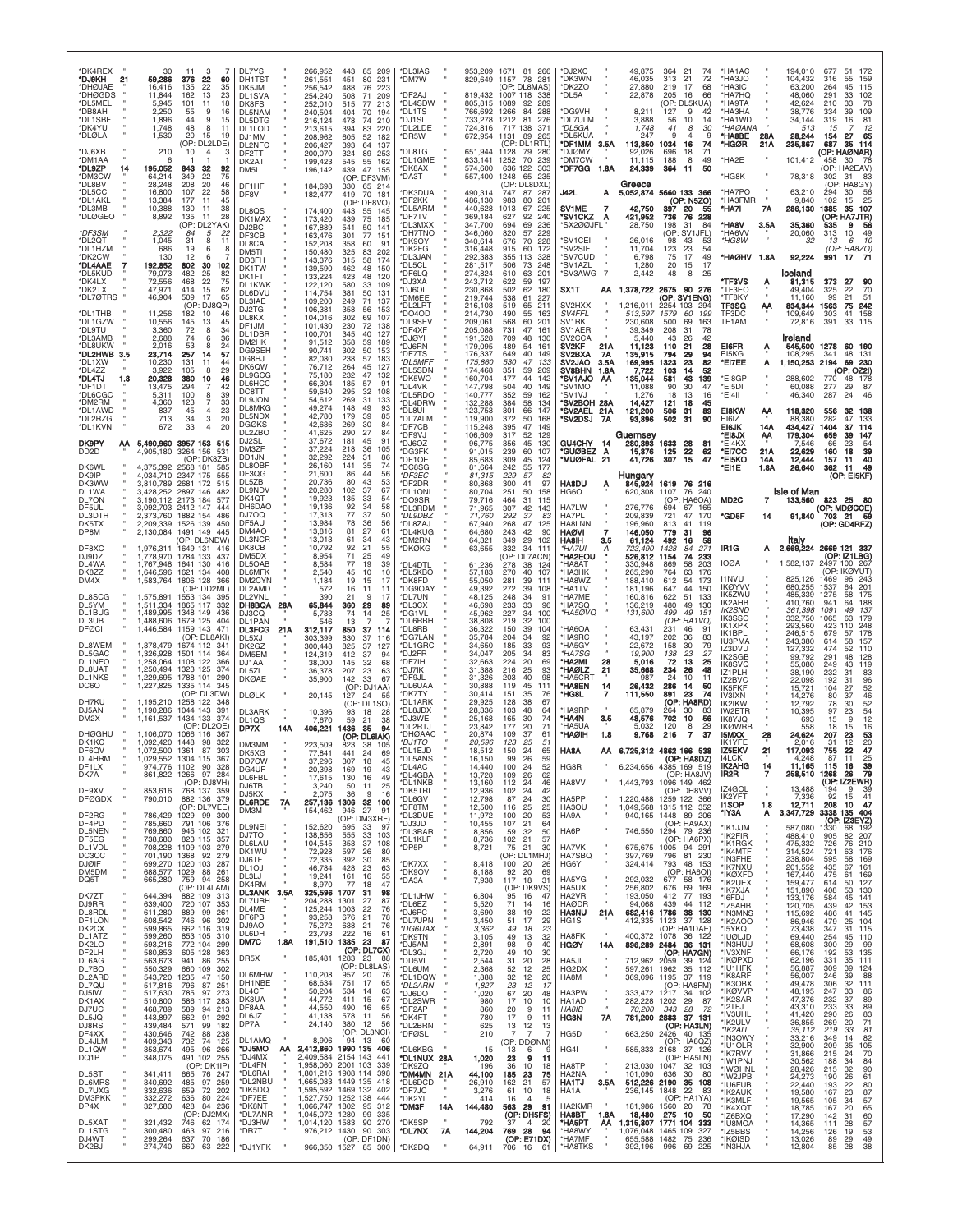| *DK4REX<br>*DJ9KH<br>21<br>*DHØJAE<br>*DHØGDS<br>*DL5MEL<br><b>DB8AH</b><br>*DL1SBF<br>*DK4YU<br>*DLØLA<br>*DJ6XB                  | 30<br>59,286<br>16,416<br>11,844<br>5,945<br>2,250<br>1,896<br>1,748<br>1,530<br>210                                                                  | 3<br>11<br>7<br>376<br>22<br>60<br>135<br>22<br>35<br>162<br>13<br>23<br>101<br>11<br>18<br>9<br>55<br>16<br>44<br>9<br>15<br>48<br>8<br>11<br>20<br>15<br>19<br>(OP: DL2LDE)<br>10<br>$\overline{4}$<br>з   | DL7YS<br>DH1TST<br>DK5JM<br>DL <sub>1</sub> SVA<br>DK8FS<br>DL5NAM<br>DL5DTG<br>DL1LOD<br>DJ1MM<br>DL2NFC |              | 266,952<br>261,551<br>256,542<br>254,240<br>252,010<br>240,504<br>216,124<br>213,615<br>208,962<br>206,427 | 443 85 209<br>451<br>80<br>-231<br>488<br>76<br>223<br>508<br>71<br>209<br>515<br>77<br>213<br>404<br>70<br>194<br>478<br>74<br>210<br>83<br>394<br>220<br>605<br>52<br>182<br>393<br>64<br>137<br>253                                          | *DL3IAS<br>*DM7W<br>*DF2AJ<br>DL4SDW<br>*DL1TS<br>'DJ1SL<br>DL2LDE<br>'DR5W<br>DL8TG                                    |           | 953,209 1671<br>829.649<br>819,432<br>805,815<br>766.692<br>733,278<br>724,816<br>672,954<br>651,944                  | 1157<br>1007 118<br>1089<br>1266<br>1212<br>717<br>1131<br>1128           | 81 266<br>78<br>281<br>OP: DL8MAS)<br>338<br>92<br>289<br>84<br>288<br>81<br>276<br>138<br>371<br>89<br>265<br>(OP: DL1RTL)<br>79<br>-280   | *DJ2XC<br>*DK3WN<br>DK2ZO<br>*DL5A<br>*DG9VH<br>*DL7ULM<br>*DL5GA<br>*DL5KUA<br>*DF1MM 3.5A<br>*DJØMY                                          |                                 | 49,875<br>46,035<br>27,880<br>22,878<br>8,211<br>3,888<br>1,748<br>247<br>113,850<br>92,026                 | 364<br>21<br>313<br>21<br>219<br>17<br>205<br>16<br>(OP: DL5KUA)<br>127<br>9<br>56<br>10<br>41<br>8<br>1034<br>-16<br>696<br>18           | 74<br>72<br>68<br>66<br>42<br>14<br>30<br>74<br>71                                          | *HA1AC<br>*HA3JO<br><b>HA3IC</b><br>*HA7HQ<br>*HA9TA<br>*HA3HA<br>*HA1WD<br>*HAØANA<br>*HA8BE<br>*HGØR                          | 28A<br>21A                            | 194,010<br>104,432<br>63,200<br>48,060<br>42,624<br>38,776<br>34,144<br>513<br>28,244<br>235,867             | 677<br>51<br>172<br>316<br>55<br>159<br>264<br>45<br>115<br>291<br>33<br>102<br>78<br>210<br>33<br>39<br>109<br>334<br>319<br>16<br>81<br>15<br>12<br>154<br>27<br>65<br>687<br>35<br>114<br>(OP: HAØNAR)         |
|------------------------------------------------------------------------------------------------------------------------------------|-------------------------------------------------------------------------------------------------------------------------------------------------------|--------------------------------------------------------------------------------------------------------------------------------------------------------------------------------------------------------------|-----------------------------------------------------------------------------------------------------------|--------------|------------------------------------------------------------------------------------------------------------|-------------------------------------------------------------------------------------------------------------------------------------------------------------------------------------------------------------------------------------------------|-------------------------------------------------------------------------------------------------------------------------|-----------|-----------------------------------------------------------------------------------------------------------------------|---------------------------------------------------------------------------|---------------------------------------------------------------------------------------------------------------------------------------------|------------------------------------------------------------------------------------------------------------------------------------------------|---------------------------------|-------------------------------------------------------------------------------------------------------------|-------------------------------------------------------------------------------------------------------------------------------------------|---------------------------------------------------------------------------------------------|---------------------------------------------------------------------------------------------------------------------------------|---------------------------------------|--------------------------------------------------------------------------------------------------------------|-------------------------------------------------------------------------------------------------------------------------------------------------------------------------------------------------------------------|
| *DM1AA<br>*DL9ZP<br>14<br>*DM3CW<br>*DL8BV<br>*DL5CC<br>*DL1AKL<br>*DL3MB<br>*DLØGEO<br>*DF3SM                                     | 6<br>195,052<br>64,214<br>28.248<br>16,800<br>13,384<br>10,388<br>8,892<br>2,322                                                                      | 843<br>32<br>92<br>349<br>22<br>75<br>20<br>208<br>46<br>107<br>22<br>58<br>177<br>11<br>45<br>130<br>11<br>38<br>135<br>11<br>28<br>(OP: DL2YAK)<br>5<br>84<br>22                                           | DF2TT<br>DK2AT<br>DM <sub>5</sub> I<br>DF1HF<br>DF8V<br>DL8QS<br>DK1MAX<br>DJ2BC<br>DF3CB                 |              | 200,070<br>199,423<br>196,142<br>184,698<br>182,477<br>174,400<br>173,420<br>167,889<br>163,476            | 324<br>89<br>545<br>55<br>162<br>439<br>47 155<br>(OP: DF3VM)<br>330<br>65 214<br>419<br>70 181<br>(OP: DF8VO)<br>443<br>55 145<br>439<br>75<br>185<br>541<br>50<br>141<br>301<br>77<br>151                                                     | *DL1GME<br>*DK8AX<br>'DA3T<br><b>DK3DUA</b><br>'DF2KK<br>DL5ARM<br>'DF7TV<br>DL3MXX<br><b>DH7TNC</b>                    |           | 633,141<br>574,600<br>557,400<br>490,314<br>486,130<br>440,628<br>369,184<br>347,700<br>346,060                       | 1252<br>636<br>1248<br>747<br>983<br>1013<br>627<br>694<br>820            | 70<br>239<br>122<br>303<br>65 235<br>(OP: DL8DXL)<br>87<br>287<br>80<br>201<br>67<br>225<br>92<br>240<br>69<br>236<br>229<br>57             | *DM7CW<br>*DF7GG 1.8A<br><b>J42L</b><br>SV1ME<br>*SV1CKZ<br>'SX200JFL                                                                          | Α<br>7<br>Α                     | 11,115<br>24,339<br>Greece<br>5,052,874<br>42,750<br>421,952<br>28,750                                      | 188<br>8<br>364<br>-11<br>5660 133 366<br>(OP: N5ZO)<br>397<br>20<br>736<br>198<br>31<br>(OP: SV1JFL)                                     | 49<br>50<br>55<br>76 228<br>-84                                                             | *HA2E<br>*HG8K<br>*HA7PO<br><b>HA3FMR</b><br>*HA7I<br>*HA8V<br>*HA6VV                                                           | 7A<br>3.5A                            | 101,412<br>78,318<br>63,210<br>9,840<br>286,130<br>35,360<br>20,060                                          | 30<br>458<br>(OP: HA2EAV)<br>302<br>31<br>- 83<br>HA8GY)<br>(OP:<br>294<br>30<br>-56<br>25<br>102<br>15<br>1385<br>107<br>35<br>(OP: HA7JTR)<br>535<br>9<br>313<br>10<br>49                                       |
| *DL2QT<br>*DL1HZM<br>*DK2CW<br>*DL4AAE<br>*DL5KUD<br>*DK4LX<br>*DK2TX<br>*DL7ØTRS<br>*DL1THB                                       | 1,045<br>686<br>130<br>192,852<br>79,073<br>72,556<br>47,971<br>46,904<br>11,256                                                                      | 31<br>8<br>19<br>6<br>8<br>12<br>6<br>802<br>30<br>102<br>482<br>25<br>82<br>22<br>468<br>75<br>414<br>15<br>62<br>509<br>17<br>65<br>(OP: DJ8QP)<br>182<br>10<br>46                                         | DL8CA<br>DM5TI<br>DD3FH<br>DK1TW<br>DK1FT<br>DL1KWK<br>DL6DVU<br>DL3IAE<br>DJ2TG<br>DL8KX                 |              | 152,208<br>150,480<br>143,376<br>139,590<br>133,224<br>122,120<br>114,754<br>109,200<br>106,381<br>104,016 | 358<br>60<br>91<br>325<br>202<br>83<br>315<br>58<br>174<br>462<br>48<br>150<br>423<br>48<br>120<br>580<br>33<br>109<br>381<br>50<br>131<br>249<br>71<br>137<br>358<br>56<br>153<br>302<br>69<br>107                                             | 'DK9OY<br>'DK2FG<br>DL3JAN<br>'DL5CL<br>'DF6LQ<br>'DJ3XA<br><b>DJ6OI</b><br>DM6EE<br>'DL2LRT<br>'DO4OD                  |           | 340,614<br>316,448<br>292,383<br>281,517<br>274,824<br>243,712<br>230,868<br>219,744<br>216,108<br>214,730            | 676<br>915<br>355<br>506<br>610<br>622<br>502<br>538<br>519<br>490        | 70<br>228<br>60<br>172<br>113<br>328<br>73<br>248<br>63<br>201<br>59<br>197<br>62<br>180<br>61<br>227<br>65<br>211<br>55<br>163             | 'SV1CEI<br>*SV2SIF<br>*SV7CUD<br>"SV1A7I<br>*SV3AWG<br>SX1T<br>SV2HXX<br>SV4FFL                                                                | $\overline{7}$<br>АА            | 26,016<br>11.704<br>6,798<br>1,280<br>2,442<br>1,378,722<br>1,216,011<br>513,597                            | 98<br>43<br>123<br>23<br>75<br>17<br>20<br>15<br>48<br>8<br>2675<br>90<br>(OP: SV1ENG)<br>2254<br>103<br>1579<br>60                       | 53<br>54<br>49<br>17<br>25<br>276<br>294<br>199                                             | *HG8W<br>*HAØHV<br>*TF3VS<br>'TF3EO<br>TF8KY<br>TF3SG<br>TF3DC                                                                  | 1.8A<br>Ą<br>ΑА                       | 32<br>92,224<br>Iceland<br>81,315<br>49,404<br>11,160<br>834,344<br>109,649                                  | 13<br>10<br>6<br>(OP: HA8ZO)<br>991<br>17<br>-7<br>373<br>27<br>90<br>70<br>325<br>22<br>99<br>21<br>51<br>1563<br>242<br>75<br>303<br>41<br>158                                                                  |
| *DL1GZW<br>*DL9TU<br>*DL3AMB<br>*DL8UKW<br>*DL2HWB 3.5<br>*DL1XW<br><b>*DI 477</b><br>*DL4TJ<br>1.8<br>*DF1DT<br>*DL6CGC<br>*DM2RM | 10,556<br>3,360<br>2,688<br>2,016<br>23,714<br>10.230<br>3.922<br>20,328<br>13,475<br>5.311<br>4,360                                                  | 145<br>13<br>45<br>72<br>8<br>34<br>36<br>74<br>6<br>53<br>8<br>24<br>257<br>57<br>-14<br>131<br>11<br>44<br>105<br>29<br>8<br>380<br>10<br>46<br>294<br>42<br>100<br>8<br>39<br>33<br>123<br>$\overline{7}$ | DF1JM<br>DL1DBR<br>DM2HK<br>DG9SEH<br>DG8HJ<br>DK6QW<br>DL9GCG<br>DL6HCC<br>DC8TT<br>DL9JON               |              | 101,430<br>100,701<br>91,512<br>90,741<br>82,080<br>76,712<br>75.180<br>66,304<br>59,640<br>54,612         | 230<br>72<br>138<br>345<br>40<br>127<br>358<br>59<br>189<br>302<br>50<br>153<br>238<br>57<br>183<br>264<br>45<br>127<br>232<br>47<br>132<br>185<br>57<br>91<br>295<br>32<br>108<br>269<br>31<br>133                                             | <b>DL9SEV</b><br>DF4XF<br><b>DJØYI</b><br>'DJ6RN<br>'DF7TS<br>*DL5MFF<br>'DL5SDN<br>DK5WO<br>DL4VK<br>'DL5RDO<br>DL4DRW |           | 209,061<br>205,088<br>191,528<br>179,095<br>176,337<br>175,860<br>174,468<br>160,704<br>147,798<br>140,777<br>132,288 | 568<br>731<br>709<br>489<br>649<br>530<br>351<br>477<br>504<br>352<br>384 | 60<br>201<br>47<br>161<br>48<br>130<br>54<br>161<br>40<br>149<br>47<br>133<br>59<br>209<br>142<br>44<br>40<br>149<br>59<br>162<br>58<br>134 | SV <sub>1</sub> RK<br>SV1AER<br>SV <sub>2</sub> CCA<br>SV2KF<br>SV2BXA<br>SV2JAO<br>SV8BHN<br><b>SV1AJO</b><br>'SV1MO<br>'SV1VJ<br>*SV2BOH 28A | 21A<br>7A<br>3.5A<br>1.8A<br>ΑA | 230,608<br>39,349<br>5,440<br>11,123<br>135,915<br>169,995<br>7,722<br>135,044<br>11.088<br>1,276<br>14.427 | 500<br>69<br>208<br>31<br>43<br>26<br>21<br>110<br>29<br>794<br>1323<br>23<br>103<br>14<br>581<br>43<br>30<br>90<br>18<br>13<br>121<br>18 | 163<br>78<br>42<br>28<br>94<br>82<br>52<br>139<br>47<br>16<br>45                            | TF1AM<br>EI6FR<br>EI5KG<br>*EI7EE<br>*EI8GP<br>*EI5DI<br>*EI4II                                                                 | Ą<br>A                                | 72.816<br>Ireland<br>545,500<br>108,295<br>1,150,253<br>288,602<br>60,088<br>46,340                          | 33<br>391<br>115<br>1278<br>60<br>190<br>48<br>131<br>341<br>2194<br>69<br>230<br>(OP: 0Z2I)<br>770<br>178<br>48<br>29<br>277<br>87<br>287<br>24<br>46                                                            |
| *DL1AWD<br>*DL2RZG<br>*DL1KVN<br><b>DK9PY</b><br>AA<br>DD <sub>2</sub> D<br>DK6WL<br>DK9IP<br>DK3WW                                | 837<br>713<br>672<br>5,490,960 3957 153 515<br>4,905,180<br>4.375.392<br>4,034,710 2347 175<br>3,810,789                                              | 23<br>45<br>$\overline{4}$<br>34<br>3<br>20<br>33<br>4<br>20<br>3264 156<br>531<br>(OP: DK8ZB)<br>2568 181<br>585<br>555<br>2681 172<br>515                                                                  | DL8MKG<br>DL5NDX<br><b>DGØKS</b><br>DL2ZBO<br>DJ2SL<br>DM3ZF<br>DD1JN<br>DL8OBF<br>DF3QG<br><b>DL5ZB</b>  |              | 49,274<br>42,780<br>42,636<br>41,625<br>37,672<br>37,224<br>32,292<br>26,160<br>21,600<br>20,736           | 148<br>49<br>93<br>179<br>39<br>85<br>269<br>84<br>30<br>290<br>27<br>84<br>181<br>45<br>91<br>218<br>36<br>105<br>224<br>31<br>86<br>141<br>35<br>74<br>86<br>44<br>56<br>80<br>43<br>53                                                       | 'DL8UI<br>DL7ALM<br>'DF7CB<br>'DF9VJ<br>DJ6OZ<br>'DG3FK<br>'DF1OE<br>DC8SG<br>*DF3EC<br>'DF2DR                          |           | 123,753<br>119,900<br>115,248<br>106,609<br>96,775<br>91,015<br>85.683<br>81,664<br>81,315<br>80,868                  | 301<br>372<br>395<br>317<br>356<br>239<br>309<br>242<br>229<br>300        | 147<br>66<br>50<br>168<br>149<br>47<br>52<br>129<br>130<br>45<br>60<br>107<br>45<br>124<br>55<br>177<br>57<br>82<br>41<br>97                | *SV2AEL<br>'SV2DSJ<br>GU4CHY 14<br>*GUØBEZ<br>*MUØFAL 21<br><b>HA8DU</b>                                                                       | 21A<br><b>7A</b><br>A<br>Ą      | 121,200<br>93,896<br>Guernsey<br>280,893<br>15,876<br>41,726<br>Hungary<br>845,924                          | 506<br>31<br>31<br>502<br>1633<br>28<br>125<br>22<br>307<br>15<br>1619                                                                    | 89<br>90<br>-8<br>62<br>47<br>76 216                                                        | EI8KW<br>EI6IZ<br><b>EI6JK</b><br><b>'EI8JX</b><br>*EI4KX<br>*EI7CC<br>*EI5KO<br>*EI1E                                          | АА<br>14A<br>АА<br>21A<br>14A<br>1.8A | 118,320<br>88,380<br>434,427<br>179,304<br>7,546<br>22,629<br>12,444<br>26,640                               | 556<br>32<br>138<br>282<br>47<br>133<br>1404<br>37<br>-114<br>659<br>39<br>147<br>66<br>23<br>54<br>160<br>18<br>39<br>40<br>157<br>11<br>362<br>-11<br>49<br>(OP: EI5KF)                                         |
| DL1WA<br>DL7ON<br>DF5UL<br>DL3DTH<br>DK5TX<br>DP8M<br>DF8XC<br>DJ9DZ<br>DL4WA                                                      | 3.428.252 2897 146<br>3,190,112 2173 184<br>3,092,703 2412 147<br>2,373,760<br>2,209,339<br>2,130,084<br>1,976,311<br>1,778,970<br>1,767,948 1641 130 | 482<br>577<br>444<br>1882 154<br>486<br>1526 139<br>450<br>1491 149 445<br>(OP: DL6NDW)<br>1649 131 416<br>1784 133<br>437<br>416                                                                            | DL9NDV<br>DK4QT<br>DH6DAO<br>DJ7OQ<br>DF5AU<br>DM4AO<br><b>DL3NCR</b><br><b>DK8CB</b><br>DM5DX<br>DL5OAB  |              | 20,280<br>19,923<br>19,136<br>17,313<br>13,984<br>13,816<br>13,013<br>10,792<br>8,954<br>8,584             | 102<br>37<br>67<br>135<br>33<br>54<br>92<br>-34<br>58<br>77<br>37<br>50<br>78<br>36<br>56<br>81<br>27<br>61<br>61<br>-34<br>43<br>92<br>21<br>55<br>71<br>25<br>49<br>77<br>39<br>19                                                            | 'DL1ONI<br><b>DO9SR</b><br>DL3RDM<br>*DL9DBZ<br>*DL8ZAJ<br>'DL4KUG<br>'DM2RN<br>'DKØKG<br><b>DL4DTL</b>                 |           | 80,704<br>79,716<br>71,965<br>71,760<br>67,940<br>64,680<br>64,321<br>63,655<br>61,236                                | 251<br>464<br>307<br>292<br>268<br>243<br>349<br>332<br>278               | 50<br>158<br>31<br>115<br>42<br>143<br>37<br>83<br>47<br>125<br>90<br>42<br>29<br>102<br>-34<br>111<br>(OP: DL7ACN)<br>38<br>124            | HG6O<br>HA7LW<br><b>HA7PL</b><br>HA8LNN<br>HAØVI<br><b>HA8IH</b><br>*HA7UI<br>*HA2EOU<br>*HA8AT                                                | 7<br>3.5                        | 620,308<br>276,776<br>209,839<br>196,960<br>146,050<br>61,124<br>723,490<br>526,812<br>330,948              | 1107<br>76<br>(OP: HA6OA)<br>67<br>694<br>721<br>47<br>813<br>41<br>779<br>31<br>492<br>16<br>1428<br>84<br>1154<br>74<br>869<br>58       | 240<br>165<br>170<br>119<br>96<br>58<br>271<br>233<br>203                                   | MD <sub>2</sub> C<br>*GD5F<br>IR1G<br><b>IOØA</b>                                                                               | 7<br>14<br>А                          | <b>Isle of Man</b><br>133,560<br>91,840<br>1,582,137                                                         | 823 25<br>(OP: MDØCCE)<br>703 21 59<br>(OP: GD4RFZ)<br>ltaly<br>2,669,224 2669 121 337<br>(OP: IZ1LBG)<br>2497 100 267                                                                                            |
| DK8ZZ<br>DM4X<br>DL8SCG<br>DL5YM<br>DL1BUG<br>DL3UB<br><b>DFØCI</b><br>DL8WEM                                                      | ,646,596<br>1,583,764<br>1,575,891<br>1,511,334<br>1,489,995 1348 149<br>1,488,606 1679 125<br>1,446,584<br>1,378,479                                 | 1621 134<br>408<br>1806 128<br>366<br>(OP: DD2ML)<br>1553 134 395<br>1865 117<br>332<br>436<br>404<br>1159 143<br>471<br>(OP: DL8AKI)<br>1674 112<br>341                                                     | DL6MFK<br>DM2CYN<br>DL2AMD<br>DL2VNL<br>DH8BQA<br>DJ3CO<br>DL1PAN<br><b>DL3FCG</b><br>DL5XJ<br>DK2GZ      | 28A<br>21A   | 2,540<br>1,184<br>572<br>390<br>65,844<br>5,733<br>546<br>312,117<br>303.399<br>300,448                    | 45<br>10<br>10<br>19<br>15<br>17<br>16<br>11<br>11<br>21<br>9<br>17<br>360<br>29<br>89<br>14<br>25<br>74<br>13<br>7<br>850<br>37<br>-114<br>830<br>37<br>116<br>825<br>37<br>127                                                                | DL5KBO<br>*DK8FD<br>DG9OAY<br>'DL7UN<br><b>DL3CX</b><br>*DG1VL<br>'DL6RBH<br>DL8RB<br>'DG7LAN<br>'DL1GRC                |           | 57,183<br>55,050<br>49,392<br>48.125<br>46,698<br>45.962<br>38,808<br>36,322<br>35,784<br>34,650                      | 270<br>281<br>272<br>248<br>233<br>227<br>219<br>150<br>204<br>185        | 40<br>107<br>39<br>111<br>39<br>108<br>34<br>91<br>33<br>96<br>34<br>100<br>32<br>100<br>39<br>104<br>34<br>92<br>33<br>93                  | <b>НАЗНК</b><br>*HA8WZ<br>*HA1TV<br>*HA7ME<br>*HA7SQ<br>*HA5ØVQ<br>*HA6OA<br>*HA9RC<br>*HA5GY                                                  |                                 | 265,290<br>188,410<br>181,196<br>160,816<br>136,219<br>131,600<br>63,431<br>43,197<br>22,672                | 764<br>63<br>612<br>54<br>44<br>647<br>622<br>51<br>480<br>49<br>4.99<br>49<br>(OP:<br>231<br>46<br>202<br>36<br>30<br>158                | 176<br>173<br>150<br>133<br>130<br>15 <sup>1</sup><br>HA <sub>1</sub> VQ<br>-91<br>83<br>79 | <b>I1NVU</b><br><b>IKØYVV</b><br>IK5ZWU<br>IK2AHB<br>IK2SND<br>IK3SSO<br>IK1XPK<br>IK1BPL<br><b>IU3PMA</b>                      |                                       | 825,126<br>680,255<br>485,339<br>410,760<br>361,398<br>332,750<br>293,560<br>246,515<br>243,380              | (OP: IKØYUT)<br>243<br>1469<br>96<br>64<br>201<br>1537<br>1275<br>58<br>175<br>941<br>64<br>188<br>1091<br>49<br>137<br>1065<br>63<br>179<br>423<br>110<br>248<br>679<br>178<br>57<br>614<br>58<br>157            |
| DL5GAC<br>DL1NEO<br>DL8UAT<br><b>DL1NKS</b><br>DC6O<br>DH7KU<br>DJ5AN<br>DM <sub>2</sub> X                                         | 326,928 1501 114<br>,258,064<br>1.250.494<br>1,229,695 1788 101<br>1,227,825<br>1,195,210<br>1,190,286<br>1,161,537                                   | 364<br>1108 122<br>366<br>1323 125<br>374<br>290<br>1335 114 345<br>(OP: DL3DW)<br>1258 122<br>348<br>1044 143<br>391<br>1434 133 374<br>(OP: DL2OE)                                                         | DM5EM<br>DJ1AA<br>DL5ZL<br><b>DKØAE</b><br><b>DLØLK</b><br>DL3ARK<br>DL <sub>1QS</sub><br>DP7X            | 14A          | 124,319<br>38,000<br>36,378<br>35,900<br>20,145<br>10,396<br>7,670<br>406,221                              | 412<br>37<br>94<br>145<br>32<br>68<br>207<br>23<br>63<br>142<br>33<br>67<br>(OP<br>: DJ1AA)<br>127<br>24<br>55<br>(OP: DL1SO)<br>93<br>18<br>28<br>59<br>21<br>38<br>94<br>1436<br>-35                                                          | 'DJ2FR<br>'DF7IH<br>*DJ7IK<br>'DF9JL<br><b>DL6UAA</b><br>'DK7TY<br>'DL1ARK<br>DL8JDX<br>'DJ3WF<br>'DL2RTJ               |           | 34,047<br>32,663<br>31.388<br>31,326<br>30,888<br>30,414<br>29,925<br>28,336<br>25.168<br>23,842                      | 205<br>224<br>216<br>203<br>119<br>151<br>128<br>103<br>165<br>177        | 34<br>83<br>20<br>69<br>93<br>25<br>40<br>98<br>45<br>111<br>35<br>76<br>67<br>38<br>48<br>64<br>74<br>30<br>20<br>71                       | *HA7SG<br>*HA2MI<br>*HAØLZ<br>*HA5CRT<br>*HA8EN<br>*HG8L<br>*HA9RP<br>*HA4N<br>*HA5UA                                                          | 28<br>21<br>14<br>7<br>3.5      | 19,900<br>5,016<br>35,668<br>987<br>26,432<br>111,550<br>65,879<br>48,576<br>5.032                          | 138<br>-23<br>72<br>13<br>234<br>26<br>24<br>10<br>286<br>14<br>891<br>23<br>(OP: HABRD)<br>30<br>264<br>702<br>-10<br>120<br>8           | 27<br>25<br>48<br>11<br>50<br>74<br>56<br>29                                                | IZ3DVU<br><b>IK2SGB</b><br>IK8SVQ<br>IZ1PLH<br>IZ2BVC<br>IK5FKF<br><b>IV3IXN</b><br>IK2IKW<br>IW2ETR<br>IK8YJQ<br><b>IKØWRB</b> |                                       | 127,332<br>99,792<br>55,080<br>38.190<br>22,098<br>15,721<br>14.276<br>12,792<br>10,395<br>693<br>558        | 474<br>52<br>110<br>291<br>48<br>128<br>249<br>43<br>119<br>232<br>31<br>83<br>192<br>31<br>96<br>52<br>104<br>27<br>80<br>46<br>37<br>78<br>52<br>30<br>97<br>23<br>54<br>15<br>12<br>9<br>16<br>18<br>15        |
| <b>DHØGHU</b><br>DK1KC<br>DF6QV<br>.4HRM<br>DF <sub>1</sub> LX<br>DK7A<br>DF9XV<br><b>DFØGDX</b>                                   | 1,106,070<br>1,092,420 1448 98<br>1.072.500 1361 87<br>974,776 1102 90<br>861,822 1266 97 284<br>853,616<br>790,010                                   | 1066 116<br>367<br>322<br>303<br>328<br>(OP: DJ8VH)<br>768 137 359<br>882 136 379<br>(OP: DL7VEE)                                                                                                            | <b>DM3MM</b><br>DK5XG<br>DD7CW<br>DG4UF<br>DL6FBL<br>DJ6TB<br>DJ5KX<br><b>DL6RDE</b>                      | 7A           | 223,509<br>77,841<br>37.296<br>20,398<br>17,615<br>3,240<br>2,075<br>257,136                               | (OP: DL6IAK)<br>823<br>38<br>105<br>441<br>69<br>24<br>307<br>18<br>45<br>19<br>43<br>169<br>130<br>16<br>49<br>25<br>50<br>11<br>36<br>9<br>16<br>1306 32 100                                                                                  | <b>DHØAAC</b><br>*DJ1TO<br>*DL1EJD<br>DL5ANS<br>*DL4AC<br>*DL4GBA<br>*DL1NKB<br>*DK5TRI<br>*DL6GV<br>*DF8TM             |           | 20,874<br>20,596<br>18,512<br>10. IOU<br>14,440<br>13,728<br>13,160<br>12,936<br>12,798<br>12,500                     | 109<br>123<br>150<br>ນປ<br>100<br>109<br>112<br>102<br>87<br>116          | 37<br>61<br>51<br>25<br>24<br>65<br>20<br>-24<br>52<br>62<br>26<br>24<br>46<br>-24<br>42<br>24<br>30<br>25<br>25                            | *HAØIH<br>HA8A<br>HG8R<br>HA8VV<br>HA5PP<br>HA3OU                                                                                              | 1.8                             | 9,768<br>AA 6,725,312 4862 166 538<br>6,234,656<br>1.443.793<br>1,220,488<br>1,049,568 1315 112 352         | $\overline{7}$<br>216<br>UP: HABU.<br>4385 169 519<br>(OP: HA8JV)<br>1096 149 462<br>(OP: DH8VV)<br>1259 122 366                          | 37                                                                                          | <b>I5MXX</b><br>K1YFE<br><b>IZ5EKV</b><br><b>IK2AHG</b><br>IR2R<br>iz4gol<br><b>IK2YFT</b><br><b>I1SOP</b>                      | 28<br>21<br>14<br>7<br>1.8            | 24,624<br>2.016<br>117,093<br>11,165<br>258,510<br>13,488<br>7,336<br>12,711                                 | 207<br>23<br>53<br>12<br>20<br>31<br>22<br>47<br>755<br>115<br>16<br>39<br>79<br>1268<br>26<br>(OP: IZ2EWR)<br>194<br>9<br>-39<br>92<br>15<br>41<br>208<br>10<br>-47                                              |
| DF <sub>2</sub> R <sub>G</sub><br>DF4PD<br>DL5NEN<br>DF5EG<br>DL1VDL<br>DC3CC<br><b>DJØIF</b><br>DM5DM<br>DQ5T                     | 786,429<br>785,660<br>769,860<br>738,680<br>708,228 1109 103<br>701,190 1368 92<br>699,270 1020 103 287<br>688,577 1029 88<br>665,280                 | 1029 99 300<br>791 106<br>376<br>945 102 321<br>823 115 357<br>279<br>279<br>261<br>759<br>94<br>258<br>(OP: DL4LAM)                                                                                         | DM3M<br>DL9NE<br>DJ7TO<br>DL6LAU<br>DK1WU<br>DJ6TF<br>DL <sub>1</sub> OJ<br>DL3LJ<br>DK4RM                |              | 154,462<br>152,620<br>138,856<br>104,545<br>72,928<br>72,335<br>46,784<br>19,241<br>8,970                  | 946<br>27<br>91<br>(OP: DM3XRF)<br>33<br>97<br>695<br>103<br>555<br>-33<br>353<br>37<br>108<br>597<br>26<br>80<br>392<br>30<br>85<br>428<br>23<br>63<br>161<br>16<br>55<br>77<br>18<br>47                                                       | *DL3DUE<br>*DJ3JD<br>*DL3RAR<br>*DL1KLF<br>*DP5P<br>'DK7XX<br>*DK9OV<br>*DA3A                                           |           | 11,972<br>10,455<br>8,856<br>8,736<br>8,721<br>8,418<br>8,188<br>7,938                                                | 100<br>107<br>59<br>102<br>75<br>100<br>92<br>117                         | 53<br>20<br>21<br>64<br>32<br>50<br>21<br>57<br>21<br>30<br>(OP: DL1MHJ)<br>20<br>26<br>20<br>69<br>18<br>31<br>(OP: DK9VS)                 | HA9A<br>HA6P<br>HA7VK<br>HA7SBQ<br>HG6Y<br>HA5YG<br>HA5UX                                                                                      |                                 | 940,165<br>746,550<br>675,675<br>397,769<br>324,414<br>292,032<br>256,802                                   | 1448 89 206<br>(OP: HAGAX)<br>1294 79 236<br>(OP: HA6PX)<br>1005 94 291<br>796 81 230<br>793<br>(OP: HA6OI)<br>677<br>676<br>69           | 48 153<br>58 176<br>169                                                                     | *IY3A<br>'IK1JJM<br>'IK2FIR<br>'IK1RGK<br>'IK4MTF<br>'IN3FHE<br>'IK7NXU<br>*IKØXFD<br>'IK2UEX<br>'IK7XJA                        | A                                     | 3,347,729<br>587,080<br>488,410<br>475,332<br>314,524<br>238,804<br>201,552<br>167,440<br>159,477<br>151,890 | 3338 135 404<br>(OP: IZ3EYZ)<br>1330<br>68<br>192<br>905<br>207<br>82<br>726<br>76<br>210<br>721<br>63<br>176<br>595<br>169<br>58<br>435<br>67<br>161<br>475<br>61<br>169<br>614<br>127<br>50<br>408<br>53<br>130 |
| DK7ZT<br>DJ9RR<br>DL8RDL<br>DF1LON<br>DK <sub>2</sub> CX<br>DL1ATZ<br>DK2LO<br>DF2LH<br>DL6AG<br>DL7BO                             | 644,394<br>639,400<br>611,280<br>608,542<br>599,865<br>599,260<br>593,216<br>580,853<br>563,673<br>550,329                                            | 882 109 313<br>720 107<br>353<br>889 99<br>261<br>746 96<br>302<br>662 116 319<br>853 105<br>310<br>772 104<br>299<br>605 128 363<br>941 86 255<br>660 109<br>302                                            | <b>DL3ANK</b><br>DL7URH<br>DL4ME<br>DF6PB<br>DJ9AO<br>DL6DH<br>DM7C<br>DR5X                               | 3.5A<br>1.8A | 325,596 1707<br>204,288<br>125,244<br>93,258<br>75,272<br>23,793<br>191,510<br>185,481                     | 31<br>98<br>1301<br>27<br>87<br>1003<br>22<br>76<br>676<br>21<br>78<br>638<br>21<br>76<br>222 16<br>61<br>1385 23<br>87<br>(OP: DL7CX)<br>1283 23 88<br>(OP: DL8LAS)                                                                            | *DL1JHW<br>DL6EZ <sup>*</sup><br>*DJ6PC<br>'DL7UPN<br>*DG6UAX<br>*DK9TN<br>*DJ5AM<br>*DL3GJ<br>*DD5VL<br><b>DL6UM</b>   |           | 6,804<br>5,520<br>3,690<br>3,450<br>3,362<br>3,105<br>2,891<br>2,720<br>2.544<br>2,368                                | 95<br>71<br>38<br>51<br>49<br>49<br>98<br>49<br>31<br>52                  | 16<br>47<br>14<br>16<br>19<br>22<br>17<br>29<br>23<br>18<br>32<br>13<br>9<br>40<br>10<br>30<br>20<br>28<br>12<br>25                         | HA2VR<br><b>HAØDR</b><br><b>HA3NU</b><br>HG1S<br>HA8FK<br><b>HGØY</b><br>HA <sub>5</sub> JI<br>HG2DX                                           | 21A<br>14A                      | 193,050<br>94,068<br>682,416<br>412,335<br>400,372<br>896,289 2484<br>712,962<br>597,261 1962               | 412<br>439<br>1786<br>1123<br>(OP: HA1DAE)<br>1078<br>(OP: HA7GN)<br>2059<br>35                                                           | 77 193<br>44 112<br>38 130<br>37 128<br>36 122<br>36 131<br>39 124<br>112                   | *I6FDJ<br>*IZ5AHB<br>*IN3MNS<br>*IK2AOO<br>*I5YKQ<br><b>IUØLJD</b><br>*IN3HUU<br>*IV3XNF<br>*IKØPXD<br>*IU1HFK                  |                                       | 133,176<br>120,705<br>115,692<br>86,946<br>73,438<br>69,440<br>68,608<br>66,176<br>62,196<br>56,887          | 584<br>141<br>45<br>439<br>42<br>153<br>486<br>41<br>145<br>479<br>104<br>25<br>347<br>31<br>115<br>254<br>45<br>110<br>300<br>29<br>99<br>192<br>53<br>135<br>331<br>35<br>111<br>124<br>309<br>39               |
| DL2ARD<br>DL7QU<br>DJ5IW<br>DK1AX<br>DJ7UC<br>DL5JQ<br>DJ8RS<br>DF4XX<br>DL4JLM<br>DL1QW                                           | 543,720 1235<br>517,816<br>517,630<br>510,800<br>468,789<br>443,897<br>439,484<br>430,646<br>409,343<br>353,674                                       | 47<br>150<br>796<br>87<br>251<br>273<br>785<br>97<br>586 117<br>283<br>589<br>94<br>213<br>91 292<br>662<br>571<br>99<br>182<br>742<br>88<br>238<br>732<br>74<br>125<br>495 96<br>266                        | <b>DL6MHW</b><br>DH1NBE<br>DL4CF<br>DK3UA<br>DF8AA<br>DL6JZ<br>DP7A<br>DL1AMO<br>*DJ5MO                   | AA           | 110,208<br>68,634<br>50,204<br>44,772<br>44,550<br>41,138<br>24,140<br>8,906                               | 957 20<br>-76<br>751<br>17<br>65<br>534<br>14<br>63<br>411<br>15<br>67<br>490 16<br>65<br>578<br>11<br>56<br>380 12<br>56<br>(OP: DL3NCI)<br>94 13 60<br>2,412,860 1990 135 406                                                                 | *DL1DQW<br>*DL2ARN<br>*DJ6DO<br>*DL2SWR<br>*DF2AP<br>*DK4FT<br>*DL2BRN<br>*DFØSL<br>*DL6KBG                             |           | 1,888<br>1,827<br>1,020<br>980<br>860<br>780<br>625<br>210<br>15                                                      | 32<br>23<br>67<br>17<br>20<br>17<br>13<br>-7<br>13                        | 12<br>20<br>12<br>17<br>20<br>48<br>10<br>10<br>9<br>11<br>9<br>11<br>12<br>13<br>$\overline{7}$<br>-7<br>(OP: DDØNM)<br>6<br>-9            | HA8M<br>HA3PW<br>HA1AD<br>HA8IB<br><b>HG3N</b><br>HG5D<br>HG4I                                                                                 | $\alpha$<br>7Α                  | 369,096 1195<br>333,472<br>282,228<br>70,200<br>663,250<br>585,333 2168                                     | (OP: HA8FM)<br>1217<br>1202<br>29<br>343<br>28<br>781,200 2883 37 131<br>(OP: HA3LN)<br>2426 40 135<br>(OP: HA8QZ)                        | 37 119<br>34 102<br>87<br>- 72<br>37 126                                                    | *IK8ARF<br>'IK3OBX<br>*IKØVVP<br>'IK2SAR<br>*I2TFJ<br>*IV3UHL<br>'IK2ULV<br>*IK2AIT<br>'IN3OWY<br>'IU1OLR                       |                                       | 56,007<br>49,478<br>48,195<br>47,376<br>43,310<br>41,420<br>36,855<br>35,112<br>33,216<br>32,900             | 246<br>39<br>88<br>306<br>32<br>111<br>247<br>33<br>86<br>232<br>37<br>89<br>89<br>233<br>33<br>26<br>83<br>290<br>269<br>71<br>20<br>81<br>219<br>33<br>349<br>14<br>82<br>209<br>35<br>105                      |
| DQ1P<br>DL5ST<br><b>DL6MRS</b><br>DL7UXG<br><b>DM3PKK</b><br>DP4X<br>DL5XAT<br>DL1STG                                              | 348,075<br>341,411<br>340,692<br>332,636<br>332,272<br>327,680<br>321,432<br>300,480                                                                  | 491 102 255<br>(OP: DK1IP)<br>76 247<br>665<br>97 259<br>485<br>659<br>72<br>202<br>636<br>80<br>224<br>428<br>84 236<br>(OP: DJ2MX)<br>746<br>62<br>174<br>97 216<br>463                                    | *DJ4MX<br>*DL4FN<br>*DL6RAI<br>*DL2NBU<br>*DK5DQ<br>*DF7EE<br>*DK8NT<br>*DL7ANR<br>*DJ3HW<br>*DR7T        |              | 1,045,072<br>1,014,120                                                                                     | 2,409,584 2154 143 441<br>1,958,060 2001 103 339<br>1,801,216 1908 114 398<br>1,665,083 1449 135 418<br>1,595,592 1469 132 402<br>1,527,750 1252 138 444<br>1,066,747 1802 95 312<br>1280<br>99<br>335<br>1583<br>90 270<br>976,212 1430 90 303 | *DL1NUX 28A<br>*DK9ZQ<br>*DM4MN 21A<br>'DL6DCD<br>*DF7JC<br>*DK2YL<br>*DM3F<br>*DK5SP<br>*DL7NX                         | 14A<br>7A | 1,020<br>196<br>44,100<br>26,910<br>3,276<br>414<br>144,480<br>792<br>144,204                                         | 23<br>36<br>185<br>162<br>61<br>16<br>563 29<br>37<br>769 28              | 9<br>11<br>10<br>18<br>23<br>75<br>57<br>21<br>10<br>18<br>$\overline{4}$<br>-5<br>91<br>(OP: DH5FS)<br>$\overline{4}$<br>20<br>94          | HA8TP<br>HA2NA<br><b>HA1TJ</b><br>HA1A<br>HA2KMR<br>HA8BT<br>*HA5PT<br>*HA8WY                                                                  | 3.5A<br>1.8A<br>АΑ              | 213,030<br>101,090<br>512,226 2190<br>236,145<br>181,986<br>18,480<br>1,315,807<br>1.076.048                | (OP: HA5LN)<br>1047<br>636<br>30<br>1848<br>22<br>(OP: HA1YA)<br>1560<br>20<br>275<br>-10<br>1771<br>104<br>1465 109                      | 32 103<br>- 80<br>35 108<br>-83<br>-78<br>50<br>333<br>327                                  | 'IK7RVY<br>*IW1PNJ<br>*IWØHNL<br>'IW2JPB<br>*IU6FUB<br>*IK2AUK<br>'IK3MLF<br>'IK4XQT<br>*IZ6BXQ<br><b>IU8MOA</b><br>*IZ5BBS     |                                       | 31,866<br>30,562<br>28,426<br>24,273<br>22,440<br>19,580<br>19,565<br>18,785<br>17,290<br>14,365<br>14,256   | 70<br>215<br>24<br>188<br>34<br>84<br>215<br>32<br>90<br>61<br>190<br>26<br>80<br>193<br>22<br>167<br>23<br>87<br>57<br>105<br>34<br>65<br>167<br>20<br>142<br>60<br>31<br>57<br>111<br>28<br>53<br>126<br>19     |
| DJ4WT                                                                                                                              | 299,264                                                                                                                                               | 637<br>70 186                                                                                                                                                                                                | *DJ1YFK                                                                                                   |              |                                                                                                            | (OP: DF1DN)<br>966,350 1527 85 300                                                                                                                                                                                                              | *DK2DQ                                                                                                                  |           | 64,911                                                                                                                | 706 16                                                                    | (OP: E71DX)<br>- 61                                                                                                                         | *HA7MF<br>*HA8TKS                                                                                                                              |                                 | 655,588 1482<br>392,196                                                                                     | 996                                                                                                                                       | 75 236<br>69 225                                                                            | *IKØISD<br>*IN3HJA                                                                                                              |                                       | 13,026<br>12,804                                                                                             | 89<br>29<br>49<br>28<br>38<br>85                                                                                                                                                                                  |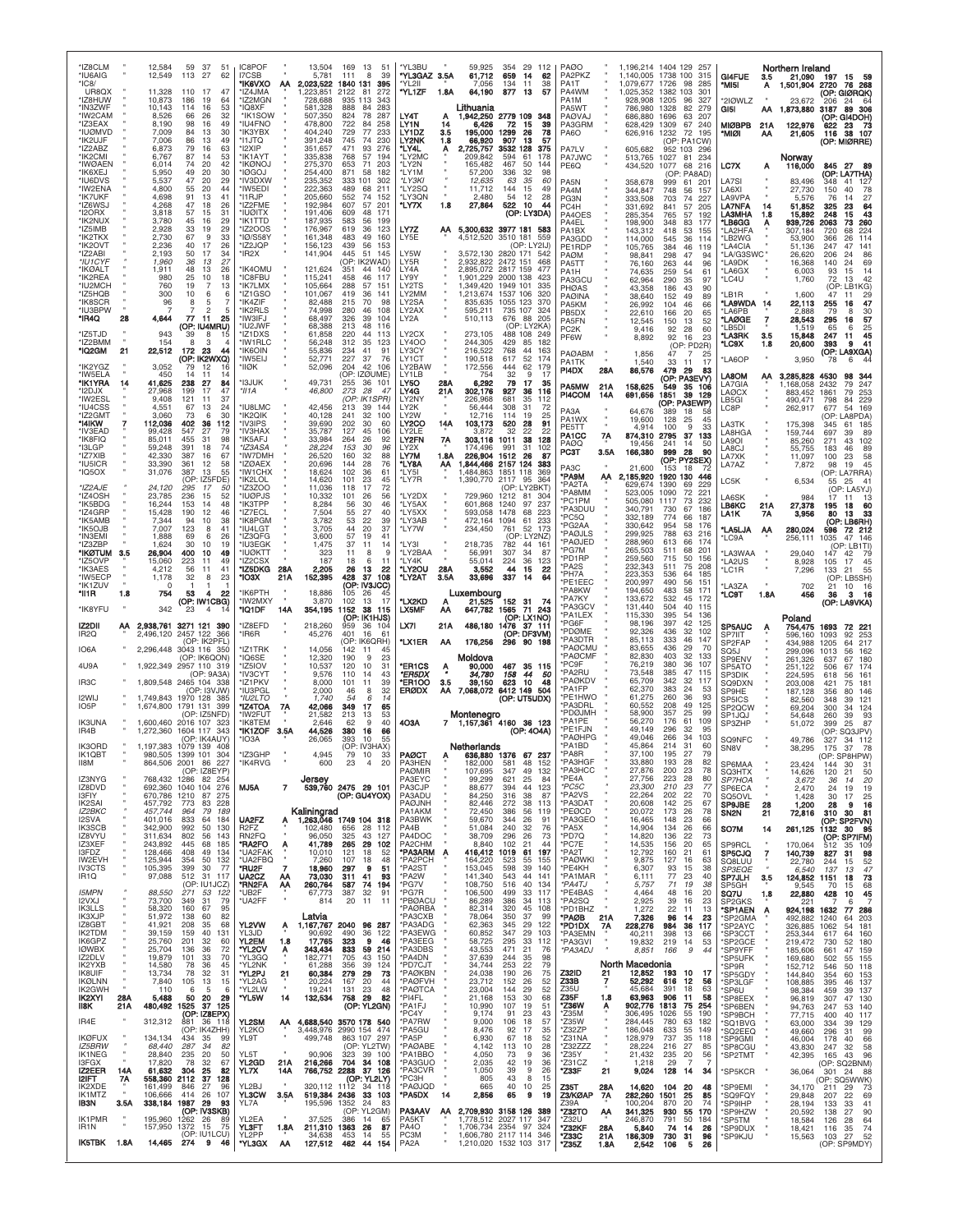| *IZ8CLM<br>*IU6AIG<br>$^*$ IC8/             |            | 12,584<br>12,549                           | 37<br>59<br>51<br>113<br>27<br>62                                                      | IC8POF<br>I7CSB<br><b>'IK6VXO</b>                                      | AA         | 13,504<br>5,781<br>2,023,522              | 169 13<br>51<br>111<br>8<br>39<br>1840 131<br>395                                  | *YL3BU<br>*YL3GAZ 3.5A<br>*YL2II                    |                       | 59,925<br>61,712<br>7,056                                                                   | 354<br>659<br>134                      | 29 112<br>14<br>62<br>11<br>38                       | <b>PAØO</b><br>PA2PKZ<br>PA1T                     |                      | 1,196,214 1404 129 257<br>1,140,005<br>1.079.677 | 1738 100<br>1726                 | 315<br>98<br>285                                                | GI4FUE<br>*MI5I                                 | 3.5<br>Α   | Northern Ireland<br>21,090<br>1,501,904  | 197 15 59<br>2720<br>76 268                                                     |
|---------------------------------------------|------------|--------------------------------------------|----------------------------------------------------------------------------------------|------------------------------------------------------------------------|------------|-------------------------------------------|------------------------------------------------------------------------------------|-----------------------------------------------------|-----------------------|---------------------------------------------------------------------------------------------|----------------------------------------|------------------------------------------------------|---------------------------------------------------|----------------------|--------------------------------------------------|----------------------------------|-----------------------------------------------------------------|-------------------------------------------------|------------|------------------------------------------|---------------------------------------------------------------------------------|
| UR8QX<br>*IZ8HUW<br>*IN3ZWF<br>*IW2CAM      |            | 11,328<br>10,873<br>10,143<br>8,526        | 110<br>17<br>47<br>186<br>19<br>-64<br>114<br>16<br>53<br>66<br>26<br>32               | 'IZ4JMA<br>IZ2MGN<br>*IQ8XF<br>*IK1SOW                                 |            | .223.851<br>728,688<br>581,328<br>507,350 | 2122<br>81<br>272<br>935 113<br>343<br>888<br>84<br>283<br>824<br>78<br>287        | *YL1ZF<br>LY4T                                      | 1.8A<br>А             | 64,190<br>Lithuania<br>1,942,250                                                            | 877<br>2779 109                        | 13<br>57<br>348                                      | PA4WM<br>PA1M<br>PA5WT<br><b>PAØVAJ</b>           |                      | 1,025,352<br>928,908<br>786,980<br>686.880       | 1382 103<br>1205<br>1328<br>1696 | 301<br>96<br>327<br>82<br>279<br>63<br>207                      | *2IØWLZ<br>GI5I                                 | ΑА         | 23,672<br>1,873,880                      | (OP: GIØRQK)<br>206<br>24<br>64<br>3187<br>89 306<br>(OP: GI4DOH)               |
| *IZ3EAX<br>*IUØMVD<br>*IK2UJF<br>*IZ2ABZ    |            | 8,190<br>7,009<br>7,006<br>6,873           | 98<br>16<br>49<br>84<br>30<br>13<br>86<br>13<br>49<br>79<br>16<br>63                   | <b>*IU4FNO</b><br>'IK3YBX<br>*I1JTQ<br>*I2XIP                          |            | 478,800<br>404.240<br>391,248<br>351,657  | 722<br>84<br>258<br>233<br>729<br>77<br>745<br>74<br>230<br>471<br>93<br>276       | LY1N<br>LY1DZ<br>LY2NK<br>*LY4L                     | 14<br>3.5<br>1.8<br>Α | 6,426<br>195,000<br>66,920<br>2,725,757                                                     | 72<br>1299<br>907<br>3532 128          | 15<br>39<br>26<br>78<br>13<br>57<br>375              | PA3GRM<br>PA6O<br>PA7LV                           |                      | 628,429<br>626,916<br>605,682                    | 1309<br>1232<br>952 103          | 67<br>240<br>72<br>195<br>(OP: PA1CW)<br>296                    | <b>MIØBPB</b><br>'MIØI                          | 21A<br>АА  | 122,976<br>21,605                        | 622<br>23 73<br>116 38 107<br>(OP: MIØRRE)                                      |
| *IK2CMI<br>*IWØAEN<br>*IK6XEJ               |            | 6,767<br>6,014<br>5,950                    | 87<br>14<br>53<br>74<br>20<br>42<br>30<br>49<br>20                                     | *IK1AYT<br>*ikønoj<br>*IØGOJ                                           |            | 335,838<br>275,370<br>254,400             | 768<br>57<br>194<br>653<br>71<br>203<br>871<br>58<br>182                           | *LY2MC<br>*LY2N<br>*LY1M                            |                       | 209,842<br>165,482<br>57,200                                                                | 594<br>467<br>336                      | 61<br>178<br>50<br>144<br>32<br>98                   | PA7JWC<br>PE6Q                                    |                      | 513,765<br>434,520                               | 1027<br>1077<br>(OP:             | 81<br>234<br>68<br>216<br>: PA8AD)                              | LC7X                                            | A          | Norwav<br>116,000                        | 845 27 89<br>(OP: LA7THA)                                                       |
| *IU6DVS<br>*IW2ENA<br>*IK7UKF<br>*IZ6WSJ    |            | 5,537<br>4,800<br>4,698<br>4.268           | 47<br>20<br>29<br>55<br>20<br>44<br>91<br>13<br>41<br>47<br>26<br>18                   | *IV3DXW<br>*IW5EDI<br>*I1RJP<br>'IZ2FME                                |            | 235,352<br>222,363<br>205,660<br>192,984  | 333 101<br>302<br>489<br>68<br>211<br>552<br>74<br>152<br>607<br>57<br>201         | *LY3KI<br>*LY2SQ<br>*LY3QN<br>*LY7X                 | 1.8                   | 12,635<br>11,712<br>2,480<br>27,864                                                         | 63<br>144<br>54<br>522                 | 35<br>60<br>15<br>49<br>12<br>28<br>10<br>44         | PA <sub>5</sub> N<br>PA4M<br>PG3N<br>PC4H         |                      | 358,678<br>344,847<br>333,508<br>331,692         | 999<br>748<br>703<br>841         | 61<br>$20^{\circ}$<br>56<br>157<br>74<br>227<br>57<br>205       | LA7SI<br>LA6XI<br>LA9VPA<br>LA7NFA              | 14         | 83,496<br>27,730<br>5.576<br>51,852      | 348<br>41<br>127<br>150<br>40<br>78<br>27<br>76<br>14<br>325<br>23<br>64        |
| *I2ORX<br>*IK2NUX<br>*IZ5IMB                |            | 3,818<br>3,780<br>2,928                    | 57<br>15<br>31<br>45<br>29<br>16<br>33<br>29<br>19<br>33                               | *IUØITX<br>*IK1TTD<br>*IZ2OOS<br>'IØ/S58Y                              |            | 191,406<br>187,935<br>176,967             | 609<br>48<br>171<br>583<br>56<br>199<br>619<br>36<br>123<br>483<br>49<br>160       | LY7Z                                                | AA                    | 5,300,632 3977 181 583                                                                      | 3510 181 559                           | (OP: LY3DA)                                          | PA4OES<br>PA4EL<br>PA <sub>1</sub> BX             |                      | 285,354<br>198,900<br>143,312                    | 765<br>348<br>418                | 57<br>192<br>83<br>177<br>53<br>155                             | <b>A3MHA</b><br>*LB6GG<br>LA2HFA                | 1.8        | 15,892<br>939,726<br>307,184             | 43<br>248<br>15<br>260<br>2063<br>73<br>224<br>68<br>720                        |
| *IK2TKX<br>*IK2OVT<br>*IZ2ABI<br>*IU1CYF    |            | 2,730<br>2,236<br>2,193<br>1,960           | 67<br>40<br>17<br>26<br>50<br>17<br>34<br>36<br>13<br>27                               | *IZ2JQP<br>*IR2X                                                       |            | 161,348<br>156,123<br>141,904             | 439<br>56<br>153<br>445<br>51<br>145<br>(OP: IK2WAD)                               | LY5E<br>LY5W<br>LY5R                                |                       | 4,512,520<br>3.572.130<br>2,932,822                                                         | 2820 171<br>2472 151                   | (OP: LY2IJ)<br>-542<br>468                           | PA3GDD<br>PE1RDP<br>PAØM<br>PA5TT                 |                      | 114,000<br>105,765<br>98,841<br>76,160           | 545<br>384<br>298<br>263         | 36<br>114<br>46<br>119<br>47<br>94<br>44<br>96                  | 'LB2WG<br>LA4CIA<br>"LA/G3SWC"<br>'LA9DK        |            | 53,900<br>51.136<br>26,620<br>16,368     | 366<br>26<br>114<br>247<br>47<br>141<br>206<br>86<br>24<br>69<br>140<br>24      |
| *IKØALT<br>*IK2REA<br>*IU2MCH               |            | 1,911<br>980<br>760<br>300                 | 48<br>13<br>26<br>25<br>10<br>18<br>19<br>$\overline{7}$<br>13<br>10<br>6              | <b>IK4OMU</b><br>*IC8FBU<br><b>*IK7LMX</b>                             |            | 121,624<br>115,241<br>105,664<br>101.067  | 351<br>44<br>140<br>458<br>46<br>117<br>288<br>57<br>151<br>419<br>36<br>141       | LY4A<br>LY9Y<br>LY2TS<br>LY2MM                      |                       | 2.895.072<br>1,901,229<br>1,349,420                                                         | 2817 159<br>2000 138<br>1949 101       | 477<br>423<br>335<br>320                             | PA1H<br><b>PA3GCL</b><br><b>PHØAS</b>             |                      | 74,635<br>62,964<br>43,358                       | 259<br>290<br>186                | 54<br>61<br>35<br>97<br>43<br>90                                | *LA6GX<br>*LC4U                                 |            | 6,003<br>1,760                           | 14<br>93<br>15<br>72<br>13<br>42<br>(OP:<br>LB1KG)                              |
| *IZ5HQB<br>*IK8SCR<br>*IU3BPW<br>*IR4Q      | 28         | 96<br>4,644                                | 6<br>$\overline{7}$<br>8<br>2<br>5<br>77<br>11<br>25                                   | *IZ1GSO<br>*IK4ZIF<br>'IK2RLS<br>*IW3IFJ                               |            | 82,488<br>74,998<br>68,497                | 215<br>70<br>98<br>280<br>46<br>108<br>326<br>39<br>104                            | LY2SA<br>LY2AX<br>LY2A                              |                       | 1,213,674<br>835,635<br>595,211<br>510,113                                                  | 1537 106<br>1055 123<br>735 107<br>676 | 370<br>324<br>88<br>205                              | <b>PAØINA</b><br>PA5KM<br>PB5DX<br>PA5FN          |                      | 38,640<br>26,992<br>22,610<br>12,545             | 152<br>104<br>166<br>150         | 49<br>89<br>46<br>66<br>20<br>65<br>52<br>13                    | 'LB1R<br>*LA9WDA 14<br>'LA6PB<br><b>LAØGE</b>   | 7          | 1,600<br>22,113<br>2,888<br>28,543       | 47<br>11<br>29<br>47<br>255<br>16<br>79<br>30<br>8<br>57<br>295<br>16           |
| *IZ5TJD<br>*IZ2BMM<br>*IQ2GM                | 21         | 943<br>154<br>22,512                       | (OP: IU4MRU)<br>39<br>8<br>15<br>8<br>3<br>$\overline{4}$<br>172<br>23<br>44           | 'IU2JWF<br>*IZ1DXS<br>*IW1RLC<br>*IK6OIN                               |            | 68,388<br>61,858<br>56,248<br>55,836      | 213<br>48<br>116<br>220<br>44<br>113<br>312<br>35<br>123<br>234<br>41<br>91        | LY2CX<br><b>LY400</b><br>LY3CY                      |                       | 273,105<br>244,305<br>216,522                                                               | 429<br>768                             | (OP: LY2KA)<br>488 108 249<br>85<br>182<br>44<br>163 | PC2K<br>PF6W                                      |                      | 9,416<br>8,892                                   | 92<br>92                         | 28<br>60<br>16<br>23<br>(OP: PD2R)                              | 'LB5DI<br>*LA3RK<br>°LC9X                       | 3.5<br>1.8 | 1.519<br>15,848<br>20,600                | 25<br>65<br>6<br>45<br>247<br>11<br>393<br>9<br>-41                             |
| *IK2YGZ<br>*IW5ELA                          |            | 3,052<br>450                               | (OP: IK2WXQ)<br>12<br>16<br>14<br>-11<br>14                                            | *IW5EIJ<br>*IIØK                                                       |            | 52.771<br>52,096                          | 227<br>37<br>76<br>204<br>42<br>106<br>(OP: IZØUME)                                | LY1CT<br>LY2BAW<br>LY1LB                            |                       | 190,518<br>172,556<br>754                                                                   | 617<br>444<br>32                       | 52<br>174<br>62<br>179<br>17<br>9                    | <b>PAØABM</b><br>PA1TK<br>PI4DX                   | 28A                  | 1,856<br>1,540<br>86,576                         | 47<br>33<br>479                  | $\overline{7}$<br>25<br>-11<br>17<br>- 29<br>83<br>(OP: PA3EVY) | 'LA6OP<br>LA8OM                                 | ΑА         | 3,950<br>3,285,828                       | (OP: LA9XGA)<br>6<br>44<br>78<br>4530<br>98 344                                 |
| *IK1YRA<br>*I2DJX<br>*IW2ESL<br>*IU4CSS     | 14         | 41,625<br>27,968<br>9,408<br>4,551         | 238<br>27<br>84<br>199<br>17<br>47<br>121<br>-11<br>37<br>67<br>13<br>24               | *I3JUK<br>*II1A<br>*IU8LMC                                             |            | 49,731<br>46,800<br>42,456                | 255<br>36 101<br>273<br>28<br>47<br>(OP: IK1SPR)<br>213<br>39<br>144               | LY5O<br>LY4G<br>LY2NY<br>LY2K                       | 28A<br>21A            | 6,292<br>302,176<br>226,968<br>56,444                                                       | 79<br>927<br>681<br>308                | 17<br>35<br>36<br>116<br>35<br>112<br>31<br>72       | PA5MW<br>PI4COM                                   | 21A<br>14A           | 158,625<br>691,656                               | 549<br>1851                      | 35 106<br>39<br>129<br>(OP: PA3EWP)                             | LA7GIA<br><b>LAØCX</b><br>LB5GI                 |            | ,168,058<br>883,452<br>490,471           | 2432<br>79<br>247<br>253<br>1861<br>79<br>798<br>84<br>229<br>677<br>54 169     |
| *IZ2GMT<br>*I4IKW<br>*IV3EAD                |            | 3,060<br>112,036<br>99,428                 | 30<br>73<br>6<br>402<br>36<br>112<br>547<br>27<br>79                                   | *IK2QIK<br>*IV3IPS<br>*IV3HAX                                          |            | 40,128<br>39,690<br>35,787                | 241<br>32<br>100<br>202<br>30<br>60<br>127<br>45<br>106                            | LY2W<br><b>LY2CO</b><br>LY2LE                       | 14A                   | 12,716<br>103,173<br>3.872                                                                  | 114<br>520<br>32                       | 19<br>25<br>28<br>91<br>22<br>22                     | PA3A<br>PA1WX<br>PE5TT<br>PA <sub>1</sub> CC      | 7A                   | 64,676<br>19,600<br>4,914<br>874,310             | 389<br>128<br>100<br>2795        | 18<br>45<br>25<br>33<br>9<br>37<br>133                          | LC8P<br>LA3TK<br>LA8HGA                         |            | 262,917<br>175,398<br>159,744            | OP:<br>LA8PDA)<br>345<br>61<br>185<br>697<br>89<br>39                           |
| *IK8FIQ<br>*I3LGP<br>*IZ7XIB<br>*IU5ICR     |            | 85,011<br>59,248<br>42,330<br>33,390       | 455<br>31<br>98<br>391<br>18<br>74<br>67<br>387<br>16<br>361<br>58<br>12               | 'IK5AFJ<br>*IZ3ASA<br>'IW7DMH<br>'IZØAEX                               |            | 33,984<br>28,224<br>26,520<br>20,696      | 264<br>26<br>92<br>153<br>$30^{\circ}$<br>96<br>160<br>32<br>88<br>76<br>144<br>28 | LY2FN<br>LY2X<br>LY7M<br>*LY8A                      | 7A<br>1.8A<br>ΑА      | 303,116<br>174.496<br>226,904<br>844,466 2157 124                                           | 1011<br>991<br>1512                    | 38<br>128<br>31<br>102<br>87<br>26<br>383            | PAØQ<br>РСЭТ                                      | 3.5A                 | 19.456<br>166,380                                | 241<br>999                       | 14<br>50<br>28<br>90<br>(OP: PY2SEX)                            | LA9OL<br>LA8CJ<br>LA7XK<br>LA7AZ                |            | 85,260<br>55,755<br>11,097<br>7,872      | 102<br>271<br>43<br>89<br>183<br>46<br>100<br>58<br>23<br>45<br>98<br>19        |
| *IQ5OX<br>*IZ2AJE                           |            | 31,076<br>24,120                           | 387<br>13<br>55<br>(OP: IZ5FDE)<br>295<br>17<br>50                                     | *IW1CHX<br>'IK2LOL<br>'IZ3ZOO                                          |            | 18,624<br>14,620<br>11,036                | 102<br>36<br>61<br>101<br>23<br>45<br>17<br>72<br>118                              | *LY5I<br>*LY7R                                      |                       | 484.863<br>1,390,770                                                                        | 1851<br>2117 95                        | 118<br>369<br>364<br>(OP: LY2BKT)                    | PA <sub>3</sub> C<br>*PA9M<br>PA2TA<br>'PA8MM     | AA.                  | 21.600<br>2,185,920<br>629,674<br>523,005        | 153<br>1920 130<br>1390<br>1090  | 18<br>446<br>69<br>229<br>72<br>$22^{\circ}$                    | LC5K                                            |            | 6,534                                    | (OP: LA7RRA)<br>25 41<br>55<br>(OP: LA5YJ)                                      |
| *IZ4OSH<br>*IK5BDG<br>*IZ4GRP<br>*IK5AMB    |            | 23,785<br>16,244<br>15,428<br>7,344        | 236<br>15<br>52<br>153<br>14<br>48<br>190<br>12<br>46<br>94<br>10<br>38                | <b>IUØPJS</b><br>*ІКЗТРР<br>'IZ7ECL<br>*IK8PGM                         |            | 10,332<br>8,284<br>7,504<br>3,782         | 101<br>26<br>56<br>56<br>30<br>46<br>55<br>27<br>40<br>39<br>53<br>22              | *LY2DX<br>*LY5AX<br>*LY5XX<br>*LY3AB                |                       | 729.960<br>601,868<br>593,058<br>472,164                                                    | 1212<br>1240<br>1478<br>1094           | 81<br>304<br>97<br>237<br>68<br>223<br>233<br>61     | 'PC1PM<br><b>PA3DUU</b><br>PC5Q                   |                      | 505,080<br>340,791<br>332,189                    | 1117<br>730<br>774               | 73<br>232<br>67<br>186<br>187<br>66                             | _A6SK<br>LB6KC<br>LA1K                          | 21A<br>7Α  | 984<br>27,378<br>3,956                   | 17<br>60<br>195<br>18<br>33<br>80<br>13<br>(OP: LB6RH)                          |
| *IK5OJB<br>*IN3EMI<br>*IZ3ZBP<br>*IKØTUM    |            | 7,007<br>1,888<br>1,624                    | 123<br>8<br>41<br>69<br>ĥ<br>26<br>30<br>19<br>10<br>400<br>10<br>49                   | 'IU4LGT<br>'IZ3QFG<br>*IU3EGK<br><b>'IUØKTT</b>                        |            | 3,705<br>3,600<br>1,475                   | 44<br>20<br>37<br>57<br>19<br>41<br>37<br>11<br>14<br>11<br>8<br>-9                | *LY7W<br>*LY3I<br>*LY2BAA                           |                       | 234,450<br>218,735                                                                          | 761<br>782                             | 52 173<br>(OP: LY2NZ)<br>44 161<br>34<br>87          | PG2AA<br>PAØJLS<br>PAØJED<br>PG7M                 |                      | 330,642<br>299,925<br>288,960<br>265,503         | 954<br>788<br>613<br>511         | 58<br>176<br>63<br>216<br>66<br>174<br>68<br>-201               | <b>LA5LJA</b><br>'LC9A                          | АА         | 280,024<br>256,111                       | 72 212<br>596<br>1035<br>47 146<br>(OP: LB1TI)                                  |
| 'IZ5OVP<br>*IK3AES<br>*IW5ECP               | 3.5        | 26,904<br>15,060<br>4,212<br>1,178         | 223<br>11<br>49<br>56<br>41<br>11<br>32<br>8<br>23                                     | IZ2CSX<br>*IZ5DKG<br>*IO3X                                             | 28A<br>21A | 323<br>187<br>2,205<br>152,395            | 18<br>6<br>11<br>26<br>22<br>13<br>428<br>37 108                                   | *LY4K<br>*LY2OU<br>*LY2AT                           | 28A<br>3.5A           | 56,991<br>55,014<br>3,552<br>33,696                                                         | 307<br>224<br>44<br>337                | 36<br>123<br>22<br>15<br>64<br>14                    | 'PD1RP<br>'PA2S<br>'PH7A                          |                      | 259,560<br>232,343<br>223,353                    | 715<br>511<br>536                | 50<br>156<br>75<br>208<br>64<br>185                             | LA3WAA<br>*LA2US<br>'LC1R                       |            | 29,040<br>8,928<br>7,296                 | 147<br>42<br><b>79</b><br>45<br>105<br>17<br>133<br>21<br>55<br>(OP: LB5SH)     |
| *IK1ZUV<br>*II1R<br>*IK8YFU                 | 1.8        | $\Omega$<br>754<br>342                     | -1<br>-1<br>-1<br>53<br>22<br>4<br>(OP: IW1CBG)<br>23<br>4                             | *IK6PTH<br>*IW2MXY<br>*IQ1DF                                           | 14A        | 18,886<br>3,870<br>354,195 1152           | (OP: IV3JCC)<br>105<br>26<br>102<br>13<br>17<br>38<br>115                          | *LX2KD<br>LX5MF                                     | A<br>АА               | Luxembourg<br>21,525 152 31 74<br>647,782 1565 71 243                                       |                                        |                                                      | PE1EEC<br>'PA8KW<br>'PA7KY<br>'PA3GCV             |                      | 200,997<br>194,650<br>133,672<br>131,440         | 490<br>483<br>532<br>504         | 56<br>151<br>58<br>171<br>45<br>172<br>40<br>115                | LA3ZA<br>'LC9T                                  | 1.8A       | 702<br>456                               | 10<br>16<br>21<br>16<br>3<br>36<br>(OP: LA9VKA)                                 |
| IZ2DII<br>IR <sub>2</sub> Q                 | ΑА         | 2,496,120                                  | 2,938,761 3271 121 390<br>2457 122 366                                                 | *IZ8EFD<br>*IR6R                                                       |            | 218,260<br>45,276                         | (OP: IK1HJS)<br>959<br>36<br>104<br>401<br>16<br>61                                | LX71                                                | 21A                   | 486,180<br>176,256                                                                          | 1476 37 111                            | (OP: LX1NO)<br>(OP: DF3VM)                           | 'PA1LEX<br>'PG6F<br><b>PDØME</b><br><b>PA3DTR</b> |                      | 115,330<br>98,196<br>92,326<br>85,113            | 395<br>397<br>436<br>333         | .54<br>136<br>42<br>125<br>32<br>102<br>46<br>147               | SP5AUC<br>SP7IIT                                | A          | Poland<br>754,475<br>596,160             | 1693<br>72 221<br>1093<br>92<br>-253                                            |
| IO6A<br>4U9A                                |            |                                            | (OP: IK2PFL)<br>2,296,448 3043 116 350<br>(OP: IK6QON)<br>1,922,349 2957 110 319       | IZ1TRK<br>'IQ6SE<br>IZ5IOV                                             |            | 14,056<br>12,320<br>10,537                | (OP: IK6QRH)<br>142<br>11<br>45<br>190<br><b>q</b><br>23<br>120<br>10<br>31        | *LX1ER<br>*ER1CS                                    | АΑ<br>Ą               | Moldova<br>90,000                                                                           |                                        | 296 90 198<br>467 35 115                             | PAØCMU<br>PAØCMF<br>*PC9F                         |                      | 83.655<br>82,830<br>76,219                       | 436<br>403<br>380                | 29<br>-70<br>32<br>133<br>36<br>107                             | SP2FAP<br>SQ5J<br><b>SP9ENV</b><br>SP5ATO       |            | 434,988<br>299,096<br>261,326<br>251,122 | 1205<br>64<br>217<br>1013<br>56.<br>162<br>637<br>67<br>180<br>506<br>67<br>174 |
| IR <sub>3</sub> C<br>I2WIJ                  |            |                                            | (OP: 9A3A)<br>1.809.548 2465 104 338<br>(OP: I3VJW)<br>1,749,843 1970 128 385          | 'IV3CYT<br>IZ1PKV<br>'IU3PGL<br>*IU2LTO                                |            | 9,576<br>8,000<br>2,000<br>1,740          | 43<br>110<br>14<br>101<br>11<br>39<br>32<br>46<br>8<br>54<br>14<br>6               | *ER5DX<br>*ER1OO<br><b>ERØDX</b>                    | 3.5<br>AA             | 34,780<br>39,150<br>7,068,072                                                               | 158<br>623<br>6412 149 504             | 44<br>50<br>10<br>48<br>(OP: UT5UDX)                 | 'PA2RU<br><b>PAØKDV</b><br>'PA1FP<br>PE1HWO       |                      | 73,548<br>65,709<br>62,370<br>61,275             | 385<br>342<br>383<br>260         | 47<br>115<br>32<br>117<br>24<br>53<br>36<br>93                  | SP3DIK<br>SO9DXN<br>SP9HE<br>SP <sub>5ICS</sub> |            | 224,595<br>203,008<br>187,128<br>82,560  | 618<br>161<br>56<br>181<br>421<br>75<br>356<br>146<br>80<br>348<br>121<br>39    |
| 105P<br><b>IK3UNA</b>                       |            |                                            | 1,674,800 1791 131 399<br>(OP: IZ5NFD<br>1,600,460 2016 107 323                        | <b>*IZ4TOA</b><br>*IW2FUT<br>*IK8TEM                                   | 7A         | 42,066<br>21,582<br>2,646                 | 349<br>-17<br>65<br>213<br>53<br>13<br>62<br>9<br>40                               | 4O3A                                                |                       | Montenegro<br>7 1,157,361 4160 36 123                                                       |                                        |                                                      | PA3DRL<br>PDØJMH<br>PA1PE                         |                      | 60,552<br>58,900<br>56,270                       | 208<br>357<br>176                | 49<br>125<br>25<br>.99<br>109<br>61                             | SP <sub>2Q</sub> CW<br>SP1JQJ<br>SP3ZHP         |            | 69,204<br>54,648<br>51.072               | 300<br>34<br>124<br>260<br>39<br>93<br>399<br>25<br>87                          |
| IR4B<br>IK3ORD<br>IK1OBT                    |            | 1,272,360<br>980.505                       | 1604 117 343<br>(OP: IK4AUY)<br>1,197,383 1079 139 408<br>1399 101 304                 | *IK1ZOF<br>*IO3A<br>*IZ3GHP                                            | 3.5A       | 44,526<br>26,065<br>4.945                 | 380<br>16<br>66<br>393<br>10<br>55<br>(OP: IV3HAX)<br>79<br>10                     | <b>PAØCT</b>                                        |                       | Netherlands<br>636,880 1376 67 237                                                          |                                        | (OP: 4O4A)                                           | PE1FJN<br><b>PAØHPG</b><br>*PA1BD<br>*PA8R        |                      | 49.149<br>49,046<br>45.864<br>37,100             | 296<br>266<br>214<br>195         | 32<br>95<br>34<br>103<br>31<br>60<br>27<br>79                   | <b>SQ9NFC</b><br>SN <sub>8</sub> V              |            | 49,786<br>38,295                         | (OP: SQ3JPV)<br>34 112<br>327<br>175<br>37<br>78                                |
| II8M<br>IZ3NYG                              |            |                                            | 864,506 2001 86 227<br>(OP: IZ8EYP)<br>768,432 1286 82 254<br>692.360 1040 104 276     | *IK4RVG                                                                |            | 600<br>Jersey                             | 23<br>$\overline{4}$<br>20                                                         | PA3HEN<br><b>PAØMIR</b><br>PA3EYC                   |                       | 182,000<br>107,695<br>99,299                                                                | 581<br>347<br>621                      | 48<br>152<br>49<br>132<br>25<br>-84                  | *PA3HGF<br>*PA3HCC<br>*PE4A                       |                      | 33,880<br>27,876<br>27,756                       | 193 28<br>200<br>223             | 82<br>23<br>78<br>28<br>80                                      | SP6MAA<br><b>SQ3HTX</b><br>SP7HOA               |            | 23,424<br>14,626<br>3,672                | 144 30<br>31<br>120 21<br>50<br>20<br>36<br>14                                  |
| IZ8DVD<br>I3FIY<br>IK2SAI<br>IZ2BKC         |            | 670,786 1210<br>457,792<br>457,744         | 87<br>275<br>773<br>83<br>228<br>964<br>-79<br>189                                     | MJ5A                                                                   | 7          | Kaliningrad                               | 539,760 2475 29 101<br>(OP: GU4YOX)                                                | PA3CJP<br>PA3ADU<br>PAØJNH<br>PA1AKM                |                       | 88,677<br>84,250<br>82,446<br>72,450                                                        | 394<br>316<br>272<br>386               | 44<br>123<br>-38<br>87<br>38<br>113<br>56<br>119     | $*PC5C$<br>*PA2VS<br>*PA3DAT<br>*PEØCD            |                      | 23,300<br>22,264<br>20,608<br>20,072             | 210<br>202<br>142<br>173         | 23<br>77<br>22<br>70<br>25<br>67<br>26<br>78                    | SP6ECA<br>SQ5OVL<br>SP9JBE<br>SN2N              | 28<br>21   | 2,470<br>1,428<br>1,200<br>72,816        | 24<br>19<br>19<br>30<br>17<br>25<br>16<br>28<br>- 9<br>310<br>30<br>81          |
| I2SVA<br><b>IK3SCB</b><br>IZ8VYU<br>IZ3XEF  |            | 401,016<br>342,900<br>311,634<br>243,892   | 833<br>184<br>64<br>992<br>$50^{\circ}$<br>130<br>802<br>56<br>143<br>445<br>68<br>185 | UA2FZ<br>R <sub>2</sub> F <sub>Z</sub><br>RN <sub>2</sub> FQ<br>*RA2FO | Α<br>A     | 102.480<br>96,050<br>41,789               | 1,263,046 1749 104 318<br>656 28<br>112<br>325<br>43<br>127<br>265 29<br>102       | PA3BWK<br>PA4B<br>PA4DOC<br>PA <sub>2</sub> CHM     |                       | 59,670<br>51,084<br>38,709<br>8,840                                                         | 344<br>240<br>296<br>102               | 26<br>91<br>32<br>76<br>26<br>73<br>44<br>-21        | *PA3GEO<br>*PA5X<br>*PD7Q<br>*PC7E                |                      | 16,465<br>14,904<br>14,820<br>14,535             | 148<br>134<br>136<br>156         | 23<br>66<br>66<br>26<br>22<br>73<br>20<br>65                    | SO7M<br><b>SP9RCL</b>                           | 14         | 261,125<br>170,064                       | (OP: SP2FVN)<br>1132 30 95<br>(OP: SP7IFM)<br>35 109                            |
| I3FDZ<br>IW2EVH<br><b>IV3CTS</b>            |            | 128,466<br>125,944<br>105,395              | 408<br>49<br>134<br>132<br>354<br>50<br>399<br>30<br>77                                | *UA2FAK<br>*UA2FBQ<br>*RU2F                                            | 7          | 10,010<br>7.260<br>18,960                 | 121<br>18<br>52<br>107<br>48<br>18<br>297<br>9<br>51                               | *PA3ARM<br>*PA2PCH<br>*PA2ST                        | Α                     | 416,412 1019<br>164.220<br>153,045                                                          | 523<br>598                             | 61<br>197<br>155<br>-55<br>-39<br>140                | *PA2T<br>*PAØWKI<br>*PE4KH                        |                      | 12,792<br>9,875<br>6,307                         | 160<br>127<br>93                 | 21<br>61<br>63<br>16<br>15<br>38                                | SP5CJQ<br>SQ8LUU<br><b>SP3EQE</b>               | 7          | 140,739<br>22,780<br>6,540               | 512<br>827<br>31<br>98<br>52<br>244<br>15<br>47<br>137<br>13                    |
| IR <sub>1</sub> Q<br><b>I5MPN</b><br>I2VXJ  |            | 97,088<br>88,550<br>73,700                 | 512 31 117<br>(OP: IU1JCZ)<br>271 53 122<br>349<br>31<br>79                            | UA <sub>2</sub> CZ<br>*RN2FA<br>*UB2F<br>*UA2FF                        | АΑ<br>АΑ   | 73,030<br>260,764<br>67,773<br>814        | 311 41<br>93<br>587<br>-74<br>194<br>387<br>32<br>91<br>20<br>11<br>11             | *PA2W<br>*PG7V<br>*PG7R<br>*PBØACU                  |                       | 141,340<br>108,750<br>106,500<br>86,289                                                     | 543<br>516<br>499<br>386               | 44<br>141<br>40<br>134<br>33 117<br>-34<br>113       | *PA1MAR<br>*PA4TJ<br>*PE4BAS<br>*PA2SQ            |                      | 6,111<br>5,757<br>4,464<br>2,925                 | 77<br>71<br>48<br>39             | 23<br>40<br>19<br>38<br>20<br>16<br>16<br>23                    | SP7JLH<br>SP5GH<br>SQ7U<br>SP <sub>2</sub> GKS  | 3.5<br>1.8 | 124,852<br>9,545<br>22,880<br>221        | 73<br>1151<br>18<br>70<br>15<br>68<br>45<br>428<br>10<br>6                      |
| <b>IK3LLS</b><br>IK3XJP<br>IZ8GBT<br>IK2TDM |            | 58,320<br>51,972<br>41,921                 | 160<br>67<br>95<br>138<br>60<br>82<br>208<br>35<br>68<br>40<br>131<br>159              | YL2VW<br>YL3JD                                                         | Ą          | Latvia<br>90,692                          | 1.167.767 2040 96 287<br>490<br>36 122                                             | *PAØRBA<br>*PA3CXB<br>*PA3ADG<br>*PA3EWG            |                       | 82,314<br>78,064<br>62,363                                                                  | 320<br>350<br>345<br>347               | 45<br>108<br>99<br>37<br>29<br>122<br>29<br>103      | *PD1BHZ<br>*PAØB<br>*PD1DX                        | 21A<br>7A            | 1.272<br>7,326<br>228,276                        | 22<br>96<br>984                  | 11<br>13<br>14<br>23<br>36 117                                  | SP1AEN*<br>*SP2GMA<br>'SP2AYC                   | A          | 924,198<br>492,882<br>326,885            | 1632<br>286<br>77<br>1240<br>64<br>203<br>181<br>1062<br>54                     |
| IK6GPZ<br><b>IØWBX</b><br>IZ2DLV            |            | 39,159<br>25,760<br>25,704<br>19,879       | 32<br>60<br>201<br>136<br>36<br>72<br>101<br>33<br>70                                  | YL2EM<br>*YL2CV<br>*YL3GQ                                              | 1.8<br>Ą   | 17,765<br>343,434<br>182,771              | 323<br>9<br>46<br>833 59 214<br>705<br>43<br>150                                   | *PA3EEG<br>*PA3DBS<br>*PA4DN                        |                       | 60,852<br>58,725<br>43,553<br>37,639                                                        | 295<br>471<br>244                      | 33<br>112<br>21<br>-76<br>35<br>98                   | *PA3EMN<br>*PA3GVI<br>*PA3ADJ                     |                      | 40,211<br>19,832<br>8,851                        | 398<br>219<br>166                | 13<br>66<br>14<br>53<br>9<br>44                                 | *SP3CCT<br>*SP2GCE<br>*SP9YFF<br>'SP5UFK        |            | 253,344<br>219,472<br>185,606<br>169,680 | 617<br>64<br>160<br>52 180<br>730<br>661<br>47 159<br>55 155<br>502             |
| IK2YXB<br>IK8UIF<br><b>IKØLNN</b><br>IK2GWH |            | 14,580<br>13,734<br>7,840<br>110           | 45<br>78<br>36<br>78<br>32<br>31<br>105<br>13<br>15<br>- 6<br>-5<br>- 6                | *YL2NK<br>*YL2PJ<br>*YL2AG<br>*YL2LW                                   | 21         | 61.288<br>60,384<br>20,224<br>19,241      | 356<br>39<br>124<br>279 29<br>-73<br>20<br>167<br>44<br>131<br>23<br>48            | *PD7CJT<br>*PAØKBN<br>*PAØFVH<br>*PAØTCA            |                       | 34,744<br>24,038<br>23,712<br>23,004                                                        | 253<br>190<br>152<br>144               | 22<br>79<br>26<br>75<br>$\frac{52}{52}$<br>26<br>29  | Z32ID<br>Z33B<br>Z35U                             | 21<br>$\overline{I}$ | North Macedonia<br>12,852<br>52,292<br>45.684    | 193<br>616<br>391                | 10<br>-17<br>12<br>56<br>18<br>63                               | 'SP9R<br>'SP5GDY<br>*SP3LGF<br>'SP6U            |            | 152,712<br>144,840<br>108,885<br>98,384  | 546<br>50<br>118<br>354<br>60 153<br>395<br>137<br>46<br>459<br>39<br>137       |
| IK2XYI<br>118K                              | 28A<br>21A | 5,488<br>480,492                           | 50 20<br>29<br>1525 37 125<br>(OP: IZ8EPX)                                             | *YL5W                                                                  | 14         | 132,534                                   | 758 29<br>- 82<br>(OP: YL2GN)                                                      | *PI4FL<br>*PA1FJ<br>*PC4Y                           |                       | 21,168<br>10,990<br>9,174                                                                   | 153<br>107<br>91                       | 30<br>68<br>51<br>-19<br>23<br>43                    | Z35F<br>*Z36W<br>*Z35M                            | 1.8<br>Ą             | 63,963<br>902,776 1813<br>306,495                | 906<br>1026                      | 11<br>58<br>75 254<br>190<br>55                                 | *SP8EEX<br>*SP6BEN<br>'SP9BCH                   |            | 96,819<br>94,763<br>77,715               | 47 130<br>307<br>247<br>53 140<br>400<br>40 117                                 |
| IR4E<br><b>IKØFUX</b><br>IZ5BRW             |            | 312,312<br>134,134<br>68,440               | 881<br>36 118<br>(OP: IK4ZHH)<br>434<br>35<br>99<br>287<br>34<br>82                    | YL2SM<br>YL2KO<br>YL9T                                                 | AA         | 499,748                                   | 4,688,540 3570 178 540<br>3,448,976 2990 154 474<br>863 107 297<br>(OP: YL2TW)     | *PA7RW<br>*PA5GU<br>*PA5P<br>*PAØABE                |                       | 9,000<br>8,476<br>6,930<br>4,142                                                            | 106<br>92<br>67<br>113                 | 57<br>18<br>17<br>35<br>52<br>18<br>28<br>10         | *Z35W<br>*Z32ZP<br>*Z31NA<br>*Z32ZZZ              |                      | 284,445<br>186,048<br>128,979<br>28,224          | 780<br>633<br>737<br>216         | 63<br>182<br>149<br>55<br>35<br>118<br>27<br>85                 | 'SQ1BVG<br>*SQ2EEQ<br>'SP9GMI<br>'SP8CGU        |            | 63,000<br>49,660<br>46,004<br>43.830     | 334<br>39<br>129<br>296<br>31<br>99<br>178<br>40<br>66<br>58<br>247<br>32       |
| IK1NEG<br>I3FGX<br><b>IZ2EER</b><br>121FT   | 14A        | 28,840<br>17,820<br>61,632<br>558,360 2112 | 235<br>20<br>50<br>78<br>32<br>67<br>304 25<br>82<br>37<br>128                         | YL5T<br>YL2GD<br>YL7X                                                  | 21A<br>14A | 90.906<br>216,266                         | 323 39 100<br>704 34 108<br>766,752 2288 37 126<br>(OP: YL2LY)                     | *PA1BBO<br>*PA3GUO<br>*PA3CVR<br>*РСЗН              |                       | 4,050<br>2,035<br>1,050<br>805                                                              | -73<br>42<br>39<br>43                  | 9<br>36<br>19<br>36<br>9<br>26<br>8<br>15            | *Z35Y<br>*Z31CZ<br>*Z33F                          | 21                   | 21,432<br>1,218<br>9,024                         | 235<br>29<br>128                 | 20<br>56<br>7<br>14<br>34                                       | *SP2TMT<br>*SP5KCR                              |            | 42,395<br>36,064                         | 165<br>43<br>96<br>(OP: SQ2BNM)<br>301 24<br>88                                 |
| IK2XDE<br>IK1MTZ<br><b>IB3N</b>             | 7A<br>3.5A | 161.499<br>106,666                         | 846<br>27<br>96<br>414 26<br>107<br>338,184 1987 29<br>93                              | YL2BJ<br>YL3CW<br>YL7A                                                 | 3.5A       | 195,596 1352                              | 320,112 1112 34 118<br>519,384 2436 33 103<br>24<br>83                             | *PAØJQD<br>*PA5DX                                   | 14                    | 665<br>2,856                                                                                | 40<br>65                               | 10<br>25<br>9<br>19                                  | Z35T<br>Z3/KØAP<br>Z39A                           | 28A<br>7A            | 14,620<br>282,260<br>100.204                     | 104<br>1501<br>870               | 20<br>48<br>25<br>85<br>20<br>-74                               | 'SP9EMI<br>'SQ9FQY<br>'SP9IHP                   |            | 34,170<br>29,848<br>28,194               | (OP: SQ5WWK)<br>73<br>211<br>29<br>69<br>22<br>207<br>41<br>133<br>33           |
| IK1PMR<br>IR <sub>1</sub> N                 |            | 195,960<br>157,950                         | (OP: IV3SKB)<br>1262<br>26<br>89<br>1372<br>15<br>75<br>(OP: IU1LCU)                   | YL2EA<br><b>YL3FT</b><br>YL2PP                                         | 1.8A       | 37,525<br>34,638                          | (OP: YL2GM)<br>386<br>14<br>65<br>211,310 1363 26<br>87<br>453<br>14<br>55         | <b>PA3AAV</b><br>PA5KT<br>PA4O<br>PC <sub>3</sub> M | АΑ                    | 2,709,930 3158 126<br>1,778,512 2027 117<br>1,706,734 2354 97 324<br>1,606,780 2117 114 346 |                                        | 389<br>347                                           | *Z32TO<br>*Z32U<br>*Z32KF<br>*Z33C                | ΑА<br>28A<br>21A     | 341,325<br>246,870<br>5,840<br>186,309           | 930<br>791<br>74<br>730          | 55<br>170<br>50<br>184<br>14<br>26<br>96<br>31                  | 'SP9HZW<br>*SP5TM<br>*SP9DUX<br>*SP9KJU         |            | 20,592<br>18,584<br>18,421<br>15,563     | 138<br>27<br>90<br>64<br>126<br>28<br>116<br>35<br>74<br>52<br>103 27           |
| IK5TBK 1.8A                                 |            | 14,465                                     | $274$ 9<br>46                                                                          | *YL3GX                                                                 | AA         | 127,512                                   | 462<br>44<br>154                                                                   | PA <sub>2</sub> A                                   |                       | 1,210,020 1532 103 317                                                                      |                                        |                                                      | *Z35Z                                             | 1.8A                 | 2,542                                            | 106                              | 5<br>26                                                         |                                                 |            |                                          | (OP: SP9MDY)                                                                    |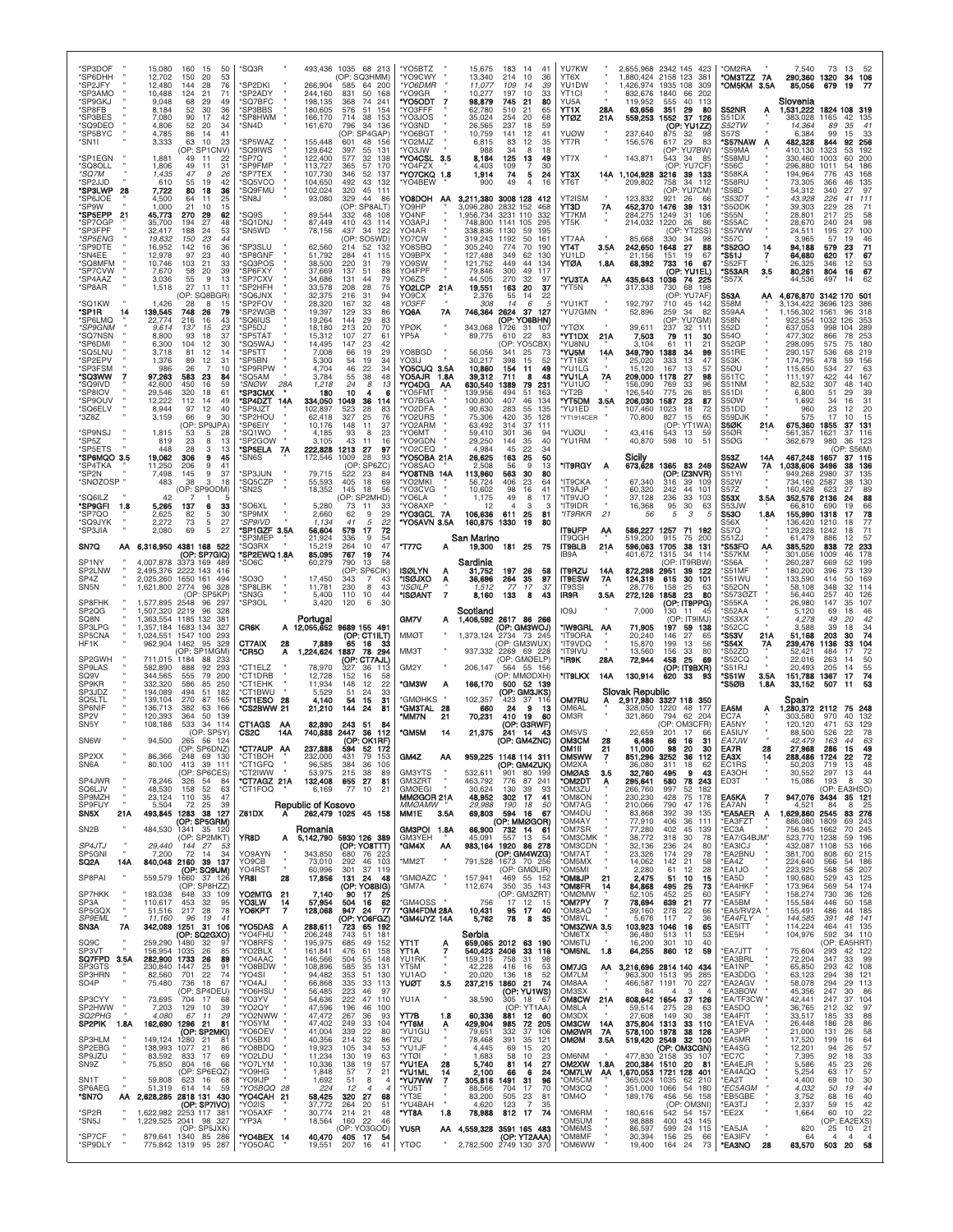| *SP6DHH<br>12,702<br>150<br>53<br>20<br>*SP2JFY<br>12,480<br>144<br>76<br>28<br>*SP3AMO<br>10,488<br>124<br>21<br>71<br>*SP9GKJ<br>9,048<br>49<br>68<br>29<br>*SP8FB<br>8.184<br>52<br>30<br>36<br>*SP3BES<br>7,080<br>90<br>17<br>42<br>*SQ9DEO<br>4.806<br>52<br>20<br>34<br>*SP5BYC<br>4.785<br>86<br>41<br>-14<br>*SN1I<br>3,333<br>63<br>10<br>23<br>(OP: SP1CNV)<br>*SP1EGN<br>1,881<br>49<br>-11<br>22<br>*SQ8OLL<br>1,806<br>49<br>31<br>11<br>*SQ7M<br>1,435<br>47<br>26<br>-9<br>*SP2JJD<br>610<br>42<br>55<br>19<br>*SP3LWP<br>7,722<br>28<br>80<br>36<br>18<br>*SP6JOE<br>4,500<br>25<br>64<br>11<br>*SP9W<br>1,000<br>21<br>10<br>15<br>*SP5EPP<br>45,773<br>270<br>62<br>-29<br>'SP7OGP<br>27<br>48<br>35,700<br>194<br>*SP3FPF<br>32,417<br>188<br>53<br>24<br>*SP5ENG<br>19,832<br>150<br>23<br>44 | *SQ3R<br><b>SP2DKI</b><br>266.904<br>*SP2ADY<br>244,160<br>'SQ7BFC<br>198,135<br>*SP3BBS<br>180,605<br>*SP8HWM<br>166,170<br>*SN4D<br>161,670<br>155,448<br>*SP5WAZ<br>*SQ9IWS<br>129,642<br>122,400<br>*SP7O<br>'SP9FMP<br>113,727<br>'SP7TEX<br>107,730<br>104,650<br>'SQ5VCO<br>'SQ9FMU<br>102,024<br>*SN8J<br>93,080<br>89,544<br>*SQ9S<br>SO1DNJ<br>87,449<br>*SN5WD<br>78,156 | 493,436 1035 68 213<br>(OP: SQ3HMM)<br>585<br>64 200<br>831<br>50 168<br>368<br>74 241<br>576<br>154<br>51<br>714<br>38<br>153<br>796<br>34<br>136<br>(OP: SP4GAP)<br>601<br>48 156<br>397<br>55<br>131<br>577<br>32<br>138<br>365<br>57<br>170<br>346<br>52<br>137<br>492<br>43 132<br>320<br>45 111<br>329<br>44<br>86<br>(OP: SP8ALT)<br>48 108<br>332<br>410<br>43 114<br>437<br>34<br>122<br>(OP: SO5WD) | *YO5BTZ<br>*YO9CWY<br>*YO6DMR<br>*YO9GR<br>'YO5ODT<br>'YO3FFF<br>'YO3JOS<br>*YO3ND<br>YO6BGT<br>'YO2MJZ<br>*YO3JW<br>*YO4CSL<br>3.5<br>'YO4FZX<br>*YO7CKQ<br>1.8<br>*YO4BEW<br>HOGBOY<br>- AA<br>YO9HP<br>YO4NF<br>YO3APJ<br>YO4AR<br>YO7CW | 15,675<br>183<br>14<br>41<br>13,340<br>214<br>10<br>36<br>11,077<br>109<br>39<br>14<br>10,277<br>197<br>33<br>10<br>98,879<br>21<br>80<br>745<br>62.780<br>510<br>65<br>35.024<br>20<br>254<br>68<br>237<br>26.565<br>18<br>59<br>10.759<br>141<br>12<br>41<br>6,815<br>83<br>12<br>35<br>988<br>34<br>8<br>18<br>8,184<br>125<br>13<br>49<br>4,403<br>109<br>30<br>74<br>1,914<br>5<br>24<br>900<br>49<br>$\overline{4}$<br>16<br>3,211,380<br>3008 128<br>412<br>3,096,280<br>2832 152<br>468<br>1,956,734<br>3231<br>332<br>110<br>748.800<br>295<br>1141<br>105<br>338,836<br>1130<br>59<br>195<br>319,243<br>1192<br>50<br>161 | YU7KW<br>YT6X<br>YU1DW<br>YT1CI<br>YU <sub>5</sub> A<br>YT1X<br>28A<br>21A<br>YTØZ<br>YUØW<br>YT7R<br>YT7X<br>YT3X<br>14A<br>YT6T<br>YT2ISM<br>YT3D<br>7Α<br>YT7KM<br>YT5K<br>YT7AA                    | 2,655,968 2342 145<br>423<br>1,880,424<br>2158 123<br>381<br>1.426.974<br>1935 108<br>309<br>832,676<br>1840<br>66<br>202<br>119.952<br>40<br>555<br>-113<br>63,656<br>351<br>29<br>80<br>559,253<br>37<br>1552<br>126<br>(OP: YU1ZZ<br>237,640<br>32<br>98<br>875<br>29<br>156,576<br>617<br>83<br>(OP: YU7BW)<br>143,871<br>543<br>-34<br>-85<br>(OP<br>YU7CF<br>1,104,928<br>3216<br>39 133<br>209,802<br>34<br>758<br>-112<br>(OP: YU7CM)<br>123,832<br>921<br>26<br>452,370<br>1476<br>39<br>131<br>284,275<br>1249<br>31<br>106<br>214,032<br>1220<br>26<br>86<br>(OP<br>YT <sub>2</sub> SS<br>85,668<br>330<br>-34<br>88 | *OM2RA<br>*OM3TZZ 7A<br>*OM5KM 3.5A<br>S52NR<br>S51DX<br>S52TW<br><b>S57S</b><br><b>S57NAW</b><br>'S59MA<br>'S58MU<br>'S56C<br>"S58KA<br>'S58RU<br>'S58D<br>*S53DT<br>'S5ØDK<br>'S55N<br>S55AC<br>'S57WW<br>'S57C | 7,540<br>73<br>13<br>-52<br>290,360<br>1320<br>34<br>106<br>85,056<br>679<br>19<br>Slovenia<br>1,531,222<br>1824 108<br>319<br>383,028<br>1165<br>42<br>135<br>14.364<br>89<br>35<br>41<br>6.384<br>99<br>33<br>15<br>482,328<br>844<br>92<br>256<br>410,130<br>1323<br>53<br>192<br>330,460<br>1003<br>60<br>-200<br>296,880<br>1011<br>186<br>54<br>194.964<br>776<br>168<br>73,305<br>366<br>135<br>46<br>54,312<br>340<br>27<br>97<br>111<br>43.928<br>226<br>41<br>39,303<br>229<br>71<br>28<br>28,801<br>217<br>25<br>58<br>28,670<br>240<br>98<br>24<br>24,511<br>195<br>100<br>27<br>3.965<br>46<br>57<br>19 |
|--------------------------------------------------------------------------------------------------------------------------------------------------------------------------------------------------------------------------------------------------------------------------------------------------------------------------------------------------------------------------------------------------------------------------------------------------------------------------------------------------------------------------------------------------------------------------------------------------------------------------------------------------------------------------------------------------------------------------------------------------------------------------------------------------------------------|-------------------------------------------------------------------------------------------------------------------------------------------------------------------------------------------------------------------------------------------------------------------------------------------------------------------------------------------------------------------------------------|---------------------------------------------------------------------------------------------------------------------------------------------------------------------------------------------------------------------------------------------------------------------------------------------------------------------------------------------------------------------------------------------------------------|---------------------------------------------------------------------------------------------------------------------------------------------------------------------------------------------------------------------------------------------|-------------------------------------------------------------------------------------------------------------------------------------------------------------------------------------------------------------------------------------------------------------------------------------------------------------------------------------------------------------------------------------------------------------------------------------------------------------------------------------------------------------------------------------------------------------------------------------------------------------------------------------|--------------------------------------------------------------------------------------------------------------------------------------------------------------------------------------------------------|---------------------------------------------------------------------------------------------------------------------------------------------------------------------------------------------------------------------------------------------------------------------------------------------------------------------------------------------------------------------------------------------------------------------------------------------------------------------------------------------------------------------------------------------------------------------------------------------------------------------------------|-------------------------------------------------------------------------------------------------------------------------------------------------------------------------------------------------------------------|----------------------------------------------------------------------------------------------------------------------------------------------------------------------------------------------------------------------------------------------------------------------------------------------------------------------------------------------------------------------------------------------------------------------------------------------------------------------------------------------------------------------------------------------------------------------------------------------------------------------|
| *SP9DTE<br>16,952<br>142<br>36<br>16<br>*SN4FF<br>12,978<br>97<br>40<br>23<br>*SQ8MFM<br>10,746<br>103<br>21<br>33<br>*SP7CVW<br>7,670<br>58<br>20<br>39<br>*SP4AAZ<br>3,036<br>55<br>-9<br>13<br>*SP8AR<br>1,518<br>27<br>11<br>11<br>(OP: SQ8BGR)<br>*SQ1KW<br>1,426<br>28<br>8<br>15<br>*SP1R<br>139,545<br>748<br>14<br>26<br>79<br>*SP6LMQ<br>22,774<br>216<br>16<br>43<br>*SP9GNM<br>9,614<br>137<br>15<br>23<br>*SQ7NSN<br>8,800<br>93<br>18<br>37<br>*SP6DMI<br>6,300<br>104<br>30<br>-12<br>*SQ5LNU<br>3,718<br>81<br>12<br>14                                                                                                                                                                                                                                                                            | *SP3SLU<br>62,560<br>'SP8GNF<br>51.792<br>'SQ3POS<br>38,500<br>*SP6FXY<br>37,669<br>'SP7CXV<br>34,686<br>*SP2HFH<br>33,578<br>'SQ6JNX<br>32,375<br>'SP2FOV<br>28,320<br>'SP2WGB<br>19,397<br>19,264<br>'SQ6IUS<br>'SP5DJ<br>18,180<br>*SP5TAT<br>15,312<br>14,495<br>'SO5WAJ<br>*SP5TT<br>7,008                                                                                     | 52<br>214<br>132<br>284<br>41<br>115<br>220<br>31<br>79<br>137<br>88<br>51<br>131<br>44<br>79<br>208<br>28<br>75<br>216<br>31<br>94<br>167<br>32<br>48<br>129<br>33<br>86<br>29<br>83<br>144<br>213<br>20<br>70<br>27<br>107<br>61<br>147<br>42<br>23<br>19<br>29<br>66                                                                                                                                       | YO8SBQ<br>YO9BPX<br>YO9SW<br>YO4FPF<br>YO6ZS<br>YO2LCP<br>21A<br>YO9CX<br>YO3FF<br>7A<br>YQ6A<br>YPØK<br>YP5A<br>YO8BGD                                                                                                                     | 305,240<br>774<br>70<br>190<br>127,488<br>349<br>130<br>62<br>121,752<br>449<br>44<br>134<br>79,846<br>300<br>49<br>117<br>44.505<br>270<br>32<br>97<br>19,551<br>163<br>20<br>37<br>2,376<br>55<br>14<br>22<br>308<br>14<br>6<br>Æ<br>746,364<br>37<br>127<br>2624<br>(OP: YO6BHN)<br>343,068<br>1726<br>-31<br>107<br>22<br>89,775<br>610<br>83<br>(OP: YO5CBX)<br>56,056<br>341<br>25<br>73                                                                                                                                                                                                                                      | YT4T<br>3.5A<br>YU1LD<br>YTØA<br>1.8A<br>*YU3TA<br>АА<br>'YT5N<br>*YU1KT<br>*YU7GMN<br><b>'YTØX</b><br>"YT1DX<br>21A<br>'YU8NU<br>"YU5M<br>14A                                                         | 242,650<br>1648<br>27<br>21.156<br>19<br>67<br>151<br>68,392<br>733<br>16<br>67<br>(OP: YU1EL)<br>435,643<br>1036<br>74 225<br>317,338<br>730<br>68<br>198<br>(OP:<br>: YU7AF)<br>192,797<br>710<br>45<br>-142<br>52,896<br>259<br>34<br>82<br>(OP<br>YU7GM<br>39.611<br>237<br>32<br>111<br>7,503<br>79<br>11<br>30<br>3.104<br>61<br>21<br>11<br>349,790<br>388<br>34<br>99                                                                                                                                                                                                                                                   | 'S52GO<br>14<br>'S51J<br>7<br>'S52FT<br>*S53AR<br>3.5<br>*S57X<br><b>S53A</b><br>АА<br>S58M<br>S59AA<br>S58N<br>S52D<br>S54O<br>S52GP<br>S51RE                                                                    | 94,188<br>579<br>23<br>71<br>67<br>64,680<br>620<br>17<br>26,325<br>346<br>12<br>53<br>80,261<br>804<br>16<br>67<br>44.536<br>497<br>14<br>62<br>4,676,870<br>3142 170<br>-501<br>3,134,422<br>3696<br>123<br>386<br>1,156,302<br>1561<br>96<br>318<br>922,554<br>1032<br>126<br>353<br>637,053<br>998<br>104<br>289<br>477,302<br>866<br>78<br>253<br>298,095<br>180<br>575<br>75<br>290,157<br>219<br>536<br>68                                                                                                                                                                                                    |
| *SP2EPV<br>1,376<br>89<br>12<br>31<br>*SP3FSM<br>986<br>26<br>10<br>*SQ3WW<br>97,263<br>583<br>23<br>84<br>'SQ9IVD<br>42,600<br>450<br>16<br>59<br>*SP8IOV<br>29,546<br>320<br>18<br>61<br>*SP9OUV<br>12,222<br>112<br>14<br>49<br>*SQ6ELV<br>8,944<br>97<br>12<br>40<br>*3Z8Z<br>3,159<br>66<br>9<br>30<br>(OP: SP9JPA)<br>*SP9NSJ<br>1,815<br>53<br>5<br>28<br>*SP5Z<br>819<br>23<br>8<br>13<br>*SP5ETS<br>448<br>28<br>13<br>з<br>*SP6MQO 3.5<br>19,062<br>306<br>9<br>45<br>*SP4TKA<br>11,250<br>41<br>206<br>9<br>*SP2N<br>7,498<br>37<br>145<br>9                                                                                                                                                                                                                                                            | *SP5BN<br>5,300<br>*SP9RPW<br>4,704<br>'SQ5AM<br>3,784<br>28A<br>*SNØW<br>1,218<br>*SP3CMX<br>180<br>14A<br>334,050<br>*SP4DZT<br>SP9JZT<br>102,897<br>*SP2HOU<br>62,418<br>*SP6EIY<br>10,176<br>'SO1WO<br>4.185<br>3,105<br>'SP2GOW<br>*SP5ELA<br>222,828<br><b>7A</b><br>172,546<br>*SN6S<br><b>SP3JUN</b><br>79,715                                                              | 19<br>34<br>54<br>46<br>22<br>34<br>48<br>55<br>38<br>24<br>8<br>13<br>10<br>4<br>6<br>1049<br>-36<br>114<br>523<br>28<br>83<br>327<br>25<br>76<br>148<br>37<br>11<br>93<br>8<br>23<br>43<br>11<br>16<br>1213<br>27<br>97<br>1009<br>28<br>93<br>(OP: SP6ZC)<br>522<br>23<br>84                                                                                                                               | YO3IJ<br>YO5CUQ 3.5A<br>YO5AJR<br>1.8A<br>'YO4DG<br>ΑА<br>*YO5FMT<br>*YO7BGA<br>'YO2DFA<br>*YO2URS<br>*YO2ARM<br>*YO6MT<br>*YO9GDN<br>*YO2CEQ<br>*YO5OBA 21A<br>'YO8SAO<br>"YO8TNB 14A                                                      | 30.217<br>398<br>15<br>52<br>10,860<br>154<br>49<br>11<br>39,312<br>48<br>711<br>8<br>630,540<br>1389<br>79<br>231<br>139,956<br>494<br>51<br>163<br>100,800<br>407<br>46<br>134<br>90,630<br>283<br>55<br>135<br>75,306<br>420<br>35<br>128<br>63,492<br>314<br>37<br>111<br>59,410<br>301<br>36<br>94<br>29,250<br>144<br>35<br>40<br>4.984<br>45<br>22<br>34<br>26,625<br>163<br>25<br>50<br>2.508<br>56<br>9<br>13<br>113,960<br>563<br>30<br>80                                                                                                                                                                                | 'YT1BX<br>*YU1LG<br>*YU1LA<br>7A<br>'YU1UO<br>*YT2B<br>"YT5DM<br>3.5A<br>'YU1ED<br>*YT1914CER<br>'YUØU<br>'YU1RM<br>*IT9RGY<br>A                                                                       | 25,020<br>333<br>13<br>47<br>15.120<br>167<br>13<br>57<br>209,000<br>1178<br>27<br>98<br>156,090<br>769<br>33<br>96<br>126,540<br>775<br>26<br>85<br>206,030<br>23<br>1587<br>87<br>107,460<br>1023<br>18<br>72<br>70,800<br>827<br>15<br>65<br>(OP: YT1WA)<br>43,416<br>543<br>13<br>59<br>40,870<br>598<br>10<br>51<br>Sicily<br>673,628<br>1365 83 249<br>(OP: IZ3NVR)                                                                                                                                                                                                                                                       | S53K<br>S5ØU<br>S51TC<br>S51NM<br>S51DI<br>S5ØW<br>S51DD<br>S59DJK<br>S5ØK<br>21A<br>S5ØR<br><b>S50G</b><br>S53Z<br>14A<br><b>S52AW</b><br>7A<br>S51YI                                                            | 174,795<br>478<br>59<br>156<br>115,650<br>63<br>534<br>27<br>111,197<br>422<br>44<br>167<br>82,532<br>307<br>48<br>140<br>6,800<br>51<br>29<br>39<br>1.692<br>34<br>16<br>31<br>960<br>23<br>20<br>12<br>575<br>17<br>10<br>15<br>675,360<br>1855<br>37<br>131<br>561,357<br>1621<br>37<br>116<br>362,679<br>980<br>36<br>123<br>(OP: S56M)<br>467,248<br>37 115<br>1657<br>1,038,606<br>3496<br>38<br>136<br>949.268<br>2980<br>135                                                                                                                                                                                 |
| *SNØZOSP<br>483<br>18<br>38<br>3<br>(OP: SP9ODM)<br>'SQ6ILZ<br>42<br>*SP9GFI<br>5,265<br>1.8<br>137<br>6<br>33<br>*SP7QO<br>2,625<br>82<br>30<br>5<br>*SQ9JYK<br>2,272<br>27<br>73<br>5<br>*SP3JIA<br>2,080<br>69<br>5<br>27<br>4381 168 522<br>SN7Q<br>AA 6,316,950<br>(OP: SP7GIQ)<br>SP1NY<br>4,007,878<br>3373 169<br>489<br>SP2LNW<br>2,495,376 2222 143<br>416<br>SP4Z<br>2,025,260 1650 161<br>494<br>SN <sub>5N</sub><br>1,621,800 2774<br>96<br>328                                                                                                                                                                                                                                                                                                                                                       | 55,593<br>*SO5CZP<br>*SN2S<br>18,352<br>5,280<br>'SO6XL<br>*SP9MX<br>2,660<br><i><b>SP9IVD</b></i><br>1,134<br>*SP1GZF 3.5A<br>56,604<br>*SP3MEP<br>21,924<br>15,219<br>*SQ3RX<br>'SP2EWQ 1.8A<br>85,095<br>60,279<br>'SO6C<br>'SO3O<br>17,450<br><b>SP8LBK</b><br>11,781                                                                                                           | 405<br>18<br>69<br>18<br>145<br>56<br>(OP: SP2MHD)<br>73<br>-11<br>33<br>62<br>9<br>29<br>41<br>5<br>22<br>579<br>17<br>72<br>336<br>9<br>54<br>264<br>10<br>47<br>767<br>19<br>74<br>790<br>13<br>58<br>(OP: SP6CIK)<br>343<br>7<br>43<br>230<br>43<br>8                                                                                                                                                     | <b>"YO2MKI</b><br>*YO3CVG<br>'YO6LA<br>'YO8AXP<br>"YO3GCL 7A<br>*YO5AVN 3.5A<br>*T77C<br>Α<br><b>ISØLYN</b><br>*ISØJXO<br>Ą<br>*ISØILP                                                                                                      | 406<br>23<br>64<br>56.724<br>10,602<br>98<br>16<br>41<br>49<br>17<br>1,175<br>8<br>Э<br>12<br>4<br>з<br>106,636<br>611<br>25<br>81<br>160,875<br>1330<br>80<br>19<br>San Marino<br>181 25<br>19,300<br>- 75<br>Sardinia<br>197<br>26<br>31,752<br>58<br>36,696<br>264<br>35<br>97<br>77<br>17<br>37<br>1.512                                                                                                                                                                                                                                                                                                                        | 'IT9CKA<br>*IT9AJP<br><b>ULVETI*</b><br>*IT9IDR<br>*IT9RKR<br>21<br><b>IT9UFP</b><br>АА<br>IT9QGH<br><b>IT9BLB</b><br>21A<br>IB9A<br><b>IT9RZU</b><br>14A<br><b>IT9ESW</b><br>7Α<br><b>IT9SSI</b>      | 67,340<br>39<br>316<br>109<br>60,320<br>44<br>242<br>101<br>37.128<br>33<br>236<br>103<br>30<br>16,368<br>95<br>63<br>56<br>5<br>3<br>5<br>586,227<br>1257<br>71<br>192<br>519,200<br>915<br>75<br><b>200</b><br>596,063<br>1705<br>38<br>131<br>401,672<br>1315<br>34<br>114<br>(OP:<br>IT9RBW<br>872,298<br>2951<br>39<br>-122<br>124,319<br>615<br>30<br>101<br>28,776<br>25<br>158<br>-63                                                                                                                                                                                                                                   | <b>S52W</b><br>S57Z<br>S53X<br>3.5A<br>S53JW<br>S53O<br>1.8A<br>S56X<br><b>S57Q</b><br>S51ZJ<br>'S53FO<br>АА<br>'S57KM<br>"S56A<br>'S51MF<br>'S51WU<br>'S52ON                                                     | 734.160<br>2587<br>38<br>130<br>160,428<br>623<br>27<br>89<br>352,576 2136<br>88<br>24<br>66,810<br>690<br>19<br>66<br>155,990<br>1318<br>17<br>78<br>136,420<br>1210<br>18<br>77<br>129,228<br>1242<br>71<br>18<br>61.479<br>886<br>12<br>57<br>385,520<br>838<br>72<br>233<br>301.056<br>1009<br>46<br>178<br>260,287<br>669<br>52<br>199<br>180,200<br>73<br>139<br>396<br>133,590<br>169<br>414<br>50<br>58,108<br>348<br>32<br>114                                                                                                                                                                              |
| OP: SP5KP<br>SP8FHK<br>1,577,895<br>2548<br>96<br>297<br>SP2QG<br>1,507,320<br>2219<br>328<br>96                                                                                                                                                                                                                                                                                                                                                                                                                                                                                                                                                                                                                                                                                                                   | *SN3G<br>5,400<br>*SP3OL<br>3,420                                                                                                                                                                                                                                                                                                                                                   | 110<br>10<br>44<br>30<br>120<br>6                                                                                                                                                                                                                                                                                                                                                                             | $\overline{7}$<br>*ISØANT                                                                                                                                                                                                                   | 8,160<br>133<br>8<br>43<br>Scotland                                                                                                                                                                                                                                                                                                                                                                                                                                                                                                                                                                                                 | IR9R<br>3.5A<br>IO9J                                                                                                                                                                                   | 272,126<br>1858<br>23<br>80<br>(OP: IT9PPG)<br>7,000<br>130<br>11                                                                                                                                                                                                                                                                                                                                                                                                                                                                                                                                                               | 'S5730Z1<br>'S55KA<br>'S52AA                                                                                                                                                                                      | 56,440<br>257<br>126<br>40<br>26,980<br>147<br>107<br>35                                                                                                                                                                                                                                                                                                                                                                                                                                                                                                                                                             |
| SQ8N<br>1,363,554<br>1185 132<br>38'<br>SP3LPG<br>1,357,184<br>1683 134<br>327<br>$\alpha$<br>SP5CNA<br>1,024,551<br>1547 100<br>293<br>HF1K<br>329<br>962,904<br>1462<br>95<br>(OP: SP1MGM)<br>SP2GWH<br>711,015<br>1184<br>88<br>-233<br>SP9LAS<br>582,890<br>888<br>92<br>293<br>SQ9V<br>344.565<br>555<br>79<br><b>200</b><br>SP9KR<br>332,320<br>586<br>85<br>250<br>SP3JDZ<br>194,089<br>494<br>.51<br>182                                                                                                                                                                                                                                                                                                                                                                                                   | Portugal<br>12,055,652<br>CR6K<br>A<br>CT7AIX<br>28<br>7,889<br><b>CR5O</b><br>1,224,624<br>A<br>'CT1ELZ<br>78,970<br><b>CT1DRB</b><br>12,728<br>*CT1EHK<br>11,934<br><b>CT1BWU</b><br>5,529                                                                                                                                                                                        | 9689 155 491<br>(OP: CT1ILT)<br>65<br>16<br>33<br>1887<br>78<br>294<br>(OP: CT7AJL)<br>327<br>36<br>113<br>152<br>16<br>58<br>148<br>12<br>22<br>51<br>24<br>33                                                                                                                                                                                                                                               | <b>GM7V</b><br>А<br><b>MMØT</b><br>ММЗТ<br>GM2Y<br>*GM3W<br>Α                                                                                                                                                                               | 1,406,592<br>2617 86 266<br>(OP: GM3WOJ)<br>1,373,124<br>2734 73 245<br>(OP: GM3WUX)<br>937,332 2269 69 228<br>(OP: GMØELP<br>206,147<br>564 55 156<br>(OP: MMØDXH)<br>166,170<br>500<br>52 139<br>(OP: GM3JKS)                                                                                                                                                                                                                                                                                                                                                                                                                     | *IW9GRL<br>ΑA<br>*IT9ORA<br>*IT9VDQ<br>'IT9IVU<br>28A<br>*IR9K<br>*IT9LKX<br>14A                                                                                                                       | (OP: IT9IMJ)<br>71,905<br>197<br>59<br>138<br>20,240<br>146<br>27<br>65<br>15,870<br>199<br>13<br>56<br>13,560<br>156<br>33<br>80<br>25<br>72,944<br>458<br>69<br>(OP: IT9BXR)<br>130,914<br>620<br>33<br>93<br><b>Slovak Republic</b>                                                                                                                                                                                                                                                                                                                                                                                          | <i><b>S53XX</b></i><br>'S52CC<br>*S53V<br>21A<br>'S54X<br>7Α<br>'S52ZD<br>'S52CQ<br>*S51RJ<br>*S51W<br>3.5A<br>*S5ØB<br>1.8A                                                                                      | 5.120<br>69<br>18<br>46<br>4.278<br>42<br>49<br>20<br>3.588<br>39<br>18<br>34<br>74<br>51,168<br>203<br>30<br>239,476<br>1136<br>33<br>104<br>52,421<br>484<br>72<br>50<br>22.016<br>263<br>14<br>20,493<br>205<br>$\frac{55}{74}$<br>14<br>151,788<br>1367<br>17<br>33,152<br>507<br>53<br>11                                                                                                                                                                                                                                                                                                                       |
| SQ5LTL<br>139,104<br>270<br>87<br>165<br>SP6NIF<br>382<br>136.713<br>63<br>166<br>SP <sub>2V</sub><br>120,393<br>364<br>50<br>139<br>SN <sub>5</sub> Y<br>108,188<br>533<br>34<br>114<br>(OP: SP5Y)<br><b>SN6W</b><br>94,500<br>265<br>56<br>124<br>(OP: SP6DNZ)<br>SP <sub>2</sub> XX<br>86.366<br>248<br>69 130<br>413 39 111<br>SN6A<br>80,100<br>(OP: SP6CES)<br>SP4JWR<br>78,246<br>326<br>54<br>84<br>SQ6LJV<br>48,530<br>158<br>52<br>63<br>SP9MZH<br>23,124<br>110<br>35<br>47<br>SP9FUY<br>5,504<br>39<br>72<br>25                                                                                                                                                                                                                                                                                        | *CT1ESO<br>28<br>4,140<br><b>"CS2BWW 21</b><br>21,210<br>CT1AGS<br>82,890<br>AA<br>740,888<br>CS2C<br>14A<br>*CT7AUP AA<br>237,888<br>*CT1GFQ<br>96,585<br>*CT2IWW<br>53,975<br>*CT7AGZ 21A<br>132,408<br>*CT1FOQ<br>6,169<br>Republic of Kosovo                                                                                                                                    | 54<br>15<br>31<br>144<br>24<br>81<br>243<br>-51<br>84<br>2447<br>36<br>112<br>(OP: OK1RF)<br>594<br>52 172<br>79<br>384<br>36 105<br>215<br>38<br>89<br>655<br>27<br>81<br>77<br>10<br>21                                                                                                                                                                                                                     | *GMØHKS<br>*GM3TAL<br>28<br>*MM7N<br>21<br><b>"GM5M</b><br>14<br>GM4Z<br>AA<br><b>GM3YTS</b><br>GM3ZRT<br><b>GMØEGI</b><br>MMØGOR 21A<br><i>MMØAMW</i>                                                                                      | 102,357<br>37<br>423<br>116<br>660<br>24<br>9<br>-13<br>70,231<br>410<br>19<br>60<br>(OP: G3RWF)<br>21,375<br>241<br>14<br>43<br>(OP: GM4ZNC)<br>959.225 1148 114 311<br>(op: GM4ZUK)<br>532,611<br>901<br>80 199<br>463,792<br>776<br>87<br>241<br>30,624<br>130<br>93<br>39<br>48,952<br>41<br>302<br>-17<br>29,988<br>190<br>50<br>18                                                                                                                                                                                                                                                                                            | <b>OM7RU</b><br>Α<br>OM6AL<br>OM3R<br>OM5VS<br>ОМЗСМ<br>28<br>OM1II<br>21<br><b>OM5WW</b><br>OM2XA<br><b>OMØAS</b><br>3.5<br>*OM2DT<br>Α<br><b>OM3ZU</b><br>*OM8ON<br>'OM7AG                           | 2,917,980 3327 118 350<br>328,050<br>1220<br>48<br>177<br>321,860<br>794<br>62<br>204<br>(OP: OM3CFR)<br>22,659<br>201<br>17<br>6.486<br>66<br>16<br>31<br>11,000<br>98<br>20<br>30<br>851.296<br>36<br>3252<br>112<br>36,080<br>311<br>18<br>62<br>9<br>43<br>32,760<br>495<br>295,641<br>580<br>78<br>243<br>266,760<br>997<br>52<br>182<br>230,230<br>428<br>75<br>178<br>210,066<br>790<br>47<br>176                                                                                                                                                                                                                        | EA5M<br>Α<br>EC7A<br>EA5NY<br>EA5IUY<br><b>EA7.IW</b><br>EA7R<br>28<br><b>EA3X</b><br>EC1RS<br>EA3OH<br>ED3T<br>EA5KA<br>7<br>EA7AN                                                                               | Spain<br>,280,372 2112<br>75 248<br>132<br>303.580<br>970<br>40<br>471<br>129<br>120.120<br>53<br>88,500<br>526<br>78<br>22<br>163<br>44<br>42.479<br>63<br>27,968<br>286<br>15<br>49<br>72<br>288,486<br>1724<br>50,203<br>719<br>-13<br>48<br>30,552<br>297<br>13<br>44<br>30<br>15,086<br>193<br>8<br>(OP: EA3HSO)<br>947,076 3434<br>35 121<br>25<br>4.521<br>84                                                                                                                                                                                                                                                 |
| 493,845 1283 38 127<br>SN5X<br>21A<br>(OP: SP5GRM)<br>484,530<br>SN <sub>2</sub> B<br>1341 35 120<br>(OP: SP2MKT)<br>SP4JTJ<br>29,440<br>144<br>27<br>-53<br>SP5GNI<br>7,200<br>72<br>14<br>-34<br>SQ2A<br>14A<br>840,048 2160<br>39 137<br>(OP: SQ9UM)<br>SP8PAI<br>559,579<br>1660<br>37 126<br>(OP: SP8HZZ)<br>SP7HKK<br>183,038<br>648 33 109<br>SP3A<br>110,617<br>453<br>32<br>95<br>SP5GQX<br>51,516<br>217<br>28<br>78<br><b>SP9EML</b><br>11.160<br>96<br>19<br>41                                                                                                                                                                                                                                                                                                                                        | Z61DX<br>А<br>Romania<br>YR8D<br>A<br>YO9AYN<br>343,850<br>YO9CB<br>73,010<br>YO4RST<br>60,996<br>YR8I<br>28<br>17,856<br>YO2MTG 21<br>7,140<br>YO3LW<br>57,954<br>14<br>ҮО6КРТ<br>128,068<br>7                                                                                                                                                                                     | 262,479 1025 45 158<br>5,142,790 5930 126 389<br>(OP: YO8TTT)<br>680<br>76 223<br>292<br>46 103<br>301<br>37 119<br>131 24<br>48<br>(OP: YO8BIG)<br>90 17<br>25<br>504<br>16<br>62<br>947 24<br>77<br>(OP: YO6FGZ)                                                                                                                                                                                            | MM1E<br>3.5A<br>GM3POI 1.8A<br>GM3YEH<br>*GM4X<br>AA<br>*MM2T<br>*GMØAZC<br>$\overline{\phantom{a}}$<br><b>III</b><br>*GM7A<br><b>"GM4OSS</b><br>*GM4FDM 28A<br>*GM4UYZ 14A                                                                 | 594 16<br>67<br>69,803<br>(OP: MMØGOR)<br>66,900<br>732 14<br>-61<br>45,091<br>13<br>557<br>54<br>983,164 1920 86 278<br>(OP: GM4WZG)<br>791,528<br>1673 70 256<br>(OP: GMØLIR)<br>157,941<br>469 55 152<br>112,674<br>350 35 143<br>(OP: GM3ZRT)<br>756<br>17<br>12<br>15<br>10,431<br>95 17<br>40<br>5,762<br>78<br>35<br>8                                                                                                                                                                                                                                                                                                       | *OM4DU<br>'OM4AY<br>*OM7SR<br><b>OM3CMK</b><br>*OM3CDN<br>'OM7AT<br>'OM5MX<br>'OM5MI<br>*OM8JP<br>21<br>*OM8FR<br>14<br><b>OMØMW</b><br>7<br>*OM7PY<br>OM8AQ*<br>*OM8VL                                | 83,868<br>392<br>39<br>135<br>77,910<br>406<br>36<br>111<br>45<br>77,280<br>402<br>139<br>318<br>30<br>38,772<br>78<br>32.136<br>236<br>24<br>80<br>174<br>29<br>23,326<br>78<br>21<br>14.062<br>142<br>58<br>2,280<br>61<br>12<br>28<br>2.475<br>51<br>10<br>15<br>84,868<br>495<br>25<br>73<br>52,105<br>452<br>25<br>60<br>21<br>639<br>78,694<br>77<br>39,160<br>278<br>22<br>66<br>5,676<br>117<br>7<br>36                                                                                                                                                                                                                 | *EA5AER<br>A<br>*EA3FZT<br>*EC3A<br>*EA7/G4BJM"<br>*EA3ICJ<br>*EA2BNU<br>*EA4Z<br>*EA1JO<br>*EA5D<br>*EA4HKF<br>*EA5IFY<br>*EA5BM<br>*EA5/RV2A<br>*EA4FLY                                                         | 83 276<br>1,629,860 2545<br>1809<br>243<br>886,080<br>69<br>70 245<br>756,945 1662<br>523,770<br>1238<br>196<br>59<br>432,087 1108<br>53 166<br>381,700<br>60 215<br>808<br>224,640<br>566<br>186<br>-54<br>223,925<br>568<br>58 207<br>190,680<br>529<br>43 125<br>173,964<br>569<br>54 174<br>158,274<br>730<br>36 126<br>155,584<br>446<br>50 158<br>155,491<br>486<br>44 185<br>144,585<br>391<br>48<br>141                                                                                                                                                                                                      |
| <b>SN3A</b><br>7A<br>342,089<br>1251 31 106<br>(OP: SQ2GXO)<br>SQ9C<br>259,290<br>1480<br>32<br>97<br>SP3VT<br>156.954 1035<br>85<br>26<br>SQ7FPD 3.5A<br>282,900 1733<br>26<br>89<br>230,840 1447<br>SP3GTS<br>25<br>91<br><b>SP3HRN</b><br>82,560<br>701 22<br>74<br>SO <sub>4</sub> P<br>18<br>75,480<br>736<br>67<br>(OP: SP4DEU)<br>SP3CYY<br>73,695<br>704 17<br>68<br>SP2HWW<br>7,203<br>129<br>- 10<br>39<br>SQ2PHG<br>4,080<br>67<br>11<br>29<br>162,690<br>1296 21<br>SP2PIK 1.8A<br>81<br>(OP: SP2MKI)<br><b>SP3HLM</b><br>149,124<br>1280<br>21<br>81<br>SP2EBG<br>138,993 1077<br>21                                                                                                                                                                                                                  | *YO5DAS<br>288,611<br>A<br>*YO4FHU<br>206,248<br>*YO8RFS<br>195,975<br>*YO2BLX<br>161,841<br>*YO4AAC<br>146,566<br>*YO8BDW<br>108,896<br>*YO4SI<br>94,482<br>'YO4A.I<br>66,868<br>*YO6HSU<br>56,485<br>*YO3YV<br>54,636<br>47,596<br>*YO2QY<br>*YO2NWW<br>47,472<br>*YO5YM<br>47,402<br>*YO6OEV<br>41,004<br>*YO5BXI<br>40,356<br>*YO8BDQ<br>19,923                                 | 723<br>65 192<br>743<br>51 181<br>685<br>49 152<br>476<br>61 158<br>504<br>148<br>55<br>585<br>35<br>131<br>353<br>130<br>51<br>335<br>33 113<br>223<br>46<br>-97<br>222<br>47 110<br>196<br>46 100<br>267<br>36<br>93<br>249<br>33<br>104<br>339<br>22<br>80<br>214<br>32<br>86<br>105<br>34<br>53                                                                                                           | <b>YT1T</b><br>A<br>YT1A<br>YU1RK<br>YT5M<br>YU1AO<br>YUØT<br>3.5<br>$\mathbf{u}$<br>YU1A<br>YT7B<br>1.8<br>"YT6M<br>A<br>*YU1GU<br>*YT2U<br>*YU1JF                                                                                         | Serbia<br>659,065 2012 63 190<br>540,423 2406<br>33 116<br>159.315<br>758<br>31<br>98<br>42.228<br>416<br>16<br>-53<br>20,020<br>52<br>136<br>18<br>237,215<br>1860<br>21<br>74<br>(OP: YU1WS)<br>38,590<br>$305$ 18<br>- 67<br>(OP: YT1AA)<br>60,336<br>881 12 60<br>72<br>205<br>429,904<br>985<br>79,651<br>332<br>37<br>106<br>78,468<br>391<br>35<br>121<br>69<br>15                                                                                                                                                                                                                                                           | OM3ZWA 3.5<br>'OM6TX<br>*OM6TU<br>*OM5NL<br>1.8<br>OM7JG<br>АА<br>OM7LM<br>OM8AA<br>OM3SX<br><b>OM8CW</b><br>21A<br>OM8LA<br>OM3DX<br><b>OM3CW</b><br>14A<br><b>OMØWR</b><br>7A<br><b>OMØM</b><br>3.5A | 103,923<br>1046<br>16<br>65<br>513<br>11<br>53<br>36,480<br>16,200<br>301<br>10<br>40<br>64,255<br>860<br>12<br>59<br>3,216,696 2814 140 434<br>963,300 1513<br>95<br>285<br>466,587 1191<br>70<br>227<br>84<br>з<br>608,642 1654<br>37 126<br>59,514<br>275<br>-28<br>63<br>27,608<br>149<br>30<br>38<br>33<br>375,804<br>1313<br>110<br>578,100 1978<br>38<br>126<br>32<br>519,420 2549<br>100<br>(OP: OM3CGN)                                                                                                                                                                                                                | *EA5ITT<br>*EE5H<br>*EA7JTT<br>*EA3BRL<br>*EA1NP<br>*EA3DDG<br>*EA2AGV<br>*EA3BOW<br>*EA/TF3CW<br>*EA5DO<br>*EA4FIT<br>*EA1EVA<br>*EA3PP<br>*EA5MR<br>*EA4SG                                                      | 114,224<br>464<br>135<br>41<br>592<br>34 110<br>104,976<br>(OP: EA5HRT)<br>75,604<br>293<br>42 122<br>72,204<br>347<br>33<br>99<br>42 108<br>65,850<br>293<br>38 121<br>63,123<br>294<br>29 113<br>58.078<br>294<br>45,356<br>247<br>-30<br>86<br>42,441<br>247<br>37<br>104<br>97<br>36,765<br>212<br>-32<br>33,517<br>185<br>33<br>88<br>86<br>26,448<br>186<br>28<br>21,000<br>131<br>26<br>58<br>17,520<br>199<br>16<br>64<br>12,201<br>94<br>26<br>57                                                                                                                                                           |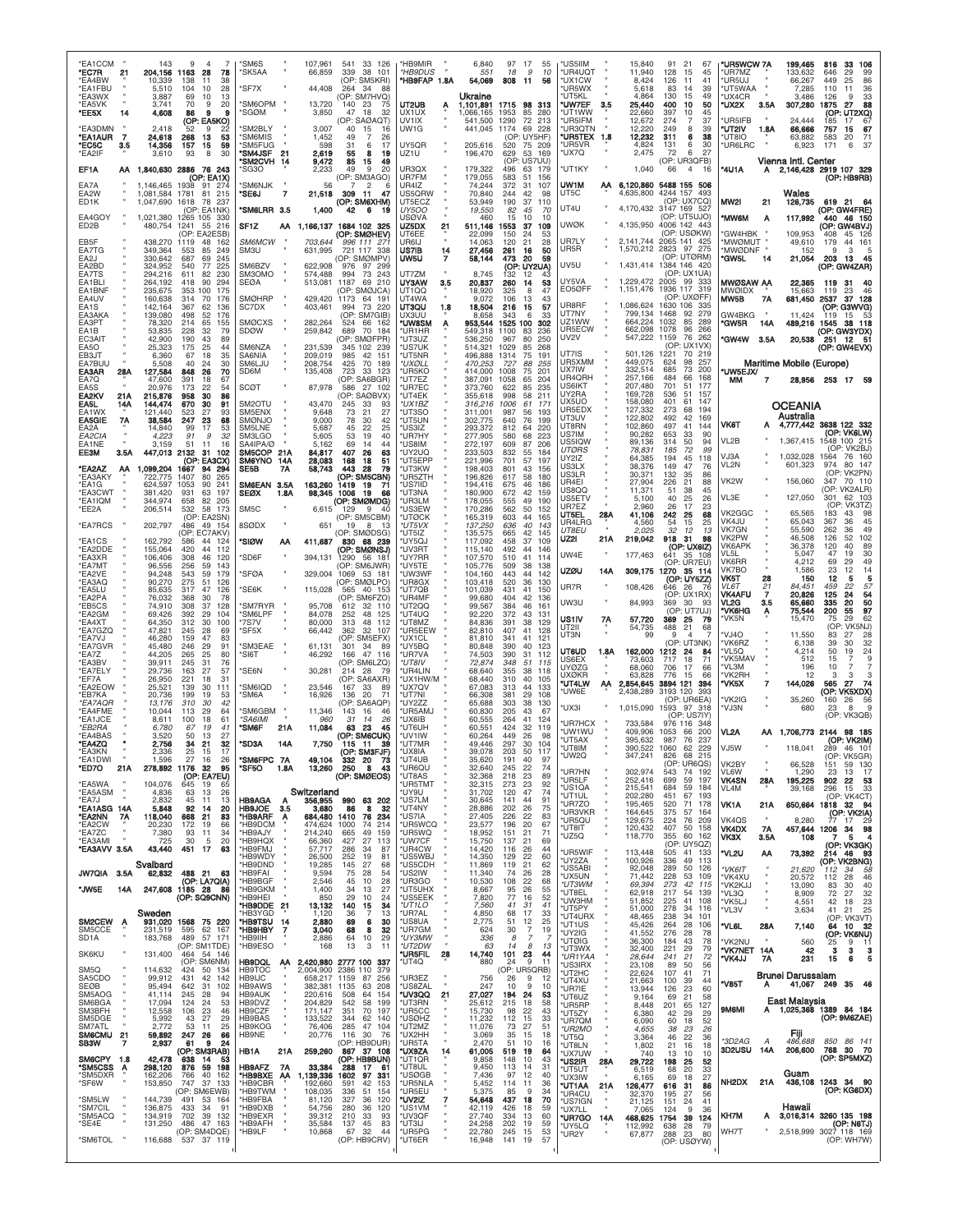| <b>EA1CCM</b><br>*EC7R<br>*EA4BW           | 21         | 143<br>204.156<br>10.339      | q<br>7<br>1163<br>28<br>78<br>138<br>11<br>38              | 'SM6S<br>SK5AA                           |              | 107,961<br>66,859                    | 541<br>33 126<br>339<br>38 101<br>(OP: SM5KRI)            | *HB9MIR<br>*HB9DUS<br>*HB9FAP 1.8A |     | 6,840<br>551<br>54,069          | 97<br>18<br>808         | 17<br>55<br>9<br>-11<br>56           | 10       | 'US5IIM<br>*UR4UQT<br>*UX1CW      |      | 15,840<br>11,940<br>8,424          | 91<br>128<br>126            | 21<br>67<br>15<br>45<br>11<br>41             | *UR5WCW 7A<br>'UR7MZ<br>'UR5UJ     |                  | 199,465<br>133,632<br>66,267           | 816<br>-33<br>106<br>646<br>29<br>99<br>86<br>449<br>25 |
|--------------------------------------------|------------|-------------------------------|------------------------------------------------------------|------------------------------------------|--------------|--------------------------------------|-----------------------------------------------------------|------------------------------------|-----|---------------------------------|-------------------------|--------------------------------------|----------|-----------------------------------|------|------------------------------------|-----------------------------|----------------------------------------------|------------------------------------|------------------|----------------------------------------|---------------------------------------------------------|
| <b>EA1FBU</b><br>*EA3WX                    |            | 5,510<br>3,887                | 104<br>28<br>10<br>69<br>10<br>13                          | 'SF7X                                    |              | 44,408                               | 264<br>34<br>88<br>(OP: SM7HVQ)                           |                                    |     | Ukraine                         |                         |                                      |          | 'UR5WX<br>'UT5KL                  |      | 5.618<br>4.864                     | 83<br>130                   | 39<br>14<br>49<br>15                         | <b>UT5WAA</b><br>'UX4CR            |                  | 7,285<br>3.486                         | 110<br>11<br>36<br>33<br>126<br><b>q</b>                |
| *EA5VK<br>*EE5X                            | 14         | 3.741<br>4,608                | 20<br>70<br>9<br>86<br>я<br>я<br>(OP: EA5KO)               | 'SM6OPM<br><b>SGØM</b>                   |              | 13,720<br>3,850                      | 140<br>-23<br>75<br>18<br>47<br>32<br>(OP: SAØAQT)        | UT2UB<br>UX1UX<br>UV1IX            | Α   | 1,101,891<br>066.165<br>541,500 | 1715<br>1953<br>1290    | 98<br>-313<br>85<br>280<br>72<br>213 |          | *UW7EF<br>'UT1WW<br>*UR5IFM       | 3.5  | 25,440<br>22.660<br>12,672         | 400<br>397<br>274           | 50<br>10<br>45<br>10<br>$\overline{7}$<br>37 | *UX2X<br>UR5IFB                    | 3.5A             | 307,280<br>24,444                      | 1875<br>27<br>88<br>(OP: UT2XQ)<br>185<br>67            |
| *EA3DMN<br>*EA1AUR<br>*EC5C                | 7<br>3.5   | 2,418<br>24,618<br>14,356     | 9<br>22<br>52<br>268<br>13<br>53<br>157<br>15<br>59        | SM2BLY<br>'SM6MIS<br>SM5FUG              |              | 3,007<br>1,452<br>598                | 40<br>15<br>16<br>49<br>31<br>6<br>17                     | UW1G<br>UY5QR                      |     | 441,045<br>205,616              | 1174<br>520             | 69<br>228<br>(OP: UY5HF)<br>75 209   |          | *UR3QTN<br>*UR5TEX 1.8<br>*UR5VR  |      | 12,220<br>12,232<br>4,824          | 249<br>311<br>131           | 8<br>39<br>38<br>6<br>30<br>6                | *UT2IV<br>*UT8IO<br>UR6LRC         | 1.8A             | 66,666<br>63,882<br>6,923              | 67<br>757<br>15<br>71<br>583<br>-20<br>171<br>37<br>6   |
| *EA2IF                                     |            | 3,610                         | 93<br>8<br>30                                              | *SM4JSF<br>'SM2CVH 14                    | -21          | 2,619<br>9,472                       | 55<br>8<br>19<br>85<br>15<br>49                           | UZ1U                               |     | 196,470                         | 629<br>(OP:             | 53<br>169<br>US7UU)                  |          | *UX7Q<br>'UT1KY                   |      | 2.475<br>1,040                     | 72<br>66                    | 27<br>6<br>(OP: UR3QFB)<br>$\overline{4}$    |                                    |                  | Vienna Intl. Center                    |                                                         |
| EF1A<br>EA7A                               | АΑ         | 1,146,465 1938                | 1,840,630 2886 76 243<br>(OP: EA1X)<br>91<br>274           | 'SG3O<br><b>SM6NJK</b>                   |              | 2.233<br>56                          | 49<br>9<br>20<br>(OP: SM3AGO)<br>7<br>$\overline{2}$      | UR3QX<br>UR7FM<br>UR4IZ            |     | 179,322<br>179,055<br>74,244    | 496<br>583<br>372       | 63 179<br>51<br>156<br>31<br>107     |          | UW1M                              | AA   | 6,120,860 5488 155 506             |                             | -16                                          | '4U1A                              | Α                |                                        | 2,146,428 2919 107 329<br>(OP: HB9RB)                   |
| EA2W<br><b>FD1K</b>                        |            | 1,081,584<br>1,047,690 1618   | 1781<br>81<br>215<br>78<br>-237<br>(OP: EA1NK)             | *SE6J<br>"SM6LRR 3.5                     | 7            | 21,518<br>1,400                      | 309<br>-11<br>47<br>(OP: SM6XHM)<br>6<br>42<br>19         | US5QRW<br>UT5ECZ<br><b>UY500</b>   |     | 70,840<br>53,949<br>19,550      | 244<br>190<br>82        | 42<br>98<br>37<br>110<br>45<br>70    |          | UT5C<br>UT4U                      |      | 4,635,800<br>4,170,432             |                             | 4244 157 493<br>(OP: UX7CQ)<br>3147 169 527  | MW2I                               | 21               | Wales<br>126,735                       | 619 21<br>- 64<br>(OP: GW4FRE)                          |
| EA4GOY<br>ED2B                             |            | 1,021,380<br>480,754          | 1265 105<br>-330<br>216<br>1241<br>55<br><b>OP: EA2ESB</b> | SF1Z                                     | АΑ           |                                      | 1,166,137 1684 102 325                                    | USØVA<br>UZ5DX<br>UT6FF            | 21  | 460<br>511,146<br>22,099        | 15<br>1553<br>150       | 10<br>10<br>37<br>109<br>24<br>53    |          | <b>UWØK</b>                       |      | 4,135,950                          |                             | (OP: UT5UJO)<br>4006 142 443<br>(OP: USØKW)  | <b>MW6M</b><br><b>GW4HBK</b>       | Α                | 117,992<br>109.953                     | 440 46 150<br>(OP: GW4BVJ)<br>126<br>408<br>45          |
| EB5F<br>EA7TG                              |            | 438,270<br>349,364            | 1119<br>48<br>162<br>553<br>85<br>249                      | <i><b>SM6MCW</b></i><br>SM3U             |              | 703,644<br>631,995                   | (OP: SMØHEV)<br>996 111 271<br>721 117 338                | UR6IJ<br>US7IB                     | 14  | 14,063<br>27,456                | 120<br>261              | 21<br>28<br>16<br>50                 |          | UR7LY<br>UR5R                     |      | 2,141,744<br>1,570,212 2823 97 275 |                             | 2065 141 425                                 | <b>MWØMUT</b><br><b>*MWØDNF</b>    |                  | 49,610<br>152                          | 44<br>161<br>179<br>q<br>-3                             |
| EA2J<br>EA2BD<br>EA7TS                     |            | 330,642<br>324,952<br>294,216 | 687<br>245<br>69<br>225<br>540<br>77<br>82<br>230<br>611   | SM6BZV<br>SM3OMO                         |              | 622.908<br>574,488                   | (OP: SMØMPV)<br>976 97 299<br>994<br>73<br>243            | UW5U<br>UT7ZM                      |     | 58,144<br>8,745                 | 473<br>132              | 20<br>59<br>(OP: UY2UA)<br>12        |          | UV5U                              |      | 1,431,414                          |                             | (OP: UTØRM)<br>1384 146 420<br>(OP: UX1UA)   | *GW5L                              | 14               | 21,054                                 | 203<br>-13<br>- 45<br>(OP: GW4ZAR)                      |
| EA1BLI<br>EA1BNF<br>EA4UV                  |            | 264,192<br>235,675<br>160,638 | 418<br>90<br>294<br>353 100<br>175<br>314<br>70<br>176     | SEØA<br><b>SMØHRP</b>                    |              | 513,081<br>429,420                   | 1187<br>69 210<br>(OP: SMØJCA)<br>1173 64 191             | <b>UY3AW</b><br>UT1QQ<br>UT4WA     | 3.5 | 20,837<br>18,920<br>9,072       | 260<br>325<br>106       | 14<br>53<br>8<br>47<br>43<br>13      |          | UY5VA<br>EO5ØFF                   |      | 1,229,472 2005 99<br>1,151,476     |                             | -333<br>1936 117 319<br>(OP: UXØFF)          | MWØSAW AA<br><b>MWØIDX</b><br>MW5B | 7Α               | 22,365<br>15,663<br>681,450            | 31<br>119<br>46<br>119<br>23<br>37<br>2537<br>128       |
| EA1S<br>EA3AKA                             |            | 142,164<br>139,080            | 367<br>62<br>136<br>498<br>52<br>176                       | SC7DX                                    |              | 403,461                              | 73 220<br>994<br>(OP: SM7GIB)                             | UT3QU<br>UX3UU                     | 1.8 | 18,504<br>8.658                 | 216<br>343              | 57<br>15<br>33<br>6                  |          | UR8RF<br>UT7NY<br>UZ1WW           |      | 1,086,624<br>799.134<br>664,224    | 1630 106<br>1468<br>1032    | 335<br>279<br>92<br>85<br>289                | GW4BKG                             |                  | 11,424                                 | (OP: G3WVG)<br>119<br>15<br>- 53                        |
| EA3PT<br>EA1B<br>EC3AIT                    |            | 78,320<br>53,835<br>42,900    | 214<br>65<br>155<br>228<br>32<br>79<br>190<br>43<br>89     | <b>SMØCXS</b><br><b>SDØW</b>             |              | 282,264<br>259,842                   | 524<br>66 162<br>689<br>70<br>184<br>(OP: SMØFPR)         | *UW8SM<br>'UR1HR<br>*UT3UZ         |     | 953,544<br>549,318<br>536,250   | 1525 100<br>1100<br>967 | 302<br>83<br>236<br>80<br>250        |          | UR5ECW<br>UV <sub>2V</sub>        |      | 662,098<br>547,222                 | 1078<br>1159                | 266<br>96<br>76<br>262                       | °GW5R<br>'GW4W 3.5A                | 14A              | 489,216<br>20,538                      | 38 118<br>1545<br>(OP: GW3YDX)<br>251 12 51             |
| EA5O<br>EB3JT<br>EA7BUU                    |            | 25,323<br>6,360<br>5,508      | 175<br>25<br>44<br>35<br>67<br>18<br>40<br>30<br>24        | SM6NZA<br>SA6NIA<br>SM6LJU               |              | 231,539<br>209,019<br>208,754        | 345 102 239<br>985<br>42<br>151<br>425<br>70<br>189       | 'US7UK<br><b>UT5NR</b><br>*UXØLL   |     | 514.321<br>496,888<br>470,253   | 1029<br>1314<br>727     | 85<br>268<br>191<br>75<br>88<br>255  |          | UT7IS<br>UR5XMM                   |      | 501,126<br>449,075                 | 1221<br>624                 | (OP: UX1VX)<br>70 219<br>98<br>257           |                                    |                  | Maritime Mobile (Europe)               | (OP: GW4EVX)                                            |
| EA3AR<br>EA7Q<br><b>EA5S</b>               | 28A        | 127,584<br>47.600<br>20.976   | 848<br>26<br>70<br>391<br>18<br>67<br>173<br>22<br>54      | SD6M<br><b>SCØT</b>                      |              | 135,408<br>87,978                    | 723<br>33 123<br>(OP: SA6BGR)<br>586 27 102               | *UR5KO<br>*UT7EZ<br>'UR7EC         |     | 414,000<br>387,091<br>373,760   | 1008<br>1058<br>622     | 201<br>75<br>65<br>204<br>235<br>85  |          | UX7IW<br>UR4QRH<br>US6IKT         |      | 332,514<br>257,166<br>207,480      | 685<br>484<br>701           | 73<br>200<br>66<br>168<br>51<br>177          | *UW5EJX/<br>МM                     | 7                |                                        | 28,956 253 17 59                                        |
| EA2KV<br>EA5L                              | 21A<br>14A | 215,876<br>144,474            | 958<br>30<br>86<br>670<br>30<br>91                         | SM2OTU                                   |              | 43,470                               | (OP: SAØBVX)<br>245<br>33<br>93                           | 'UT4EK<br>*UX1BZ                   |     | 355,618<br>316,216              | 998<br>1006             | 211<br>58<br>61<br>171               |          | UY2RA<br>UX5UO<br>UR5EDX          |      | 169,728<br>158,080<br>127,332      | 536<br>401<br>273           | 51<br>157<br>61<br>147<br>68<br>194          |                                    |                  | OCEANIA                                |                                                         |
| EA1WX<br><b>EA5GIE</b><br>EA2A             | 7A         | 121,440<br>38,584<br>14,840   | 27<br>93<br>523<br>247<br>23<br>68<br>99<br>17<br>53       | SM5ENX<br><b>SMØNJO</b><br>SM5LNE        |              | 9,648<br>9,000<br>5,687              | 73<br>21<br>27<br>78<br>30<br>42<br>45<br>-22<br>25       | *UT3SO<br>*UT5UN<br>*US3IZ         |     | 311,001<br>302,775<br>293,372   | 987<br>640<br>812       | 56<br>193<br>76<br>199<br>64<br>220  |          | UT3UV<br>UT8RN                    |      | 122.802<br>102,860                 | 492<br>497                  | 42<br>169<br>41<br>144                       | <b>VK6T</b>                        | A                | Australia                              | 4,777,442 3638 122 332                                  |
| EA2CIA<br>EA1NE<br>EE3M                    | 3.5A       | 4,223<br>3,159<br>447,013     | 91<br>9<br>32<br>51<br>11<br>16<br>2132<br>31<br>102       | <b>SM3LGO</b><br>SA4IPA/Ø<br>SM5COP      | 21A          | 5,605<br>5,162<br>84,817             | 53<br>19<br>40<br>69<br>14<br>44<br>407<br>26<br>63       | *UR7HY<br>*US8IM<br>*UY2UQ         |     | 277,905<br>272,197<br>233,503   | 580<br>609<br>832       | 68<br>223<br>87<br>206<br>55<br>184  |          | US7IM<br>US5IQW<br><b>UTØRS</b>   |      | 90,282<br>89,136<br>78,831         | 653<br>314<br>185           | 33<br>90<br>50<br>94<br>72<br>99             | VL2B                               |                  | 1,367,415                              | (OP: VK6LW)<br>1548 100 215<br>(OP: VK2BJ)              |
| *EA2AZ<br>*EA3AKY                          | АΑ         | 1,099,204                     | (OP: EA3CX)<br>1667<br>94<br>-294<br>80                    | <b>SM6YNO</b><br><b>SE5B</b>             | 14A<br>7Α    | 28,083<br>58,743                     | 168<br>18<br>51<br>443<br>28<br>79                        | *UT5EPF<br>*UT3KW                  |     | 221.996<br>198,403              | 701<br>801<br>617       | 57<br>197<br>43<br>156               |          | UY2IZ<br>US3LX<br>US3LR           |      | 64,385<br>38,376<br>30,371         | 194<br>149<br>132           | 45<br>118<br>47<br>76<br>35<br>86            | VJ3A<br>VL2N                       |                  | 1.032.028<br>601,323                   | 76 160<br>1564<br>80 147<br>974<br>(OP: VK2PN)          |
| *EA1G<br>*EA3CWT                           |            | 722.775<br>624,597<br>381,420 | 265<br>1407<br>90<br>241<br>1053<br>197<br>931<br>63       | SM6EAN<br><b>SEØX</b>                    | 3.5A<br>1.8A | 163,260<br>98,345 1006               | (OP: SM5CBN)<br>1419<br>19<br>-71<br>-19<br>66            | *UR5ZTH<br>*US7IID<br>*UT3NA       |     | 196,826<br>194,416<br>180,900   | 675<br>672              | 58<br>180<br>46<br>186<br>42<br>159  |          | UR4EI<br>US800                    |      | 27,904<br>11,371                   | 226<br>51                   | 21<br>88<br>38<br>45                         | VK2W<br>VL3E                       |                  | 156,060<br>127,050                     | 347<br>70 110<br>(OP: VK2ALR)<br>62<br>103<br>301       |
| *EA1IQM<br>*EE2A                           |            | 344,974<br>206,514            | 82<br>205<br>658<br>532<br>58 173<br>(OP: EA2SN)           | SM <sub>5</sub> C                        |              | 6,615                                | (OP: SMØMDG)<br>129<br>-9<br>40<br>(OP: SM5CBM)           | *UR3LM<br>*US3EW<br>*UTØCK         |     | 178,055<br>170,286<br>165,319   | 555<br>562<br>603       | 49<br>190<br>50<br>152<br>44<br>165  |          | US5ETV<br>UR7EZ<br>UT5EL          | 28A  | 5,100<br>2,960<br>41,106           | 40<br>26<br>242             | 25<br>26<br>17<br>23<br>25<br>68             | VK2GGC                             |                  | 65,565                                 | (OP: VK3TZ)<br>183<br>43<br>98                          |
| <b>EA7RCS</b><br><b>EA1CS</b>              |            | 202,797<br>162,792            | 486<br>49 154<br>(OP: EC7AKV)<br>586<br>44<br>124          | 8SØDX<br>'SIØW                           | AA           | 651<br>411,687                       | 19<br>8<br>- 13<br>(OP: SMØDSG)<br>830 68 239             | *UT5VX<br>*UT5IZ<br>*UY5QJ         |     | 137,250<br>135,575<br>117,092   | 636<br>665<br>458       | 40<br>143<br>42<br>145<br>37<br>109  |          | UR4LRG<br>UT8EU<br>UZ2I           | 21 A | 4,560<br>2,025<br>219,042          | 54<br>32<br>918 31          | 15<br>25<br>12<br>13<br>98                   | VK4JU<br>VK7GN<br>VK2PW            |                  | 65,043<br>55,590<br>46,508             | 45<br>367<br>36<br>262<br>36<br>49<br>52<br>102<br>126  |
| *EA2DDE<br>*EA3XR                          |            | 155,064<br>106,406            | 420<br>44<br>112<br>308<br>46<br>120                       | 'SD6F                                    |              | 394,131                              | (OP: SMØNSJ)<br>1290 56 181                               | *UV3RT<br>*UY7RR                   |     | 115,140<br>107,570              | 492<br>510              | 44<br>146<br>41<br>114               |          | UW4E                              |      | 177,463                            | 641                         | (OP: UX6IZ)<br>35 108<br>(OP: UR7EU)         | VK6APK<br>VL5L<br>VK6RR            |                  | 36,378<br>5,047<br>4,212               | 120<br>40<br>89<br>30<br>47<br>19<br>69<br>29<br>49     |
| *EA7MT<br><b>EA2VE</b><br>'EA3AQ           |            | 96,556<br>94,248<br>90,270    | 256<br>59<br>143<br>543<br>59<br>179<br>275<br>51<br>126   | <b>SFØA</b>                              |              | 329,004                              | (OP: SM6JWR)<br>1069 53 181<br>(OP: SMØLPO)               | *UY5TE<br>*UW3WF<br>*UR8GX         |     | 105,776<br>104,160<br>103,418   | 509<br>443<br>520       | 38<br>138<br>44<br>142<br>36<br>130  |          | <b>UZØU</b><br>UR7R               | 14A  | 309,175                            |                             | 1270 35 114<br>(OP: UY5ZZ)                   | VK7BO<br>VK5T<br>VLST              | 28<br>21         | 1,586<br>150<br>84,451                 | 14<br>23<br>12<br>12<br>5<br>5<br>22<br>57<br>459       |
| *EA5LU<br>*EA2PA<br>*EB5CS                 |            | 85.635<br>76,032<br>74,910    | 47<br>317<br>126<br>30<br>368<br>78<br>308<br>37<br>128    | 'SE6K<br>SM7RYR                          |              | 115,028<br>95,708                    | 565 40 153<br>(OP: SM6FZO)<br>32 110<br>612               | *UT7QB<br><b>UR4MF</b><br>*UT2QQ   |     | 101,039<br>99,680<br>99,567     | 431<br>404<br>384       | 150<br>41<br>42<br>136<br>46<br>161  |          | UW3U                              |      | 108,426<br>84,993                  | 646<br>369                  | 26<br>7۴<br>(OP: UX1RX)<br>-30<br>93         | <b>VK4AFU</b><br>VL2G              | 7<br>3.5         | 20,826<br>65,660                       | 125<br>24<br>54<br>335<br>20<br>50                      |
| *EA2GM<br>*EA4XT<br>*EA7GZQ                |            | 69,426<br>64,350<br>47,821    | 392<br>29<br>104<br>30<br>100<br>312<br>28<br>245<br>69    | 'SM6LPF<br>'7S7V<br>'SF5X                |              | 84,078<br>80,000<br>66,442           | 252<br>48 125<br>313<br>48 112<br>362<br>32 107           | *UT4UQ<br>*UT8MZ<br>*UR5EEW        |     | 92.220<br>84,836<br>82,810      | 372<br>391<br>407       | 43<br>131<br>38<br>129<br>41<br>128  |          | US1IV<br>UT2II                    | 7Α   | 57,720<br>54,735                   | 369<br>488                  | (OP: UT7UJ)<br>25<br>-79<br>21<br>68         | 'VK6HG<br>VK5N                     | Α                | 75,544<br>15,470                       | 97<br>200<br>55<br>75<br>29<br>62<br>(OP: VK5NJ)        |
| <b>EA7VJ</b><br>*EA7GVR                    |            | 46,280<br>45,480              | 159<br>47<br>83<br>246<br>29<br>91                         | 'SM3EAE                                  |              | 61,131                               | (OP: SM5EFX)<br>301<br>34<br>-89                          | *UX1CL<br>'UY5BQ                   |     | 81,810<br>80,848                | 341<br>390              | 41<br>121<br>40<br>123               |          | UT3N<br>UT6UD                     | 1.8A | 99<br>162,000                      | 9<br>1212                   | -4<br>(OP: UT3NK)<br>24<br>84                | VJ4O<br>'VK6RZ<br>'VL5Q            |                  | 11,550<br>6,138<br>4,214               | 83<br>27<br>28<br>32<br>39<br>-30<br>50<br>19<br>24     |
| *EA7Z<br><b>EA3BV</b><br>*EA7ELY           |            | 44,205<br>39,911<br>29.736    | 265<br>25<br>80<br>245<br>31<br>76<br>163<br>27<br>57      | 'SI6T<br>'SE6N                           |              | 46,292<br>30,281                     | 166<br>47 116<br>(OP: SM6LZQ)<br>214 28<br>-79            | *UR7VA<br>*UT8IV<br>*UR4LIN        |     | 74,503<br>72,874<br>68,640      | 390<br>348<br>355       | 31<br>112<br>51<br>115<br>38<br>118  |          | US6EX<br><b>UYØZG</b>             |      | 73,603<br>68,060                   | 717<br>706                  | 18<br>71<br>17<br>66                         | 'VK5MA\<br>ʻVL3M                   |                  | 512<br>196                             | 9<br>15<br>7<br>10                                      |
| *EF7A<br>*EA2EOW<br>*EB7KA                 |            | 26,950<br>25,521<br>20,736    | 221<br>18<br>31<br>139<br>30<br>111<br>199<br>19<br>53     | SM6IQD<br>SM6A                           |              | 23,546<br>16,926                     | (OP: SA6AXR)<br>167<br>-33<br>89<br>136<br>20<br>71       | 'UX1HW/M<br>*UX7QV<br>*UT7NI       |     | 68,440<br>67,083<br>66,308      | 310<br>313<br>381       | 40<br>105<br>44<br>133<br>29<br>108  |          | <b>UXØKR</b><br>*UT4LW<br>'UW6F   | AA   | 63,828<br>2,854,645<br>2.438.289   | 776<br>3894 121<br>3193 120 | 15<br>66<br>394<br>393                       | 'VK2RH<br>'VK5X                    | 7                | 12<br>144,026                          | 3<br>3<br>з<br>565<br>27<br>74<br>(OP: VK5XDX)          |
| *EA7AQR<br>*EA4FME<br>*EA1JCE              |            | 13,176<br>10,044<br>8,611     | 310<br>30<br>42<br>113<br>29<br>64<br>100<br>61<br>18      | 'SM6GBM<br><i><b>SA6IMI</b></i>          |              | 11,346<br>960                        | (OP: SA6AQP)<br>143<br>16<br>46<br>31<br>14<br>26         | 'UY2ZZ<br>*UR5AM.<br>*UX6IB        |     | 65,688<br>60,830<br>60,555      | 303<br>205<br>264       | 38<br>130<br>43<br>67<br>124<br>41   |          | 'UX3I                             |      | 1,015,090                          |                             | (OP: UR6EA)<br>1593 97 318<br>(OP: US7IY     | 'VK2IG<br>'VJ3N                    |                  | 35,260<br>680                          | 26<br>56<br>160<br>23<br>9<br>8<br>(OP: VK3QB)          |
| *EB2RA<br>*EA4BAS                          |            | 6.780<br>3,520                | 41<br>67<br>19<br>27<br>50<br>13                           | *SM6F                                    | 21A          | 11,084                               | 63<br>23<br>45<br>(OP: SM6CUK)                            | *UT6UH<br>*UV1IW                   |     | 60,551<br>60,264                | 424<br>449              | 32<br>119<br>26<br>98                |          | <b>UR7HCX</b><br>*UW1WU<br>*UT5AX |      | 733.584<br>409,906<br>395,632      | 1053<br>987                 | 976 116 348<br>66<br>200<br>76<br>237        | VL2A                               | ΑА               |                                        | 1,706,773 2144 98 185<br>(OP: VK2IM)                    |
| *EA4ZQ<br>*EA3KN<br>'EA1DWI                |            | 2,756<br>2.336<br>1,596       | 34<br>21<br>32<br>25<br>17<br>15<br>27<br>16<br>26         | *SD3A<br>*SM6FPC 7A                      | 14A          | 7,750<br>49,104                      | 115 11<br>39<br>(OP: SM3FJF)<br>332 20<br>73              | *UT7MR<br>*UX8IA<br>*UT4UB         |     | 49,446<br>39,078<br>35,620      | 297<br>203<br>191       | 104<br>30<br>50<br>117<br>40<br>97   |          | *UT8IM<br>UW2Q                    |      | 390,522<br>347,241                 | 1060<br>826                 | 62<br>229<br>68 215                          | VJ5W                               |                  | 118,041                                | 289<br>46 101<br>∣∪⊦<br>VK5GHI                          |
| *ED7O<br>*EA5WA                            | 21A        | 104,076                       | 278,892 1176 32<br>95<br>(OP: EA7EU)<br>645<br>19<br>65    | *SF5O 1.8A                               |              | 13,260                               | 250<br>8<br>43<br>(OP: SMØEOS)                            | *UR6QU<br>*UT8AS<br>*UR5TMT        |     | 32,640<br>32,368<br>32,315      | 245<br>218<br>273       | 22<br>74<br>23<br>89<br>23<br>92     |          | *UR7HN<br>*UR5LF                  |      | 302,974<br>252,416                 | 543<br>699                  | (OP: UR6QS)<br>74 192<br>59<br>197           | VK2BY<br>VL6W<br><b>VK4SN</b>      | $\alpha$<br>28A  | 66,528<br>1,290<br>195,225             | 151<br>59 130<br>23<br>13<br>17<br>902<br>22 53         |
| *EA5ASM<br>*EA7J                           |            | 4,836<br>2,832                | 63<br>13<br>26<br>45<br>11<br>13                           | HB9AGA                                   | А            | Switzerland<br>356.955               | 990 63 202<br>32                                          | *UY9U<br>*US7LM                    |     | 31,702<br>30,645                | 120<br>141              | 47<br>74<br>44<br>91                 |          | *US1QA<br>*UT1UL<br>*UR7ZO        |      | 215,541<br>202,280<br>195,465      | 684<br>451<br>520           | 59<br>184<br>67<br>193<br>71<br>178          | VL4M<br>VK1A                       | 21A              | 39,168<br>650,664                      | 33<br>296<br>15<br>(OP: VK4CT)<br>1818 32 94            |
| *EA1ASG 14A<br>*EA2NN<br>*EA2CW            | 7A         | 5,848<br>118,040<br>20,230    | 92<br>14<br>20<br>668<br>21<br>83<br>172<br>19<br>66       | <b>HB9JOE</b><br>*HB9ARF<br>*HB9DCM      | -3.5<br>A    | 3,680<br>684,480<br>474,624          | 86<br>8<br>1410<br>76<br>234<br>1000<br>-74<br>214        | *UT4NY<br>*US7IA<br>*UR5WCQ        |     | 28,886<br>27,405<br>23,577      | 202<br>226<br>196       | 26<br>75<br>22<br>83<br>20<br>67     |          | *UR3VKR<br>*UR5QU<br>*UT8IT       |      | 164,645<br>129,675<br>120,432      | 375<br>224<br>407           | 57<br>164<br>76<br>209<br>50<br>158          | VK4QS<br><b>VK4DX</b>              | <b>7A</b>        | 8,280                                  | (OP: VK2IA)<br>77<br>-29<br>17<br>457,644 1206 34<br>98 |
| *EA7ZC<br>*EA3AMI<br>*EA3AVV 3.5A          |            | 7,380<br>725<br>43,440        | 11<br>93<br>34<br>30<br>20<br>-5<br>451 17<br>63           | *HB9AJY<br>*HB9HQX<br>*HB9FMJ            |              | 214,240<br>66,360<br>57,717          | 665<br>49<br>159<br>427<br>27<br>113<br>286<br>34<br>87   | *UR5WQ<br>*UW7CF<br>*UR4CW         |     | 18,952<br>15,750<br>14,420      | 151<br>137<br>116       | 21<br>71<br>21<br>69<br>26           | 44       | *UZ5Q<br>*UR5WIF                  |      | 118,770<br>113,448                 | 355<br>505                  | 60 162<br>(OP: UY5QZ)<br>41 133              | VK3X<br>'VL2U                      | 3.5A             | 108                                    | 5<br>4<br>(OP: VK3GK)                                   |
| JW7QIA 3.5A                                |            | Svalbard<br>62,832            | 488 21<br>63                                               | HB9WDY<br>'HB9DND<br><b>HB9FAI</b>       |              | 26,500<br>19,285<br>9,594            | 252<br>19<br>81<br>145<br>27<br>68<br>75<br>28<br>54      | *US5WBJ<br>*US5CDH<br>*US2IW       |     | 14,350<br>11,869<br>11,340      | 129<br>119<br>74        | 22<br>60<br>21<br>26<br>28           | 62       | *UY2ZA<br>*US5ABI                 |      | 100,926<br>92,048                  | 336<br>289                  | 49<br>113<br>50<br>126                       | *VK6IT                             | АА               | 73,392<br>21,620                       | 214 46<br>- 93<br>(OP: VK2BNG)<br>112<br>-34<br>58      |
| *JW5E                                      | 14A        |                               | (OP: LA7QIA)<br>247,608 1185 28 86                         | *HB9BGF<br>*HB9GKM<br>*HB9HEI            |              | 2,546<br>1,400<br>850                | 45<br>10<br>28<br>27<br>34<br>13<br>29                    | *UR3GO<br>*UT5UHX<br>*US5EEK       |     | 10,530<br>8,667                 | 108<br>95               | 22<br>26<br>55                       | 68       | *UX5UN<br>*UT3WM<br>*UT8EL        |      | 71,442<br>69,394<br>62,918         | 228<br>273<br>217           | 53<br>109<br>42<br>115<br>-54<br>139         | *VK4XU<br>*VK2KJJ<br>*VL3Q         |                  | 20,572<br>13,090<br>8,909              | 112<br>28<br>46<br>40<br>83<br>30<br>72<br>27<br>32     |
|                                            |            | Sweden                        | (OP: SQ9CNN)                                               | *HB9DDE<br>'HB3YGD                       | 21           | 13,132<br>1,120                      | 10<br>24<br>34<br>140<br>15<br>$\overline{7}$<br>36<br>13 | *UT1LO<br>*UR7AL                   |     | 7,820<br>7,560<br>4,850         | 77<br>41<br>68          | 16<br>52<br>31<br>17<br>33           | 41       | *UW3HM<br>*UT5PY<br>*UT4URX       |      | 51,852<br>51,000<br>48,465         | 225<br>278<br>238           | 41<br>108<br>-34<br>116<br>34<br>101         | *VK5LJ<br>*VL3V                    |                  | 4,551<br>3,634                         | 23<br>42<br>-18<br>41<br>21<br>25<br>(OP: VK3VT)        |
| SM2CEW<br>SM5CCE<br>SD <sub>1</sub> A      | $\Lambda$  | 231,519<br>183,768            | 931,020 1568 75 220<br>595<br>62 167<br>489<br>57 171      | *HB9TSU<br>*HB9HBY<br>'НВ9ІІН            | 14<br>7      | 2,880<br>3,040<br>2,886              | 69<br>6<br>30<br>68<br>32<br>8<br>64<br>10<br>29          | *US8UA<br>*UR7GM<br>*UY3MW         |     | 2,775<br>624<br>336             | 51<br>30<br>8           | 12<br>25<br>7<br>$\overline{7}$      | 19<br>7  | *UT1US<br>*UY2IG<br>*UTØIG        |      | 45,426<br>41,552<br>36,300         | 264<br>276<br>184           | 28<br>106<br>28<br>78<br>43<br>78            | *VL6L                              | 28A              | 7,140                                  | 64 10 32<br>(OP: VK6NU)                                 |
| SK6KU                                      |            | 131,400                       | (OP: SM1TDE)<br>464 54 146<br>(OP: SM6NM)                  | *HB9ESO<br><b>HB9DQL</b>                 |              | 168                                  | 13<br>3<br>11<br>2,420,980 2777 100<br>337                | *UT2DW<br>*UR5FIL<br>*UT4Q         | 28  | 63<br>14,740<br>880             | 14<br>101 23<br>24      | 8<br>44<br>9<br>11                   | 13       | *UT3WX<br>*UR1YAA                 |      | 32,400<br>28,644                   | 221<br>241                  | 29<br>79<br>21<br>72                         | 'VK2NU<br>*VK7NET<br>"VK4JJ        | <b>14A</b><br>7Α | 560<br>42<br>231                       | 9<br>25<br>11<br>з<br>3<br>з<br>15<br>6<br>5            |
| SM5Q<br>SA5CDO                             |            | 114,632<br>99,912             | 424<br>50<br>134<br>42<br>431<br>142                       | HB9TOC<br><b>HB9IJC</b>                  | ĄĄ           |                                      | 2,004,900 2386 110<br>379<br>658,217 1159 87<br>256       | *UR3EZ                             |     | 756                             | 26                      | (OP: UR5QRB)<br>9<br>-12             |          | *US3IRX<br>*UT2HC<br>*UT4XU       |      | 23,108<br>22,624<br>21,663         | 89<br>107<br>100            | 50<br>56<br>71<br>41<br>39<br>44             | 'V85T                              | Α                | <b>Brunei Darussalam</b><br>41,067 249 | 35 46                                                   |
| SEØB<br>SM5AOG<br>SM6BGA                   |            | 95,494<br>41,114<br>17,094    | 642<br>31<br>102<br>245<br>28<br>94<br>124<br>24<br>53     | <b>HB9AWS</b><br><b>HB9AUK</b><br>HB9DVZ |              | 382,381 1135<br>220,616<br>204,829   | 208<br>63<br>508<br>154<br>64<br>542<br>58<br>199         | *US8ZAL<br>*UV3QQ<br>*UT3RN        | 21  | 247<br>27,027<br>25,612         | 10<br>194<br>215        | 9<br>10<br>24<br>53<br>18            | 58       | *UR7IE<br>*UT6UZ<br>*UR5RP        |      | 13,944<br>9.164<br>8,448           | 126<br>69<br>201            | 23<br>60<br>21<br>58<br>65<br>127            |                                    |                  | East Malavsia                          |                                                         |
| SM3BFH<br>SM5DGE<br>SM7ATL                 |            | 12,558<br>5,992<br>2,772      | 106<br>23<br>46<br>43<br>27<br>29<br>53<br>11<br>25        | HB9CZF<br>HB9BAS<br>HB9KOG               |              | 171,147<br>133,522<br>76,406         | 351<br>70<br>197<br>344<br>62 140<br>285<br>47 104        | *UR5CC<br>*USØHZ<br>*UT2MZ         |     | 15,730<br>11,232<br>11,076      | 98<br>112<br>73         | 22<br>15<br>33<br>27<br>51           | 43       | *UT5ZY<br>*UR7QM<br>*UR2MO        |      | 6,380<br>6,090<br>4,655            | 42<br>60<br>38              | 29<br>29<br>18<br>52<br>23<br>26             | 9M6MI                              | Α                |                                        | 1,025,368 1389 84 184<br>(OP: 9M6ZAE)                   |
| <b>SM6CMU</b><br>SB3W                      | 21<br>7    | 59,892<br>2,937               | 247<br>26<br>66<br>61<br>-9<br>24<br>(OP: SM3RAB)          | HB9NE<br>HB1A                            | 21A          | 20,776<br>259,260                    | 116 30<br>- 76<br>(OP: HB9DUR)<br>867 37 108              | *UX2HH<br>*UR5TA<br>*UX9ZA         | 14  | 3,069<br>2,470<br>61,005        | 35<br>51<br>519         | 15<br>10<br>64<br>19                 | 18<br>16 | *UT5Q<br>*UT8LN                   |      | 3,364<br>1,802                     | 46<br>21                    | 22<br>36<br>16<br>18                         | *3D2AG<br>3D2USU                   | Α<br>14A         | Fiji<br>486,688<br>206,600             | 850 86 141<br>768 30 70                                 |
| SM6CPY 1.8<br><b>*SM5CSS</b>               | A          | 42,478<br>298,120             | 638 14<br>53<br>876<br>59 198                              | HB9AFZ                                   | - 7A         | 33,384                               | (OP: HB9BUN)<br>288<br>17<br>-61                          | *UT1QR<br>*UT8UL                   |     | 9,858<br>9,450                  | 148<br>113              | 10<br>14<br>31                       | 43       | *UX7UW<br>*US2IR<br>*UT5UT        | 28A  | 740<br>29,722<br>6,519             | 13<br>198<br>68             | 10<br>10<br>25<br>52<br>33<br>20             |                                    |                  | Guam                                   | (OP: SP5MXZ)                                            |
| *SM5DXR<br>*SF6W                           |            | 162.206<br>153,850            | 40<br>766<br>162<br>747<br>37<br>133<br>(OP: SM6EWB)       | *HB9BXE AA<br><b>HB9CBR</b><br>*HB9TWM   |              | 1,139,336 1602<br>192.660<br>108,035 | 97<br>331<br>591<br>42<br>153<br>336<br>51<br>154         | *USØGB<br>*UR5NLA<br>*UR5EU        |     | 7,436<br>5,452<br>5,375         | 97<br>114<br>85         | 12<br>36<br>-11<br>9<br>34           | 40       | *UX3IW<br>*UT1AA<br>*UR4CU        | 21A  | 6,165<br>126,477<br>32,370         | 69<br>616<br>195            | 18<br>27<br>-31<br>86<br>27<br>56            | NH2DX                              | 21A              | 436,108                                | 1243 34 90<br>(OP: KG6DX)                               |
| 'SM5LW<br>*SM7CIL<br><i><b>*SM5ACQ</b></i> |            | 144,739<br>136,875<br>134,919 | 491 53 164<br>433<br>-34<br>91<br>702<br>39<br>132         | *HB9FBA<br>*HB9DXB<br>*HB9EXR            |              | 81,120<br>54,756<br>39,312           | 327<br>120<br>-36<br>280<br>36<br>120<br>210<br>93<br>-33 | *UV2IZ<br>*US1VM<br>*UV3QF         |     | 54,648<br>42,119<br>27,740      | 437<br>426<br>334       | 70<br>18<br>18<br>13<br>60           | 59       | *US7IGN<br>*UX7LL<br>*UR7GO       | 14A  | 21,125<br>7,065<br>468,625         | 151<br>124<br>1754          | 24<br>41<br>-9<br>36<br>39<br>124            | KH7M                               | A                | Hawaii                                 | 3,016,314 3260 135 198                                  |
| *SE4E<br>*SM6TOL                           |            | 131,250<br>116,688            | 486<br>47 163<br>(OP: SM4DQE)<br>537 37 119                | *HB9AFH<br>*HB9LF                        |              | 35,584<br>10,868                     | 137<br>45<br>83<br>32<br>67<br>44<br>(OP: HB9CRV)         | *UT3IJ<br>*UR5PG<br>*UT6ER         |     | 24,258<br>22,780<br>16,948      | 202<br>245<br>141       | 19<br>59<br>53<br>15<br>57<br>19     |          | *UY5LQ<br>*UR2Y                   |      | 112,992<br>67,877                  | 638<br>288                  | 28<br>79<br>23<br>80                         | WH7T                               |                  | 2,518,999                              | (OP: N6TJ)<br>3027 118 169<br>(OP: WH7W)                |
|                                            |            |                               |                                                            |                                          |              |                                      |                                                           |                                    |     |                                 |                         |                                      |          |                                   |      |                                    |                             | (OP: USØYW)                                  |                                    |                  |                                        |                                                         |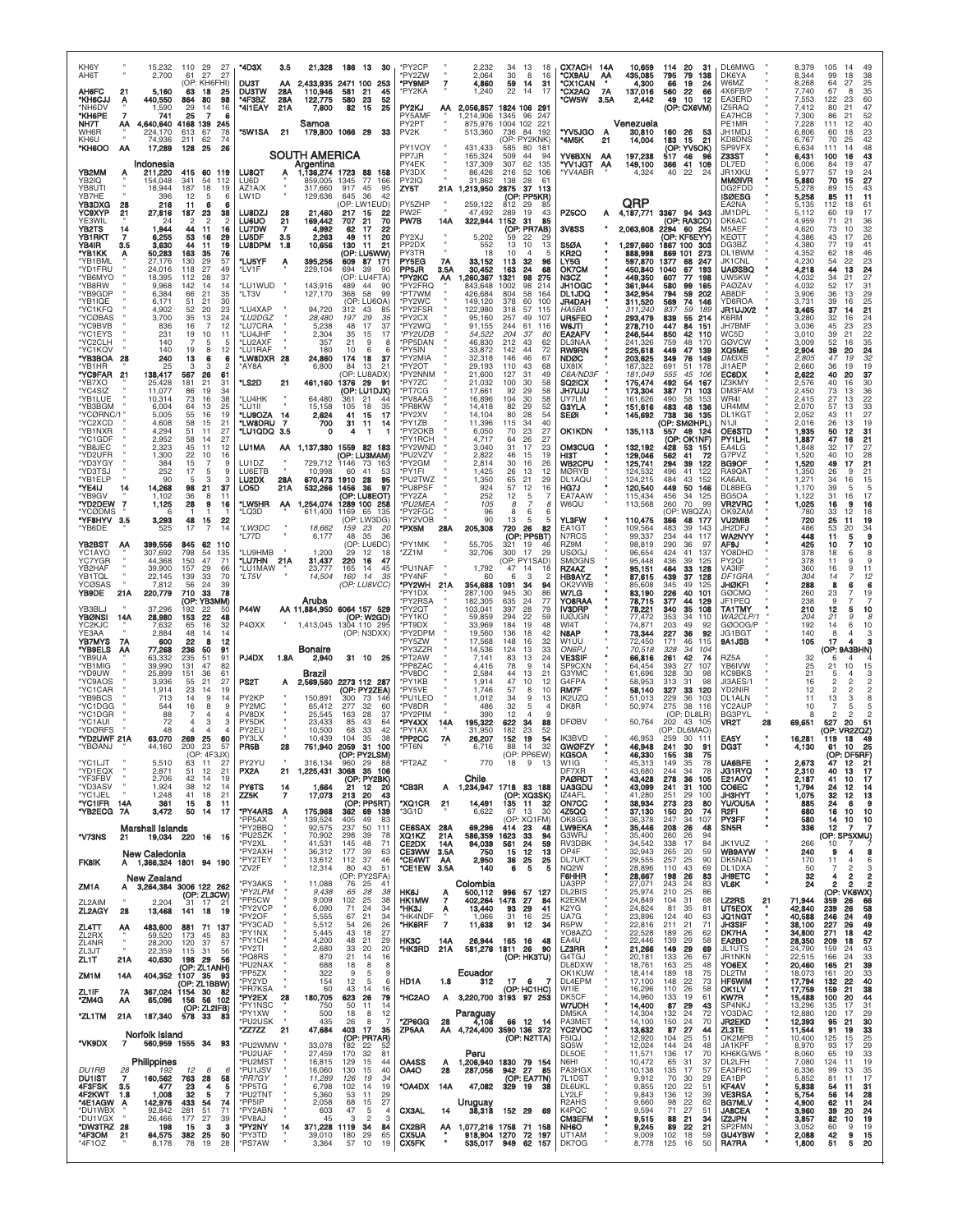| KH6Y<br>AH6T                      |                 | 15,232<br>2,700                      | 110<br>61            | 29<br>-27<br>27<br>27                                | *4D3X                                              | 3.5              | 21,328                                  | 186 13                 | 30                                        | *PY2CP<br>*PY2ZW                |                    | 2,232<br>2,064                              | 34<br>30              | 13<br>18<br>8<br>16                  | CX7ACH 14A<br>*CX9AU                                     | АА         | 10,659<br>435,085             | 20<br>114<br>79<br>795                            | 31<br>138         | DL6MWG<br>DK6YA                                     |    | 8,379<br>8,344             | 105<br>-14<br>99<br>18                                                          | 49<br>38                    |
|-----------------------------------|-----------------|--------------------------------------|----------------------|------------------------------------------------------|----------------------------------------------------|------------------|-----------------------------------------|------------------------|-------------------------------------------|---------------------------------|--------------------|---------------------------------------------|-----------------------|--------------------------------------|----------------------------------------------------------|------------|-------------------------------|---------------------------------------------------|-------------------|-----------------------------------------------------|----|----------------------------|---------------------------------------------------------------------------------|-----------------------------|
| AH6FC<br>*KH6CJJ                  | 21<br>Ą         | 5,160<br>440,550                     | 63<br>864            | (OP: KH6FHI)<br>18<br>25<br>98<br>80                 | DUST<br><b>DUSTW</b><br>*4F3BZ                     | АΑ<br>28A<br>28A | 2,433,935<br>110,946<br>122,775         | 2471 100<br>581<br>580 | 253<br>21<br>45<br>23<br>52               | *PY9MP<br>*PY2KA                | $\overline{7}$     | 4,860<br>1,240                              | 59<br>22              | 31<br>14<br>14<br>17                 | *CX1CAN<br>*CX2AQ<br><b>*CW5W</b>                        | 7A<br>3.5A | 4,300<br>137,016<br>2,442     | 19<br>66<br>560<br>22<br>10<br>49                 | 24<br>66<br>12    | W6MZ<br>4X6FB/P<br>EA3ERD                           |    | 8,268<br>7,740<br>7,553    | 27<br>64<br>67<br>8<br>122<br>23                                                | 25<br>35<br>60              |
| *NH6DV<br>*KH6PE<br>NH7T          | 7<br>ΑА         | 1,590<br>741<br>4,640,640            | 29<br>25<br>4168 139 | 16<br>14<br>6<br>245                                 | *4I1EAY                                            | 21A              | 7,600<br>Samoa                          | 82                     | 15<br>25                                  | PY2KJ<br>PY5AMF<br>PY2PT        | ΑА                 | 2,056,857<br>1,214,906<br>875,976           | 1345<br>1004 102      | 1824 106 291<br>247<br>96<br>221     |                                                          |            | Venezuela                     | (OP: CX6VM)                                       |                   | IZ5RAQ<br>EA7HCB<br>PE1MR                           |    | 7,412<br>7,300<br>7,228    | 80<br>21<br>86<br>21<br>111<br>12                                               | 47<br>52<br>40              |
| WH6R<br>KH6U<br>*KH6OO            | AA              | 224.170<br>74,936<br>17,289          | 613<br>211<br>128    | 67<br>78<br>62<br>74<br>25<br>26                     | *5W1SA                                             | 21               | 179,800 1066 29                         |                        | 33                                        | PV <sub>2K</sub><br>PY1VOY      |                    | 513,360<br>431.433                          | 736<br>585            | 84 192<br>(OP: PY2KNK)<br>80 181     | *YV5JGO<br>*4M5K                                         | A<br>21    | 30,810<br>14,004              | 160 26<br>183<br>15<br>(OP: YV5OK)                | 53<br>21          | JH1MDJ<br>KD8DNS<br>SP9VFX                          |    | 6,806<br>6,767<br>6.634    | 18<br>60<br>70<br>25<br>111<br>14                                               | 23<br>42<br>48              |
|                                   |                 | Indonesia                            |                      |                                                      |                                                    |                  | <b>SOUTH AMERICA</b><br>Argentina       |                        |                                           | PP7JR<br>PY4EK                  |                    | 165,324<br>137,309                          | 509<br>307            | 44<br>94<br>62<br>135                | YV6BXN<br>*YV1JGT                                        | АА<br>AA   | 197,238<br>149,100            | 517<br>46<br>366<br>41                            | 96<br>109         | Z33ST<br>DL7ED                                      |    | 6,431<br>6,006             | 100<br>16<br>84<br>19                                                           | 43<br>47                    |
| YB2MM<br>YB2IQ<br>YB8UTI          | Ą               | 211,220<br>154,048<br>18.944         | 415<br>341<br>187    | 60<br>119<br>54<br>112<br>18<br>19                   | LU8QT<br>LU6D<br>AZ1A/X                            |                  | 1,136,274 1723<br>859,005<br>317,660    | 1345<br>917            | 88 158<br>77<br>166<br>45<br>95           | PY3DX<br>PY2IQ<br>ZY5T          | 21 A               | 86.426<br>31,862<br>1,213,950               | 216<br>138<br>2875    | 52<br>106<br>28<br>61<br>37<br>113   | 'YV4ABR                                                  |            | 4,324                         | 40<br>-22                                         | 24                | JR1XKU<br><b>MMØIVR</b><br>DG2FDD                   |    | 5.977<br>5,880<br>5.278    | 57<br>19<br>70<br>15<br>89<br>15                                                | 24<br>27<br>43              |
| YB7HE<br>YB3DXG<br>YC9XYP         | 28<br>21        | 396<br>216<br>27,816                 | 12<br>-11<br>187     | 6<br>6<br>38<br>23                                   | LW1D<br>LU8DZJ                                     | 28               | 129,636<br>21,460                       | 645<br>217 15          | 36<br>42<br>(OP: LW1EUD)<br>22            | PY5ZHP<br>PW2F                  |                    | 259,122<br>47,492                           | 812<br>289            | (OP: PP5KR)<br>29<br>85<br>19<br>43  | PZ5CO                                                    | А          | QRP                           | 4,187,771 3367 94 343                             |                   | <b>ISØESG</b><br>EA2NA<br>JM1DPL                    |    | 5,258<br>5,135<br>5,112    | 85<br>-11<br>112<br>18<br>60<br>19                                              | 11<br>61<br>17              |
| YE3WIL<br>YB2TS<br><b>YB1RKT</b>  | 14<br>7         | 24<br>1,944<br>6,255                 | 2<br>44<br>53        | $\overline{\mathbf{c}}$<br>2<br>11<br>16<br>29<br>16 | <b>LU6UO</b><br><b>LU7DW</b><br>LU <sub>5</sub> DF | 21<br>7<br>3.5   | 169,442<br>4,992<br>2,263               | 707<br>62<br>49        | 21<br>70<br>17<br>22<br>20<br>-11         | PW7B<br>PY2XJ                   | 14A                | 322,944<br>5,202                            | 1152<br>59            | 85<br>-31<br>(OP: PR7AB)<br>22<br>29 | 3V8SS                                                    |            | 2,063,608                     | (OP: RA3CO)<br>2294 60 254<br>(OP: KF5EYY)        |                   | DK6AC<br>M5AEF<br><b>KEØTT</b>                      |    | 4.959<br>4,620<br>4.386    | 71<br>21<br>73<br>10<br>43<br>17                                                | 36<br>32<br>26              |
| YB4IR<br>'YB1KK                   | 3.5<br>A        | 3,630<br>50,283                      | 44<br>163            | 19<br>-11<br>76<br>35                                | <b>LU8DPM</b>                                      | 1.8              | 10,656                                  | 130                    | 21<br>-11<br>(OP: LU5WW)                  | PP <sub>2D</sub> X<br>PY3TR     |                    | 552<br>18                                   | 13<br>10              | 10<br>13<br>5<br>4                   | <b>S5ØA</b><br>KR2Q                                      |            | 1,297,660<br>888,998          | 1867 100<br>869 101                               | 303<br>273        | DG3BZ<br>DL1BWM                                     |    | 4,380<br>4,352             | 77<br>19<br>62<br>18                                                            | 41<br>46                    |
| *YB1BML<br>*YD1FRU<br>*YB6MYO     |                 | 27,176<br>24,016<br>18,395           | 130<br>118<br>112    | 29<br>57<br>27<br>49<br>37<br>28                     | *LU5YF<br>*LV1F                                    | А                | 395,256<br>229,104                      | 609<br>694             | 87 171<br>39<br>-90<br>(OP: LU4FTA)       | PY5EG<br>PP5JR<br>*PY2KC        | 7A<br>3.5A<br>АΑ   | 33,152<br>30,452<br>,260,367                | 113<br>163<br>1321    | 32<br>96<br>24<br>68<br>98<br>275    | LY5G<br>OK7CM<br>N3CZ                                    |            | 597,870<br>450.840<br>449,350 | 1377<br>68<br>1040<br>67<br>607<br>77             | 247<br>193<br>198 | JK1CNL<br>UAØSBQ<br>UW5KW                           |    | 4,230<br>4,218<br>4,032    | 54<br>22<br>44<br>13<br>34<br>21                                                | 23<br>24<br>27              |
| *YB8RW<br>*YB9GDP<br>*YB1IQE      |                 | 9,968<br>6,384<br>6,171              | 142<br>66<br>51      | 14<br>14<br>35<br>21<br>21<br>30                     | *LU1WUD<br>*LT3V                                   |                  | 143,916<br>127,170                      | 489<br>368             | 44<br>90<br>-58<br>99<br>(OP: LU6OA)      | *PY2FRQ<br>*PT7WM<br>*PY2WC     |                    | 843,648<br>426,684<br>149,120               | 1002<br>804<br>378    | 98<br>214<br>58<br>164<br>60<br>100  | JH1OGC<br><b>DL1JDQ</b><br>JR4DAH                        |            | 361,944<br>342,954<br>311,520 | 580<br>99<br>794<br>59<br>569<br>74               | 165<br>202<br>146 | <b>PAØZAV</b><br>AB8DF<br>YD6ROA                    |    | 4,032<br>3,906<br>3,731    | 52<br>17<br>36<br>13<br>39<br>16                                                | 31<br>29<br>25              |
| *YC1KFQ<br>*YCØBAS<br>*YC9BVB     |                 | 4,902<br>3,700<br>836                | 52<br>35<br>16       | 23<br>20<br>13<br>24<br>12<br>7                      | *LU4XAP<br>*LU2DGZ<br>*LU7CRA                      |                  | 94,720<br>28,480<br>5,238               | 312<br>197<br>48       | 43<br>85<br>29<br>35<br>17<br>37          | *PY2FSR<br>*PY2CX<br>*PY2WQ     |                    | 122,980<br>95,160<br>91,155                 | 318<br>257<br>244     | 115<br>57<br>49<br>107<br>61<br>116  | HA5BA<br><b>UR5FEO</b><br>W6JTI                          |            | 311,240<br>293,479<br>278,710 | 837<br>59<br>55<br>839<br>447<br>84               | 189<br>214<br>151 | JR1UJX/2<br>K6RM<br>JH7BMF                          |    | 3,465<br>3,280<br>3,036    | 37<br>-14<br>32<br>16<br>45<br>23                                               | 21<br>24<br>23              |
| *YC1EYS<br>*YC2CLH<br>*YC1KQV     |                 | 231<br>140<br>140                    | 19<br>7<br>19        | 10<br>11<br>5<br>5<br>12<br>8                        | *LU4JHF<br>*LU2AXF<br>*LU1RAF                      |                  | 2,304<br>357<br>180                     | 35<br>21<br>10         | 15<br>17<br>9<br>8<br>6<br>6              | *PY2UDB<br>*PP5DAN<br>*PY5IN    |                    | 54,522<br>46,830<br>33,872                  | 204<br>212<br>142     | 37<br>80<br>43<br>62<br>44<br>72     | EA2AFV<br>DL3NAA                                         |            | 246,544<br>241.326            | 850<br>42<br>759<br>48<br>449                     | 110<br>170<br>139 | WC5D<br><b>GØVCW</b>                                |    | 3,010<br>3,009             | 39<br>21<br>52<br>16<br>20                                                      | 22<br>35<br>24              |
| *YB3BOA<br>*YB1HR                 | 28              | 240<br>25                            | 13                   | 6<br>6<br>$\overline{2}$                             | *LW8DXR 28<br>*AY8A                                |                  | 24,860<br>6,800                         | 174<br>84              | 18<br>37<br>13<br>21                      | *PY2MIA<br>*PY2OT               |                    | 32.318<br>29.193                            | 146<br>110            | 46<br>67<br>68<br>43                 | RW9RN<br><b>NDØC</b><br>UX8IX                            |            | 225,618<br>203,625<br>187.322 | 47<br>349<br>76<br>691<br>51                      | 149<br>178        | XQ5ME<br><b>DM3XB</b><br>JI1AEP                     |    | 2,904<br>2,805<br>2,660    | 39<br>47<br>19<br>36<br>19                                                      | 32<br>19                    |
| "YC9FAR<br>*YB7XO<br>*YC4SIZ      | 21              | 138,417<br>25,428<br>11,077          | 567<br>181<br>86     | 26<br>61<br>21<br>31<br>34<br>19                     | *LS2D                                              | 21               | 461,160                                 | 1376                   | (OP: LU8ADX)<br>29<br>91<br>(OP: LU1DJX)  | *PY2NNM<br>*PY7ZC<br>*PT7CG     |                    | 21,600<br>21,032<br>17,661                  | 127<br>100<br>92      | 31<br>49<br>30<br>58<br>29<br>58     | C6A/ND3F<br>SQ2ICX<br><b>JH7UJU</b>                      |            | 181,049<br>175,474<br>173,304 | 555<br>45<br>492<br>54<br>387<br>71               | 106<br>167<br>103 | EC6DX<br>IZ3KMY<br><b>DM3FAM</b>                    |    | 2,622<br>2,576<br>2,450    | 40<br>20<br>40<br>16<br>73<br>13                                                | 37<br>30<br>36              |
| *YB1LUE<br>*YB3BGM<br>*YCØRNC/1   |                 | 10,314<br>6,004<br>5,005             | 73<br>64<br>55       | 38<br>16<br>25<br>13<br>19<br>16                     | *LU4HK<br>*LU1II<br>*LU9OZA                        | 14               | 64,480<br>15,158<br>2,624               | 361<br>105<br>41       | 21<br>18<br>35<br>15<br>17                | *PV8AAS<br>*PR8KW<br>*PY2XV     |                    | 16,896<br>14,418<br>14,104                  | 104<br>82<br>80       | 30<br>58<br>29<br>52<br>54<br>28     | UY7LM<br>G3YLA<br><b>SEØI</b>                            |            | 161.626<br>151,616<br>145,692 | 490<br>58<br>483<br>48<br>738<br>36               | 153<br>136<br>135 | WR4I<br>UR4MM<br>DL1KGT                             |    | 2,415<br>2,070<br>2,052    | 27<br>13<br>57<br>13<br>43<br>11                                                | 22<br>33<br>27              |
| *YC2XCD<br>*YB1NXR<br>*YC1GDF     |                 | 4,608<br>4.294<br>2,952              | 58<br>51<br>58       | 15<br>21<br>27<br>11<br>27<br>14                     | *LW8DRU<br>*LU1QDQ 3.5                             | -7               | 700<br>Ω                                | 31<br>4                | 11<br>14<br>-1                            | *PY1ZB<br>*PY2OKB<br>'PY1RCH    |                    | 11,396<br>6,050<br>4,717                    | 115<br>70<br>64       | 34<br>40<br>27<br>23<br>26<br>27     | <b>OK1KDN</b>                                            |            | 135,113                       | (OP: SMØHPL)<br>49<br>557<br>(OP:<br><b>OK1NF</b> | -124              | N <sub>1</sub> JI<br><b>OE6STD</b><br><b>PY1LHL</b> |    | 2,016<br>1,935<br>1,887    | 26<br>13<br>50<br>12<br>47<br>16                                                | 19<br>31<br>21              |
| *YB8JEC<br>*YD2UFR                |                 | 2,323<br>1,300                       | 45<br>22             | 11<br>12<br>10<br>16                                 | LU1MA                                              | AA               | 1,137,380 1559 82 183                   |                        | (OP: LU3MAM)                              | *PY2WND<br>*PU2VZV<br>*PY2GM    |                    | 3,040<br>2,822                              | 31<br>46              | 17<br>23<br>19<br>15                 | OM3CUG<br>нізт<br>WB2CPU                                 |            | 132,192<br>129,046<br>125,741 | 53<br>428<br>562<br>41<br>39<br>294               | 151<br>72         | EA4LG<br>G7PVZ<br>BG9OF                             |    | 1,848<br>1,520             | 32<br>17<br>40<br>10<br>49<br>17                                                | 27<br>28                    |
| *YD3YGY<br>*YD3TSJ<br>*YB1ELP     |                 | 384<br>252<br>90                     | 15<br>17<br>-5       | 9<br>9<br>3<br>з                                     | LU1DZ<br>LU6ETB<br>LU2DX                           | 28A              | 729,712<br>10,998<br>670,473            | 1146<br>60<br>1910     | 73<br>163<br>41<br>53<br>28<br>95         | *PY1FI<br>*PU2TWZ               |                    | 2.814<br>1.425<br>1,350                     | 30<br>26<br>65        | 16<br>26<br>13<br>12<br>21<br>29     | <b>MØRYB</b><br>DL1AOU                                   |            | 124,532<br>124.215            | 496<br>41<br>484<br>43                            | 122<br>122<br>152 | RA9QAT<br><b>KA6AIL</b>                             |    | 1,520<br>1,350<br>1.271    | 26<br>9<br>34<br>16                                                             | 21<br>21<br>15              |
| *YE4IJ<br>*YB9GV<br>*YD2DEW       | 14<br>7         | 14,268<br>1.102<br>1,125             | 98<br>36<br>28       | 21<br>37<br>11<br>8<br>9<br>16                       | LO5D<br>*LW5HR                                     | 21A<br>AA        | 532,266<br>,254,074                     | 1456                   | 36<br>97<br>(OP: LU8EOT)<br>1289 100 258  | *PU8PSF<br>*PY2ZA<br>*PU2MEA    |                    | 924<br>252<br>105                           | 57<br>12<br>8         | 12<br>16<br>5<br>7<br>8              | HG7J<br><b>EA7AAW</b><br>W6QU                            |            | 120,540<br>115.434<br>113,568 | 449<br>50<br>456<br>34<br>260<br>70               | 146<br>125<br>99  | DL8BEG<br>BG5OA<br>VR2VRC                           |    | 1,170<br>1.122<br>1,025    | 39<br>5<br>31<br>16<br>16<br>9                                                  | 5<br>17<br>16               |
| *YCØDMS<br>*YF8HYV<br>*YB6DE      | 3.5             | 6<br>3,293<br>525                    | 48<br>17             | -1<br>15<br>22<br>14<br>$\overline{7}$               | *LQ3D<br>*LW3DC                                    |                  | 611,400<br>18,662                       | 1169<br>159            | 65 135<br>(OP: LW3DG)<br>23<br>-20        | *PY2FGC<br>*PY2VOB<br>*PX5M     | 28A                | 96<br>90<br>205,308                         | 8<br>13<br>720        | 6<br>-6<br>5<br>5<br>26<br>82        | YL3FW<br>EA1GT                                           |            | 110,475<br>109,564            | (OP: W8QZA)<br>366<br>48<br>483<br>39             | 177<br>143        | OK9ZAM<br><b>VU2MIB</b><br>JH2DFJ                   |    | 780<br>720<br>486          | 33<br>12<br>25<br>11<br>53<br>20                                                | 18<br>19<br>34              |
| YB2BST<br>YC1AYO                  | AA              | 399,556<br>307,692                   | 845<br>798           | 62<br>110<br>54<br>135                               | *L77D<br>*LU9HMB                                   |                  | 6,177<br>1,200                          | 48<br>29               | 35<br>36<br>(OP: LU6DC)<br>12<br>18       | *PY1MK<br>*ZZ1M                 |                    | 55,705<br>32,706                            | 321<br>300            | (OP: PP5BT)<br>19<br>46<br>17<br>29  | N7RCS<br>RZ9M<br><b>USØGJ</b>                            |            | 99.337<br>98,819<br>96,654    | 234<br>44<br>290<br>36<br>424<br>41               | 117<br>97<br>137  | WA2NYY<br>AF9J<br>YO8DHD                            |    | 448<br>425<br>378          | 11<br>5<br>10<br>18<br>6                                                        | 9<br>10<br>8                |
| YC7YGR<br>YB2HAF<br>YB1TQL        |                 | 44,368<br>39,900<br>22,145           | 150<br>157<br>139    | 47<br>71<br>29<br>66<br>33<br>70                     | *LU7HN 21A<br>*LU1MAW<br>*LT5V                     |                  | 31,437<br>23,777<br>14,504              | 220<br>165<br>160      | 16<br>47<br>14<br>45<br>14<br>35          | *PU1NAF<br>*PY4NF               |                    | 1,792<br>60                                 | 47<br>6               | (OP: PY1SAD)<br>14<br>18<br>3<br>-2  | <b>SMØGNS</b><br>RZ4AZ<br><b>HB9AYZ</b>                  |            | 95,448<br>95,151<br>87,615    | 436<br>39<br>464<br>33<br>439<br>37               | 125<br>128<br>128 | PY <sub>2QI</sub><br>VA3IIF<br>DF1GRA               |    | 378<br>360<br>304          | 11<br>9<br>16<br>9<br>14                                                        | 9<br>11<br>12               |
| YCØSAS<br>YB9DE                   | 21A             | 7,812<br>220,779                     | 56<br>710            | 24<br>39<br>33<br>78<br>(ОР: ҮВЗММ)                  |                                                    |                  | Aruba                                   |                        | (OP: LU8VCC)                              | *PY2WH 21A<br>*PY1DX<br>'PY2RSA |                    | 354,688<br>287,100<br>182.305               | 1091<br>945<br>635    | 34<br>94<br>30<br>86<br>24<br>77     | OK2VWB<br>W7LG<br>YO8RAA                                 |            | 85,608<br>83,190<br>78,715    | 345<br>49<br>226<br>40<br>44<br>377               | 125<br>101<br>129 | JHØKFI<br><b>GØCMQ</b><br>JF1PEQ                    |    | 288<br>260<br>238          | 8<br>6<br>23<br>9                                                               | в<br>19<br>$\overline{7}$   |
| YB3BLJ<br><b>YBØNSI</b>           | 14A             | 37,296<br>28,980                     | 192<br>153<br>65     | 50<br>22<br>22<br>48<br>16                           | <b>P44W</b>                                        |                  | AA 11,884,950 6064 157 529<br>1,413,045 |                        | (OP: W2GD)                                | *PY2QT<br>*PY1KO<br>*PT9DX      |                    | 103,041<br>59.859<br>33,969                 | 397<br>294<br>184     | 79<br>28<br>22<br>59<br>19<br>48     | IV3DRP<br>IUØJGN<br>WI4T                                 |            | 78,221<br>77,472<br>74.871    | 340<br>35<br>353<br>34<br>203<br>49               | 108<br>110<br>92  | <b>TA1TMY</b><br>WA2CLP/1<br>GØOOG/P                |    | 210<br>204<br>192          | 12<br>5<br>21<br>9<br>14                                                        | 10<br>8<br>6<br>10          |
| YC2KJC<br>YE3AA<br>YB7MYS         | 7A              | 7,632<br>2,884<br>600                | 48<br>22             | 32<br>14<br>14<br>8<br>12                            | P4ØXX                                              |                  |                                         |                        | 1304 110 295<br>(OP: N3DXX)               | *PY2DPM<br>*PY5ZW               |                    | 19,560<br>17,568                            | 136<br>148            | 18<br>42<br>32<br>16                 | N8AP<br>W1UU                                             |            | 73,344<br>72,450              | 227<br>36<br>171<br>46                            | 92<br>115         | JG1BGT<br>9A1JSB                                    |    | 140<br>105                 | 8<br>4<br>17                                                                    | з                           |
| *YB9ELS<br>'YB9UA<br>*YB1MIG      | АΑ              | 77,268<br>63,332<br>39,990           | 236<br>235<br>131    | 50<br>91<br>51<br>91<br>47<br>82                     | PJ4DX                                              | 1.8A             | Bonaire<br>2,940                        |                        | 31 10<br>25                               | *PY3ZZR<br>*PT2AW<br>*PP8ZAC    |                    | 14,536<br>7,141<br>4,416                    | 124<br>83<br>78       | 13<br>33<br>13<br>24<br>9<br>14      | ON6PJ<br><b>VE3SIF</b><br>SP9CXN                         |            | 70,518<br>66,816<br>64.454    | 328<br>34<br>42<br>261<br>393<br>27               | 104<br>74<br>107  | RZ5A<br>YB6IVW                                      |    | 32<br>25                   | (OP: 9A3BHN)<br>6<br>4<br>21<br>10                                              | 15                          |
| *YD9UW<br>*YC9AOS<br>*YC1CAR      |                 | 25,899<br>3,936<br>1,914             | 151<br>55<br>23      | 36<br>61<br>21<br>27<br>14<br>19                     | PS2T                                               | А                | Brazil<br>2,569,560                     |                        | 2273 112 287<br>(OP: PY2ZEA)              | *PV8DC<br>*PY1KB<br>*PY5VE      |                    | 2.584<br>1,914<br>1.746                     | 44<br>47<br>57        | 13<br>21<br>10<br>12<br>8<br>10      | G3YMC<br>G4FPA<br>RM7F                                   |            | 61,696<br>58,953<br>58,140    | 328<br>30<br>313<br>31<br>327<br>33               | 98<br>98<br>120   | KC9BKS<br>JI3AES/1<br>YD2NIR                        |    | 21<br>16<br>12             | 2<br>$\overline{2}$<br>2<br>2                                                   | $\overline{2}$<br>2         |
| *YB9BCS<br>*YC1DGG<br>*YC1DGR     |                 | 713<br>544<br>88                     | 14<br>16             | 9<br>14<br>8<br>9<br>$\overline{4}$                  | PY <sub>2</sub> KP<br>PY2MC<br>PV8DX               |                  | 150,891<br>65,412<br>25,545             | 300<br>277<br>163      | 73 146<br>32<br>60<br>28<br>37            | *PU1LEO<br>*PV8DR<br>*PY2PIM    |                    | 1,012<br>486<br>390                         | 34<br>32<br>12        | 9<br>13<br>5<br>4<br>4<br>9          | IK2UZQ<br>DK8R                                           |            | 51,013<br>50,974              | 229<br>36<br>275<br>38<br>(OP: DL8LR)             | 103<br>116        | DL1ALN<br>YC2AUP<br><b>BG3PYL</b>                   |    | 11<br>10<br>8              | 13<br>3                                                                         | 8                           |
| *YC1AUI<br>*YDØRFS<br>"YD2UWF 21A |                 | 72<br>48<br>63,070                   | 4<br>4<br>269        | 3<br>з<br>$\overline{4}$<br>25<br>60                 | PY5DK<br>PY2EU<br>PY3LX                            |                  | 23,433<br>10,500<br>10.439              | 85<br>68<br>104        | 43<br>64<br>33<br>42<br>38<br>35          | *PY4XX<br>*PY1AX<br>*PP2CC      | 14A<br><b>7A</b>   | 195,322<br>31,950<br>26,207                 | 622<br>182<br>152     | 34<br>88<br>23<br>52<br>19<br>54     | <b>DFØBV</b><br><b>IK3BVD</b>                            |            | 50,764<br>46.953              | 202<br>43 105<br>(OP: DL6MAO)<br>259<br>30        | 111               | VR2T<br>EA5Y                                        | 28 | 69,651<br>16,281           | 527<br>20<br>(OP: VR2ZQZ)<br>18<br>119                                          | 51<br>49                    |
| *YBØANJ<br>*YC1LJT                |                 | 44.160<br>5,510                      | 200<br>63            | 23<br>57<br>11<br>27                                 | PR5B<br>PY2YU                                      | 28               | 751,940<br>316,134                      | 2059<br>(OP-<br>960    | -31<br>100<br>29<br>- 88                  | *PT6N<br>*PT2AZ                 |                    | 6,716<br>770                                | 88<br><b>OP</b><br>18 | 32<br>14<br><b>FW</b><br>9<br>- 13   | <b>GWØFZY</b><br>W1IG                                    |            | 46,948<br>45.313              | 241<br>30<br>149<br>35                            | 91<br>75<br>78    | разт<br>UA6BFE                                      |    | 4,130<br>2,673             | 10<br>61<br>47<br>12                                                            | 25<br>21                    |
| *YD1EQX<br>*YF3FBV<br>*YD3ASV     |                 | 2,871<br>2,706                       | 51<br>42             | 12<br>21<br>14<br>19                                 | PX2A<br>PY6TS                                      | 21               | 1,225,431                               |                        | 3068 35 106<br>(OP: PY2BK)                | *CB3R                           |                    | Chile                                       |                       |                                      | DF7XR<br><b>PAØRDT</b><br><b>UA3GDU</b>                  |            | 43,680<br>43,428              | 34<br>244<br>278<br>36                            | 78<br>105         | JG1RYQ<br>E21AOY<br>CO6EC                           |    | 2,310<br>2,187<br>1,794    | 13<br>40<br>41<br>10                                                            | $\frac{17}{17}$             |
| *YC1JEL<br>*YC1IFR                | 14A             | 1,924<br>1,248<br>361                | 38<br>41<br>15       | 12<br>14<br>21<br>18<br>8<br>11                      | ZZ5K                                               | 14<br>7          | 1,664<br>17,073                         | 21<br>213              | 12 20<br>20<br>43<br>(OP: PP5RT)          | *XQ1CR                          | A<br>21            | 1,234,947 1718 83 188<br>14,491             |                       | (OP: XQ3SK)<br>135 11 32             | IZ4AFL<br>ON7CC                                          |            | 43,099<br>41,280<br>38,934    | 241<br>31<br>251<br>29<br>23<br>273               | 100<br>100<br>80  | JH3HYT<br>YU/OU5A                                   |    | 1,075<br>885               | 24<br>-12<br>32<br>12<br>24<br>6                                                | 14<br>13<br>9               |
| *YB2ECG                           | 7A              | 3,472<br>Marshall Islands            | 50                   | 14<br>17                                             | *PY4ARS<br>*PP5AX<br>*PY2BBQ                       | A                | 175,968<br>139,524<br>92,575            | 362<br>405<br>237      | 69 139<br>49<br>83<br>50<br>111           | *3G1D<br>CE6SAX                 | 28A                | 6,622<br>69,296                             | 67<br>414             | 30<br>13<br>(OP: XQ1FM)<br>23<br>48  | 4Z5QQ<br>OK8GG<br><b>LW9EKA</b>                          |            | 37,130<br>36,378<br>35,446    | 20<br>150<br>247<br>34<br>26<br>208               | 74<br>107<br>48   | R2FI<br><b>PY3FF</b><br>SN <sub>5</sub> R           |    | 680<br>580<br>336          | 16<br>10<br>14<br>10<br>12<br>7                                                 | 10<br>$\frac{10}{7}$        |
| *V73NS                            | 21              | 19,034 220 16<br>New Caledonia       |                      | - 15                                                 | *PU2SZK<br>*PY2XL<br>*PY2AXH                       |                  | 70,902<br>41,531<br>36,312              | 298<br>145<br>177      | 39<br>78<br>71<br>48<br>39<br>63          | XQ1KZ<br>CE2DX<br><b>CE3WW</b>  | 21A<br>14A<br>3.5A | 586,359<br>94,039<br>750                    | 1623<br>561<br>15     | 33<br>94<br>24<br>59<br>12<br>13     | G3WRJ<br>RV3DBK<br>OP4F                                  |            | 35,400<br>34,542<br>32,943    | 260<br>26<br>17<br>338<br>265<br>20               | 94<br>84<br>59    | JK1VUZ<br>WB9AYW                                    |    | 266<br>240                 | (OP: SP5XMU)<br>10<br>9                                                         | 8                           |
| <b>FK8IK</b>                      | А               | 1,366,324 1801 94 190<br>New Zealand |                      |                                                      | *PY2TEY<br>*ZV2F                                   |                  | 13,612<br>12,314                        | 112<br>80              | 46<br>37<br>43<br>51<br>(OP: PY2SFA)      | *CE4WT<br>*CE1EW                | AA<br>3.5A         | 2,950<br>140                                | 36<br>6               | 25<br>25<br>5<br>5                   | DL7UKT<br>NQ2W<br>F6HHR                                  |            | 29,555<br>28,896<br>28,667    | 25<br>257<br>110<br>43<br>198<br>26               | 90<br>69<br>83    | DK5NAD<br>DL1DXA<br><b>JH9ETC</b>                   |    | 170<br>50<br>32            | $\overline{4}$<br>11<br>$\overline{7}$<br>$\overline{2}$<br>$\overline{2}$<br>4 | 6<br>3<br>2                 |
| ZM1A                              | A               | 3,264,384 3006 122 262               |                      | (OP: ZL3CW)                                          | *PY3AKS<br>*PY2LPM<br>*PP5CW                       |                  | 11,088<br>9,438<br>9,009                | 76<br>65<br>102        | 25<br>41<br>28<br>38<br>25<br>38          | HK6J<br>HK1MW                   | $\frac{A}{7}$      | Colombia<br>500.112<br>402,264              | 996<br>1478           | 57<br>127<br>27<br>84                | UA3PP<br>DL2BIS<br>K2EKM                                 |            | 27,071<br>25,974<br>24,849    | 243<br>24<br>25<br>210<br>31<br>104               | 83<br>86<br>68    | <b>VL6K</b><br>LZ2RS                                | 21 | 24<br>71,944               | 2<br>2<br>(OP: VK6WX)<br>359<br>26                                              | 66                          |
| ZL2AIM<br>ZL2AGY                  | 28              | 2.204<br>13,468                      | 31<br>141 18         | 17<br>19                                             | *PY2VCP<br>*PY2OF<br>*PY3CAD                       |                  | 6,090<br>5,555<br>5,512                 | 71<br>67<br>54         | 24<br>34<br>21<br>34<br>26<br>26          | *HK3J<br>*HK4NDF<br>*HK6RF      | Ą<br>7             | 13,440<br>1,066<br>11,638                   | 93<br>31<br>91        | 29<br>41<br>16<br>25<br>12<br>34     | K2YG<br>UA7G<br>R5PW                                     |            | 24,824<br>23,896<br>22,816    | 81<br>35<br>40<br>124<br>211<br>21                | 81<br>63<br>71    | UT5EOX<br>JQ1NGT<br><b>JH3SIF</b>                   | ٠  | 42.840<br>40,588<br>38,100 | 239<br>26<br>246<br>-24<br>227<br>26                                            | 58<br>49                    |
| ZL4TT<br>ZL2RX<br>ZL4NR           | ΑА              | 483,600<br>59,520<br>28,200          | 881 71<br>173<br>120 | 137<br>45<br>83<br>37<br>57                          | *PY1NX<br>*PY1CH                                   |                  | 5,445<br>4,200                          | 43<br>48               | 27<br>18<br>21<br>29                      | <b>HK3C</b>                     | 14A                | 26,944                                      | 165 16                | 48                                   | YO8AZQ<br>EA4U                                           |            | 22,528<br>22,446              | 189<br>26<br>139<br>29                            | 62<br>58          | DK7HA<br>EA2BO                                      |    | 34,800<br>28,350           | 271<br>18<br>209<br>18                                                          | $\frac{49}{42}$<br>57       |
| ZL3JT<br>ZL1T                     | 21A             | 22,359<br>40,630                     | 115<br>198 29        | 31<br>56<br>56<br>(OP: ZL1ANH)                       | *PY2TI<br>*PQ8RS<br>*PU2NAX                        |                  | 2,680<br>870<br>688                     | 33<br>21<br>18         | 20<br>20<br>14<br>16<br>8<br>8            | *HK3RD                          | 21A                | 581,276 1811 26                             |                       | 90<br>(OP: HK3TU)                    | LZ3RR<br>G4TGJ<br>DL8DXW                                 |            | 21,266<br>20,181<br>18.761    | 29<br>149<br>133<br>26<br>25<br>163               | 69<br>67<br>48    | <b>JL1UTS</b><br>JR1NKN<br>YO6EX                    |    | 24,790<br>22,515<br>20,460 | 159<br>24<br>166<br>24<br>21<br>165                                             | 43<br>33<br>39              |
| ZM1M<br>ZLIIF                     | 14A<br>7Α       | 404,352<br>367,024                   | 1107 35<br>1154 30   | 93<br>(OP: ZL1BBW)<br>- 82                           | *PP5ZX<br>*PY2YD<br>*PR7KSA                        |                  | 322<br>154<br>60                        | 9<br>12<br>43          | 9<br>5<br>5<br>6<br>14<br>16              | HD1A                            | 1.8                | Ecuador<br>312                              | 17                    | 6<br>-7<br>(OP: HC1HC)               | OK1KUW<br>DL4EPM<br>W1IE                                 |            | 18,414<br>17,100<br>16,296    | 189<br>18<br>148<br>22<br>110<br>26               | 75<br>73<br>58    | DL2TM<br><b>HF5WIM</b><br>OK1LV                     |    | 18,073<br>17,794<br>17,759 | 161<br>20<br>132<br>22<br>21<br>159                                             | 33<br>$\frac{40}{38}$       |
| *ZM4G<br>*ZL1TM                   | АА<br>21A       | 65,096<br>187,340                    | 156<br>578           | 56 102<br>(OP: ZL2IFB)<br>33<br>83                   | *PY2EX<br>*PY1NSC<br>*PY1XW                        | 28               | 180,705<br>750<br>500                   | 623<br>50<br>18        | 26<br>79<br>11<br>14<br>8<br>12           | *HC2AO                          | Α                  | 3,220,700 3193 97 253                       |                       |                                      | DK5CF<br>W7UDH<br>DM5KA                                  |            | 14.960<br>14,400<br>14,304    | 19<br>133<br>87<br>29<br>24<br>132                | 61<br>43<br>72    | KW7R<br>SP4NKJ<br>YO3DAC                            |    | 15,488<br>13,296<br>12,880 | 100<br>20<br>135<br>17<br>120<br>17                                             | 44<br>$\frac{31}{29}$       |
|                                   |                 | Norfolk Island                       |                      |                                                      | *PU2USK<br>72772                                   | 21               | 435<br>47,684                           | 26<br>403 17           | 8<br>-7<br>35<br>(OP: PR7AR)              | *ZP6GG<br>ZP5AA                 | 28<br>ΑА           | Paraguay<br>4,108<br>4,724,400 3590 136 372 |                       | 66 12 14<br>(OP: N2TTA)              | PA3MET<br>YC2VOC<br>F5IQJ                                |            | 14,100<br>13,632<br>12,920    | 24<br>150<br>27<br>87<br>104<br>25                | 70<br>44<br>51    | JR2EKD<br>ZL3TE<br>OK2MPB                           |    | 12,393<br>11,544<br>10,400 | 21<br>95<br>91<br>19<br>125<br>15                                               | 30<br>$\frac{33}{25}$       |
| *VK9DX                            | 7               | 560,959 1555 34 93<br>Philippines    |                      |                                                      | *PU2WMW<br>*PU2UAF<br>*PU2MST                      |                  | 33,078<br>27,459<br>16,815              | 182<br>170<br>129      | 22<br>52<br>32<br>81<br>15<br>44          | OA4SS                           | А                  | Peru<br>1,206,940 1830 79 154               |                       |                                      | SQ5W<br>DL5OE<br>N6HI                                    |            | 12,024<br>11,571<br>10,472    | 144<br>24<br>17<br>136<br>65<br>31                | 48<br>70<br>37    | JA1KPF<br>KH6KG/W5<br>DL2LFH                        |    | 8,970<br>8,060<br>7,080    | 93<br>17<br>65<br>19<br>124<br>11                                               | 29<br>33<br>19              |
| <b>DU1RB</b><br><b>DU1IST</b>     | 28<br>7         | 192<br>160,562                       | 12<br>763            | 6<br>6<br>28<br>58                                   | *PU1JSV<br>*PR7GY<br>*PP5TG                        |                  | 16,060<br>11,289                        | 130<br>126<br>102      | 40<br>15<br>19<br>34<br>14<br>19          | OA4O                            | 28                 | 287,056                                     | 942 27                | - 85<br>(OP: EA7TN)                  | PA3HGX<br>7L1DST                                         |            | 10,138<br>9,912               | 135<br>17<br>70<br>30<br>120<br>22                | 57<br>29          | EA3FHC<br>EA1BP                                     |    | 6,336<br>5,852             | 99<br>13<br>81<br>11                                                            | 35<br>17                    |
| 4F3FSK<br>4F2KWT<br>*4E1AGW       | 3.5<br>1.8<br>А | 477<br>1,008<br>142,976              | 23<br>32<br>433      | 5<br>4<br>7<br>5<br>54<br>74                         | *PU2TNT<br>*PP5IP                                  |                  | 6,798<br>5,360<br>2,058                 | 53<br>68               | 11<br>29<br>27<br>15                      | *OA4DX                          | 14A                | 47,082<br>Uruguav                           | 329 19                | 38                                   | <b>DL6UKL</b><br>LY2LF<br>R <sub>2</sub> AH <sub>S</sub> |            | 9,855<br>9,843<br>9,660       | 136<br>12<br>$\frac{2}{2}$<br>98                  | 51<br>39<br>62    | KF4AV<br><b>VE3RSA</b><br><b>BG7MLV</b>             |    | 5,838<br>5,754<br>4,900    | 54<br>-11<br>56<br>-14<br>62<br>-11                                             | 31<br>28<br>$\frac{24}{24}$ |
| *DU1WBX<br>*DU1VGX<br>*DW3TRZ 28  |                 | 92,842<br>26,466<br>198              | 281<br>177<br>15     | 51<br>71<br>27<br>39<br>-3<br>з                      | *PY2ABN<br>*PV8AJ<br>*PY2NY                        | 14               | 603<br>45<br>371,228 1119               | 47<br>3                | 5<br>4<br>$\mathfrak{p}$<br>3<br>34<br>84 | <b>CX3AL</b><br>CX2BR           | 14<br>ΑA           | 38,318<br>1,077,216 1758                    | 152 29                | 69<br>-71<br>158                     | K4PQC<br><b>CM3EFM</b><br>NH6O                           |            | 9,594<br>9,515<br>9,245       | 27<br>71<br>21<br>88<br>22<br>89                  | 51<br>34<br>21    | <b>JA8CEA</b><br>IZ2JPN<br>SP2FMN                   |    | 3,960<br>3,857<br>3,052    | 39<br>20<br>82<br>10<br>60<br>9                                                 | 19<br>19                    |
| *4F3OM<br>*4F1OZ                  | 21              | 64,575<br>8,178                      | 382<br>78            | 25<br>50<br>19<br>28                                 | *PY3TD<br>*PS7AW                                   |                  | 39,010<br>3,364                         | 180<br>57              | 29<br>65<br>10<br>19                      | CX5UA<br>CX5FK                  |                    | 918,904 1270<br>535,017 949 62              |                       | 72<br>197<br>157                     | UT1AM<br>DK7OG                                           |            | 9,009<br>8,778                | 18<br>102<br>125<br>16                            | 59<br>50          | <b>GU4YBW</b><br>RA7RA                              |    | 2,088<br>1,800             | 9<br>42<br>5<br>51                                                              | 15<br>20                    |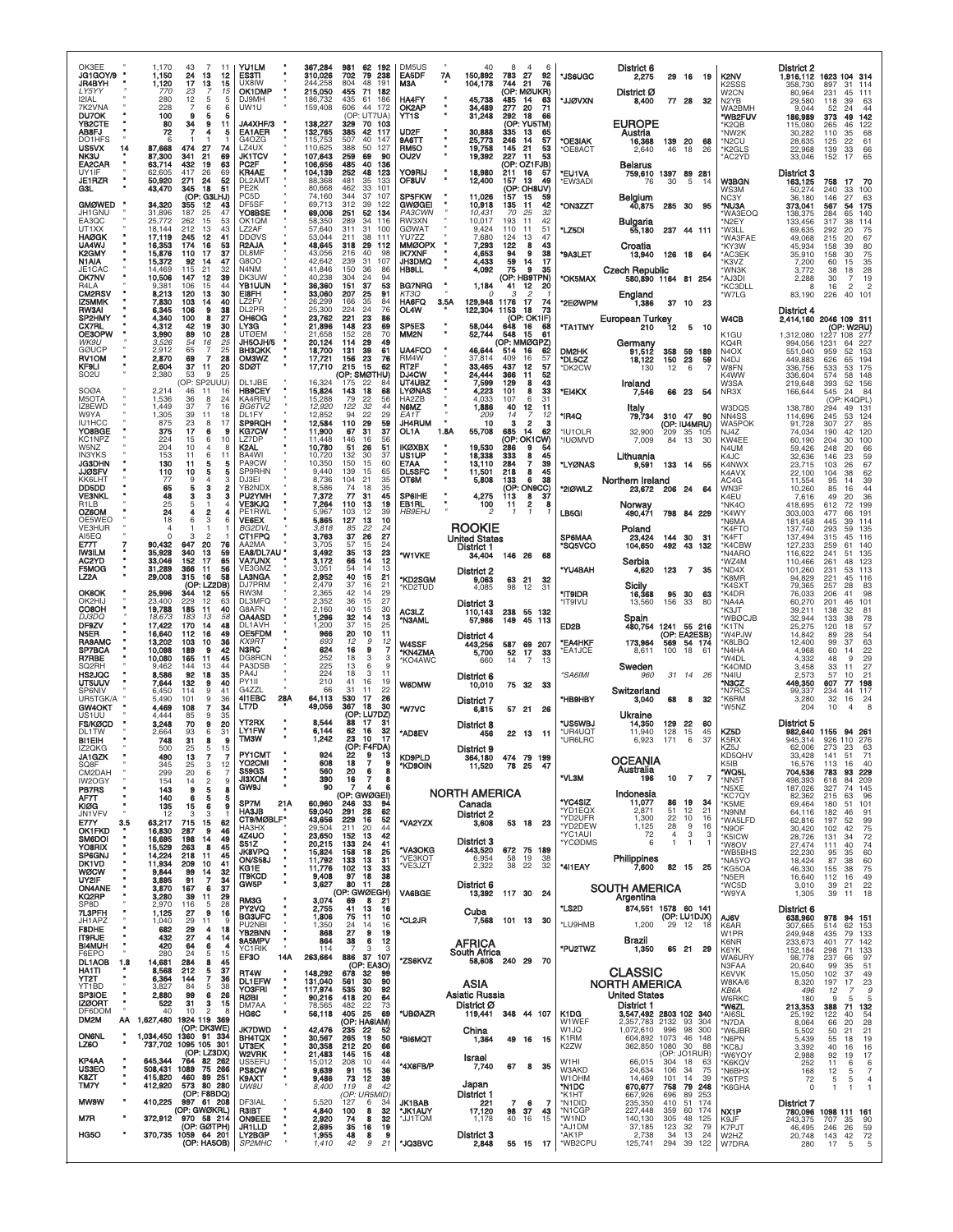| OK3EE<br>JG1GOY/9<br>JR4BYH<br>LY5YY<br>I2IAL<br>7K2VNA                 | 1,170<br>43<br>7<br>11<br>1,150<br>24<br>13<br>17<br>1,120<br>13<br>23<br>770<br>280<br>12<br>5<br>228<br>$\overline{7}$ | <b>YU1LM</b><br>12<br>ES3TI<br>15<br>UX8IW<br>15<br>OK1DMP<br>5<br>DJ9MH<br>6<br>UW1U | 367,284<br>981<br>62<br>310,026<br>702<br>79<br>244,258<br>804<br>48<br>215,050<br>455<br>186,732<br>435<br>61<br>159,408<br>606 | 192<br>238<br>191<br>71 182<br>186<br>44 172 | DM5US<br><b>EA5DF</b><br>ACM<br><b>HA4FY</b><br>OK2AP                 | 40<br>7Α<br>150,892<br>104,178<br>45,738<br>34.489 | 8<br>$\overline{4}$<br>783<br>27<br>92<br>744<br>21<br>76<br>(OP: MØUKR)<br>485<br>14<br>63<br>277<br>20<br>71 | *JS6UGC<br>*JJØVXN                       | District 6<br>2,275<br>District Ø<br>8,400                   | 29 16<br>77 28           | - 19<br>-32                                     | K2NV<br>K <sub>2</sub> SSS<br>W2CN<br>N2YB                       | <b>District 2</b><br>1,916,112<br>358.730<br>80,964<br>29,580       | 1623 104 314<br>897<br>31<br>231<br>45<br>39<br>118                                    | 114<br>111<br>63                            |
|-------------------------------------------------------------------------|--------------------------------------------------------------------------------------------------------------------------|---------------------------------------------------------------------------------------|----------------------------------------------------------------------------------------------------------------------------------|----------------------------------------------|-----------------------------------------------------------------------|----------------------------------------------------|----------------------------------------------------------------------------------------------------------------|------------------------------------------|--------------------------------------------------------------|--------------------------|-------------------------------------------------|------------------------------------------------------------------|---------------------------------------------------------------------|----------------------------------------------------------------------------------------|---------------------------------------------|
| DU70K<br><b>YB2CTE</b><br>AB8FJ<br>DO1HFS<br>US5VX<br>14<br><b>NK3U</b> | 100<br>9<br>5<br>80<br>34<br>9<br>72<br>7<br>6<br>474<br>27<br>87,668<br>87,300<br>21<br>341                             | 5<br>JA4XHF/3<br>11<br>5<br><b>EA1AER</b><br>G4OZG<br>74<br>LZ4UX<br>69<br>JK1TCV     | (OP: UT7UA)<br>138,227<br>329<br>42<br>132,765<br>385<br>115,753<br>507<br>40<br>388<br>50<br>110,625<br>107,643<br>259<br>69    | 70 103<br>-117<br>147<br>127<br>-90          | YT1S<br>UD <sub>2</sub> F<br>9A6TT<br><b>RM50</b><br>OU <sub>2V</sub> | 31,248<br>30,888<br>25,773<br>19,758<br>19,392     | 292<br>18<br>66<br>(OP: YU5TM)<br>335<br>13<br>65<br>246<br>57<br>14<br>145<br>21<br>53<br>227<br>53<br>11     | <b>OE3IAK</b><br><b>OE8ACT</b>           | <b>EUROPE</b><br>Austria<br>16,368<br>2,640                  | 139 20<br>46             | -68<br>18<br>26                                 | WA2BMH<br>*WB2FUV<br>*K2QB<br>'NW2K<br>'N2CU<br>'K2GLS<br>AC2YD* | 9,044<br>186,989<br>115,080<br>30,282<br>28,635<br>22,968<br>33,046 | 24<br>52<br>373<br>49<br>265<br>46<br>110<br>35<br>22<br>125<br>139<br>33<br>17<br>152 | 44<br>142<br>122<br>68<br>61<br>66<br>65    |
| EA2CAR<br>UY1IF<br><b>JE1RZR</b><br>GЗL                                 | 432<br>63,714<br>19<br>417<br>62.605<br>26<br>50,920<br>271<br>24<br>43,470<br>345<br>18                                 | 63<br>PC <sub>2</sub> F<br>69<br>KR4AE<br>52<br>DL2AM<br>51<br>PE2K                   | 485<br>106,656<br>40<br>104,139<br>252<br>48<br>481<br>35<br>88.368<br>80,668<br>462<br>33                                       | 136<br>123<br>133<br>101                     | YO9RIJ<br>OF8UV                                                       | 18,980<br>12,400                                   | (OP: OZ1FJB)<br>211<br>16<br>57<br>157<br>13<br>49<br>(OP: OH8UV)                                              | *EU1VA<br>*EW3ADI                        | Belarus<br>759,610 1397 89 281<br>76                         | 30                       | 5<br>-14                                        | <b>W3BGN</b><br>WS3M                                             | District 3<br>163,125<br>50,274                                     | 758<br>17<br>240<br>33                                                                 | 70<br>100                                   |
| <b>GMØWED</b><br>JH1GNU<br>EA3QC                                        | (OP: G3LHJ)<br>34,320<br>355<br>12<br>187<br>31,896<br>47<br>25<br>262<br>15<br>25.772                                   | PC <sub>5</sub> D<br>43<br>DF5SF<br>YO8BSE<br>53<br>OK1QM                             | 344<br>37<br>74.160<br>69,713<br>312<br>39<br>69,006<br>251<br>52<br>58,350<br>289<br>34                                         | 107<br>122<br>134                            | SP5FKW<br><b>GWØGEI</b><br>PA3CWN<br>RW3XN                            | 11,026<br>10,918<br>10.431<br>10,017               | 157<br>15<br>-59<br>135<br>11<br>42<br>32<br>70<br>25<br>193<br>42<br>11                                       | <b>*ON3ZZT</b>                           | Belgium<br>40,875                                            |                          | 285 30 95                                       | NC3Y<br>*NU3A<br>'WA3EOQ                                         | 36,180<br>373,041<br>138,375                                        | 146<br>27<br>567<br>54<br>284<br>65<br>38                                              | 63<br>175<br>140                            |
| UT1XX<br><b>HAØGK</b><br>UA4WJ                                          | 18,144<br>212<br>13<br>17,119<br>245<br>12<br>16,353<br>174<br>16                                                        | 43<br>LZ2AF<br>41<br><b>DDØVS</b><br>R <sub>2</sub> AJA<br>53                         | 57,640<br>31<br>311<br>53,044<br>211<br>38<br>318<br>48,645<br>29                                                                | 116<br>100<br>111<br>112                     | <b>GØWAT</b><br><b>YU7ZZ</b><br><b>MMØOPX</b>                         | 9,424<br>7,680<br>7,293                            | 110<br>51<br>11<br>47<br>124<br>13<br>122<br>8<br>43                                                           | *LZ5DI                                   | Bulgaria<br>55,180<br>Croatia                                |                          | 237 44 111                                      | *N2EY<br>*W3LL<br>'WA3FAE<br>'KY3W                               | 133,456<br>69,635<br>49,068<br>45,934                               | 317<br>292<br>20<br>215<br>20<br>158<br>39                                             | 114<br>75<br>67<br>80                       |
| K2GMY<br>N1AIA<br>JE1CAC<br>OK7NV                                       | 15,876<br>110<br>17<br>15,372<br>92<br>14<br>14.469<br>115<br>21<br>10,506<br>147                                        | 37<br>DL8MF<br>47<br>G8OO<br>N4NM<br>32<br>39<br>DK3UW                                | 43,056<br>216<br>40<br>42,642<br>239<br>31<br>150<br>41,846<br>36<br>40,238                                                      | 98<br>107<br>86                              | <b>IK7XNF</b><br><b>JH3DMQ</b><br><b>HB9LL</b>                        | 4,653<br>4,433<br>4,092                            | 38<br>9<br>94<br>59<br>17<br>14<br>9<br>35<br>75<br>(OP: HB9TPN)                                               | *9A3LET                                  | 13,940<br><b>Czech Republic</b>                              | 126 18                   | - 64                                            | *AC3EK<br>'K3VZ<br>*WN3K                                         | 35,910<br>7,200<br>3,772                                            | 158<br>30<br>60<br>15<br>38<br>18                                                      | 75<br>35<br>28                              |
| <b>R4LA</b><br>CM2RSV<br>IZ5MMK                                         | 12<br>9.381<br>106<br>15<br>8,213<br>120<br>13<br>103<br>7,830<br>14                                                     | 44<br><b>YB1UUN</b><br>30<br>E18FH<br>40<br><b>LZ2FV</b>                              | 304<br>24<br>36,360<br>151<br>37<br>33,060<br>207<br>25<br>35<br>26.299<br>166                                                   | 94<br>53<br>91<br>84                         | <b>BG7NRG</b><br>KT3Q<br>HA6FQ                                        | 1,184<br>0<br>129,948<br>3.5A                      | 12<br>20<br>41<br>1176<br>17<br>74                                                                             | *OK5MAX<br>*2EØWPM                       | 580,890 1164 81 254<br>England<br>1,386                      | 37 10                    | - 23                                            | *AJ3DI<br>'KC3DLL<br>'W7LG                                       | 2.288<br>8<br>83,190                                                | 30<br>$\overline{7}$<br>16<br>$\overline{2}$<br>40<br>226                              | 19<br>$\overline{2}$<br>101                 |
| RW3AI<br>SP2HMY<br>CX7RL                                                | 6,345<br>106<br>4,340<br>100<br>8<br>4,312<br>42<br>19                                                                   | 38<br>DL2PR<br>27<br>OH6OG<br>30<br>LY3G                                              | 25,300<br>224<br>24<br>23,762<br>221<br>23<br>23<br>21,896<br>148                                                                | 76<br>86<br>69                               | OL4W<br>SP5ES                                                         | 122,304<br>58,044                                  | 1153<br>18<br>73<br>(OP: OK1IF)<br>648<br>16<br>68                                                             | <b>"TA1TMY</b>                           | European Turkey<br>210                                       | 12                       | -5<br>- 10                                      | <b>W4CB</b>                                                      | District 4<br>2,414,160                                             | 2046 109 311<br>(OP: W2RU)                                                             |                                             |
| OE3OPW<br>WK9U<br><b>GØUCP</b>                                          | 3,990<br>89<br>10<br>3,526<br>54<br>16<br>2,912<br>65                                                                    | 28<br><b>UTØEM</b><br>25<br>JH5OJH/5<br>25<br><b>BH3QKK</b>                           | 21,658<br>28<br>152<br>20,124<br>29<br>114<br>18,700<br>131<br>39                                                                | 70<br>49<br>61                               | MM <sub>2N</sub><br>UA4FCO                                            | 52,744<br>46.644                                   | 548<br>15<br>-61<br>(OP: MMØGPZ)<br>16<br>62<br>514                                                            | DM2HK                                    | Germany<br>91,512                                            |                          | 358 59 189                                      | K1GU<br>KQ4R<br>N <sub>4</sub> OX                                | 1,312,080<br>994,056<br>551,040                                     | 1227 108 277<br>1231<br>64<br>959<br>52                                                | 227<br>153                                  |
| <b>RV1OM</b><br>KF9LI<br>SO <sub>2</sub> U                              | 2,870<br>69<br>7<br>2,604<br>37<br>11<br>2,380<br>53<br>9<br>25<br>(OP: SP2UUU)                                          | 28<br><b>OM3WZ</b><br>20<br>SDØT<br>DL1JBE                                            | 23<br>17,721<br>156<br>15<br>17,710<br>215<br>(OP: SMØTHU)<br>16,324<br>22                                                       | 76<br>62<br>84                               | RM4W<br>RT <sub>2</sub> F<br>DJ4CW<br>UT4UBZ                          | 37,814<br>33,465<br>24,444<br>7,599                | 409<br>16<br>57<br>437<br>12<br>57<br>52<br>366<br>11<br>43<br>129<br>8                                        | <b>DL5CZ</b><br>'DK2CW                   | 18,122<br>130                                                | 150<br>12                | 23<br>59<br>6                                   | N <sub>4</sub> DJ<br>W8FN<br>K4WW                                | 449,883<br>336,756<br>336,604                                       | 626<br>65<br>533<br>53<br>574<br>58                                                    | 194<br>175<br>148                           |
| <b>SOØA</b><br>M5OTA<br>IZ8EWD                                          | 2,214<br>46<br>-11<br>1,536<br>36<br>8<br>1.449<br>37<br>-7                                                              | <b>HB9CEY</b><br>16<br>KA4RRU<br>24<br>16<br>BG6TVZ                                   | 175<br>15,824<br>18<br>143<br>15,288<br>79<br>22<br>12,920<br>122<br>32                                                          | 68<br>56<br>44                               | <b>LYØNAS</b><br>HA2ZB<br>N6MZ                                        | 4,223<br>4,033<br>1,886                            | 33<br>101<br>8<br>107<br>31<br>6<br>40<br>12<br>-11                                                            | *EI4KX                                   | Ireland<br>7,546<br>Italy                                    | 66 23                    | - 54                                            | W3SA<br>NR3X<br>W3DQS                                            | 219,648<br>166,644<br>138,780                                       | 52<br>393<br>24<br>545<br>K4QPL)<br>(OP)<br>294<br>49                                  | 156<br>84<br>131                            |
| W9YA<br><b>IU1HCC</b><br>YO8BGE                                         | 1,305<br>39<br>11<br>875<br>23<br>8<br>375<br>17<br>6                                                                    | 18<br>DL1FY<br>17<br><b>SP9RQH</b><br>9<br>KG7CW                                      | 12,852<br>22<br>94<br>12,584<br>110<br>29<br>11,900<br>31<br>67                                                                  | 29<br>59<br>37                               | EA1T<br><b>JH4RUM</b><br>OL1A                                         | 209<br>10<br>1.8A<br>55,708                        | 14<br>7<br>12<br>$\overline{2}$<br>з<br>685<br>62<br>14                                                        | *IR4Q<br>з<br>'IU1OLR                    | 79,734<br>32,900                                             | 310 47<br>209            | - 90<br>(OP: IU4MRU)<br>35 105                  | NN4SS<br>WA5POK<br>N.I4Z                                         | 114,696<br>91,728<br>74,034                                         | 245<br>53<br>307<br>27<br>42<br>190                                                    | 124<br>85<br>120                            |
| KC1NPZ<br>W5NZ<br><b>IN3YKS</b>                                         | 224<br>15<br>6<br>204<br>10<br>153<br>11<br>6                                                                            | 10<br>LZ7DF<br>8<br>K2AL<br>11<br>BA4WI                                               | 11.448<br>146<br>16<br>10,780<br>51<br>26<br>10,720<br>132<br>30                                                                 | 56<br>51<br>37                               | <b>IKØXBX</b><br>US1UP                                                | 19,530<br>18,338                                   | (OP: OK1CW)<br>286<br>9<br>54<br>333<br>45<br>8                                                                | <b>'IUØMVD</b>                           | 7,009<br>Lithuania                                           | 84                       | 13<br>30                                        | KW4EE<br>N4UM<br>K4JC                                            | 60,190<br>59.426<br>32,636                                          | 204<br>30<br>248<br>20<br>146<br>23                                                    | 100<br>66<br>59                             |
| <b>JG3DHN</b><br><b>JJØSFV</b><br>KK6LHT<br>DD5DD                       | 130<br>11<br>5<br>110<br>10<br>5<br>77<br>9<br>65<br>з<br>5                                                              | 5<br>PA9CW<br>5<br>SP9RHN<br>3<br>DJ3EI<br>2<br>YB2NDX                                | 10,350<br>150<br>15<br>9,440<br>139<br>15<br>8,736<br>104<br>21<br>8,586<br>74<br>18                                             | 60<br>65<br>35<br>35                         | E7AA<br><b>DL5SFC</b><br>ОТ6М                                         | 13,110<br>11,501<br>5,808                          | 39<br>284<br>7<br>218<br>8<br>45<br>38<br>133<br>6<br>(OP: ON9CC)                                              | *LYØNAS<br>*21ØWLZ                       | 9,591<br>Northern Ireland                                    | 133 14                   | -55                                             | K4NWX<br>K4AVX<br>AC4G                                           | 23,715<br>22.100<br>11,554                                          | 26<br>103<br>38<br>104<br>95<br>14<br>16                                               | 67<br>62<br>39                              |
| <b>VE3NKL</b><br>R <sub>1</sub> LB<br>OZ6OM                             | 48<br>з<br>з<br>25<br>5<br>24<br>4<br>2                                                                                  | з<br>PU2YMH<br>$\overline{4}$<br><b>VE3KJQ</b><br>4<br>PE1RWL                         | 7,372<br>77<br>31<br>110<br>13<br>7,264<br>5,967<br>103<br>12                                                                    | 45<br>19<br>39                               | <b>SP6IHE</b><br>EB1RL<br><i>HB9EH</i> J                              | 4,275<br>100<br>2                                  | 37<br>113<br>8<br>2<br>11<br>$\mathbf{1}$<br>-1                                                                | 8<br>LB5GI                               | 23,672<br>Norway<br>490,471                                  | 206 24                   | 64<br>798 84 229                                | WN3F<br>K4EU<br>'NK4O<br>'K4WY                                   | 10,260<br>7,616<br>418,695<br>303,003                               | 85<br>49<br>20<br>72<br>612<br>66<br>477                                               | 44<br>36<br>199<br>191                      |
| OE5WEO<br><b>VE3HUR</b><br>AI5EQ                                        | 18<br>6<br>3<br>3                                                                                                        | VE6EX<br>6<br>BG2DVL<br>CT1FPQ                                                        | 5,865<br>127<br>13<br>3,818<br>22<br>85<br>3,763<br>37<br>26                                                                     | 10<br>24<br>27                               |                                                                       | <b>ROOKIE</b><br><b>United States</b>              |                                                                                                                | SP6MAA                                   | Poland<br>23,424                                             | 144 30                   | -31                                             | 'N6MA<br>'K4FTO<br>'K4FT                                         | 181,458<br>137,740<br>137,494                                       | 39<br>445<br>293<br>59<br>45<br>315                                                    | 114<br>135<br>116                           |
| E77T<br><b>IW3ILM</b><br>AC2YD                                          | 90,432<br>647<br>20<br>35,928<br>340<br>13<br>33,046<br>152<br>17                                                        | 76<br>AA2MA<br>59<br>EA8/DL7AU<br>65<br><b>VA7UNX</b>                                 | 3.705<br>57<br>15<br>3,492<br>35<br>13<br>3,172<br>66<br>14                                                                      | 24<br>23<br>12                               | *W1VKE                                                                | <b>District 1</b><br>34,404                        | 146 26<br>68                                                                                                   | *SQ5VCO                                  | 104,650<br>Serbia                                            | 492                      | 43<br>132                                       | 'K4CBW<br>'N4ARO<br>'WZ4M                                        | 127,233<br>116,622<br>110,466                                       | 259<br>61<br>241<br>51<br>261<br>48                                                    | 140<br>135<br>123                           |
| <b>F5MOG</b><br>LZ <sub>2</sub> A<br><b>OK6OK</b>                       | 31,289<br>366<br>11<br>29,008<br>315<br>16<br>58<br>(OP: LZ2DB)<br>25,996<br>344<br>12<br>55                             | 56<br>VE3GMZ<br><b>LA3NGA</b><br>DJ7PRM<br>RW3M                                       | 54<br>14<br>3,051<br>2,952<br>40<br>15<br>2,479<br>37<br>16<br>42<br>2,365<br>14                                                 | 13<br>21<br>21<br>29                         | *KD2SGM<br>'KD2TUD                                                    | District 2<br>9,063<br>4,085                       | 63<br>21<br>32<br>98<br>12<br>31                                                                               | *YU4BAH<br><b>IT9IDR</b>                 | 4,620<br>Sicily<br>16,368                                    | 123<br>95 30             | 35<br>$\overline{7}$<br>63                      | *ND4X<br>'K8MR<br>'K4SXT<br>*K4DR                                | 101,260<br>94,829<br>79,365<br>76,033                               | 231<br>53<br>221<br>45<br>257<br>28<br>206<br>41                                       | 113<br>116<br>83<br>98                      |
| OK2HI.<br>CO8OH<br><b>DJ3DQ</b>                                         | 229<br>23,400<br>12<br>19,788<br>185<br>11<br>183<br>13<br>18,673                                                        | 63<br>DL3MFQ<br>40<br>G8AFN<br>58<br><b>OA4ASD</b>                                    | 2,352<br>36<br>15<br>2,160<br>40<br>15<br>32<br>1,296<br>14                                                                      | 27<br>30<br>13                               | AC3LZ<br>*N3AML                                                       | <b>District 3</b><br>110,143<br>57,986             | 238<br>55 132<br>149<br>45 113                                                                                 | *IT9IVU                                  | 13,560<br>Spain                                              | 156                      | 33<br>80                                        | *NA4A<br>'K3JT<br>'WBØCJB                                        | 60,270<br>39,211<br>32,944                                          | 201<br>46<br>138<br>32<br>133<br>38                                                    | 101<br>81<br>78                             |
| DF9ZV<br>N5ER<br><b>RA9AMC</b>                                          | 170<br>17,422<br>14<br>16,640<br>112<br>16<br>13,202<br>103<br>10                                                        | 48<br>DL1AVH<br>49<br>OE5FDM<br>36<br>KX9RT                                           | 1,200<br>37<br>15<br>20<br>10<br>966<br>693<br>12                                                                                | 25<br>11<br>9<br>12                          | W4SSF                                                                 | District 4<br>443,256                              | 587<br>69 207                                                                                                  | ED2B<br>*EA4HKF                          | 480,754<br>173,964                                           | 569                      | 1241 55 216<br>(OP: EA2ESB)<br>54 174           | *K1TN<br>'W4PJW<br>K8LBQ*                                        | 25,275<br>14,842<br>12.400                                          | 120<br>18<br>89<br>28<br>99<br>37                                                      | 57<br>$\frac{54}{63}$                       |
| SP7BCA<br><b>R7RBE</b><br>SQ2RH<br>HS2JQC                               | 10,098<br>189<br>я<br>10,080<br>165<br>11<br>9.462<br>144<br>13<br>8,586<br>92<br>18                                     | 42<br>N3RC<br>DG8RCN<br>45<br>PA3DSB<br>44<br>PA4J<br>35                              | 624<br>16<br>9<br>252<br>18<br>225<br>13<br>6<br>224<br>18<br>3                                                                  | 7<br>3<br>3<br>9<br>11                       | *KN4ZMA<br>'KO4AWC                                                    | 5,700<br>660                                       | 52<br>17<br>33<br>$\overline{7}$<br>14<br>13                                                                   | 'EA1JCE<br>*SA6IMI                       | 8.611<br>Sweden<br>960                                       | 100<br>31 14             | 18<br>61<br>-26                                 | *N4HA<br>'W4DL<br>'K4OMD<br>*N4IU                                | 4,968<br>4.332<br>3,458<br>2.573                                    | 60<br>14<br>9<br>48<br>33<br>11<br>57<br>10                                            | 22<br>29<br>27<br>21                        |
| UT5UUV<br><b>SP6NIV</b><br>UR5TGK/A                                     | 7,644<br>132<br>9<br>6,450<br>114<br>9<br>41<br>5,490<br>101<br>9                                                        | PY1II<br>40<br>G4ZZI<br>411EBC<br>28A<br>36                                           | 210<br>41<br>16<br>31<br>11<br>66<br>64.113<br>530<br>17                                                                         | 19<br>22<br>26                               | <b>W6DMW</b>                                                          | District 6<br>10,010<br>District 7                 | 75<br>32 33                                                                                                    | *HB9HBY                                  | Switzerland<br>3,040                                         | 68                       | 8<br>32                                         | *N3CZ<br>'N7RCS<br>'K6RM                                         | 449,350<br>99,337<br>3,280                                          | 607<br>77<br>44<br>234<br>32<br>16                                                     | 198<br>117<br>24                            |
| <b>GW4OKT</b><br>US <sub>1</sub> UU<br><b>FS/KØCD</b>                   | 4,469<br>108<br>$\overline{7}$<br>4,444<br>85<br>9<br>3,248<br>70<br>9                                                   | LT7D<br>34<br>35<br><b>YT2RX</b><br>20                                                | 49,056<br>367<br>18<br>(OP: LU7DZ)<br>8,544<br>88<br>17                                                                          | 30<br>31                                     | *W7VC                                                                 | 6,815<br><b>District 8</b>                         | 57 21<br>26                                                                                                    | *US5WBJ                                  | Ukraine<br>14,350                                            | 129                      | 22<br>60                                        | 'W5NZ                                                            | 204<br>District 5                                                   | 10                                                                                     |                                             |
| DL1TW<br><b>BI1EIH</b><br>IZ2QKG                                        | 2,664<br>93<br>6<br>748<br>31<br>8<br>5<br>500<br>25                                                                     | <b>LY1FW</b><br>31<br>TM3W<br>9<br>15<br><b>PY1CMT</b>                                | 6.144<br>62<br>16<br>1,242<br>23<br>10<br>(OP: F4FDA)<br>924                                                                     | 32<br>17                                     | *AD8EV                                                                | 456<br>District 9                                  | 22 13 11                                                                                                       | *UR4UQT<br>*UR6LRC                       | 11,940<br>6,923                                              | 128<br>171               | 15<br>45<br>6<br>37                             | KZ5D<br>K5RX<br>KZ5J                                             | 982,640<br>945,314<br>62,006                                        | 1155<br>94 261<br>926 110<br>273<br>-23                                                | 276<br>63                                   |
| <b>JA1GZK</b><br>SQ8F<br>CM2DAH<br>IW2OGY                               | 490<br>13<br>345<br>25<br>3<br>299<br>20<br>6                                                                            | YO2CMI<br>$\begin{array}{c} 12 \\ 7 \end{array}$<br><b>S59GS</b><br><b>JI3XOM</b>     | 18<br>$\overline{7}$<br>608<br>560<br>20<br>390<br>16<br>$\overline{7}$                                                          | ю<br>9<br>8<br>6<br>8                        | <b>KD9PLD</b><br><b>*KD9OIN</b>                                       | 364,180<br>11,520                                  | 474 79 199<br>78 25<br>-47                                                                                     | *VL3M                                    | <b>OCEANIA</b><br>Australia<br>196                           | 10                       | $\overline{7}$<br>$\overline{7}$                | KD5QHV<br>K5IB<br>*WQ5L<br>*NN5T                                 | 33.428<br>16,576<br>704,536<br>498,393                              | 141<br>51<br>16<br>113<br>783<br>93<br>84<br>618                                       | $\prime$ 1<br>40<br>229<br>209              |
| <b>PB7RS</b><br>AF7T<br>KIØG                                            | $\overline{c}$<br>154<br>14<br>5<br>143<br>9<br>140<br>6<br>5<br>135<br>15<br>6                                          | $\overset{9}{\textbf{8}}$<br><b>GW9J</b><br>5<br>SP7M<br>21A<br>9                     | 90<br>7<br>(OP: GWØGEI)<br>60,960<br>246 33<br>291 28                                                                            | 6<br>94                                      |                                                                       | <b>NORTH AMERICA</b><br>Canada                     |                                                                                                                | *YC4SIZ                                  | Indonesia<br>11,077                                          | 86                       | 19<br>34                                        | *N5XE<br>'KC7QY<br>*K5ME                                         | 187,026<br>82,362<br>69,464                                         | 327<br>74<br>215<br>63<br>180<br>51                                                    | 145<br>96<br>101                            |
| JN1VFV<br>3.5<br>E77Y<br>OK1FKD                                         | 12<br>3<br>3<br>63,217<br>715<br>15<br>16,830<br>287<br>9                                                                | <b>HA3JB</b><br>$\overline{1}$<br>CT9/MØBLF*<br>62<br>НАЗНХ<br>46                     | 59,040<br>43,656<br>229<br>16<br>29,504<br>211<br>20                                                                             | 62<br>52<br>44                               | *VA2YZX                                                               | District 2<br>3,608                                | 53 18 23                                                                                                       | *YD1EQX<br>*YD2UFR<br>*YD2DEW<br>*YC1AUI | 2,871<br>1,300<br>1,125<br>72                                | 51<br>22<br>28<br>4      | 12<br>21<br>10<br>16<br>9<br>16<br>3<br>3       | *N9NM<br>*WA5LFD<br>*N9OF                                        | 64,116<br>62,816<br>30,420                                          | 182<br>46<br>197<br>52<br>42<br>102                                                    | 91<br>99<br>$75$<br>$72$                    |
| <b>SM6DOI</b><br>YO8RIX<br>SP6GNJ                                       | 16,695<br>198<br>14<br>15,529<br>14,224<br>263<br>8<br>218<br>-11                                                        | 4Z4UO<br>49<br>S51Z<br>45<br><b>JK8VPQ</b><br>45<br><b>ON/S58J</b>                    | 23,650<br>152<br>13<br>133<br>24<br>20,215<br>15,824<br>158<br>18<br>133<br>11,792<br>13                                         | 42<br>41<br>$\frac{25}{31}$                  | *VA3OKG<br>*VE3KOT                                                    | <b>District 3</b><br>443,520<br>6,954              | 672 75 189<br>58<br>19<br>38                                                                                   | *YCØDMS                                  | 6                                                            | $\mathbf{1}$             | $\mathbf{1}$<br>-1                              | *K5ICW<br>*W8OV<br>*WB5BHS<br>'NA5YO                             | 28,726<br>27,474<br>22,230<br>18,424                                | 34<br>131<br>40<br>111<br>95<br>35<br>87<br>38                                         | 74<br>60<br>60                              |
| DK1VD<br>WØCW<br>UY2IF                                                  | 11,934<br>209<br>10<br>9,844<br>99<br>14<br>3,895<br>91<br>$\overline{7}$                                                | 41<br>KG1E<br>32<br><b>IT9KCD</b><br>34<br>37<br>GW5P                                 | 11,776<br>102<br>13<br>9,408<br>97<br>18<br>3,627<br>80<br>11                                                                    | 33<br>38<br>28                               | *VE3JZT                                                               | 2,322<br>District 6                                | 38<br>22<br>32                                                                                                 | *4I1EAY                                  | Philippines<br>7,600<br><b>SOUTH AMERICA</b>                 |                          | 82 15 25                                        | *KG5OA<br>*N5ER<br>*WC5D                                         | 46,330<br>16,640<br>3,010                                           | 38<br>155<br>112<br>16<br>21<br>39                                                     | 75<br>49                                    |
| <b>ON4ANE</b><br>KQ2RP<br>SP8D<br>7L3PFH                                | 3,870<br>167<br>6<br>3,280<br>39<br>11<br>2,970<br>116<br>5<br>9<br>1,125<br>27                                          | $\frac{29}{28}$<br>RM3G<br>PY2VQ<br>16                                                | (OP: GWØEGH)<br>3,074<br>69<br>8<br>41<br>13<br>2,755                                                                            | 21<br>16                                     | VA6BGE                                                                | 13,392<br>Cuba                                     | 117 30 24                                                                                                      | *LS2D                                    | Argentina<br>874,551 1578 60 141                             |                          |                                                 | *W9YA                                                            | 1,305<br>District 6                                                 | 39<br>11                                                                               | $rac{22}{18}$                               |
| JH1APZ<br>F8DHE<br><b>IT9RJE</b>                                        | 1,040<br>29<br>11<br>682<br>29<br>4<br>432<br>27<br>4                                                                    | <b>BG3UFC</b><br>9<br>PU2NBI<br>18<br><b>YB2BNN</b><br>9A5MPV                         | 1,806<br>75<br>11<br>$\frac{24}{27}$<br>1,350<br>14<br>868<br>9<br>38<br>864<br>6                                                | 10<br>16<br>19                               | *CL2JR                                                                |                                                    | 7,568 101 13 30                                                                                                | *LU9HMB                                  | 1,200<br>Brazil                                              | 29 12                    | (OP: LU1DJX)<br>- 18                            | AJ6V<br>K6AR<br>W1PR                                             | 638,960<br>307,665<br>249,948                                       | 978<br>94 151<br>514<br>62<br>79<br>435                                                | 153<br>133                                  |
| <b>BI4MUH</b><br>F6EPO<br>DL1AOB<br>$1.8$                               | 420<br>64<br>6<br>280<br>24<br>5<br>14,681<br>8<br>284                                                                   | $\frac{14}{4}$<br>YC1RIK<br>15<br>14A<br>EF3O<br>45                                   | 114<br>7<br>263,664<br>886 37<br>(OP: EA3O)                                                                                      | 12<br>3<br>3<br>107                          | *ZS6KVZ                                                               | AFRICA<br>South Africa                             | 58,608 240 29<br>- 70                                                                                          | *PU2TWZ                                  | 1,350                                                        |                          | 65 21 29                                        | K6NR<br>K6YK<br>WA6URY<br>N3FAA                                  | 233,673<br>152,184<br>98,778<br>20,640                              | 401<br>77<br>71<br>298<br>66<br>237<br>99<br>35                                        | 142<br>133<br>97<br>51                      |
| HA1TI<br>YT2T<br>YT1BD                                                  | 8,568<br>212<br>5<br>Ż.<br>6,364<br>144<br>3,827<br>84<br>5                                                              | 37<br>RT4W<br>36<br>٠<br><b>DL1EFW</b><br>38<br><b>YO3FRI</b>                         | 148,292<br>678<br>32<br>131,040<br>30<br>561<br>117,974<br>535<br>30                                                             | 99<br>90<br>92                               |                                                                       | ASIA                                               |                                                                                                                |                                          | <b>CLASSIC</b><br><b>NORTH AMERICA</b>                       |                          |                                                 | K6VVK<br>W8KA/6<br>KB6A                                          | 15,050<br>8,320<br>496                                              | 102<br>37<br>197<br>17<br>12<br>7                                                      | 49<br>$\frac{23}{9}$                        |
| <b>SP3IOE</b><br><b>IZØORT</b><br>DF6DOM<br>DM2M<br>ΑА                  | 2,880<br>99<br>6<br>522<br>31<br>з<br>40<br>10<br>2<br>1,627,480<br>1924 119 369                                         | 26<br>RØBI<br>15<br>DM7AA<br>8<br>HG6C                                                | 418 20<br>90,216<br>78,565<br>482<br>22<br>$405\quad 25$<br>56,118                                                               | 64<br>73<br>69                               | *UBØAZR                                                               | <b>Asiatic Russia</b><br>District Ø<br>119,441     | 348 44 107                                                                                                     | K1DG                                     | <b>United States</b><br>District 1<br>3,547,492 2803 102 340 |                          |                                                 | W6RKC<br>*W6ZL<br>*AI6SL                                         | 180<br>213,353<br>25,192                                            | 9<br>5<br>71<br>388<br>122<br>40                                                       | 5<br>$\frac{132}{54}$                       |
| <b>ON6NL</b><br>LZ6O                                                    | (OP: DK3WE)<br>1,034,450 1360 91 334<br>737,702 1095 105 301                                                             | <b>JK7DWD</b><br>BH4TQX<br><b>UT3EK</b>                                               | (OP: HA6IAM)<br>22<br>42,476<br>235<br>19<br>30,567<br>265<br>212<br>30,358<br>20                                                | 52<br>50<br>66                               | *BI6MQT                                                               | China<br>1,364                                     | 49<br>16<br>- 15                                                                                               | W1WEF<br>$W1$ JO<br>K1RM<br>K2ZW         | 2,357,783 2132<br>1,072,610<br>604,892 1073<br>362,850       | 996<br>1080              | 304<br>93<br>98<br>300<br>46<br>148<br>30<br>88 | *N7DA<br>*W6JBR<br>*N6PN<br>*KC8J                                | 8,064<br>5,502<br>5,439<br>3,392                                    | 20<br>66<br>50<br>21<br>55<br>18<br>40<br>16                                           | 28<br>21<br>19<br>16                        |
| KP4AA<br><b>US3EO</b>                                                   | (OP: LZ3DX)<br>645,344<br>764 82 262<br>508,431 1089<br>75 266                                                           | W2VRK<br>US5EFU<br>PS8CW                                                              | 15<br>21,483<br>145<br>15,012<br>208<br>10<br>9,639<br>91<br>15                                                                  | 48<br>44<br>36                               | *4X6FB/P                                                              | Israel<br>7,740                                    | 67<br>8<br>35                                                                                                  | W1HI<br>W3AKD                            | 66,015<br>24,634                                             | 304<br>106               | (OP: JO1RUR)<br>18<br>63<br>34<br>75            | *W6YOY<br>*K6KQV<br>*N6BHX                                       | 2,988<br>252<br>168                                                 | 92<br>19<br>11<br>6<br>12<br>5                                                         | 17<br>$\begin{array}{c} 6 \\ 7 \end{array}$ |
| K8ZT<br>٠<br>TM7Y<br>п.                                                 | 460<br>415,820<br>89 251<br>573 80 280<br>412,920<br>(OP: F8BDQ)                                                         | K9AXT<br>UW8U                                                                         | 73<br>9,486<br>12<br>119<br>8,400<br>(OP: UR5MID)                                                                                | 39<br>8<br>42                                |                                                                       | Japan<br>District 1                                |                                                                                                                | W1OHM<br>*N1DC<br>*K1HT                  | 14,469<br>670,677<br>667,926                                 | 101<br>758<br>696        | 39<br>14<br>79<br>248<br>89<br>253              | *K6TPS<br>*K6GHA                                                 | 72<br>$\mathsf 0$                                                   | 5<br>5<br>1                                                                            | $\overline{4}$<br>1                         |
| <b>MW9W</b><br>M7R                                                      | 410,225<br>997 61 208<br>(OP: GWØKRL)<br>970 58 214<br>372,912<br>(OP: GØTPH)                                            | DF3IAL<br>R3IBT<br><b>ON9EEE</b><br>JR1LLD                                            | 5,520<br>127<br>6<br>4,840<br>100<br>74<br>2,920<br>2,695<br>35<br>16                                                            | 34<br>8<br>32<br>8<br>32<br>19               | <b>JK1BAB</b><br>*JK1AUY<br>*JJ1TQM                                   | 221<br>17,120<br>1,178                             | 7<br>6<br>98<br>37<br>43<br>40<br>16<br>15                                                                     | *N1DID<br>*N1CGP<br>*W1ND<br>*AJ1DM      | 235,350<br>227,448<br>140,130<br>37,185                      | 410<br>359<br>305<br>123 | 174<br>51<br>60<br>174<br>48<br>125<br>79<br>32 | NX1P<br>K9JF                                                     | District 7<br>243,375                                               | 780,096 1098 111 161<br>707<br>35                                                      | 90                                          |
| HG5O                                                                    | 370,735 1059 64 201<br>(OP: HA5OB)                                                                                       | LY2BGP<br>SP2MHC                                                                      | 48<br>1,955<br>8<br>1,410<br>42                                                                                                  | 9<br>9<br>21                                 | *JQ3BVC                                                               | District 3<br>2,848                                | 55 15<br>- 17                                                                                                  | *AK1P<br>*WB2CPU                         | 2,738<br>125,741                                             | 34<br>294                | 13<br>24<br>39<br>122                           | K7PJT<br>W2HZ<br>W7DRA                                           | 46,495<br>20,748<br>280                                             | 26<br>246<br>143<br>42<br>17<br>5                                                      | 59<br>$\frac{72}{5}$                        |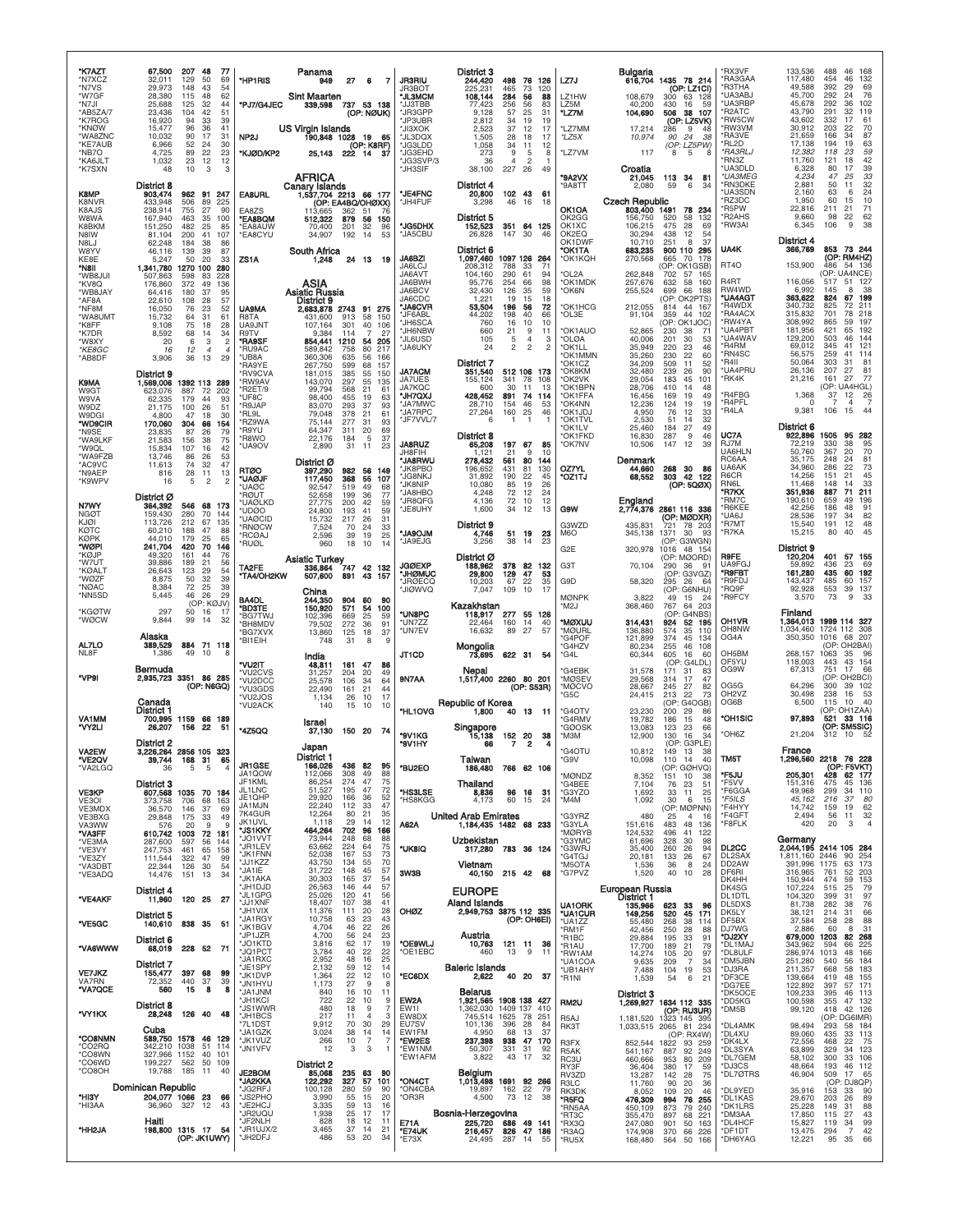| *K7AZT<br>*N7XCZ<br>*N7VS<br>*W7GF<br>*N7JI<br>*AB5ZA/7<br>*K7ROG<br>*KNØW<br>*WA8ZNC<br>*KE7AUB<br>*NB7O                             | 67,500<br>32,011<br>29,973<br>28,380<br>25,688<br>23,436<br>16,920<br>15,477<br>10,032<br>6,966<br>4,725                           | 207<br>48<br>-77<br>129<br>50<br>69<br>148<br>54<br>43<br>62<br>115<br>48<br>32<br>44<br>125<br>104<br>42<br>51<br>39<br>94<br>-33<br>96<br>36<br>41<br>31<br>90<br>17<br>30<br>52<br>24<br>89<br>22<br>23                                                                                          | *HP1RIS<br>*PJ7/G4JEC<br>NP <sub>2</sub> J<br>*KJØD/KP2                                                       | Panama<br>949<br><b>Sint Maarten</b><br>339,598<br><b>US Virgin Islands</b><br>190,848 1028 19<br>25,143                                       | 27                                                                        | 6<br>7<br>737 53 138<br>(OP: NØUK)<br>- 65<br>(OP: K8RF)<br>222 14 37                                                                   | <b>JR3RIU</b><br>JR3BOT<br>*JL3MCM<br>*JJ3TBB<br>*JR3GPP<br>*JP3UBR<br>*JI3XOK<br>*JL3DQX<br>*JG3LDD<br>*JG3EHD                   | District 3<br>244,420<br>225,231<br>108,144<br>77,423<br>9,128<br>2,812<br>2.523<br>1,505<br>1,058<br>273                              | 498 76<br>465<br>73<br>284<br>56<br>256<br>56<br>25<br>57<br>34<br>19<br>12<br>37<br>28<br>18<br>34<br>11<br>9                            | 126<br>120<br>88<br>83<br>31<br>19<br>17<br>17<br>12<br>5<br>8                           | LZ7J<br>LZ1HW<br>LZ5M<br>*LZ7M<br>*LZ7MM<br>*LZ5X<br>*LZ7VM                                                      | 108,679<br>40,200<br>104,690<br>17.214<br>10,974<br>117                                                          | Bulgaria<br>616,704 1435 78 214<br>(OP: LZ1CI)<br>300<br>63 128<br>430<br>16<br>59<br>506 38 107<br>(OP: LZ5VK)<br>9<br>286<br>-48<br>90<br>24<br>38<br>(OP: LZ5PW)<br>$\overline{5}$<br>8                                                      | *RX3VF<br>*RA3GAA<br>*R3THA<br>*UA3ABJ<br>*UA3RBF<br>*R2ATC<br>*RW5CW<br>*RW3VM<br>*RA3VE<br>*RL2D<br>*RA3RLJ                   | 133,536<br>117,480<br>49,588<br>45,700<br>45,678<br>43,790<br>43.602<br>30,912<br>21,659<br>17,138<br>12,382                     | 488<br>168<br>46<br>454<br>46<br>132<br>392<br>29<br>69<br>76<br>292<br>24<br>102<br>292<br>36<br>291<br>32<br>119<br>332<br>17<br>61<br>203<br>22<br>70<br>87<br>34<br>166<br>194<br>19<br>63<br>$\frac{59}{42}$<br>118<br>23        |
|---------------------------------------------------------------------------------------------------------------------------------------|------------------------------------------------------------------------------------------------------------------------------------|-----------------------------------------------------------------------------------------------------------------------------------------------------------------------------------------------------------------------------------------------------------------------------------------------------|---------------------------------------------------------------------------------------------------------------|------------------------------------------------------------------------------------------------------------------------------------------------|---------------------------------------------------------------------------|-----------------------------------------------------------------------------------------------------------------------------------------|-----------------------------------------------------------------------------------------------------------------------------------|----------------------------------------------------------------------------------------------------------------------------------------|-------------------------------------------------------------------------------------------------------------------------------------------|------------------------------------------------------------------------------------------|------------------------------------------------------------------------------------------------------------------|------------------------------------------------------------------------------------------------------------------|-------------------------------------------------------------------------------------------------------------------------------------------------------------------------------------------------------------------------------------------------|---------------------------------------------------------------------------------------------------------------------------------|----------------------------------------------------------------------------------------------------------------------------------|---------------------------------------------------------------------------------------------------------------------------------------------------------------------------------------------------------------------------------------|
| *KA6JLT<br>*K7SXN<br><b>K8MP</b><br>K8NVR<br>K8AJS<br>W8WA<br>K8BKM<br>N8IW                                                           | 1,032<br>48<br>District 8<br>903,474<br>433,948<br>238,914<br>167,940<br>151,250<br>81,104                                         | 23<br>12<br>12<br>10<br>3<br>3<br>962 91 247<br>506<br>89<br>225<br>755<br>27<br>90<br>463<br>35<br>100<br>482<br>25<br>85<br>200<br>41<br>107                                                                                                                                                      | <b>EA8URL</b><br>EA8ZS<br>*EA8BQM<br>*EA8AUW<br>*EA8CYU                                                       | <b>AFRICA</b><br>Canary Islands<br>1,537,704 2213 66 177<br>113.665<br>512,322<br>70,400<br>34,907                                             | 362<br>879<br>201<br>192                                                  | (OP: EA4BQ/OHØXX)<br>-51<br>-76<br>56<br>150<br>32<br>96<br>14<br>53                                                                    | *JG3SVP/3<br>*JH3SIF<br>*JE4FNC<br>*JH4FUF<br>*JG5DHX<br>*JA5CBU                                                                  | 36<br>38,100<br>District 4<br>20,800<br>3,298<br>District 5<br>152,523<br>26,828                                                       | $\overline{4}$<br>227 26<br>102 43<br>46<br>16<br>351 64<br>147<br>30                                                                     | $\overline{c}$<br>-1<br>49<br>- 61<br>18<br>125<br>46                                    | <b>*9A2VX</b><br>*9A8TT<br>OK1OA<br>OK2GG<br>OK1XC<br>OK2EQ                                                      | Croatia<br>21,045<br>2,080<br><b>Czech Republic</b><br>803,400 1491<br>156,750<br>106,215<br>30,294              | 113<br>-34<br>81<br>6<br>59<br>34<br>78<br>234<br>520<br>58<br>132<br>475<br>28<br>69<br>438<br>12<br>54                                                                                                                                        | *RN3Z<br>*UA3DLD<br>*UA3MEG<br>*RN3DKE<br>*UA3SDN<br>'RZ3DC<br>*R5PW<br>*R2AHS<br>*RW3AI                                        | 11,760<br>6,328<br>4,234<br>2,881<br>2,160<br>1,950<br>22,816<br>9,660<br>6,345                                                  | 121<br>18<br>39<br>80<br>17<br>33<br>47<br>25<br>32<br>50<br>11<br>24<br>63<br>6<br>$\frac{10}{71}$<br>60<br>15<br>211<br>21<br>$\frac{62}{38}$<br>98<br>22<br>106<br>9                                                               |
| <b>N8LJ</b><br>W8YV<br>KF8F<br>*N8II<br>*WB8JUI<br>*KV8Q<br>*WB8JAY<br>*AF8A<br>*NF8M<br>*WA8UMT<br>*K8FF<br>*K7DR<br>*W8XY<br>*KE8GC | 62.248<br>46,116<br>5,247<br>1,341,780<br>507.863<br>176,860<br>64,416<br>22,610<br>16,050<br>15,732<br>9,108<br>8,592<br>20<br>16 | 184<br>38<br>86<br>139<br>39<br>87<br>33<br>50<br>20<br>1270 100<br>280<br>83<br>228<br>598<br>372<br>49<br>136<br>37<br>180<br>95<br>108<br>28<br>57<br>76<br>23<br>52<br>64<br>31<br>61<br>28<br>75<br>18<br>68<br>34<br>14<br>$\overline{2}$<br>6<br>3<br>12<br>$\overline{4}$<br>$\overline{4}$ | ZS1A<br><b>UA9MA</b><br>R8TA<br>UA9JNT<br>R9TV<br>*RA9SF<br>*RU9AC                                            | South Africa<br>1,248<br>ASIA<br><b>Asiatic Russia</b><br>District 9<br>2,683,878 2743 91<br>431,600<br>107.164<br>9,384<br>854,441<br>589,842 | 24 13<br>913<br>301<br>114<br>1210<br>758                                 | 19<br>275<br>58<br>150<br>40<br>106<br>27<br>7<br>54<br>205<br>80<br>217                                                                | <b>JA6BZI</b><br>JA6LCJ<br>JA6AVT<br>JA6BWH<br>JA6BCV<br>JA6CDC<br>*JA6CVR<br>*JF6ABL<br>*JH6SCA<br>*JH6NBW<br>*JL6USD<br>*JA6UKY | District 6<br>1,097,460 1097 126 264<br>208.312<br>104,160<br>95,776<br>32,430<br>1,221<br>53,504<br>44,202<br>760<br>660<br>105<br>24 | 788<br>33<br>290<br>61<br>254<br>66<br>126<br>35<br>19<br>15<br>196<br>56<br>198<br>40<br>16<br>10<br>21<br>$\,$ 5 $\,$<br>$\overline{c}$ | 71<br>94<br>98<br>59<br>18<br>72<br>66<br>10<br>9<br>11<br>4<br>3<br>$\overline{c}$<br>2 | OK1DWF<br><b>OK1TA</b><br>*OK1KQH<br>OL2A<br>*OK1MDK<br>*OK6N<br>*OK1HCG<br>*OL3E<br>*OK1AUO<br>*OLØA<br>*OK1LL  | 10,710<br>683,235<br>270,568<br>262,848<br>257,676<br>255,524<br>212,055<br>91,104<br>52,865<br>40,006<br>35,949 | 251<br>8<br>37<br>900 110 295<br>665<br>70<br>178<br>(OP: OK1GSB)<br>702<br>57 165<br>632<br>58<br>160<br>699<br>66 188<br>(OP: OK2PTS)<br>814 44 167<br>44 102<br>359<br>(OP: OK1JOC)<br>230<br>38<br>71<br>201<br>30<br>53<br>220<br>23<br>46 | UA4K<br>RT <sub>40</sub><br>R <sub>4</sub> RT<br>RW4WD<br>*UA4AGT<br>*R4WDX<br>*RA4ACX<br>'RW4YA<br>*UA4PBT<br>*UA4WAV<br>*R4RM | District 4<br>366,769<br>153,900<br>116,056<br>6,992<br>363,622<br>340,732<br>315,832<br>308,992<br>181,956<br>129,200<br>69,012 | 853 73 244<br>(OP: RM4HZ)<br>486 54 136<br>(OP: UA4NCE<br>517<br>51 127<br>145<br>8<br>38<br>199<br>824<br>67<br>825<br>72<br>211<br>218<br>701<br>78<br>197<br>865<br>59<br>421<br>192<br>65<br>503<br>46<br>144<br>121<br>345<br>41 |
| *AB8DF<br>K9MA<br>W9GT<br>W9VA<br>W9DZ<br>W9DGI<br>*WD9CIR<br>*N9SE<br>*WA9LKF                                                        | 3,906<br>District 9<br>1,569,006<br>623,076<br>62,335<br>21.175<br>4,800<br>170,060<br>23,835<br>21,583                            | 29<br>36<br>13<br>1392 113 289<br>887<br>-72<br>-202<br>179<br>44<br>93<br>26<br>51<br>100<br>30<br>47<br>18<br>304<br>66<br>154<br>79<br>87<br>26<br>75<br>38<br>156                                                                                                                               | *UB8A<br>*RA9YE<br>*RV9CVA<br>*RW9AV<br>*R2ET/9<br>*UF8C<br>*R9JAP<br>*RL9L<br>*RZ9WA<br>*R9YU<br>*R8WO       | 360,306<br>267,750<br>181,015<br>143,070<br>99,794<br>98,400<br>83,070<br>79,048<br>75,144<br>64,347<br>22,176                                 | 635<br>599<br>385<br>297<br>568<br>455<br>293<br>378<br>277<br>311<br>184 | 56<br>166<br>68<br>157<br>55<br>150<br>55<br>135<br>21<br>61<br>63<br>19<br>93<br>37<br>21<br>61<br>31<br>93<br>69<br>20<br>5<br>37     | <b>JA7ACM</b><br>JA7UES<br><b>JA7KQC</b><br>*JH7QXJ<br>*JA7MWC<br>*JA7RPC<br>*JF7VVL/7<br><b>JA8RUZ</b>                           | District 7<br>351,540<br>155,124<br>600<br>428,452<br>28,710<br>27,264<br>6<br>District 8                                              | 512 106 173<br>78<br>341<br>30<br>11<br>891<br>74<br>154<br>46<br>160<br>25<br>$\overline{1}$<br>-1                                       | 108<br>13<br>114<br>53<br>46<br>$\overline{1}$<br>85                                     | 'OK1MMN<br>'OK1CZ<br>*OK8KM<br>*OK2VK<br>*OK1BPN<br>*OK1FFA<br>*OK4NN<br>*OK1JDJ<br>*OK1TVL<br>'OK1LV<br>'OK1FKD | 35,260<br>34,209<br>32,480<br>29,054<br>28,706<br>16,456<br>12,236<br>4,950<br>2,530<br>25,460<br>16,830         | 230<br>22<br>60<br>509<br>11<br>52<br>239<br>26<br>90<br>183<br>45<br>101<br>410<br>48<br>14<br>19<br>49<br>169<br>19<br>124<br>19<br>76<br>12<br>33<br>32<br>51<br>14<br>27<br>184<br>49<br>287<br>9<br>46                                     | *RN4SC<br>*R4II<br>*UA4PRU<br>*RK4K<br>*R4FBG<br>*R4PFL<br>*R4LA<br>UC7A<br>RJ7M                                                | 56,575<br>50,064<br>26,136<br>21,216<br>1,368<br>$\Omega$<br>9,381<br>District 6<br>922,896<br>72,219                            | 259<br>41<br>114<br>303<br>31<br>$8^{\circ}$<br>207<br>27<br>81<br>27<br>77<br>161<br>(OP: UA4HGL)<br>$\frac{26}{5}$<br>$\frac{37}{7}$<br>12<br>$\overline{4}$<br>-7<br>106<br>44<br>15<br>1505<br>95 282<br>330<br>38<br>95          |
| *W9QL<br>*WA9FZB<br>*AC9VC<br>*N9AEP<br>*K9WPV<br>N7WY<br><b>NGØT</b><br>KJØI<br><b>KØTC</b>                                          | 15,834<br>13.746<br>11,613<br>816<br>16<br>District Ø<br>364,392<br>159,430<br>113,726<br>60,210                                   | 107<br>42<br>16<br>53<br>86<br>26<br>47<br>74<br>32<br>28<br>11<br>13<br>$\overline{2}$<br>$\overline{a}$<br>-5<br>546 68 173<br>280<br>144<br>70<br>212<br>67<br>135<br>47<br>188<br>88                                                                                                            | *UA9OV<br><b>RTØO</b><br>*UAØJF<br>*UAØC<br>*RØUT<br>*UAØLKD<br>*UDØO<br>*UAØCID<br>*RNØCW                    | 2,890<br>District Ø<br>397,290<br>117,450<br>92,547<br>52,658<br>27,775<br>24,800<br>15,732<br>7,524                                           | 31<br>982 56<br>368<br>519<br>199<br>200<br>193<br>217<br>70              | 23<br>11<br>149<br>55<br>107<br>49<br>68<br>77<br>36<br>42<br>59<br>41<br>59<br>31<br>-26<br>33<br>24<br>19<br>25                       | JH8FIH<br>*JA8RWU<br>*JK8PBO<br>*JG8NKJ<br>*JK8NIP<br>*JA8HBO<br>*JR8QFG<br>*JE8UHY<br><b>MLORAL*</b>                             | 65,208<br>1,121<br>278,432<br>196,652<br>31,892<br>10,080<br>4,248<br>4,136<br>1,600<br>District 9<br>4,746                            | 197 67<br>21<br>80<br>561<br>81<br>431<br>190<br>22<br>85<br>19<br>72<br>12<br>72<br>10<br>34<br>12<br>51 19                              | 9<br>10<br>144<br>130<br>45<br>26<br>24<br>12<br>13<br>23                                | *OK7NV<br>OZ7YL<br>*OZ1TJ<br>G9W<br>G3WZD<br>M <sub>6</sub> O                                                    | 10,506<br>Denmark<br>44,660<br>68,552<br>England<br>2,774,376<br>435,831<br>345,138                              | 147<br>12<br>39<br>268 30<br>- 86<br>303 42 122<br>(OP: 5QØX)<br>2861 116 336<br>(op: Mødxr)<br>78 203<br>721<br>1371<br>-30<br>93                                                                                                              | UA6HLN<br>RC6AA<br><b>UA6AK</b><br>R6CR<br><b>RN6L</b><br>*R7KX<br>'RM7C<br>*R6KEE<br>*UA6J<br>*R7MT<br>*R7KA                   | 50.760<br>35,175<br>34,960<br>14,256<br>11.468<br>351,936<br>190,610<br>42,256<br>28,536<br>15,540<br>15,215                     | 70<br>367<br>20<br>81<br>248<br>24<br>73<br>22<br>286<br>45<br>151<br>21<br>33<br>148<br>14<br>887<br>71<br>211<br>659<br>49<br>196<br>186<br>48<br>91<br>197<br>$\frac{82}{48}$<br>34<br>12<br>191<br>45<br>80<br>40                 |
| KØPK<br>*WØPI<br>*KØJP<br>*W7UT<br>*KØALT<br>*WØZF<br>*NØAC<br>*NN5SD<br>*KGØTW<br>*WØCW                                              | 44,010<br>241,704<br>49,320<br>39,886<br>26,643<br>8,875<br>8,384<br>5,445<br>297<br>9,844                                         | 179<br>25<br>65<br>420<br>70<br>146<br>161<br>44<br>76<br>189<br>21<br>56<br>123<br>29<br>54<br>32<br>39<br>50<br>72<br>25<br>39<br>26<br>29<br>46<br>(OP: KØJV)<br>50<br>16<br>17<br>99<br>14<br>32                                                                                                | *RCØAJ<br>*RUØL<br>TA2FE<br>"TA4/OH2KW<br><b>BA4DL</b><br>*BD3TE<br>*BG7TWJ                                   | 2,596<br>960<br>Asiatic Turkey<br>336 864 747 42 132<br>507,600<br>China<br>244,350<br>150,920<br>102,396                                      | 39<br>18<br>891<br>904 60<br>571<br>669                                   | 10<br>14<br>43<br>157<br>-90<br>100<br>54<br>25<br>59                                                                                   | *JA9EJG<br><b>JGØEXP</b><br>*JHØMUC<br>*JRØECQ<br>*JIØWVQ<br>*UN8PC                                                               | 3,256<br>District Ø<br>188,962<br>29,800<br>10,203<br>7,047<br>Kazakhstan<br>118,917                                                   | 38<br>14<br>378<br>82<br>129<br>47<br>22<br>67<br>109<br>10<br>277 55 126                                                                 | 23<br>132<br>53<br>35<br>17                                                              | G2E<br>G3T<br>G9D<br><b>MØNPK</b><br>'M2J                                                                        | 320,978<br>70,104<br>58,320<br>3.822<br>368,460                                                                  | (OP: G3WGN)<br>1016 48 154<br>(OP: MØORD)<br>290<br>-36<br>91<br>(OP: G3VGZ)<br>295<br>26<br>-64<br>(OP: G6NHU)<br>49<br>15 24<br>767<br>64 203<br>(OP: G4NBS)                                                                                  | <b>R9FE</b><br>UA9FGJ<br>'R9FBT<br>*R9FDJ<br>*RO9F<br>*R9FCY<br>OH <sub>1</sub> VR                                              | District 9<br>120,204<br>59,892<br>161,280<br>143,437<br>92,928<br>3,570<br>Finland                                              | 401<br>57 155<br>436<br>23<br>69<br>192<br>435<br>60<br>485<br>60<br>157<br>137<br>553<br>39<br>73<br>9<br>33<br>1999 114 327                                                                                                         |
| AL7LO<br>NL8F<br>*VP9I                                                                                                                | Alaska<br>389,529<br>1,386<br>Bermuda                                                                                              | 884 71 118<br>49<br>10<br>8<br>2,935,723 3351 86 285<br>(OP: N6GQ)                                                                                                                                                                                                                                  | *BH8MDV<br>*BG7XVX<br>*BI1EIH<br>*VU2IT<br>*VU2CVS<br>*VU2DCC<br>*VU3GDS<br>*VU2JOS                           | 79,502<br>13,860<br>748<br>India<br>48,811<br>31,257<br>25,578<br>22,490<br>1,134                                                              | 272<br>125<br>31<br>161 47<br>204<br>106<br>161<br>26                     | 36<br>91<br>18<br>37<br>8<br>9<br>86<br>20<br>49<br>34<br>64<br>21<br>44<br>10<br>17                                                    | *UN7ZZ<br>*UN7EV<br>JT1CD<br>9N7AA                                                                                                | 22,464<br>16,632<br>Mongolia<br>73,695<br>Nepal<br>1,517,400 2260 80 201                                                               | 160<br>14<br>89<br>27<br>622 31 54                                                                                                        | 40<br>57<br>(OP: S53R)                                                                   | *MØXUU<br>*MØURL<br>*G4POF<br>*G4HZV<br>*G4L<br>'G4EBK<br>*MØSEV<br>*MØCVO<br>'G5C                               | 314,431<br>136,880<br>121,899<br>80,234<br>60,344<br>31,578<br>29,568<br>28,667<br>24,415                        | 924<br>52 195<br>574<br>35<br>110<br>374<br>45<br>134<br>255<br>46 108<br>605<br>16<br>60<br>(OP: G4LDL)<br>171<br>31<br>83<br>314<br>17<br>47<br>245<br>27<br>82<br>22<br>73<br>213                                                            | OH8NW<br>OG4A<br>OH <sub>5</sub> BM<br>OF5YU<br>OG9W<br>OG5G<br>OH <sub>2</sub> V <sub>Z</sub>                                  | 1,364,013<br>1,034,460<br>350,350<br>268,157<br>118,003<br>67,313<br>64,296<br>30,498                                            | 1724 112 308<br>1016 68 207<br>(OP: OH2BAI)<br>1063<br>35<br>96<br>43 154<br>443<br>751<br>17<br>66<br>(OP: OH2BCI)<br>300<br>39 102<br>53<br>238<br>16                                                                               |
| <b>VA1MM</b><br>'VY2LI<br>VA2EW                                                                                                       | Canada<br>District 1<br>700,995 1159<br>26,207<br>District 2<br>39,744                                                             | 66 189<br>156<br>-22<br>51<br>3,226,264 2856 105 323<br>168<br>65                                                                                                                                                                                                                                   | *VU2ACK<br>*4Z5QQ                                                                                             | 140<br>Israel<br>37,130<br>Japan<br>District 1                                                                                                 | 15<br>150 20                                                              | 10<br>10<br>- 74                                                                                                                        | *HL1OVG<br>*9V1KG<br>*9V1HY                                                                                                       | <b>Republic of Korea</b><br>1,800<br>Singapore<br>15,138<br>66<br>Taiwan                                                               | 13<br>40<br>152<br>20<br>7                                                                                                                | - 11<br>38<br>2                                                                          | *G4OTV<br>'G4RMV<br>'GØOSK<br>*М3М<br><b>G4OTU</b>                                                               | 23,230<br>19,782<br>13,083<br>12,900<br>10,812<br>10,098                                                         | (OP: G4OGB)<br>200<br>29<br>86<br>186<br>15<br>48<br>123<br>23<br>66<br>16<br>130<br>-34<br>(OP: G3PLE)<br>149<br>13<br>38<br>110<br>14<br>40                                                                                                   | OG6B<br>*OH1SIC<br>*OH6Z<br>TM <sub>5</sub> T                                                                                   | 6,500<br>97,893<br>21,204<br>France                                                                                              | 115<br>10<br>40<br>(OP: OH1ZAA)<br>521 33 116<br>(OP: SM5SIC)<br>312<br>10<br>296,560 2218 76 228                                                                                                                                     |
| *VA2LGQ<br><b>VE3KP</b><br>VE <sub>3</sub> OI<br>VE3MDX<br>VE3BXG<br>VA3WW                                                            | 36<br>District 3<br>373,758<br>36,570<br>29,848<br>576<br>610,742 1003                                                             | σı<br>5<br>5<br>$\overline{4}$<br>607,568 1035 70 184<br>706<br>68<br>163<br>146<br>37<br>69<br>175<br>49<br>33<br>20<br>9<br>9                                                                                                                                                                     | JR1GSE<br>JA1QOW<br>JF1KML<br>JL1LNC<br>JE1QHP<br>JA1MJN<br>7K4GUR<br>JK1UVL<br>*JS1KKY                       | 166,026<br>112,066<br>86,254<br>51,527<br>29,920<br>22,240<br>12,264<br>1,118<br>464,264                                                       | 436<br>308<br>274<br>195<br>166<br>112<br>80<br>29<br>702                 | 82<br>95<br>49<br>88<br>47<br>75<br>47<br>72<br>52<br>36<br>47<br>33<br>21<br>35<br>12<br>14<br>96<br>166                               | *BU2EO<br>*HS3LSE<br>*HS8KGG<br>A62A                                                                                              | 186,480<br>Thailand<br>8,836<br>4,173<br>United Arab Emirates<br>1,184,435 1482 68 233                                                 | 766 62 106<br>96<br>16<br>60<br>15                                                                                                        | -31<br>24                                                                                | <b>MØNDZ</b><br>*G4BEE<br>*G3YZO<br>*M4M<br>'G3YRZ<br>*G3YLA<br>*MØRYB                                           | 8,352<br>7,104<br>1,692<br>1,092<br>480<br>151,616<br>124,532                                                    | (OP: GØHVQ)<br>10<br>151<br>38<br>23<br>76<br>51<br>33<br>11<br>25<br>30<br>6<br>15<br>(OP: MØPNN)<br>25<br>$\overline{4}$<br>16<br>48<br>483<br>136<br>496<br>41 122                                                                           | *F5JU<br>*F5VV<br>*F6GGA<br>$*$ F5ILS<br>*F4HYY<br>*F4GFT<br>*F8FLK                                                             | 205,301<br>151,316<br>49,968<br>45,162<br>14,742<br>2,494<br>420                                                                 | (OP: F5VKT)<br>428 62 177<br>475<br>45 136<br>34 110<br>299<br>216<br>80<br>-37<br>62<br>159<br>19<br>32<br>56<br>11<br>20<br>3<br>$\overline{4}$                                                                                     |
| *VA3FF<br>*VE3MA<br>*VE3VY<br>*VE3ZY<br>*VA3DBT<br>*VE3ADQ<br>*VE4AKF                                                                 | 287,600<br>247,753<br>111,544<br>22,344<br>14,476<br>District 4<br>11,960                                                          | 72 181<br>597<br>56<br>144<br>461<br>65<br>158<br>322<br>47<br>99<br>126<br>30<br>54<br>151<br>13<br>34<br>120 25<br>27                                                                                                                                                                             | *JO1VVT<br>*JR1LEV<br>*JK1FNN<br>*JJ1KZZ<br>*JA1IE<br>*JK1AKA<br>*JH1DJD<br>*JL1GPG<br>*JJ1XNF                | 73,944<br>63,662<br>52,038<br>43,750<br>31,722<br>30,303<br>26,563<br>25,026<br>18,407                                                         | 248<br>224<br>167<br>134<br>148<br>165<br>146<br>120<br>107               | 68<br>88<br>64<br>75<br>53<br>73<br>55<br>70<br>45<br>57<br>37<br>54<br>57<br>44<br>41<br>56<br>38<br>41                                | *UK8IQ<br>3W3B                                                                                                                    | Uzbekistan<br>317,280 783 36 124<br>Vietnam<br>40,150<br><b>EUROPE</b><br>Aland Islands                                                | 215 42 68                                                                                                                                 |                                                                                          | <b>G3YMC</b><br>*G3WRJ<br>'G4TGJ<br>*M5OTA<br>*G7PVZ<br><b>UA1ORK</b>                                            | 61,696<br>35,400<br>20,181<br>1,536<br>1,520<br>European Russia<br>District 1<br>135,966                         | 328<br>30<br>98<br>260<br>26<br>94<br>133<br>26<br>67<br>36<br>8<br>24<br>40<br>10<br>28<br>623<br>33<br>96                                                                                                                                     | DL2CC<br>DL2SAX<br>DD <sub>2</sub> AW<br>DF6RI<br>DK4HH<br>DK4SG<br>DL1DTL<br>DL5DXS                                            | 1,811,160 2446<br>391,996 1175<br>316,965<br>150,944<br>107,224<br>104,320<br>81,738                                             | Germany<br>2,044,195 2414 105 284<br>90<br>254<br>63 173<br>761<br>52<br>203<br>474<br>59<br>153<br>79<br>515<br>25<br>97<br>399<br>31<br>76<br>282<br>38                                                                             |
| *VE5GC<br>*VA6WWW<br><b>VE7JKZ</b><br>VA7RN<br>*VA7QCE                                                                                | District 5<br>140,610<br>District 6<br>68,019<br>District 7<br>155,477<br>72,352<br>560                                            | 838 35 51<br>228 52 71<br>397<br>68<br>99<br>440<br>37<br>39<br>15<br>8<br>8                                                                                                                                                                                                                        | *JH1VIX<br>*JA1RGY<br>*JK1BGV<br>*JP1JZR<br>*JO1KTD<br>*JQ1PCT<br>*JA1RXC<br>*JE1SPY<br>*JK1DVP<br>*JN1HYU    | 11,376<br>10,758<br>4,704<br>4,700<br>3,816<br>3,784<br>2,952<br>2,132<br>1,364<br>1,173                                                       | 111<br>63<br>46<br>56<br>62<br>40<br>48<br>59<br>22<br>27                 | 20<br>28<br>23<br>43<br>22<br>26<br>24<br>23<br>17<br>19<br>22<br>22<br>16<br>25<br>12<br>14<br>12<br>10<br>9<br>8                      | OHØZ<br>*OE9WLJ<br>*OE1EBC<br>*EC6DX                                                                                              | 2,949,753 3875 112 335<br>Austria<br>10,763<br>460<br><b>Baleric Islands</b><br>2,622                                                  | (OP: OH6EI)<br>121 11<br>13<br>40 20                                                                                                      | 36<br>9<br>11<br>-37                                                                     | *UA1CUR<br>*UA1ZZ<br>*RM1F<br>*R1BC<br>*R1AU<br>*RW1AM<br>*UA1COA<br>*UB1AHY<br>*R1NI                            | 149,256<br>55,480<br>42,456<br>29,884<br>17,700<br>14,274<br>9,635<br>7,488<br>1,539                             | 520<br>45<br>171<br>268<br>38<br>114<br>250<br>28<br>88<br>195<br>33<br>91<br>21<br>79<br>189<br>105<br>20<br>97<br>209<br>$\overline{7}$<br>34<br>104<br>19<br>53<br>6<br>54<br>21                                                             | DK5LY<br>DF5BX<br>DJ7WG<br>*DJ2XY<br>*DL1MA.<br>*DL8ULF<br>*DM5JBN<br>*DJ3RA<br>*DF3CE<br>*DG7EE                                | 38,121<br>37,584<br>2,886<br>679,000<br>343,962<br>286,974<br>251,280<br>211,357<br>139,664<br>122,892                           | 66<br>214<br>31<br>88<br>258<br>28<br>31<br>60<br>8<br>82 268<br>1203<br>225<br>594<br>66<br>48 166<br>1013<br>540<br>56<br>184<br>668<br>58 183<br>419<br>48<br>155<br>57 171<br>397                                                 |
| *VY1KX<br>*CO8NMN<br>°CO2RQ<br>*CO8WN<br>*CO6WD<br>*CO8OH                                                                             | District 8<br>28,248<br>Cuba<br>342,210 1038<br>327,966 1152<br>199,227<br>19,788                                                  | 126 40<br>48<br>589,750 1578 46 129<br>51 114<br>40<br>101<br>562<br>50 109<br>185<br>11<br>40                                                                                                                                                                                                      | *JA1JNM<br>*JH1KCI<br>'JS1WWR<br>*JH1BCS<br>*7L1DST<br>'JA1GZK<br>*JK1VUZ<br>*JN1VFV                          | $\frac{840}{722}$<br>480<br>217<br>9,912<br>3,024<br>266<br>12<br>District 2                                                                   | 16<br>22<br>18<br>11<br>70<br>38<br>10<br>3                               | 10<br>11<br>10<br>9<br>$\overline{7}$<br>9<br>$\overline{4}$<br>3<br>30<br>29<br>14<br>14<br>$\overline{7}$<br>7<br>3<br>$\overline{1}$ | EW2A<br><b>EW11</b><br>EW8DX<br>EU7SV<br>EW1FM<br>*EW2ES<br>*EW1NM<br>*EW1AFM                                                     | <b>Belarus</b><br>1,921,565 1908 138 427<br>1,362,030<br>745,514<br>101,136<br>4,950<br>237,398<br>50,307<br>3,822                     | 1409 137<br>1625<br>78<br>396<br>28<br>68<br>13<br>938<br>47<br>331<br>31<br>17<br>43                                                     | 410<br>251<br>84<br>-37<br>170<br>92<br>32                                               | RM <sub>2U</sub><br>R <sub>5</sub> AJ<br>RK3T<br>R3FX<br>R <sub>5</sub> AK<br>RC3U<br>RY3F                       | District 3<br>1,269,927<br>1,181,520<br>541,167<br>460,666<br>36,404                                             | 1634 112 335<br>(OP: RU3UR)<br>1323 145 395<br>1,033,515 2065 81 234<br>(OP: RX4W)<br>852,544 1822 93 259<br>92 249<br>887<br>953<br>80 209<br>17<br>380<br>59                                                                                  | *DK5OCE<br>*DD5KG<br>*DM5B<br>*DL4AMK<br>*DL4XU<br>*DK4LX<br>*DL3SYA<br>*DL7GEM<br>*DJ3CS                                       | 109,233<br>100,598<br>99,120<br>98,494<br>89,060<br>72,556<br>63,899<br>58,102<br>48,664                                         | 395<br>46<br>113<br>47 132<br>355<br>42 126<br>418<br>(OP: DG6IMR)<br>58 184<br>293<br>33 113<br>435<br>75<br>468<br>22<br>123<br>329<br>34<br>300<br>33 106<br>193<br>46 112                                                         |
| *HI3Y<br>*HI3AA<br>*HH2JA                                                                                                             | Dominican Republic<br>36,960<br>Haiti                                                                                              | 204,077 1066 23<br>66<br>327<br>12<br>43<br>198,800 1315 17 54<br>(OP: JK1UWY)                                                                                                                                                                                                                      | <b>JE2BOM</b><br>*JA2KKA<br>'JG2RFJ<br>*JS2PHO<br>*JE2HCJ<br><b>JR2UQU</b><br>*JF2NLH<br>*JR1UJX/2<br>*JH2DFJ | 85,068<br>122,292<br>100,128<br>3,990<br>3,335<br>1,938<br>828<br>3,465<br>486                                                                 | 235<br>327<br>280<br>55<br>59<br>25<br>18<br>37<br>53                     | 63<br>90<br>57<br>101<br>59<br>90<br>20<br>15<br>13<br>16<br>17<br>17<br>12<br>11<br>14<br>21<br>20<br>34                               | *ON4CT<br>*ON4CBA<br>*OR3R<br>E71A<br>*E74UK<br>*E73X                                                                             | Belgium<br>1,013,498 1691 92 266<br>19,897<br>4,500<br>Bosnia-Herzegovina<br>225,720<br>216,457<br>24,495                              | 162<br>22<br>73<br>12<br>686<br>826<br>47<br>287<br>14                                                                                    | 79<br>38<br>49 141<br>186<br>55                                                          | RV3ZD<br>R3LC<br>RK3DK<br>*R5FQ<br>*RN5AA<br>*RT3C<br>*RX3Q<br>*R3AQ<br>*RU5X                                    | 13,287<br>11,760<br>8,052<br>476,309<br>450,109<br>355,470<br>247,080<br>174,908<br>168,480                      | 142<br>28<br>75<br>90<br>20<br>36<br>109<br>20<br>46<br>994<br>76<br>255<br>873<br>79<br>240<br>221<br>897<br>68<br>50<br>163<br>901<br>370<br>66<br>226<br>564<br>50<br>166                                                                    | *DL7ØTRS<br>*DL9YED<br>*DL1KAS<br>*DK1LRS<br>*DM3AA<br>*DL4HCF<br>*DF1DT<br>*DH6YAG                                             | 46,904<br>35,916<br>29,670<br>25,228<br>17,850<br>15,827<br>13,475<br>12,221                                                     | 17<br>509<br>65<br>(OP: DJ8QP)<br>90<br>153<br>33<br>203<br>26<br>89<br>88<br>149<br>31<br>115<br>27<br>43<br>99<br>42<br>119<br>34<br>$\overline{7}$<br>294<br>66<br>95<br>35                                                        |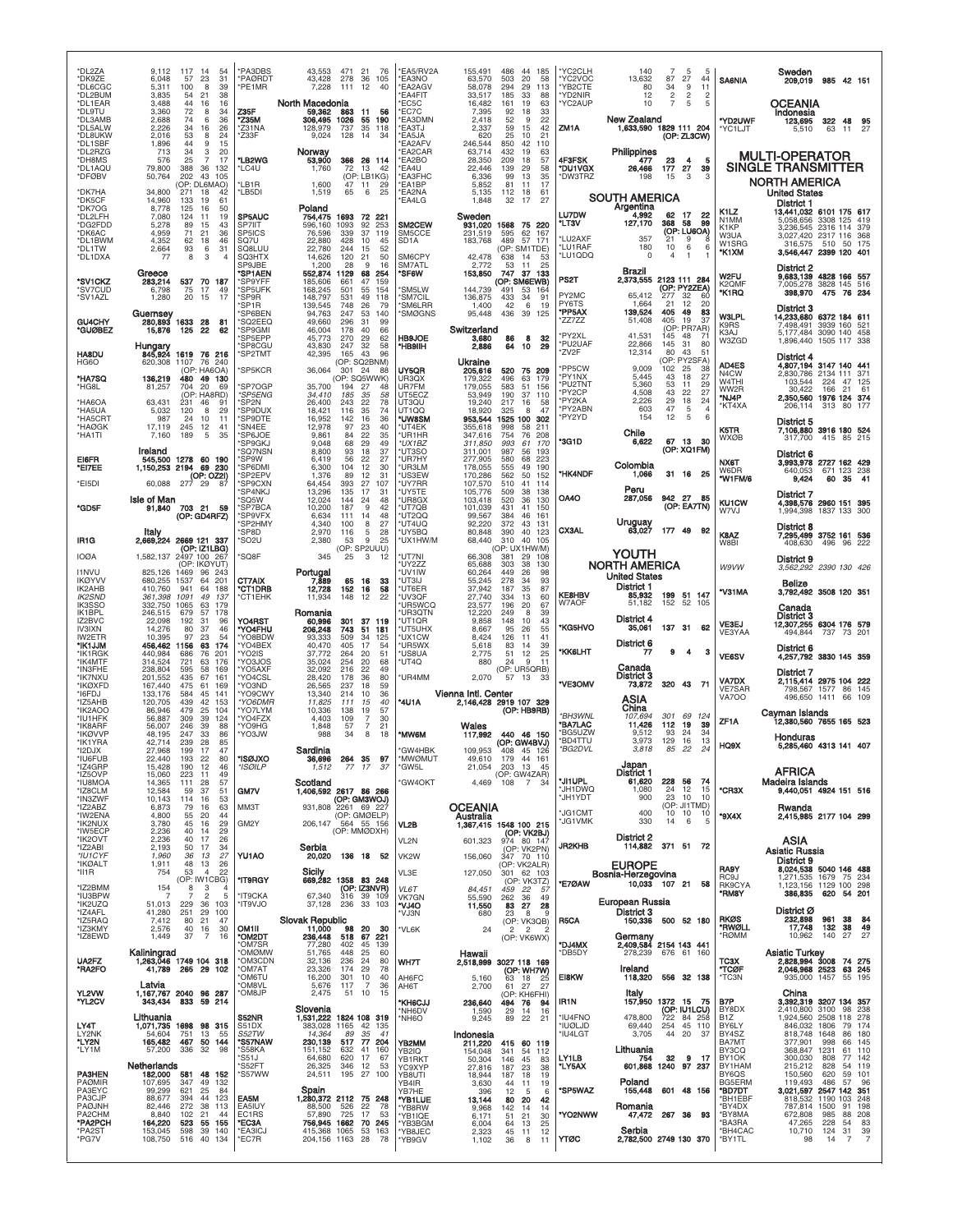| *DL2ZA<br>*DK9ZE<br>*DL6CGC<br>*DL2BUM<br>*DL1FAR<br>*DL9TU<br>*DL3AMB | 117<br>9,112<br>-14<br>54<br>23<br>6,048<br>57<br>31<br>39<br>5,311<br>100<br>8<br>3,835<br>54<br>21<br>38<br>3.488<br>44<br>16<br>16<br>3,360<br>72<br>8<br>34<br>2,688<br>36<br>74<br>6 | <b>PA3DBS</b><br>PAØRDT<br>'PE1MR<br>Z35F<br><b>Z35M</b>        | 43,553<br>471 21<br>-76<br>43,428<br>278<br>36<br>105<br>7.228<br>111<br>12<br>40<br>North Macedonia<br>59,362<br>863<br>11<br>56<br>306,495<br>1026<br>55<br>190 | *EA5/RV2A<br>*EA3NO<br>*EA2AGV<br><b>EA4FIT</b><br>"EC5C<br>'EC7C<br><b>EA3DMN</b> | 155,491<br>63,570<br>58,078<br>33,517<br>16,482<br>7,395<br>2,418 | 486<br>44 185<br>20<br>503<br>58<br>294<br>29<br>113<br>185<br>33<br>88<br>19<br>63<br>161<br>92<br>18<br>33<br>9<br>22<br>52 | 'YC2CLH<br>'YC2VOC<br>'YB2CTE<br>'YD2NIR<br>YC2AUP | 140<br>13,632<br>80<br>12<br>10<br>New Zealand             | 7<br>5<br>27<br>87<br>34<br>9<br>2<br>2<br>5<br>7          | 5<br>44<br>11<br>$\overline{2}$<br>5 | <b>SA6NIA</b><br>"YD2UWF                   | Sweden<br>985 42 151<br>209,019<br>OCEANIA<br>Indonesia<br>123,695<br>322<br>48<br>95                                |
|------------------------------------------------------------------------|-------------------------------------------------------------------------------------------------------------------------------------------------------------------------------------------|-----------------------------------------------------------------|-------------------------------------------------------------------------------------------------------------------------------------------------------------------|------------------------------------------------------------------------------------|-------------------------------------------------------------------|-------------------------------------------------------------------------------------------------------------------------------|----------------------------------------------------|------------------------------------------------------------|------------------------------------------------------------|--------------------------------------|--------------------------------------------|----------------------------------------------------------------------------------------------------------------------|
| *DL5ALW<br>*DL8UKW<br>*DL1SBF<br>*DL2RZG                               | 2,226<br>34<br>26<br>16<br>2,016<br>24<br>53<br>8<br>1,896<br>44<br>15<br>9<br>713<br>34<br>20<br>3                                                                                       | Z31NA<br>Z33F                                                   | 128,979<br>737<br>35<br>118<br>128<br>9,024<br>14<br>34<br>Norway                                                                                                 | 'EA3TJ<br><b>EA5JA</b><br>'EA2AFV<br><b>EA2CAR</b>                                 | 2,337<br>620<br>246,544<br>63,714                                 | 59<br>15<br>42<br>25<br>10<br>21<br>850<br>42<br>110<br>432<br>19<br>63                                                       | ZM1A                                               | Philippines                                                | 1,633,590 1829 111 204<br>(OP: ZL3CW)                      |                                      | *YC1LJT                                    | 27<br>5,510<br>63<br>11                                                                                              |
| *DH8MS<br>*DL1AQU<br>*DFØBV                                            | 25<br>576<br>7<br>17<br>36<br>79,800<br>388<br>132<br>202<br>43<br>105<br>50,764<br>(OP: DL6MAO)                                                                                          | *LB2WG<br>'LC4U<br>'LB1R                                        | 53,900<br>366 26 114<br>1,760<br>72<br>13<br>42<br>(OP: LB1KG)<br>1,600<br>47 11<br>29                                                                            | 'EA2BO<br>'EA4U<br>*EA3FHC<br>*EA1BP                                               | 28,350<br>22,446<br>6.336<br>5,852                                | 209<br>18<br>57<br>29<br>139<br>58<br>99<br>13<br>35<br>17<br>81<br>11                                                        | 4F3FSK<br>*DU1VGX<br>*DW3TRZ                       | 477<br>26,466<br>198                                       | 23<br>4<br>177<br>27<br>15<br>3                            | 5<br>39<br>3                         |                                            | <b>MULTI-OPERATOR</b><br>SINGLE TRANSMITTER<br><b>NORTH AMERICA</b>                                                  |
| *DK7HA<br>*DK5CF<br>*DK7OG<br>*DL2LFH                                  | 34,800<br>271<br>18<br>42<br>14,960<br>133<br>19<br>61<br>8,778<br>125<br>16<br>50<br>7,080<br>124<br>11<br>19                                                                            | 'LB5DI<br>SP5AUC                                                | 6<br>25<br>1,519<br>65<br>Poland<br>1693<br>72 221<br>754.475                                                                                                     | *EA2NA<br>'EA4LG                                                                   | 5,135<br>1,848<br>Sweden                                          | 61<br>112<br>18<br>32<br>27<br>17                                                                                             | <b>LU7DW</b>                                       | SOUTH AMERICA<br>Argentina<br>4.992                        | 62<br>- 17                                                 | 22<br>99                             | K1LZ<br>N1MM                               | <b>United States</b><br>District 1<br>13,441,032 6101 175 617<br>3308 125 419<br>5,058,656                           |
| *DG2FDD<br>*DK6AC<br>*DL1BWM<br>*DL1TW<br>*DL1DXA                      | 89<br>43<br>5.278<br>-15<br>4,959<br>71<br>21<br>36<br>46<br>4,352<br>62<br>18<br>2,664<br>93<br>6<br>31<br>8<br>3<br>77<br>$\overline{4}$                                                | SP7IIT<br>SP5ICS<br>SO <sub>7U</sub><br>SQ8LUU<br><b>SQ3HTX</b> | 1093<br>92<br>596.160<br>253<br>76,596<br>339<br>37<br>119<br>428<br>22,880<br>10<br>45<br>22,780<br>244<br>15<br>52<br>120<br>50                                 | SM2CEW<br>SM5CCE<br>SD <sub>1</sub> A<br>SM6CPY                                    | 931,020<br>231,519<br>183,768                                     | 1568<br>75 220<br>595<br>62<br>167<br>489<br>57 171<br>(OP: SM1TDE)<br>-53<br>638                                             | *LT3V<br>LU2AXF<br>LU1RAF<br>'LU1QDQ               | 127,170<br>357<br>180<br>$\Omega$                          | 368<br>58<br>(OP: LU6OA)<br>21<br>9<br>6<br>10<br>4<br>-1  | 8<br>6<br>1                          | K1KP<br>W3UA<br>W1SRG<br>*K1XM             | 3,236,545 2316 114<br>379<br>3.027.420 2317 116 368<br>510 50 175<br>316,575<br>3,546,447 2399 120 401               |
| *SV1CKZ<br>*SV7CUD                                                     | Greece<br>537 70 187<br>283,214<br>6,798<br>75<br>17<br>49                                                                                                                                | SP9JBE<br>'SP1AEN<br>SP9YFF<br>SP5UFK                           | 14,626<br>21<br>1,200<br>28<br>9<br>16<br>552,874<br>1129<br>68<br>254<br>185,606<br>661<br>47<br>159<br>501<br>168,245<br>55<br>154                              | SM7ATL<br><b>SF6W</b><br>'SM5LW                                                    | 42,478<br>2.772<br>153,850<br>144,739                             | 14<br>53<br>11<br>25<br>747<br>37 133<br>(OP: SM6EWB)<br>491<br>53<br>164                                                     | PS2T                                               | <b>Brazil</b><br>2,373,555                                 | 2123 111 284<br>(OP: PY2ZEA)                               |                                      | W2FU<br>K2QMF                              | District 2<br>9,683,139 4828 166 557<br>7,005,278 3828 145 516                                                       |
| *SV1AZL<br>GU4CHY                                                      | 20<br>1,280<br>15<br>-17<br>Guernsey<br>280,893 1633<br>28<br>81                                                                                                                          | 'SP9R<br>'SP1R<br>SP6BEN<br>'SQ2EEQ                             | 148,797<br>531<br>49<br>118<br>139,545<br>748<br>26<br>79<br>94,763<br>247<br>140<br>53<br>296<br>49,660<br>31<br>99                                              | 'SM7CIL<br>'SM6LRR<br>'SMØGNS                                                      | 136,875<br>1,400<br>95,448                                        | 433<br>-34<br>-91<br>42<br>6<br>19<br>436<br>39<br>125                                                                        | PY2MC<br>PY6TS<br>*PP5AX<br>ZZ7ZZ                  | 65,412<br>1.664<br>139,524<br>51,408                       | 32<br>277<br>12<br>21<br>405<br>49<br>405<br>19            | 60<br>20<br>83<br>37                 | *K1RQ<br><b>W3LPL</b>                      | 475<br>76 234<br>398,970<br>District 3<br>14,233,680 6372 184 611                                                    |
| *GUØBEZ<br><b>HA8DU</b>                                                | 125<br>15,876<br>22<br>62<br>Hungary<br>845,924<br>1619 76 216                                                                                                                            | 'SP9GMI<br>SP5EPP<br>SP8CGU<br>'SP2TMT                          | 178<br>40<br>66<br>46,004<br>45,773<br>270<br>29<br>62<br>43,830<br>247<br>32<br>58<br>42,395<br>165<br>43<br>96                                                  | <b>HB9JOE</b><br>*HB9IIH                                                           | Switzerland<br>3,680<br>2,886                                     | 8<br>32<br>86<br>64<br>10<br>29                                                                                               | 'PY2XL<br>*PU2UAF<br>*ZV2F                         | 41,531<br>22,866<br>12,314                                 | (OP: PR7AR)<br>145<br>48<br>31<br>145<br>80<br>43          | 71<br>80<br>51                       | K9RS<br>K3AJ<br>W3ZGD                      | 7,498,491 3939 160 521<br>5,177,484 3090 140 458<br>1,896,440<br>1505 117 338<br><b>District 4</b>                   |
| HG6O<br>*HA7SQ<br>*HG8L                                                | 76<br>240<br>620,308<br>1107<br>(OP: HA6OA)<br>136,219<br>480 49 130<br>81,257<br>704<br>20<br>69                                                                                         | 'SP5KCR<br>'SP7OGP                                              | (OP: SQ2BNM)<br>36,064<br>301 24<br>88<br>(OP: SQ5WWK)<br>35,700<br>194<br>27<br>48                                                                               | UY5QR<br>UR3OX<br>UR7FM                                                            | Ukraine<br>205,616<br>179.322<br>179,055                          | 520<br>75 209<br>179<br>496<br>63<br>583<br>51<br>156                                                                         | 'PP5CW<br>*PY1NX<br>*PU2TNT                        | 9,009<br>5,445<br>5,360                                    | (OP: PY2SFA)<br>102<br>25<br>18<br>43<br>53<br>11          | 38<br>27<br>29                       | AD4ES<br>N4CW<br>W4THI<br>WW2R             | 4,807,194 3147 140 441<br>2,830,786 2134 111 371<br>103,544<br>224<br>47<br>- 125<br>30,422<br>166<br>21<br>61       |
| *HA6OA<br>*HA5UA<br>*HA5CRT                                            | (OP: HA8RD)<br>63,431<br>231<br>46<br>91<br>5,032<br>120<br>8<br>29<br>987<br>24<br>10<br>11                                                                                              | <i><b>SP5ENG</b></i><br>'SP2N<br>'SP9DUX<br>'SP9DTE             | 34,410<br>185<br>35<br>58<br>26,400<br>78<br>243<br>22<br>74<br>18,421<br>116<br>35<br>16,952<br>36<br>142<br>16                                                  | UT5ECZ<br>UT3QU<br>UT1QQ<br>*UW8SM                                                 | 53,949<br>19,240<br>18,920<br>953,544                             | 190<br>37<br>110<br>217<br>16<br>58<br>47<br>325<br>8<br>1525 100<br>302                                                      | 'PY2CP<br>*PY2KA<br>'PY2ABN<br>'PY2YD              | 4,508<br>2,226<br>603<br>154                               | 43<br>22<br>29<br>18<br>47<br>5<br>12<br>5                 | 27<br>24<br>$\overline{4}$<br>6      | *NJ4P<br>*KT4XA                            | 2,350,560 1976 124 374<br>206,114<br>313 80<br>District 5                                                            |
| *HAØGK<br>*HA1TI                                                       | 17,119<br>245<br>12<br>41<br>35<br>5<br>7,160<br>189<br>Ireland                                                                                                                           | 'SN4EE<br>'SP6JOE<br>SP9GKJ<br>'SQ7NSN                          | 12,978<br>97<br>23<br>40<br>9,861<br>84<br>35<br>22<br>9,048<br>29<br>49<br>68<br>8,800<br>93<br>18<br>37                                                         | *UT4EK<br>*UR1HR<br>*UX1BZ<br>*UT3SO                                               | 355,618<br>347,616<br>311,850<br>311,001                          | 998<br>58<br>211<br>76<br>208<br>754<br>61<br>993<br>170<br>987<br>56<br>193                                                  | *3G1D                                              | Chile<br>6,622                                             | 67 13<br>(OP: XQ1FM)                                       | - 30                                 | K5TR<br>WXØB                               | 7,106,880 3916 180 524<br>317,700<br>415 85 215<br>District 6                                                        |
| EI6FR<br>*EI7EE<br>*EI5DI                                              | 545,500<br>1278 60 190<br>1,150,253 2194 69 230<br>(OP: OZ2I)<br>277<br>60,088<br>29<br>-87                                                                                               | 'SP9W<br>SP6DMI<br>'SP2EPV<br>SP9CXN                            | 6,419<br>56<br>22<br>27<br>104<br>12<br>30<br>6,300<br>1,376<br>89<br>12<br>31<br>64,454<br>393<br>27<br>107                                                      | *UR7HY<br>*UR3LM<br>*US3EW<br>*UY7RR                                               | 277,905<br>178,055<br>170,286<br>107,570                          | 580<br>68<br>223<br>190<br>555<br>49<br>562<br>50<br>152<br>510<br>41<br>114                                                  | <b>*HK4NDF</b>                                     | Colombia<br>1,066<br>Peru                                  | 31 16                                                      | - 25                                 | NX6T<br>W6DR<br>*W1FM/6                    | 3,993,978 2727 162 429<br>671 123 238<br>640,053<br>9,424<br>60<br>35<br>-41                                         |
| *GD5F                                                                  | Isle of Man<br>703 21<br>91,840<br>59<br>(OP: GD4RFZ)                                                                                                                                     | 'SP4NKJ<br>SQ5W<br>'SP7BCA<br><b>SP9VFX</b><br>'SP2HMY          | 13,296<br>135<br>17<br>31<br>12,024<br>48<br>144<br>24<br>10,200<br>187<br>9<br>42<br>48<br>6,634<br>111<br>14<br>4,340<br>100<br>8<br>27                         | *UY5TE<br>UR8GX<br>*UT7QB<br>*UT2QQ<br>*UT4UQ                                      | 105,776<br>103,418<br>101,039<br>99,567<br>92.220                 | 38<br>138<br>509<br>520<br>36<br>130<br>431<br>41<br>150<br>161<br>384<br>46<br>372<br>43<br>131                              | OA4O                                               | 287,056                                                    | 942 27<br>(OP: EA7TN)                                      | 85                                   | <b>KU1CW</b><br>W7VJ                       | District 7<br>4,398,576 2960 151 395<br>1,994,398 1837 133 300                                                       |
| IR <sub>1</sub> G<br><b>IOØA</b>                                       | Italy<br>2,669,224 2669 121 337<br>(OP: IZ1LBG)<br>1,582,137<br>2497 100 267                                                                                                              | 'SP8D<br>'SO2U<br>'SQ8F                                         | 2,970<br>116<br>5<br>28<br>9<br>2,380<br>53<br>25<br>(OP: SP2UUU)<br>345<br>25<br>3<br>12                                                                         | *UY5BQ<br>*UX1HW/M<br>*UT7NI                                                       | 80,848<br>68,440<br>66,308                                        | 390<br>40<br>123<br>310<br>40<br>105<br>(OP: UX1HW/M)<br>381<br>-29<br>108                                                    | <b>CX3AL</b>                                       | Uruguay<br>63,027<br><b>YOUTH</b>                          | 177 49                                                     | - 92                                 | K8AZ<br>W8BI                               | District 8<br>7,295,499 3752 161 536<br>408,630<br>496<br>96<br>-222                                                 |
| <b>I1NVU</b><br><b>IKØYVV</b><br>IK2AHB                                | (OP: IKØYUT)<br>825,126<br>1469<br>96<br>-243<br>680,255<br>1537<br>64<br>201<br>410,760<br>941<br>64<br>188                                                                              | CT7AIX<br>'CT1DRB                                               | Portugal<br>7,889<br>16<br>65<br>33<br>12,728<br>152<br>16<br>58                                                                                                  | *UY2ZZ<br>*UV1IW<br>*UT3IJ<br>*UT6ER                                               | 65,688<br>60,264<br>55,245<br>37,942                              | 38<br>303<br>130<br>449<br>26<br>98<br>278<br>34<br>93<br>35<br>87<br>187                                                     |                                                    | <b>NORTH AMERICA</b><br><b>United States</b><br>District 1 |                                                            |                                      | <b>W9VW</b>                                | District 9<br>3,562,292 2390 130 426<br>Belize                                                                       |
| <b>IK2SND</b><br><b>IK3SSO</b><br>IK1BPL<br>IZ2BVC                     | 361,398<br>1091<br>49<br>137<br>332,750<br>1065<br>63<br>179<br>246,515<br>57<br>178<br>679<br>22,098<br>192<br>96<br>31                                                                  | <b>CT1EHK</b><br>YO4RST                                         | 11,934<br>148<br>12<br>22<br>Romania<br>60,996<br>301<br>37<br>119                                                                                                | *UV3QF<br>UR5WCQ<br>*UR3QTN<br>UT1QR                                               | 27,740<br>23,577<br>12,220<br>9.858                               | 334<br>13<br>60<br>196<br>20<br>67<br>249<br>8<br>39<br>10<br>43<br>148                                                       | <b>KE8HBV</b><br>W7AOF                             | 85,932<br>51.182<br>District 4                             | 199 51 147<br>152 52                                       | 105                                  | *V31MA<br>VE3EJ                            | 3,792,492 3508 120 351<br>Canada<br>District 3<br>12,307,255 6304 176 579                                            |
| <b>IV3IXN</b><br>IW2ETR<br>*IK1JJM<br>*IK1RGK                          | 14,276<br>80<br>37<br>46<br>10.395<br>23<br>97<br>54<br>456,462 1156<br>63<br>174<br>440,984<br>686<br>76<br>201                                                                          | 'YO4FHU<br>YO8BDW<br>YO4BEX<br>YO2IS                            | 206,248<br>743<br>51<br>181<br>509<br>93,333<br>34<br>125<br>405<br>40,470<br>17<br>54<br>51<br>37,772<br>264<br>20                                               | *UT5UHX<br>*UX1CW<br>*UR5WX<br>*US8UA                                              | 8,667<br>8.424<br>5,618<br>2,775                                  | 95<br>26<br>55<br>41<br>126<br>11<br>39<br>83<br>14<br>25<br>51<br>12                                                         | *KG5HVO<br><b>*KK6LHT</b>                          | 35,061<br>District 6<br>77                                 | 137 31<br>я<br>4                                           | 62<br>з                              | VE3YAA<br><b>VE6SV</b>                     | 494,844<br>737 73 201<br>District 6<br>4,257,792 3830 145 359                                                        |
| *IK4MTF<br>*IN3FHE<br>*IK7NXU<br>*IKØXFD                               | 314,524<br>63<br>176<br>721<br>238,804<br>595<br>58<br>169<br>161<br>201,552<br>435<br>67<br>167,440<br>475<br>61<br>169                                                                  | YO3JOS<br>YO5AXF<br>YO4CSL<br>YO3ND                             | 254<br>68<br>35,024<br>20<br>32,092<br>216<br>22<br>49<br>28,420<br>80<br>178<br>36<br>26,565<br>237<br>18<br>59                                                  | *UT4Q<br><b>UR4MM</b>                                                              | 880<br>2,070                                                      | 24<br>9<br>11<br>(OP: UR5QRB)<br>57<br>13<br>-33                                                                              | *VE3OMV                                            | Canada<br>District 3<br>73,872                             | 320 43                                                     | - 71                                 | <b>VA7DX</b><br><b>VE7SAR</b>              | <b>District 7</b><br>2,115,414 2975 104 222<br>798,567 1577 86 145                                                   |
| *I6FDJ<br>*IZ5AHB<br>*IK2AOO<br>*IU1HFK                                | 45<br>141<br>133,176<br>584<br>120,705<br>439<br>42<br>153<br>104<br>86,946<br>479<br>25<br>56,887<br>309<br>39<br>124                                                                    | YO9CWY<br>'YO6DMR<br>YO7LYM<br>'YO4FZX                          | 13,340<br>36<br>214<br>10<br>11,825<br>111<br>15<br>40<br>10,336<br>138<br>19<br>57<br>4,403<br>109<br>$\overline{7}$<br>30                                       | *4U1A                                                                              | Vienna Intl. Center                                               | 2,146,428 2919 107 329<br>(OP: HB9RB)                                                                                         | *BH3WNL                                            | ASIA<br>China<br>107,694                                   | 301<br>69                                                  | 124                                  | <b>VA7OO</b><br>ZF1A                       | 496,650<br>1411<br>66<br>109<br>Cayman Islands<br>12,380,560 7655 165 523                                            |
| *IK8ARF<br>*IKØVVP<br>*IK1YRA<br>*I2DJX                                | 39<br>88<br>56,007<br>246<br>48,195<br>247<br>33<br>86<br>28<br>85<br>42,714<br>239<br>27,968<br>199<br>17<br>47                                                                          | YO9HG<br>YO3JW                                                  | 1,848<br>$\overline{7}$<br>21<br>57<br>988<br>34<br>8<br>18<br>Sardinia                                                                                           | *MW6M<br>*GW4HBK                                                                   | Wales<br>117,992<br>109,953                                       | 440 46 150<br>(OP: GW4BVJ)<br>408<br>45<br>126                                                                                | "BA7LAC<br>'BG5UZW<br>'BD4TTU<br>*BG2DVL           | 11,426<br>9,512<br>3,973<br>3,818                          | 112<br>19<br>93<br>24<br>129<br>16<br>85<br>22             | 39<br>34<br>13<br>24                 | HQ9X                                       | Honduras<br>5,285,460 4313 141 407                                                                                   |
| *ILI6FLIR<br>*IZ4GRP<br>*IZ5OVP<br>*IU8MOA                             | 22 440<br>193<br>22<br>RO<br>15,428<br>190<br>12<br>46<br>15,060<br>223<br>11<br>49<br>57<br>14,365<br>111<br>28                                                                          | *ISØJXO<br>*ISØILP                                              | 264 35 97<br>1,512<br>77 17<br>37<br>Scotland                                                                                                                     | *MWOMLIT<br>*GW5L<br><b>'GW4OKT</b>                                                | 49.610<br>21,054<br>4,469                                         | 179<br>161<br>44<br>203 13<br>45<br>(OP: GW4ZAR)<br>$108$ 7 34                                                                | *JI1UPL<br>JH1DWQ                                  | Japan<br>District 1<br>61,620<br>1,080                     | 228<br>56<br>24<br>12                                      | -74<br>15                            | *CR3X                                      | <b>AFRICA</b><br><b>Madeira Islands</b><br>9,440,051 4924 151 516                                                    |
| *IZ8CLM<br>*IN3ZWF<br>*IZ2ABZ<br>*IW2ENA<br>*IK2NUX                    | 12,584<br>37<br>51<br>59<br>10,143<br>114<br>53<br>16<br>6,873<br>79<br>63<br>16<br>44<br>4,800<br>55<br>20<br>3,780<br>29<br>45<br>16                                                    | GM7V<br>MM3T<br>GM2Y                                            | 1,406,592 2617 86 266<br>(OP: GM3WOJ)<br>2261 69 227<br>931,808<br>(OP: GMØELP)<br>206,147<br>564 55 156                                                          | VL2B                                                                               | <b>OCEANIA</b><br>Australia                                       |                                                                                                                               | *JH1YDT<br>'JG1CMT<br><b>JG1VMK</b>                | 900<br>400<br>330                                          | 23<br>10<br>(OP: JI1TMD)<br>10<br>10<br>6<br>14            | 10<br>10<br>5                        | *9X4X                                      | Rwanda<br>2,415,985 2177 104 299                                                                                     |
| *IW5ECF<br>*IK2OVT<br>*IZ2ABI<br>*IU1CYF                               | 29<br>2,236<br>40<br>14<br>2,236<br>40<br>17<br>26<br>17<br>2,193<br>50<br>34<br>27<br>1,960<br>36<br>13                                                                                  | YU1AO                                                           | (OP: MMØDXH)<br>Serbia<br>20,020<br>136 18 52                                                                                                                     | VL2N<br>VK2W                                                                       | 601,323<br>156,060                                                | 1,367,415 1548 100 215<br>(OP: VK2BJ)<br>974 80 147<br>(OP: VK2PN)<br>347 70 110                                              | JR2KHB                                             | District 2<br>114,882                                      | 371 51                                                     | 72                                   |                                            | ASIA<br><b>Asiatic Russia</b>                                                                                        |
| *IKØALT<br>*II1R<br>*IZ2BMM                                            | 48<br>13<br>26<br>1,911<br>754<br>53<br>$\overline{4}$<br>22<br>(OP: IW1CBG)<br>154<br>8<br>3<br>$\overline{4}$                                                                           | *IT9RGY                                                         | Sicily<br>669,282 1358 83 248<br>(OP: IZ3NVR)                                                                                                                     | VL3E<br>VL6T                                                                       | 127,050<br>84.451                                                 | (OP: VK2ALR)<br>301 62 103<br>(OP: VK3TZ)<br>22<br>459<br>-57                                                                 | *E7ØAW                                             | <b>EUROPE</b><br>Bosnia-Herzegovina                        | 10,033 107 21                                              | 58                                   | <b>RA9Y</b><br>RC <sub>9</sub> J<br>RK9CYA | District 9<br>8,024,538 5040 146 488<br>1,271,535 1679 75 234<br>1,123,156 1129 100 298                              |
| *IU3BPW<br>*IK2UZQ<br>*IZ4AFL<br>*IZ5RAQ                               | $\overline{7}$<br>$\overline{c}$<br>5<br>51,013<br>229<br>103<br>36<br>29<br>41,280<br>251<br>100<br>7,412<br>21<br>47<br>80                                                              | <b>IT9CKA</b><br>OLVPTI*                                        | 67,340<br>$316$ 39 109<br>37,128<br>236 33 103<br>Slovak Republic<br>11,000 9                                                                                     | VK7GN<br>"VJ4O<br>*VJ3N                                                            | 55,590<br>11,550<br>680                                           | 49<br>262<br>36<br>83 27<br>28<br>23<br>8<br>9<br>(OP: VK3QB)                                                                 | R5CA                                               | European Russia<br>District 3<br>150,336                   | 500 52 180                                                 |                                      | *RM8Y<br><b>RKØS</b>                       | 386,835<br>620 54 201<br>District Ø<br>232,898<br>961<br>38<br>84                                                    |
| *IZ3KMY<br>*IZ8EWD                                                     | 40<br>30<br>2,576<br>16<br>$\overline{7}$<br>37<br>1,449<br>16<br>Kaliningrad<br>1,263,046 1749 104 318                                                                                   | OM1II<br>*om2dt<br>'OM7SR<br><b>OMØMW</b>                       | 98<br>20<br>30<br>236,448<br>221<br>518<br>67<br>77,280<br>402<br>45 139<br>448<br>25<br>51,765<br>60                                                             | 'VL6K                                                                              | 24<br>Hawaii                                                      | $\overline{2}$<br>$\overline{2}$<br>2<br>(OP: VK6WX)                                                                          | *DJ4MX<br>*DB5DY                                   | 278,239                                                    | Germany<br>2,409,584 2154 143 441<br>676 61 160            |                                      | *RWØLL<br>*RØMM                            | 17,748<br>132<br>38<br>49<br>10,962<br>140<br>27<br>27<br><b>Asiatic Turkey</b>                                      |
| UA2FZ<br>*RA2FO                                                        | 41,789<br>265 29 102<br>Latvia                                                                                                                                                            | <b>'OM3CDN</b><br>OM7AT<br>OM6TU<br>OM8VL                       | 32,136<br>236<br>24<br>80<br>23,326<br>174<br>29<br>78<br>16,200<br>301<br>10<br>40<br>5,676<br>117<br>$\overline{7}$<br>36                                       | <b>WH7T</b><br>AH6FC<br>AH6T                                                       | 5,160<br>2,700                                                    | 2,518,999 3027 118 169<br>(OP: WH7W)<br>18<br>63<br>- 25<br>61<br>27<br>27                                                    | E18KW                                              | Ireland<br>118,320                                         | 556 32 138                                                 |                                      | тсзх<br>*TCØF<br>*TC3N                     | 2,828,994 3008<br>74 275<br>2,046,968 2523<br>63 245<br>935,000 1457<br>55 195                                       |
| YL2VW<br>"YL2CV<br>LY4T                                                | 1,167,767 2040 96 287<br>343,434 833 59 214<br>Lithuania<br>1,071,735 1698 98 315                                                                                                         | 'OM8JP<br>S52NR<br>S51DX                                        | 2,475<br>51<br>10<br>15<br>Slovenia<br>1,531,222<br>1824 108 319<br>383,028<br>1165<br>42 135                                                                     | <b>KH6CJJ</b><br>'NH6DV<br>*NH6O                                                   | 236,640<br>1,590<br>9,245                                         | (OP: KH6FHI)<br>76<br>494<br>94<br>$^{29}_{89}$<br>14<br>16<br>22<br>21                                                       | IR1N<br><b>'IU4FNO</b><br>'IUØLJD                  | Italy<br>157,950<br>478,800<br>69,440                      | 1372 15<br>$(OP: IUILCU)$<br>$722$ 84 258<br>254<br>45 110 | - 75                                 | B7P<br>BY8DX<br><b>B1Z</b><br>BY6LY        | China<br>3,392,319 3207 134 357<br>2,410,800 3100<br>98 238<br>1,924,560 2508 118 278<br>846,032 1806<br>-79<br>174  |
| LY2NK<br>*LY2N<br>*LY1M                                                | 54,604<br>751<br>13<br>55<br>467 50 144<br>165,482<br>57,200<br>336<br>32<br>98                                                                                                           | S52TW<br>'S57NAW<br>'S58KA<br>'S51J                             | 14,364<br>89<br>35<br>41<br>230,139<br>517 77 204<br>151,152<br>632<br>41<br>160<br>620<br>64,680<br>17<br>67                                                     | YB2MM<br>YB2IQ<br>YB1RKT                                                           | Indonesia<br>211,220<br>154,048<br>50,304                         | 415 60 119<br>341<br>54<br>112<br>146<br>45<br>83                                                                             | <b>'IU4LGT</b><br>LY1LB                            | 3,705<br>Lithuania<br>754                                  | 20<br>44<br>32<br>9                                        | 37<br>17                             | BY4SZ<br>BA7MT<br>BY3CQ<br>BY1OK           | 818,748 1648<br>86<br>180<br>377,901<br>998<br>145<br>66<br>368,847<br>1231<br>61 110<br>300,030<br>808<br>77<br>142 |
| <b>PA3HEN</b><br><b>PAØMIR</b><br>PA3EYC                               | Netherlands<br>182,000<br>48 152<br>581<br>107,695<br>347<br>49<br>132<br>621<br>25<br>99,299<br>84                                                                                       | 'S52FT<br>'S57WW                                                | 26,325<br>346<br>12<br>53<br>24,511<br>195 27 100                                                                                                                 | YC9XYP<br>YB8UTI<br>YB4IR<br>YB7HE                                                 | 27,816<br>18,944<br>3,630<br>396                                  | 187<br>23<br>38<br>19<br>187<br>18<br>44<br>19<br>11<br>12<br>5<br>6                                                          | *LY5AX<br><b>SP5WAZ</b>                            | 601,868<br>Poland<br>155,448                               | 1240 97 237<br>601 48 156                                  |                                      | BY1HAM<br>BY6QS<br>BG5ERM<br>*BD7DT        | 215,212<br>828<br>54 119<br>150,560<br>620<br>59 101<br>119,493<br>96<br>486<br>57<br>3,021,597 2547 142 351         |
| PA3CJP<br>PAØJNH<br>PA2CHM<br>*PA2PCH                                  | 88,677<br>394<br>44<br>123<br>82,446<br>272<br>38<br>113<br>8,840<br>102<br>21<br>44<br>523<br>164,220<br>55<br>155                                                                       | EA5M<br>EA5IUY<br>EC1RS<br>*EC3A                                | 88,500<br>526<br>22<br>78<br>725<br>57,890<br>17<br>53<br>756,945 1662 70 245                                                                                     | *YB1LUE<br>*YB8RW<br>'YB1IQE<br>*YB3BGM                                            | 13,144<br>9,968<br>6,171<br>6,004                                 | 80<br>20<br>42<br>142<br>14<br>14<br>51<br>21<br>30<br>25<br>64<br>13                                                         | 'YO2NWW                                            | Romania<br>47,472                                          | 267<br>-36                                                 | 93                                   | *BH1EBF<br>*BY4DX<br>*BY8MA<br>*BA3RA      | 818,532 1190 103 248<br>787,814 1500<br>198<br>91<br>672,808<br>985<br>88<br>208<br>47,265<br>228<br>54<br>83        |
| *PA2ST<br>*PG7V                                                        | 153,045<br>39<br>140<br>598<br>108,750<br>516<br>40<br>134                                                                                                                                | *EA3ICJ<br>*EC7R                                                | 415,368 1065<br>53<br>163<br>204,156 1163 28<br>78                                                                                                                | *YB8JEC<br>*YB9GV                                                                  | 2,323<br>1,102                                                    | $\frac{45}{36}$<br>11<br>12<br>8<br>11                                                                                        | YTØC                                               | Serbia                                                     | 2,782,500 2749 130 370                                     |                                      | *BH4CAC<br>*BY1TL                          | 10,710<br>124<br>31<br>39<br>$\overline{7}$<br>98<br>14<br>$\overline{7}$                                            |